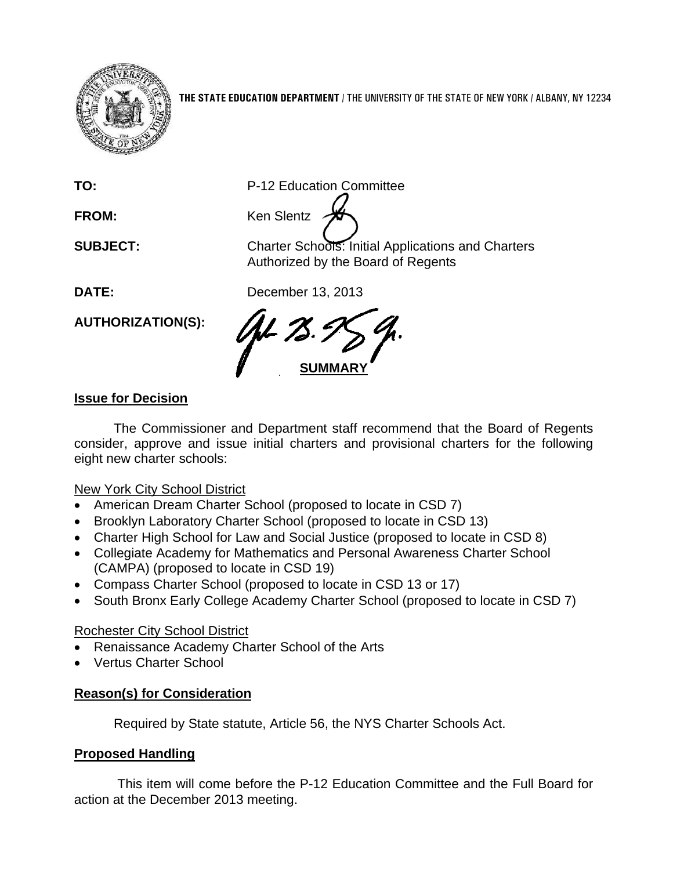

**THE STATE EDUCATION DEPARTMENT** / THE UNIVERSITY OF THE STATE OF NEW YORK / ALBANY, NY 12234

**FROM:** Ken Slentz

**TO:** P-12 Education Committee

**SUBJECT:** Charter Schools: Initial Applications and Charters Authorized by the Board of Regents

**DATE:** December 13, 2013

**SUMMARY** 

## **Issue for Decision**

**AUTHORIZATION(S):** 

The Commissioner and Department staff recommend that the Board of Regents consider, approve and issue initial charters and provisional charters for the following eight new charter schools:

## **New York City School District**

- American Dream Charter School (proposed to locate in CSD 7)
- Brooklyn Laboratory Charter School (proposed to locate in CSD 13)
- Charter High School for Law and Social Justice (proposed to locate in CSD 8)
- Collegiate Academy for Mathematics and Personal Awareness Charter School (CAMPA) (proposed to locate in CSD 19)
- Compass Charter School (proposed to locate in CSD 13 or 17)
- South Bronx Early College Academy Charter School (proposed to locate in CSD 7)

## Rochester City School District

- Renaissance Academy Charter School of the Arts
- Vertus Charter School

## **Reason(s) for Consideration**

Required by State statute, Article 56, the NYS Charter Schools Act.

## **Proposed Handling**

 This item will come before the P-12 Education Committee and the Full Board for action at the December 2013 meeting.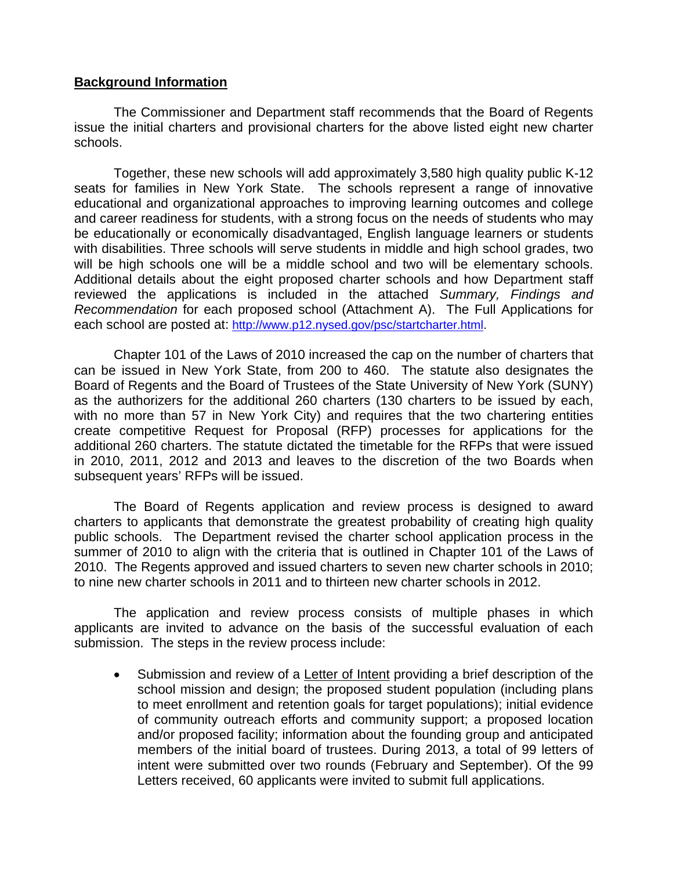#### **Background Information**

The Commissioner and Department staff recommends that the Board of Regents issue the initial charters and provisional charters for the above listed eight new charter schools.

Together, these new schools will add approximately 3,580 high quality public K-12 seats for families in New York State. The schools represent a range of innovative educational and organizational approaches to improving learning outcomes and college and career readiness for students, with a strong focus on the needs of students who may be educationally or economically disadvantaged, English language learners or students with disabilities. Three schools will serve students in middle and high school grades, two will be high schools one will be a middle school and two will be elementary schools. Additional details about the eight proposed charter schools and how Department staff reviewed the applications is included in the attached *Summary, Findings and Recommendation* for each proposed school (Attachment A). The Full Applications for each school are posted at: http://www.p12.nysed.gov/psc/startcharter.html.

Chapter 101 of the Laws of 2010 increased the cap on the number of charters that can be issued in New York State, from 200 to 460. The statute also designates the Board of Regents and the Board of Trustees of the State University of New York (SUNY) as the authorizers for the additional 260 charters (130 charters to be issued by each, with no more than 57 in New York City) and requires that the two chartering entities create competitive Request for Proposal (RFP) processes for applications for the additional 260 charters. The statute dictated the timetable for the RFPs that were issued in 2010, 2011, 2012 and 2013 and leaves to the discretion of the two Boards when subsequent years' RFPs will be issued.

 The Board of Regents application and review process is designed to award charters to applicants that demonstrate the greatest probability of creating high quality public schools. The Department revised the charter school application process in the summer of 2010 to align with the criteria that is outlined in Chapter 101 of the Laws of 2010. The Regents approved and issued charters to seven new charter schools in 2010; to nine new charter schools in 2011 and to thirteen new charter schools in 2012.

 The application and review process consists of multiple phases in which applicants are invited to advance on the basis of the successful evaluation of each submission. The steps in the review process include:

 Submission and review of a Letter of Intent providing a brief description of the school mission and design; the proposed student population (including plans to meet enrollment and retention goals for target populations); initial evidence of community outreach efforts and community support; a proposed location and/or proposed facility; information about the founding group and anticipated members of the initial board of trustees. During 2013, a total of 99 letters of intent were submitted over two rounds (February and September). Of the 99 Letters received, 60 applicants were invited to submit full applications.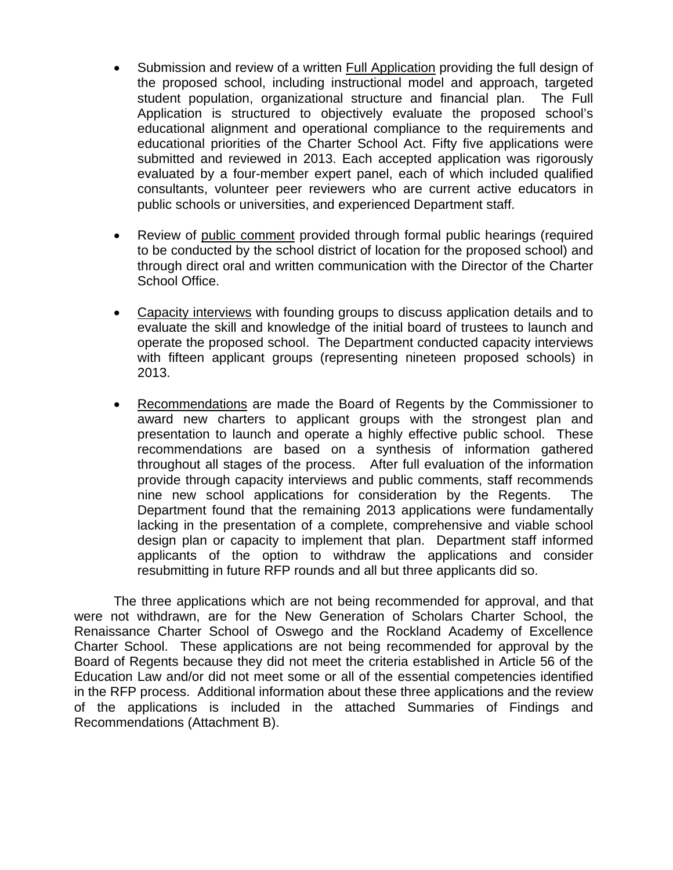- Submission and review of a written **Full Application** providing the full design of the proposed school, including instructional model and approach, targeted student population, organizational structure and financial plan. The Full Application is structured to objectively evaluate the proposed school's educational alignment and operational compliance to the requirements and educational priorities of the Charter School Act. Fifty five applications were submitted and reviewed in 2013. Each accepted application was rigorously evaluated by a four-member expert panel, each of which included qualified consultants, volunteer peer reviewers who are current active educators in public schools or universities, and experienced Department staff.
- Review of public comment provided through formal public hearings (required to be conducted by the school district of location for the proposed school) and through direct oral and written communication with the Director of the Charter School Office.
- Capacity interviews with founding groups to discuss application details and to evaluate the skill and knowledge of the initial board of trustees to launch and operate the proposed school. The Department conducted capacity interviews with fifteen applicant groups (representing nineteen proposed schools) in 2013.
- Recommendations are made the Board of Regents by the Commissioner to award new charters to applicant groups with the strongest plan and presentation to launch and operate a highly effective public school. These recommendations are based on a synthesis of information gathered throughout all stages of the process. After full evaluation of the information provide through capacity interviews and public comments, staff recommends nine new school applications for consideration by the Regents. The Department found that the remaining 2013 applications were fundamentally lacking in the presentation of a complete, comprehensive and viable school design plan or capacity to implement that plan. Department staff informed applicants of the option to withdraw the applications and consider resubmitting in future RFP rounds and all but three applicants did so.

The three applications which are not being recommended for approval, and that were not withdrawn, are for the New Generation of Scholars Charter School, the Renaissance Charter School of Oswego and the Rockland Academy of Excellence Charter School. These applications are not being recommended for approval by the Board of Regents because they did not meet the criteria established in Article 56 of the Education Law and/or did not meet some or all of the essential competencies identified in the RFP process. Additional information about these three applications and the review of the applications is included in the attached Summaries of Findings and Recommendations (Attachment B).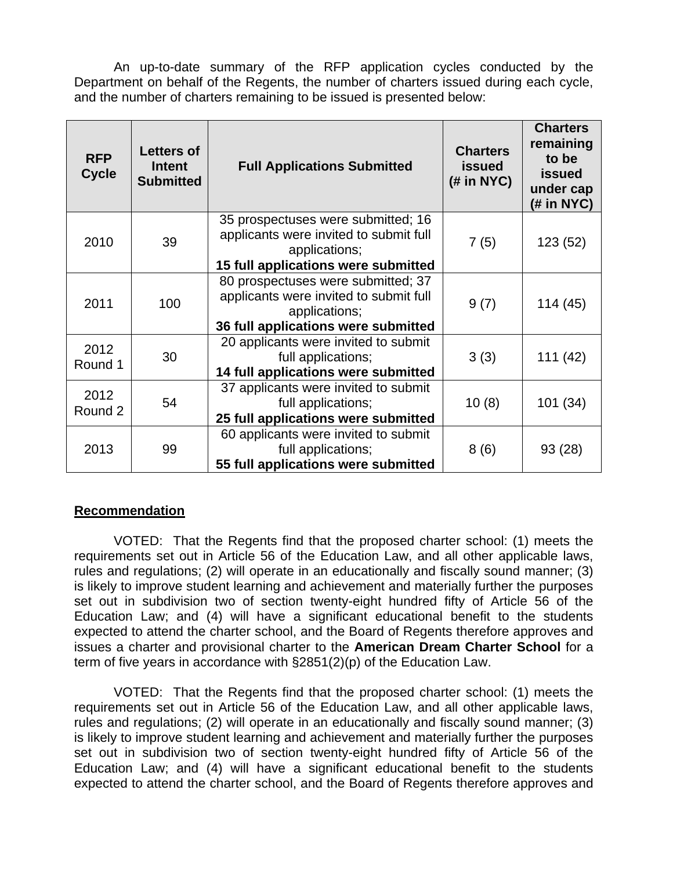An up-to-date summary of the RFP application cycles conducted by the Department on behalf of the Regents, the number of charters issued during each cycle, and the number of charters remaining to be issued is presented below:

| <b>RFP</b><br><b>Cycle</b> | <b>Letters of</b><br>Intent<br><b>Submitted</b> | <b>Full Applications Submitted</b>                                                                                                   | <b>Charters</b><br><b>issued</b><br>$(H \text{ in } NYC)$ | <b>Charters</b><br>remaining<br>to be<br><b>issued</b><br>under cap<br>(# in NYC) |
|----------------------------|-------------------------------------------------|--------------------------------------------------------------------------------------------------------------------------------------|-----------------------------------------------------------|-----------------------------------------------------------------------------------|
| 2010                       | 39                                              | 35 prospectuses were submitted; 16<br>applicants were invited to submit full<br>applications;<br>15 full applications were submitted | 7(5)                                                      | 123 (52)                                                                          |
| 2011                       | 100                                             | 80 prospectuses were submitted; 37<br>applicants were invited to submit full<br>applications;<br>36 full applications were submitted | 9(7)                                                      | 114(45)                                                                           |
| 2012<br>Round 1            | 30                                              | 20 applicants were invited to submit<br>full applications;<br>14 full applications were submitted                                    | 3(3)                                                      | 111(42)                                                                           |
| 2012<br>Round 2            | 54                                              | 37 applicants were invited to submit<br>full applications;<br>25 full applications were submitted                                    | 10(8)                                                     | 101(34)                                                                           |
| 2013                       | 99                                              | 60 applicants were invited to submit<br>full applications;<br>55 full applications were submitted                                    | 8(6)                                                      | 93 (28)                                                                           |

### **Recommendation**

VOTED: That the Regents find that the proposed charter school: (1) meets the requirements set out in Article 56 of the Education Law, and all other applicable laws, rules and regulations; (2) will operate in an educationally and fiscally sound manner; (3) is likely to improve student learning and achievement and materially further the purposes set out in subdivision two of section twenty-eight hundred fifty of Article 56 of the Education Law; and (4) will have a significant educational benefit to the students expected to attend the charter school, and the Board of Regents therefore approves and issues a charter and provisional charter to the **American Dream Charter School** for a term of five years in accordance with §2851(2)(p) of the Education Law.

VOTED: That the Regents find that the proposed charter school: (1) meets the requirements set out in Article 56 of the Education Law, and all other applicable laws, rules and regulations; (2) will operate in an educationally and fiscally sound manner; (3) is likely to improve student learning and achievement and materially further the purposes set out in subdivision two of section twenty-eight hundred fifty of Article 56 of the Education Law; and (4) will have a significant educational benefit to the students expected to attend the charter school, and the Board of Regents therefore approves and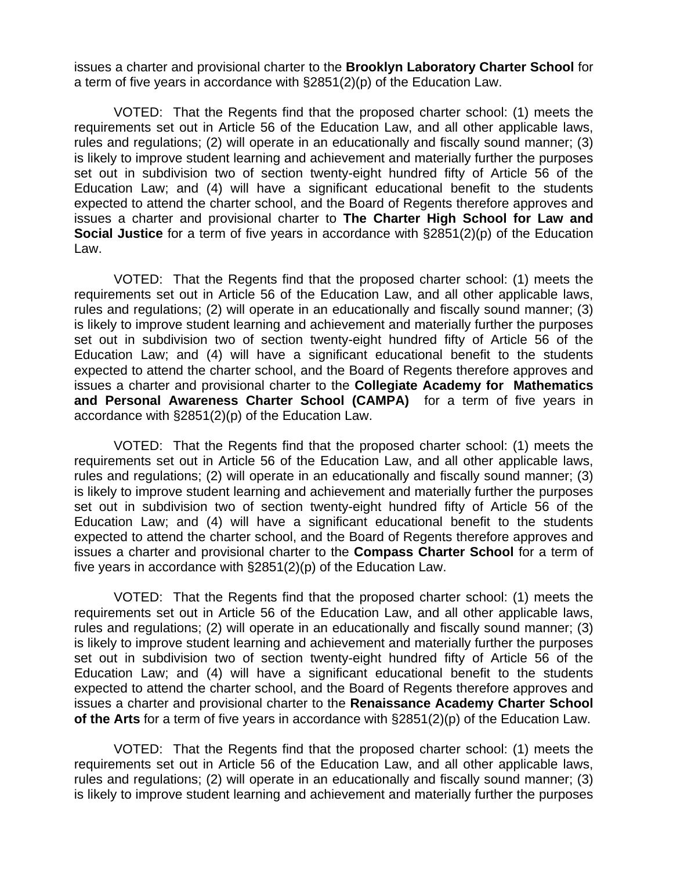issues a charter and provisional charter to the **Brooklyn Laboratory Charter School** for a term of five years in accordance with §2851(2)(p) of the Education Law.

VOTED: That the Regents find that the proposed charter school: (1) meets the requirements set out in Article 56 of the Education Law, and all other applicable laws, rules and regulations; (2) will operate in an educationally and fiscally sound manner; (3) is likely to improve student learning and achievement and materially further the purposes set out in subdivision two of section twenty-eight hundred fifty of Article 56 of the Education Law; and (4) will have a significant educational benefit to the students expected to attend the charter school, and the Board of Regents therefore approves and issues a charter and provisional charter to **The Charter High School for Law and Social Justice** for a term of five years in accordance with §2851(2)(p) of the Education Law.

VOTED: That the Regents find that the proposed charter school: (1) meets the requirements set out in Article 56 of the Education Law, and all other applicable laws, rules and regulations; (2) will operate in an educationally and fiscally sound manner; (3) is likely to improve student learning and achievement and materially further the purposes set out in subdivision two of section twenty-eight hundred fifty of Article 56 of the Education Law; and (4) will have a significant educational benefit to the students expected to attend the charter school, and the Board of Regents therefore approves and issues a charter and provisional charter to the **Collegiate Academy for Mathematics and Personal Awareness Charter School (CAMPA)** for a term of five years in accordance with §2851(2)(p) of the Education Law.

VOTED: That the Regents find that the proposed charter school: (1) meets the requirements set out in Article 56 of the Education Law, and all other applicable laws, rules and regulations; (2) will operate in an educationally and fiscally sound manner; (3) is likely to improve student learning and achievement and materially further the purposes set out in subdivision two of section twenty-eight hundred fifty of Article 56 of the Education Law; and (4) will have a significant educational benefit to the students expected to attend the charter school, and the Board of Regents therefore approves and issues a charter and provisional charter to the **Compass Charter School** for a term of five years in accordance with §2851(2)(p) of the Education Law.

VOTED: That the Regents find that the proposed charter school: (1) meets the requirements set out in Article 56 of the Education Law, and all other applicable laws, rules and regulations; (2) will operate in an educationally and fiscally sound manner; (3) is likely to improve student learning and achievement and materially further the purposes set out in subdivision two of section twenty-eight hundred fifty of Article 56 of the Education Law; and (4) will have a significant educational benefit to the students expected to attend the charter school, and the Board of Regents therefore approves and issues a charter and provisional charter to the **Renaissance Academy Charter School of the Arts** for a term of five years in accordance with §2851(2)(p) of the Education Law.

VOTED: That the Regents find that the proposed charter school: (1) meets the requirements set out in Article 56 of the Education Law, and all other applicable laws, rules and regulations; (2) will operate in an educationally and fiscally sound manner; (3) is likely to improve student learning and achievement and materially further the purposes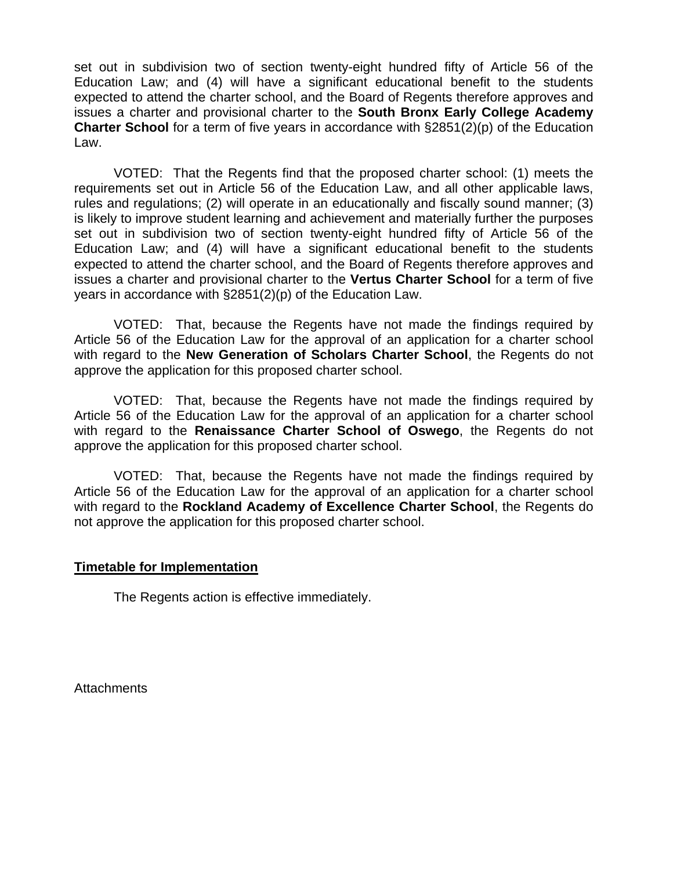set out in subdivision two of section twenty-eight hundred fifty of Article 56 of the Education Law; and (4) will have a significant educational benefit to the students expected to attend the charter school, and the Board of Regents therefore approves and issues a charter and provisional charter to the **South Bronx Early College Academy Charter School** for a term of five years in accordance with §2851(2)(p) of the Education Law.

VOTED: That the Regents find that the proposed charter school: (1) meets the requirements set out in Article 56 of the Education Law, and all other applicable laws, rules and regulations; (2) will operate in an educationally and fiscally sound manner; (3) is likely to improve student learning and achievement and materially further the purposes set out in subdivision two of section twenty-eight hundred fifty of Article 56 of the Education Law; and (4) will have a significant educational benefit to the students expected to attend the charter school, and the Board of Regents therefore approves and issues a charter and provisional charter to the **Vertus Charter School** for a term of five years in accordance with §2851(2)(p) of the Education Law.

VOTED: That, because the Regents have not made the findings required by Article 56 of the Education Law for the approval of an application for a charter school with regard to the **New Generation of Scholars Charter School**, the Regents do not approve the application for this proposed charter school.

VOTED: That, because the Regents have not made the findings required by Article 56 of the Education Law for the approval of an application for a charter school with regard to the **Renaissance Charter School of Oswego**, the Regents do not approve the application for this proposed charter school.

VOTED: That, because the Regents have not made the findings required by Article 56 of the Education Law for the approval of an application for a charter school with regard to the **Rockland Academy of Excellence Charter School**, the Regents do not approve the application for this proposed charter school.

#### **Timetable for Implementation**

The Regents action is effective immediately.

**Attachments**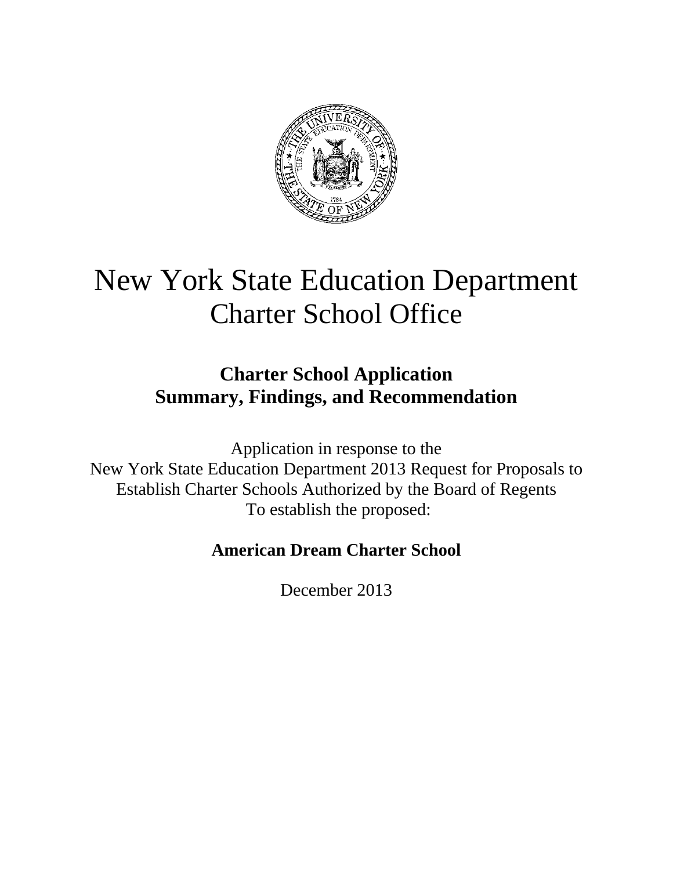

# New York State Education Department Charter School Office

# **Charter School Application Summary, Findings, and Recommendation**

Application in response to the New York State Education Department 2013 Request for Proposals to Establish Charter Schools Authorized by the Board of Regents To establish the proposed:

# **American Dream Charter School**

December 2013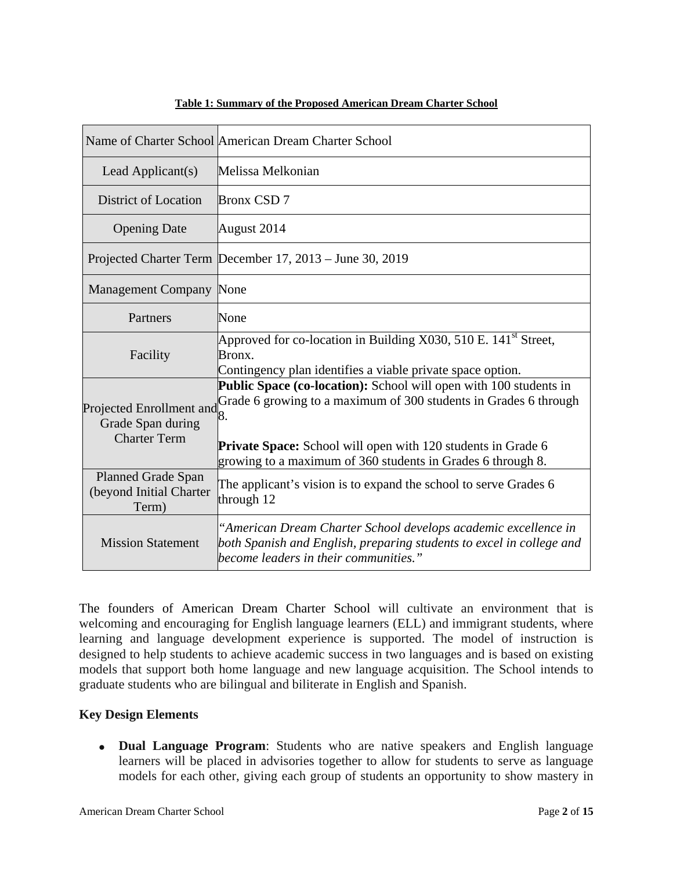|                                                                      | Name of Charter School American Dream Charter School                                                                                                                                                                                                                              |
|----------------------------------------------------------------------|-----------------------------------------------------------------------------------------------------------------------------------------------------------------------------------------------------------------------------------------------------------------------------------|
| Lead Applicant(s)                                                    | Melissa Melkonian                                                                                                                                                                                                                                                                 |
| <b>District of Location</b>                                          | <b>Bronx CSD 7</b>                                                                                                                                                                                                                                                                |
| <b>Opening Date</b>                                                  | August 2014                                                                                                                                                                                                                                                                       |
|                                                                      | Projected Charter Term December 17, 2013 – June 30, 2019                                                                                                                                                                                                                          |
| <b>Management Company None</b>                                       |                                                                                                                                                                                                                                                                                   |
| Partners                                                             | None                                                                                                                                                                                                                                                                              |
| Facility                                                             | Approved for co-location in Building X030, 510 E. $141^{\text{st}}$ Street,<br>Bronx.<br>Contingency plan identifies a viable private space option.                                                                                                                               |
| Projected Enrollment and<br>Grade Span during<br><b>Charter Term</b> | Public Space (co-location): School will open with 100 students in<br>Grade 6 growing to a maximum of 300 students in Grades 6 through<br>8.<br><b>Private Space:</b> School will open with 120 students in Grade 6<br>growing to a maximum of 360 students in Grades 6 through 8. |
| <b>Planned Grade Span</b><br>(beyond Initial Charter<br>Term)        | The applicant's vision is to expand the school to serve Grades 6<br>through 12                                                                                                                                                                                                    |
| <b>Mission Statement</b>                                             | "American Dream Charter School develops academic excellence in<br>both Spanish and English, preparing students to excel in college and<br>become leaders in their communities."                                                                                                   |

#### **Table 1: Summary of the Proposed American Dream Charter School**

The founders of American Dream Charter School will cultivate an environment that is welcoming and encouraging for English language learners (ELL) and immigrant students, where learning and language development experience is supported. The model of instruction is designed to help students to achieve academic success in two languages and is based on existing models that support both home language and new language acquisition. The School intends to graduate students who are bilingual and biliterate in English and Spanish.

#### **Key Design Elements**

 **Dual Language Program**: Students who are native speakers and English language learners will be placed in advisories together to allow for students to serve as language models for each other, giving each group of students an opportunity to show mastery in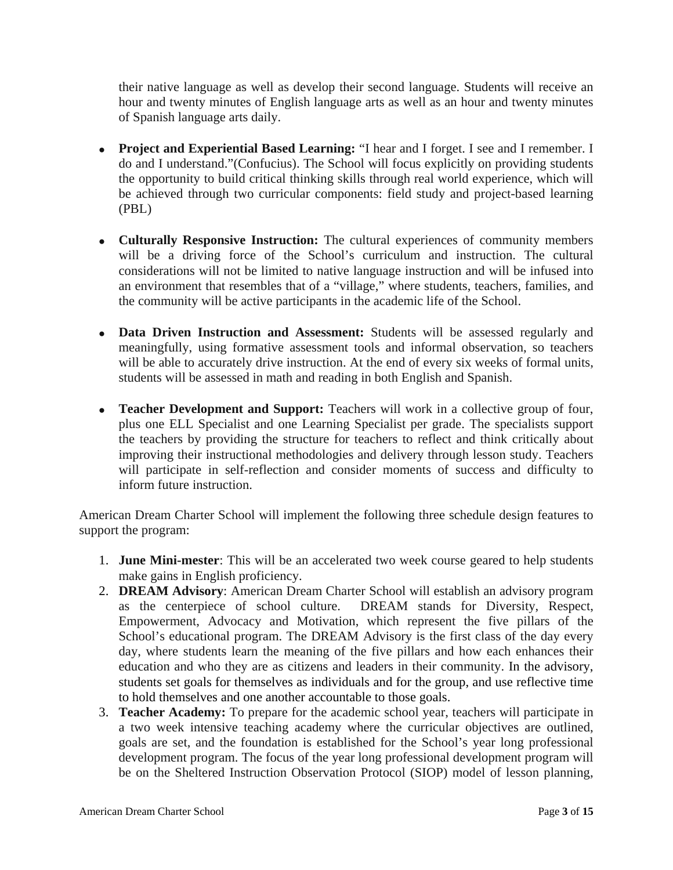their native language as well as develop their second language. Students will receive an hour and twenty minutes of English language arts as well as an hour and twenty minutes of Spanish language arts daily.

- **Project and Experiential Based Learning:** "I hear and I forget. I see and I remember. I do and I understand."(Confucius). The School will focus explicitly on providing students the opportunity to build critical thinking skills through real world experience, which will be achieved through two curricular components: field study and project-based learning (PBL)
- **Culturally Responsive Instruction:** The cultural experiences of community members will be a driving force of the School's curriculum and instruction. The cultural considerations will not be limited to native language instruction and will be infused into an environment that resembles that of a "village," where students, teachers, families, and the community will be active participants in the academic life of the School.
- **Data Driven Instruction and Assessment:** Students will be assessed regularly and meaningfully, using formative assessment tools and informal observation, so teachers will be able to accurately drive instruction. At the end of every six weeks of formal units, students will be assessed in math and reading in both English and Spanish.
- **Teacher Development and Support:** Teachers will work in a collective group of four, plus one ELL Specialist and one Learning Specialist per grade. The specialists support the teachers by providing the structure for teachers to reflect and think critically about improving their instructional methodologies and delivery through lesson study. Teachers will participate in self-reflection and consider moments of success and difficulty to inform future instruction.

American Dream Charter School will implement the following three schedule design features to support the program:

- 1. **June Mini-mester**: This will be an accelerated two week course geared to help students make gains in English proficiency.
- 2. **DREAM Advisory**: American Dream Charter School will establish an advisory program as the centerpiece of school culture. DREAM stands for Diversity, Respect, Empowerment, Advocacy and Motivation, which represent the five pillars of the School's educational program. The DREAM Advisory is the first class of the day every day, where students learn the meaning of the five pillars and how each enhances their education and who they are as citizens and leaders in their community. In the advisory, students set goals for themselves as individuals and for the group, and use reflective time to hold themselves and one another accountable to those goals.
- 3. **Teacher Academy:** To prepare for the academic school year, teachers will participate in a two week intensive teaching academy where the curricular objectives are outlined, goals are set, and the foundation is established for the School's year long professional development program. The focus of the year long professional development program will be on the Sheltered Instruction Observation Protocol (SIOP) model of lesson planning,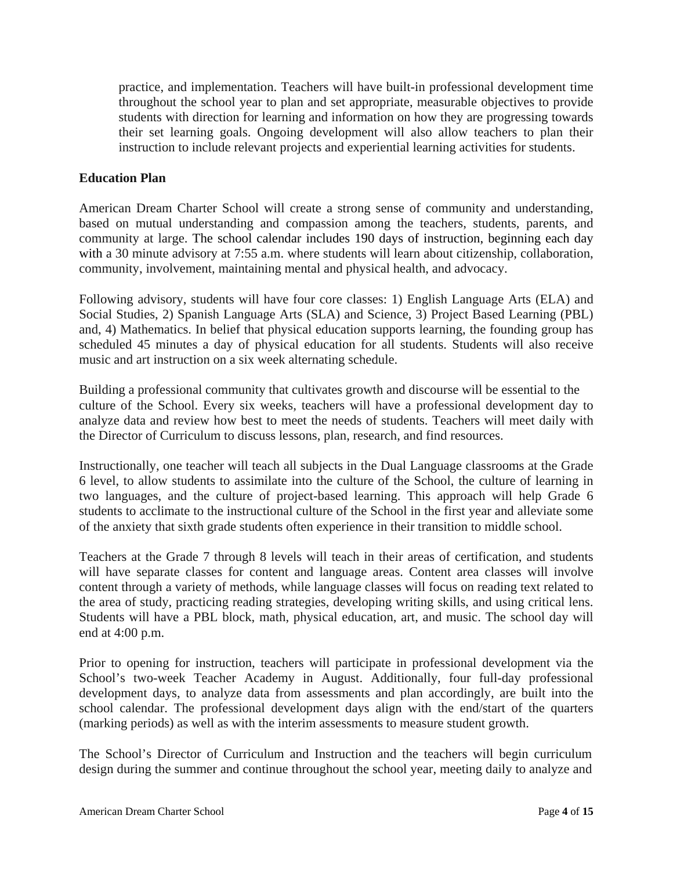practice, and implementation. Teachers will have built-in professional development time throughout the school year to plan and set appropriate, measurable objectives to provide students with direction for learning and information on how they are progressing towards their set learning goals. Ongoing development will also allow teachers to plan their instruction to include relevant projects and experiential learning activities for students.

#### **Education Plan**

American Dream Charter School will create a strong sense of community and understanding, based on mutual understanding and compassion among the teachers, students, parents, and community at large. The school calendar includes 190 days of instruction, beginning each day with a 30 minute advisory at 7:55 a.m. where students will learn about citizenship, collaboration, community, involvement, maintaining mental and physical health, and advocacy.

Following advisory, students will have four core classes: 1) English Language Arts (ELA) and Social Studies, 2) Spanish Language Arts (SLA) and Science, 3) Project Based Learning (PBL) and, 4) Mathematics. In belief that physical education supports learning, the founding group has scheduled 45 minutes a day of physical education for all students. Students will also receive music and art instruction on a six week alternating schedule.

Building a professional community that cultivates growth and discourse will be essential to the culture of the School. Every six weeks, teachers will have a professional development day to analyze data and review how best to meet the needs of students. Teachers will meet daily with the Director of Curriculum to discuss lessons, plan, research, and find resources.

Instructionally, one teacher will teach all subjects in the Dual Language classrooms at the Grade 6 level, to allow students to assimilate into the culture of the School, the culture of learning in two languages, and the culture of project-based learning. This approach will help Grade 6 students to acclimate to the instructional culture of the School in the first year and alleviate some of the anxiety that sixth grade students often experience in their transition to middle school.

Teachers at the Grade 7 through 8 levels will teach in their areas of certification, and students will have separate classes for content and language areas. Content area classes will involve content through a variety of methods, while language classes will focus on reading text related to the area of study, practicing reading strategies, developing writing skills, and using critical lens. Students will have a PBL block, math, physical education, art, and music. The school day will end at 4:00 p.m.

Prior to opening for instruction, teachers will participate in professional development via the School's two-week Teacher Academy in August. Additionally, four full-day professional development days, to analyze data from assessments and plan accordingly, are built into the school calendar. The professional development days align with the end/start of the quarters (marking periods) as well as with the interim assessments to measure student growth.

The School's Director of Curriculum and Instruction and the teachers will begin curriculum design during the summer and continue throughout the school year, meeting daily to analyze and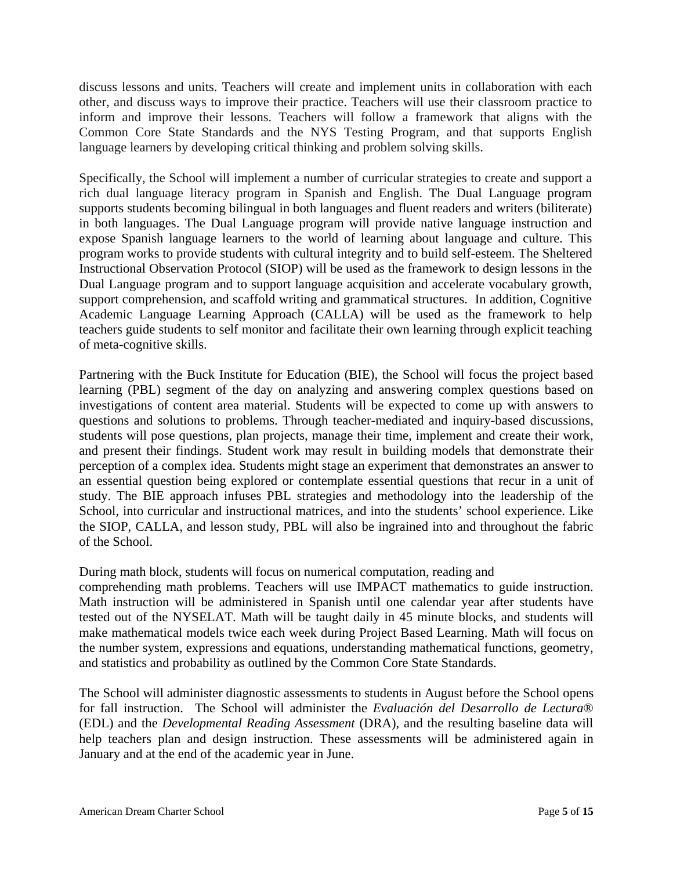discuss lessons and units. Teachers will create and implement units in collaboration with each other, and discuss ways to improve their practice. Teachers will use their classroom practice to inform and improve their lessons. Teachers will follow a framework that aligns with the Common Core State Standards and the NYS Testing Program, and that supports English language learners by developing critical thinking and problem solving skills.

Specifically, the School will implement a number of curricular strategies to create and support a rich dual language literacy program in Spanish and English. The Dual Language program supports students becoming bilingual in both languages and fluent readers and writers (biliterate) in both languages. The Dual Language program will provide native language instruction and expose Spanish language learners to the world of learning about language and culture. This program works to provide students with cultural integrity and to build self-esteem. The Sheltered Instructional Observation Protocol (SIOP) will be used as the framework to design lessons in the Dual Language program and to support language acquisition and accelerate vocabulary growth, support comprehension, and scaffold writing and grammatical structures. In addition, Cognitive Academic Language Learning Approach (CALLA) will be used as the framework to help teachers guide students to self monitor and facilitate their own learning through explicit teaching of meta-cognitive skills.

Partnering with the Buck Institute for Education (BIE), the School will focus the project based learning (PBL) segment of the day on analyzing and answering complex questions based on investigations of content area material. Students will be expected to come up with answers to questions and solutions to problems. Through teacher-mediated and inquiry-based discussions, students will pose questions, plan projects, manage their time, implement and create their work, and present their findings. Student work may result in building models that demonstrate their perception of a complex idea. Students might stage an experiment that demonstrates an answer to an essential question being explored or contemplate essential questions that recur in a unit of study. The BIE approach infuses PBL strategies and methodology into the leadership of the School, into curricular and instructional matrices, and into the students' school experience. Like the SIOP, CALLA, and lesson study, PBL will also be ingrained into and throughout the fabric of the School.

During math block, students will focus on numerical computation, reading and

comprehending math problems. Teachers will use IMPACT mathematics to guide instruction. Math instruction will be administered in Spanish until one calendar year after students have tested out of the NYSELAT. Math will be taught daily in 45 minute blocks, and students will make mathematical models twice each week during Project Based Learning. Math will focus on the number system, expressions and equations, understanding mathematical functions, geometry, and statistics and probability as outlined by the Common Core State Standards.

The School will administer diagnostic assessments to students in August before the School opens for fall instruction. The School will administer the *Evaluación del Desarrollo de Lectura*® (EDL) and the *Developmental Reading Assessment* (DRA), and the resulting baseline data will help teachers plan and design instruction. These assessments will be administered again in January and at the end of the academic year in June.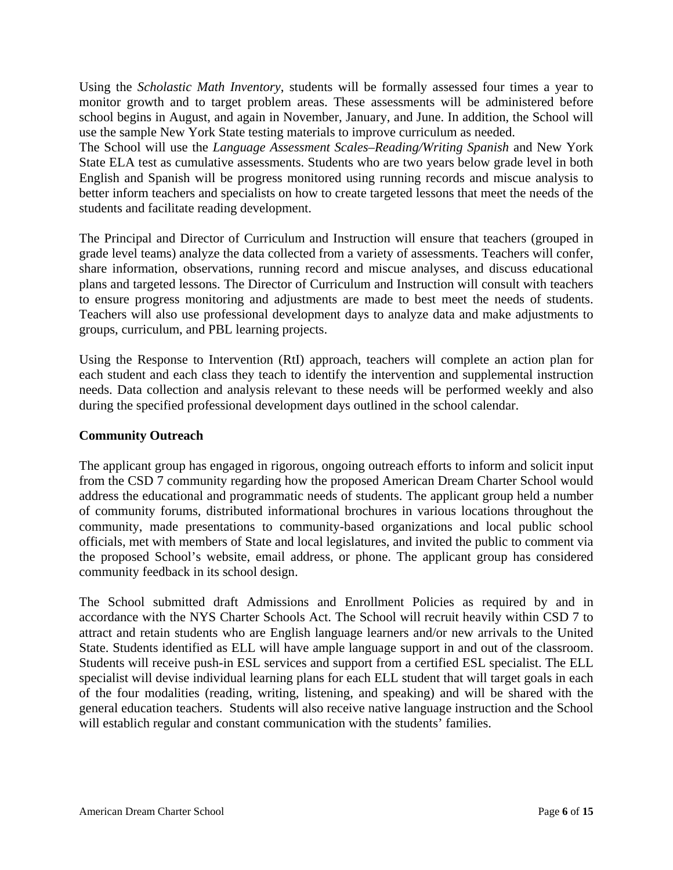Using the *Scholastic Math Inventory*, students will be formally assessed four times a year to monitor growth and to target problem areas. These assessments will be administered before school begins in August, and again in November, January, and June. In addition, the School will use the sample New York State testing materials to improve curriculum as needed.

The School will use the *Language Assessment Scales–Reading/Writing Spanish* and New York State ELA test as cumulative assessments. Students who are two years below grade level in both English and Spanish will be progress monitored using running records and miscue analysis to better inform teachers and specialists on how to create targeted lessons that meet the needs of the students and facilitate reading development.

The Principal and Director of Curriculum and Instruction will ensure that teachers (grouped in grade level teams) analyze the data collected from a variety of assessments. Teachers will confer, share information, observations, running record and miscue analyses, and discuss educational plans and targeted lessons. The Director of Curriculum and Instruction will consult with teachers to ensure progress monitoring and adjustments are made to best meet the needs of students. Teachers will also use professional development days to analyze data and make adjustments to groups, curriculum, and PBL learning projects.

Using the Response to Intervention (RtI) approach, teachers will complete an action plan for each student and each class they teach to identify the intervention and supplemental instruction needs. Data collection and analysis relevant to these needs will be performed weekly and also during the specified professional development days outlined in the school calendar.

#### **Community Outreach**

The applicant group has engaged in rigorous, ongoing outreach efforts to inform and solicit input from the CSD 7 community regarding how the proposed American Dream Charter School would address the educational and programmatic needs of students. The applicant group held a number of community forums, distributed informational brochures in various locations throughout the community, made presentations to community-based organizations and local public school officials, met with members of State and local legislatures, and invited the public to comment via the proposed School's website, email address, or phone. The applicant group has considered community feedback in its school design.

The School submitted draft Admissions and Enrollment Policies as required by and in accordance with the NYS Charter Schools Act. The School will recruit heavily within CSD 7 to attract and retain students who are English language learners and/or new arrivals to the United State. Students identified as ELL will have ample language support in and out of the classroom. Students will receive push-in ESL services and support from a certified ESL specialist. The ELL specialist will devise individual learning plans for each ELL student that will target goals in each of the four modalities (reading, writing, listening, and speaking) and will be shared with the general education teachers. Students will also receive native language instruction and the School will establich regular and constant communication with the students' families.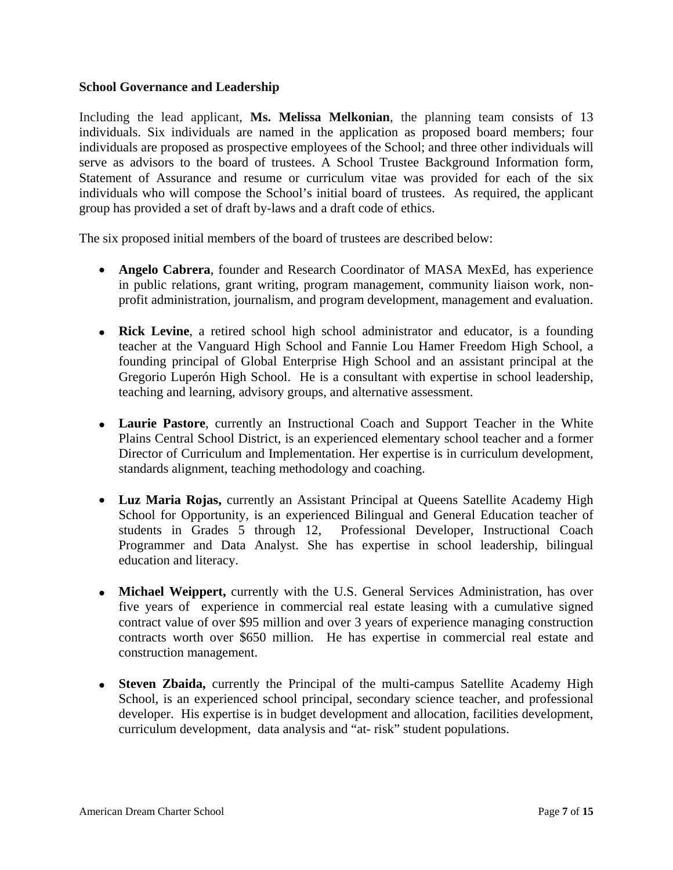#### **School Governance and Leadership**

Including the lead applicant, **Ms. Melissa Melkonian**, the planning team consists of 13 individuals. Six individuals are named in the application as proposed board members; four individuals are proposed as prospective employees of the School; and three other individuals will serve as advisors to the board of trustees. A School Trustee Background Information form, Statement of Assurance and resume or curriculum vitae was provided for each of the six individuals who will compose the School's initial board of trustees. As required, the applicant group has provided a set of draft by-laws and a draft code of ethics.

The six proposed initial members of the board of trustees are described below:

- **Angelo Cabrera**, founder and Research Coordinator of MASA MexEd, has experience in public relations, grant writing, program management, community liaison work, nonprofit administration, journalism, and program development, management and evaluation.
- **Rick Levine**, a retired school high school administrator and educator, is a founding teacher at the Vanguard High School and Fannie Lou Hamer Freedom High School, a founding principal of Global Enterprise High School and an assistant principal at the Gregorio Luperón High School. He is a consultant with expertise in school leadership, teaching and learning, advisory groups, and alternative assessment.
- **Laurie Pastore**, currently an Instructional Coach and Support Teacher in the White Plains Central School District, is an experienced elementary school teacher and a former Director of Curriculum and Implementation. Her expertise is in curriculum development, standards alignment, teaching methodology and coaching.
- **Luz Maria Rojas,** currently an Assistant Principal at Queens Satellite Academy High School for Opportunity, is an experienced Bilingual and General Education teacher of students in Grades 5 through 12, Professional Developer, Instructional Coach Programmer and Data Analyst. She has expertise in school leadership, bilingual education and literacy.
- **Michael Weippert,** currently with the U.S. General Services Administration, has over five years of experience in commercial real estate leasing with a cumulative signed contract value of over \$95 million and over 3 years of experience managing construction contracts worth over \$650 million. He has expertise in commercial real estate and construction management.
- **Steven Zbaida,** currently the Principal of the multi-campus Satellite Academy High School, is an experienced school principal, secondary science teacher, and professional developer. His expertise is in budget development and allocation, facilities development, curriculum development, data analysis and "at- risk" student populations.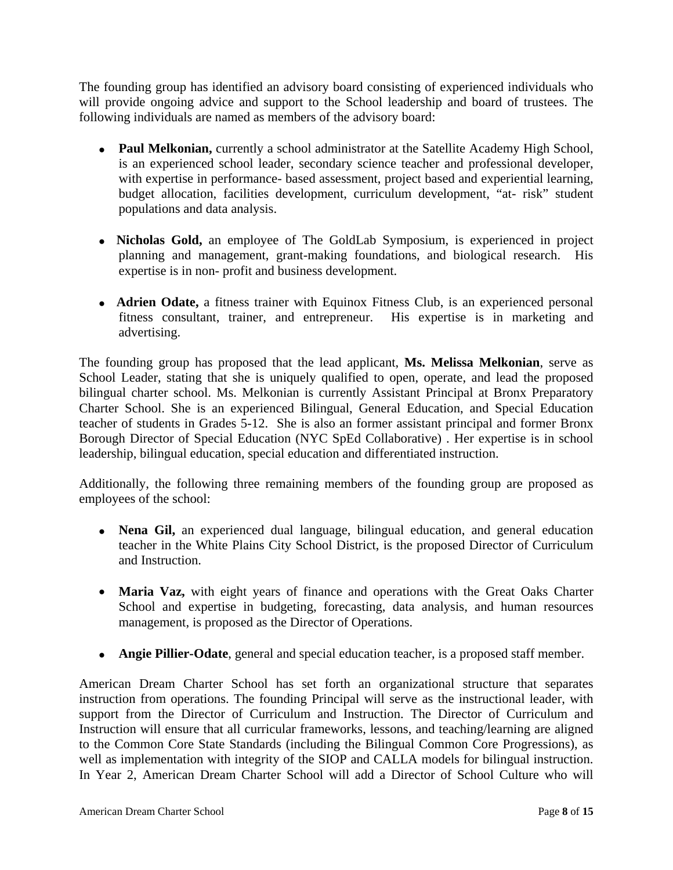The founding group has identified an advisory board consisting of experienced individuals who will provide ongoing advice and support to the School leadership and board of trustees. The following individuals are named as members of the advisory board:

- **Paul Melkonian,** currently a school administrator at the Satellite Academy High School, is an experienced school leader, secondary science teacher and professional developer, with expertise in performance- based assessment, project based and experiential learning, budget allocation, facilities development, curriculum development, "at- risk" student populations and data analysis.
- **Nicholas Gold,** an employee of The GoldLab Symposium, is experienced in project planning and management, grant-making foundations, and biological research. His expertise is in non- profit and business development.
- **Adrien Odate,** a fitness trainer with Equinox Fitness Club, is an experienced personal fitness consultant, trainer, and entrepreneur. His expertise is in marketing and advertising.

The founding group has proposed that the lead applicant, **Ms. Melissa Melkonian**, serve as School Leader, stating that she is uniquely qualified to open, operate, and lead the proposed bilingual charter school. Ms. Melkonian is currently Assistant Principal at Bronx Preparatory Charter School. She is an experienced Bilingual, General Education, and Special Education teacher of students in Grades 5-12. She is also an former assistant principal and former Bronx Borough Director of Special Education (NYC SpEd Collaborative) . Her expertise is in school leadership, bilingual education, special education and differentiated instruction.

Additionally, the following three remaining members of the founding group are proposed as employees of the school:

- **Nena Gil,** an experienced dual language, bilingual education, and general education teacher in the White Plains City School District, is the proposed Director of Curriculum and Instruction.
- **Maria Vaz,** with eight years of finance and operations with the Great Oaks Charter School and expertise in budgeting, forecasting, data analysis, and human resources management, is proposed as the Director of Operations.
- **Angie Pillier-Odate**, general and special education teacher, is a proposed staff member.

American Dream Charter School has set forth an organizational structure that separates instruction from operations. The founding Principal will serve as the instructional leader, with support from the Director of Curriculum and Instruction. The Director of Curriculum and Instruction will ensure that all curricular frameworks, lessons, and teaching/learning are aligned to the Common Core State Standards (including the Bilingual Common Core Progressions), as well as implementation with integrity of the SIOP and CALLA models for bilingual instruction. In Year 2, American Dream Charter School will add a Director of School Culture who will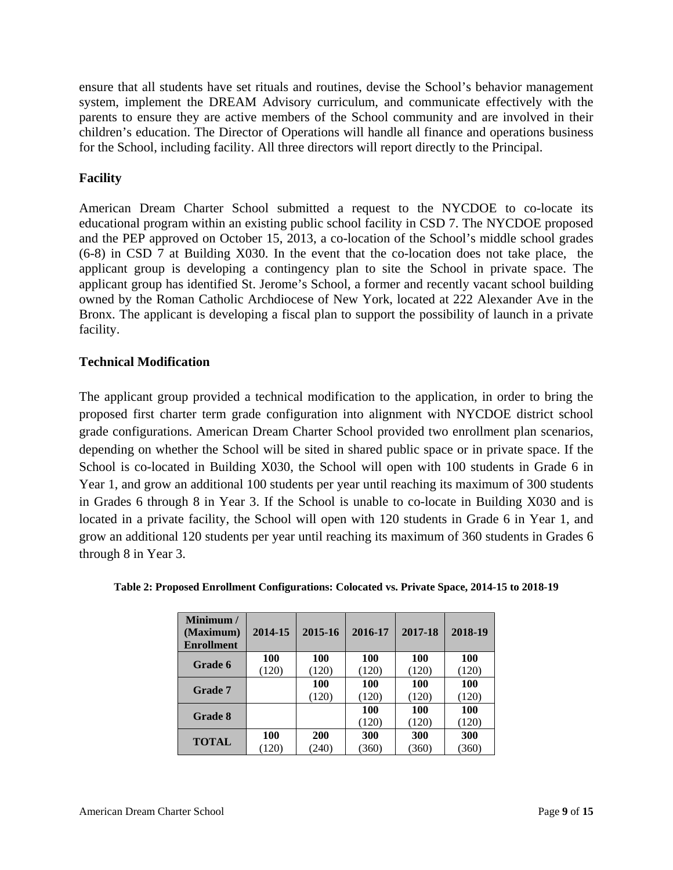ensure that all students have set rituals and routines, devise the School's behavior management system, implement the DREAM Advisory curriculum, and communicate effectively with the parents to ensure they are active members of the School community and are involved in their children's education. The Director of Operations will handle all finance and operations business for the School, including facility. All three directors will report directly to the Principal.

#### **Facility**

American Dream Charter School submitted a request to the NYCDOE to co-locate its educational program within an existing public school facility in CSD 7. The NYCDOE proposed and the PEP approved on October 15, 2013, a co-location of the School's middle school grades (6-8) in CSD 7 at Building X030. In the event that the co-location does not take place, the applicant group is developing a contingency plan to site the School in private space. The applicant group has identified St. Jerome's School, a former and recently vacant school building owned by the Roman Catholic Archdiocese of New York, located at 222 Alexander Ave in the Bronx. The applicant is developing a fiscal plan to support the possibility of launch in a private facility.

#### **Technical Modification**

The applicant group provided a technical modification to the application, in order to bring the proposed first charter term grade configuration into alignment with NYCDOE district school grade configurations. American Dream Charter School provided two enrollment plan scenarios, depending on whether the School will be sited in shared public space or in private space. If the School is co-located in Building X030, the School will open with 100 students in Grade 6 in Year 1, and grow an additional 100 students per year until reaching its maximum of 300 students in Grades 6 through 8 in Year 3. If the School is unable to co-locate in Building X030 and is located in a private facility, the School will open with 120 students in Grade 6 in Year 1, and grow an additional 120 students per year until reaching its maximum of 360 students in Grades 6 through 8 in Year 3.

| Minimum /<br>(Maximum)<br><b>Enrollment</b> | 2014-15    | 2015-16    | 2016-17 | 2017-18    | 2018-19 |
|---------------------------------------------|------------|------------|---------|------------|---------|
| Grade 6                                     | <b>100</b> | <b>100</b> | 100     | <b>100</b> | 100     |
|                                             | (120)      | (120)      | (120)   | (120)      | (120)   |
| <b>Grade 7</b>                              |            | 100        | 100     | 100        | 100     |
|                                             |            | (120)      | (120)   | (120)      | (120)   |
| <b>Grade 8</b>                              |            |            | 100     | 100        | 100     |
|                                             |            |            | (120)   | (120)      | (120)   |
|                                             | <b>100</b> | 200        | 300     | 300        | 300     |
| <b>TOTAL</b>                                | (120)      | (240)      | (360)   | (360)      | (360)   |

**Table 2: Proposed Enrollment Configurations: Colocated vs. Private Space, 2014-15 to 2018-19**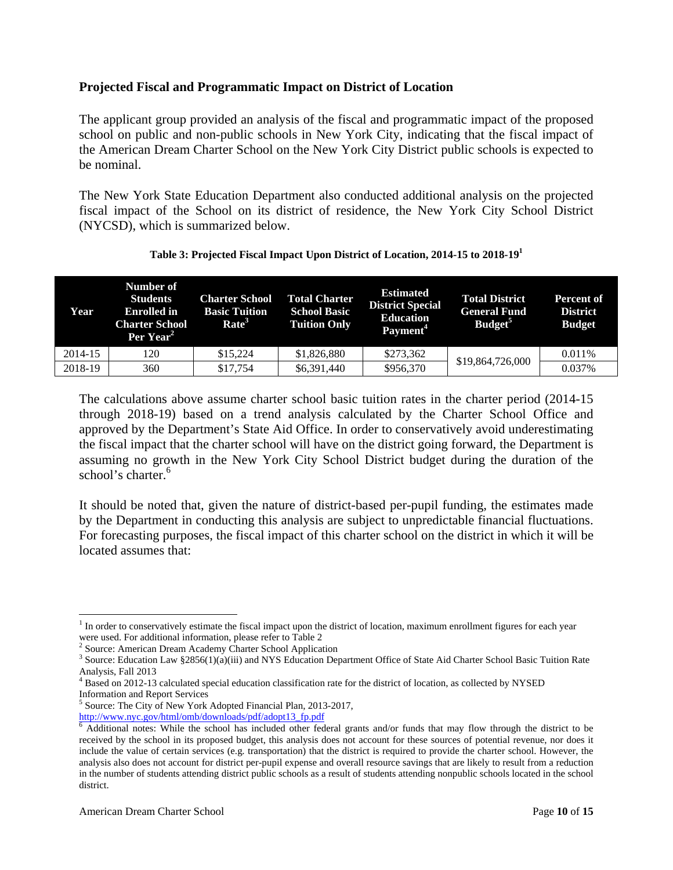#### **Projected Fiscal and Programmatic Impact on District of Location**

The applicant group provided an analysis of the fiscal and programmatic impact of the proposed school on public and non-public schools in New York City, indicating that the fiscal impact of the American Dream Charter School on the New York City District public schools is expected to be nominal.

The New York State Education Department also conducted additional analysis on the projected fiscal impact of the School on its district of residence, the New York City School District (NYCSD), which is summarized below.

| Year    | Number of<br><b>Students</b><br><b>Enrolled</b> in<br><b>Charter School</b><br>Per Year <sup>2</sup> | <b>Charter School</b><br><b>Basic Tuition</b><br>Rate <sup>3</sup> | <b>Total Charter</b><br><b>School Basic</b><br><b>Tuition Only</b> | <b>Estimated</b><br><b>District Special</b><br><b>Education</b><br>Payment <sup>4</sup> | <b>Total District</b><br><b>General Fund</b><br>Budget <sup>5</sup> | <b>Percent of</b><br><b>District</b><br><b>Budget</b> |
|---------|------------------------------------------------------------------------------------------------------|--------------------------------------------------------------------|--------------------------------------------------------------------|-----------------------------------------------------------------------------------------|---------------------------------------------------------------------|-------------------------------------------------------|
| 2014-15 | 120                                                                                                  | \$15,224                                                           | \$1,826,880                                                        | \$273,362                                                                               | \$19,864,726,000                                                    | 0.011%                                                |
| 2018-19 | 360                                                                                                  | \$17,754                                                           | \$6,391,440                                                        | \$956,370                                                                               |                                                                     | 0.037%                                                |

#### **Table 3: Projected Fiscal Impact Upon District of Location, 2014-15 to 2018-191**

The calculations above assume charter school basic tuition rates in the charter period (2014-15 through 2018-19) based on a trend analysis calculated by the Charter School Office and approved by the Department's State Aid Office. In order to conservatively avoid underestimating the fiscal impact that the charter school will have on the district going forward, the Department is assuming no growth in the New York City School District budget during the duration of the school's charter.<sup>6</sup>

It should be noted that, given the nature of district-based per-pupil funding, the estimates made by the Department in conducting this analysis are subject to unpredictable financial fluctuations. For forecasting purposes, the fiscal impact of this charter school on the district in which it will be located assumes that:

 $\overline{a}$ <sup>1</sup> In order to conservatively estimate the fiscal impact upon the district of location, maximum enrollment figures for each year

were used. For additional information, please refer to Table 2<br><sup>2</sup> Source: American Dream Academy Charter School Application

 $3$  Source: Education Law  $2856(1)(a)(iii)$  and NYS Education Department Office of State Aid Charter School Basic Tuition Rate Analysis, Fall 2013

<sup>&</sup>lt;sup>4</sup> Based on 2012-13 calculated special education classification rate for the district of location, as collected by NYSED Information and Report Services

<sup>&</sup>lt;sup>5</sup> Source: The City of New York Adopted Financial Plan, 2013-2017, http://www.nyc.gov/html/omb/downloads/pdf/adopt13\_fp.pdf <sup>6</sup>

 $6$  Additional notes: While the school has included other federal grants and/or funds that may flow through the district to be received by the school in its proposed budget, this analysis does not account for these sources of potential revenue, nor does it include the value of certain services (e.g. transportation) that the district is required to provide the charter school. However, the analysis also does not account for district per-pupil expense and overall resource savings that are likely to result from a reduction in the number of students attending district public schools as a result of students attending nonpublic schools located in the school district.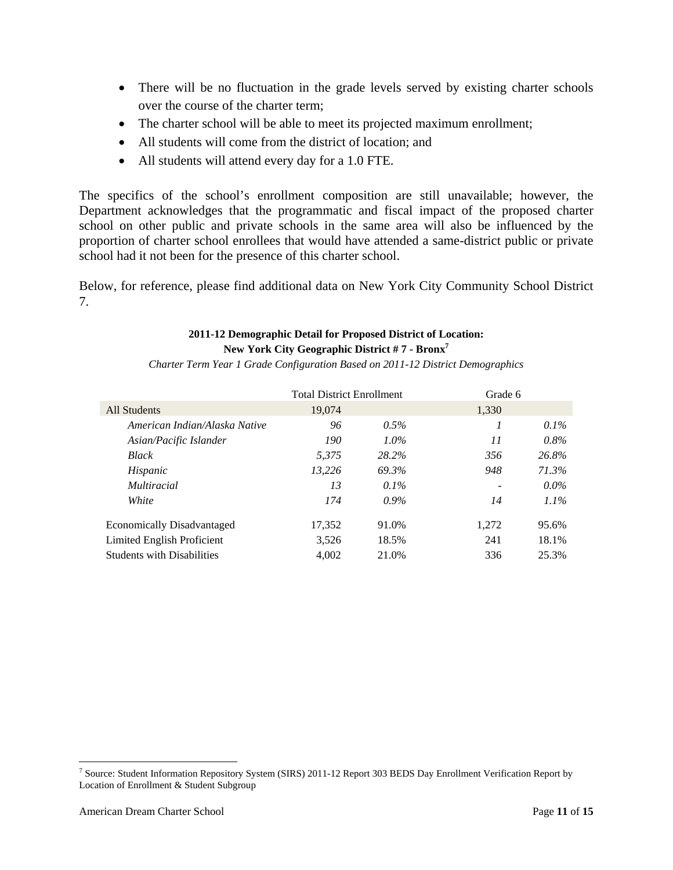- There will be no fluctuation in the grade levels served by existing charter schools over the course of the charter term;
- The charter school will be able to meet its projected maximum enrollment;
- All students will come from the district of location; and
- All students will attend every day for a 1.0 FTE.

The specifics of the school's enrollment composition are still unavailable; however, the Department acknowledges that the programmatic and fiscal impact of the proposed charter school on other public and private schools in the same area will also be influenced by the proportion of charter school enrollees that would have attended a same-district public or private school had it not been for the presence of this charter school.

Below, for reference, please find additional data on New York City Community School District 7.

#### **2011-12 Demographic Detail for Proposed District of Location: New York City Geographic District # 7 - Bronx7**

*Charter Term Year 1 Grade Configuration Based on 2011-12 District Demographics* 

|                                   | <b>Total District Enrollment</b> |         | Grade 6                  |         |
|-----------------------------------|----------------------------------|---------|--------------------------|---------|
| All Students                      | 19,074                           |         | 1.330                    |         |
| American Indian/Alaska Native     | 96                               | $0.5\%$ |                          | $0.1\%$ |
| Asian/Pacific Islander            | 190                              | $1.0\%$ | 11                       | $0.8\%$ |
| <b>Black</b>                      | 5.375                            | 28.2%   | 356                      | 26.8%   |
| Hispanic                          | 13,226                           | 69.3%   | 948                      | 71.3%   |
| <i>Multiracial</i>                | 13                               | $0.1\%$ | $\overline{\phantom{a}}$ | $0.0\%$ |
| White                             | 174                              | $0.9\%$ | 14                       | $1.1\%$ |
| <b>Economically Disadvantaged</b> | 17,352                           | 91.0%   | 1,272                    | 95.6%   |
| Limited English Proficient        | 3.526                            | 18.5%   | 241                      | 18.1%   |
| <b>Students with Disabilities</b> | 4.002                            | 21.0%   | 336                      | 25.3%   |

 $\overline{a}$ 

<sup>&</sup>lt;sup>7</sup> Source: Student Information Repository System (SIRS) 2011-12 Report 303 BEDS Day Enrollment Verification Report by Location of Enrollment & Student Subgroup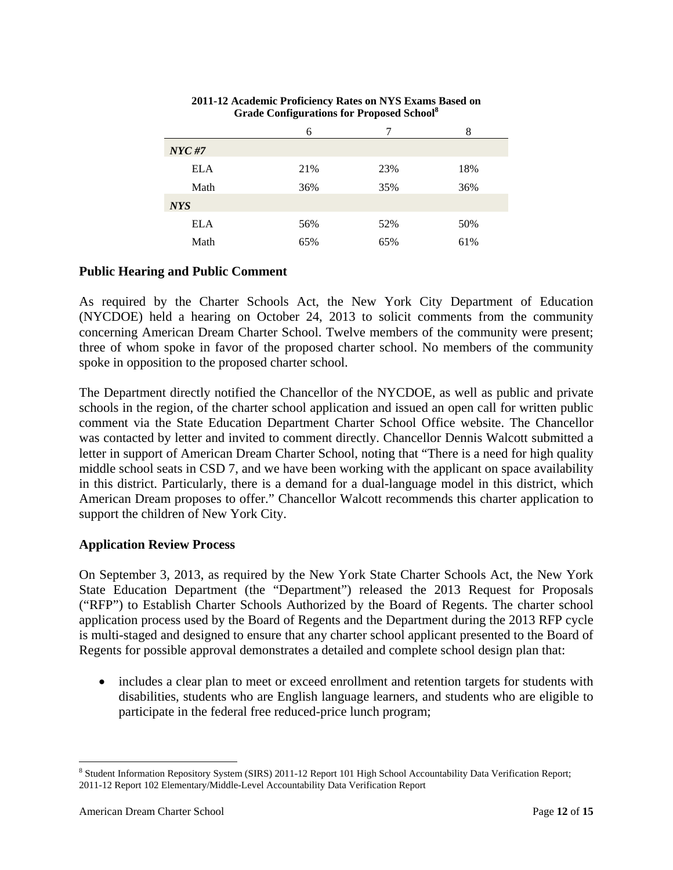|            |     |     | 8   |
|------------|-----|-----|-----|
| NYC#7      |     |     |     |
| <b>ELA</b> | 21% | 23% | 18% |
| Math       | 36% | 35% | 36% |
| <b>NYS</b> |     |     |     |
| <b>ELA</b> | 56% | 52% | 50% |
| Math       | 65% | 65% | 61% |

#### **2011-12 Academic Proficiency Rates on NYS Exams Based on Grade Configurations for Proposed School8**

#### **Public Hearing and Public Comment**

As required by the Charter Schools Act, the New York City Department of Education (NYCDOE) held a hearing on October 24, 2013 to solicit comments from the community concerning American Dream Charter School. Twelve members of the community were present; three of whom spoke in favor of the proposed charter school. No members of the community spoke in opposition to the proposed charter school.

The Department directly notified the Chancellor of the NYCDOE, as well as public and private schools in the region, of the charter school application and issued an open call for written public comment via the State Education Department Charter School Office website. The Chancellor was contacted by letter and invited to comment directly. Chancellor Dennis Walcott submitted a letter in support of American Dream Charter School, noting that "There is a need for high quality middle school seats in CSD 7, and we have been working with the applicant on space availability in this district. Particularly, there is a demand for a dual-language model in this district, which American Dream proposes to offer." Chancellor Walcott recommends this charter application to support the children of New York City.

#### **Application Review Process**

On September 3, 2013, as required by the New York State Charter Schools Act, the New York State Education Department (the "Department") released the 2013 Request for Proposals ("RFP") to Establish Charter Schools Authorized by the Board of Regents. The charter school application process used by the Board of Regents and the Department during the 2013 RFP cycle is multi-staged and designed to ensure that any charter school applicant presented to the Board of Regents for possible approval demonstrates a detailed and complete school design plan that:

• includes a clear plan to meet or exceed enrollment and retention targets for students with disabilities, students who are English language learners, and students who are eligible to participate in the federal free reduced-price lunch program;

1

<sup>&</sup>lt;sup>8</sup> Student Information Repository System (SIRS) 2011-12 Report 101 High School Accountability Data Verification Report; 2011-12 Report 102 Elementary/Middle-Level Accountability Data Verification Report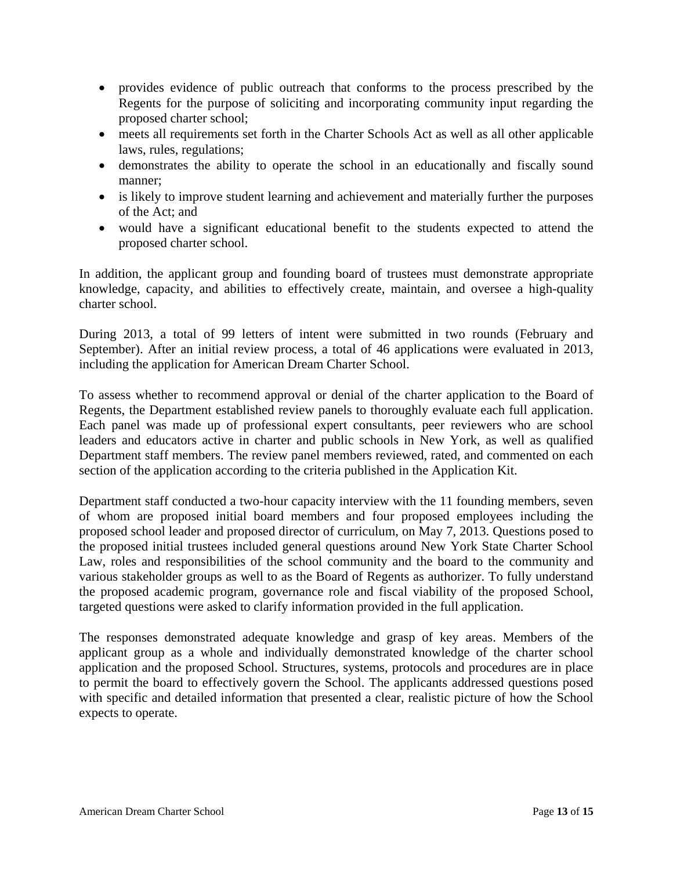- provides evidence of public outreach that conforms to the process prescribed by the Regents for the purpose of soliciting and incorporating community input regarding the proposed charter school;
- meets all requirements set forth in the Charter Schools Act as well as all other applicable laws, rules, regulations;
- demonstrates the ability to operate the school in an educationally and fiscally sound manner;
- is likely to improve student learning and achievement and materially further the purposes of the Act; and
- would have a significant educational benefit to the students expected to attend the proposed charter school.

In addition, the applicant group and founding board of trustees must demonstrate appropriate knowledge, capacity, and abilities to effectively create, maintain, and oversee a high-quality charter school.

During 2013, a total of 99 letters of intent were submitted in two rounds (February and September). After an initial review process, a total of 46 applications were evaluated in 2013, including the application for American Dream Charter School.

To assess whether to recommend approval or denial of the charter application to the Board of Regents, the Department established review panels to thoroughly evaluate each full application. Each panel was made up of professional expert consultants, peer reviewers who are school leaders and educators active in charter and public schools in New York, as well as qualified Department staff members. The review panel members reviewed, rated, and commented on each section of the application according to the criteria published in the Application Kit.

Department staff conducted a two-hour capacity interview with the 11 founding members, seven of whom are proposed initial board members and four proposed employees including the proposed school leader and proposed director of curriculum, on May 7, 2013. Questions posed to the proposed initial trustees included general questions around New York State Charter School Law, roles and responsibilities of the school community and the board to the community and various stakeholder groups as well to as the Board of Regents as authorizer. To fully understand the proposed academic program, governance role and fiscal viability of the proposed School, targeted questions were asked to clarify information provided in the full application.

The responses demonstrated adequate knowledge and grasp of key areas. Members of the applicant group as a whole and individually demonstrated knowledge of the charter school application and the proposed School. Structures, systems, protocols and procedures are in place to permit the board to effectively govern the School. The applicants addressed questions posed with specific and detailed information that presented a clear, realistic picture of how the School expects to operate.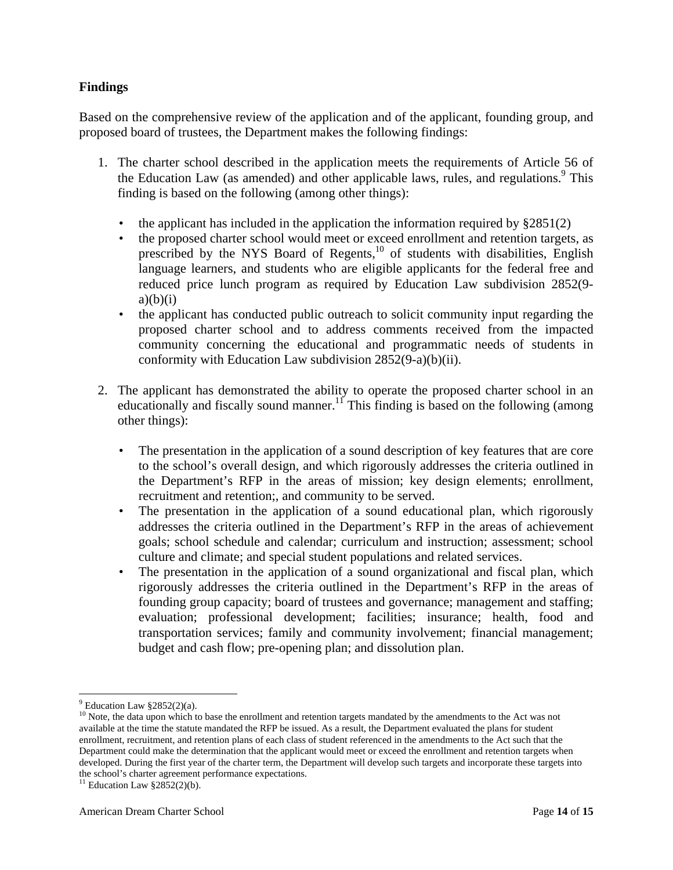#### **Findings**

Based on the comprehensive review of the application and of the applicant, founding group, and proposed board of trustees, the Department makes the following findings:

- 1. The charter school described in the application meets the requirements of Article 56 of the Education Law (as amended) and other applicable laws, rules, and regulations.<sup>9</sup> This finding is based on the following (among other things):
	- the applicant has included in the application the information required by  $\S 2851(2)$
	- the proposed charter school would meet or exceed enrollment and retention targets, as prescribed by the NYS Board of Regents,<sup>10</sup> of students with disabilities, English language learners, and students who are eligible applicants for the federal free and reduced price lunch program as required by Education Law subdivision 2852(9  $a)(b)(i)$
	- the applicant has conducted public outreach to solicit community input regarding the proposed charter school and to address comments received from the impacted community concerning the educational and programmatic needs of students in conformity with Education Law subdivision 2852(9-a)(b)(ii).
- 2. The applicant has demonstrated the ability to operate the proposed charter school in an educationally and fiscally sound manner.<sup>11</sup> This finding is based on the following (among other things):
	- The presentation in the application of a sound description of key features that are core to the school's overall design, and which rigorously addresses the criteria outlined in the Department's RFP in the areas of mission; key design elements; enrollment, recruitment and retention;, and community to be served.
	- The presentation in the application of a sound educational plan, which rigorously addresses the criteria outlined in the Department's RFP in the areas of achievement goals; school schedule and calendar; curriculum and instruction; assessment; school culture and climate; and special student populations and related services.
	- The presentation in the application of a sound organizational and fiscal plan, which rigorously addresses the criteria outlined in the Department's RFP in the areas of founding group capacity; board of trustees and governance; management and staffing; evaluation; professional development; facilities; insurance; health, food and transportation services; family and community involvement; financial management; budget and cash flow; pre-opening plan; and dissolution plan.

<u>.</u>

 $9$  Education Law  $§2852(2)(a)$ .

<sup>&</sup>lt;sup>10</sup> Note, the data upon which to base the enrollment and retention targets mandated by the amendments to the Act was not available at the time the statute mandated the RFP be issued. As a result, the Department evaluated the plans for student enrollment, recruitment, and retention plans of each class of student referenced in the amendments to the Act such that the Department could make the determination that the applicant would meet or exceed the enrollment and retention targets when developed. During the first year of the charter term, the Department will develop such targets and incorporate these targets into the school's charter agreement performance expectations.

 $11$  Education Law  $§2852(2)(b)$ .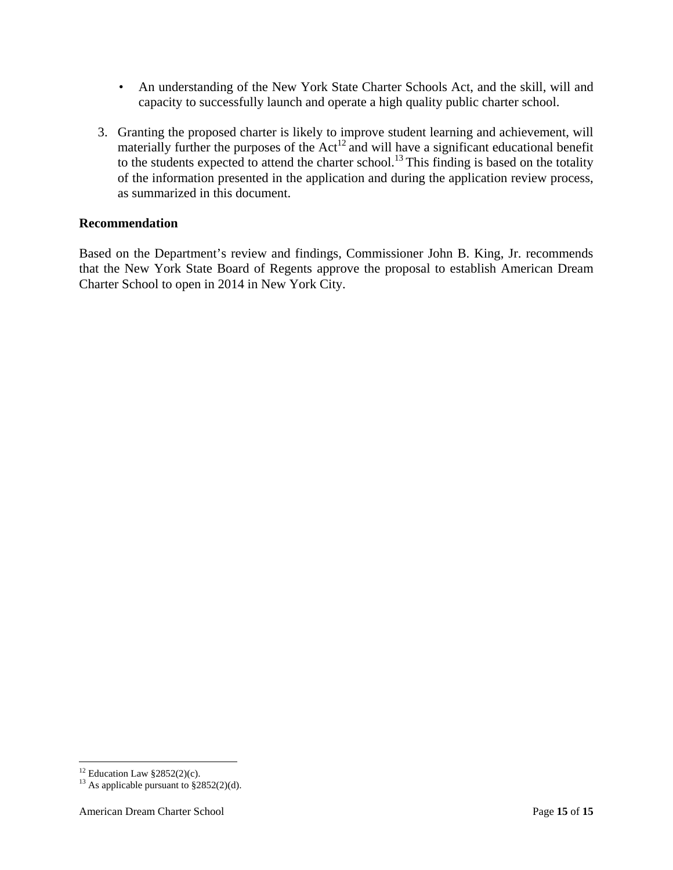- An understanding of the New York State Charter Schools Act, and the skill, will and capacity to successfully launch and operate a high quality public charter school.
- 3. Granting the proposed charter is likely to improve student learning and achievement, will materially further the purposes of the  $Act^{12}$  and will have a significant educational benefit to the students expected to attend the charter school.<sup>13</sup> This finding is based on the totality of the information presented in the application and during the application review process, as summarized in this document.

#### **Recommendation**

Based on the Department's review and findings, Commissioner John B. King, Jr. recommends that the New York State Board of Regents approve the proposal to establish American Dream Charter School to open in 2014 in New York City.

 $\overline{a}$ 

<sup>&</sup>lt;sup>12</sup> Education Law  $§2852(2)(c)$ .

<sup>&</sup>lt;sup>13</sup> As applicable pursuant to  $\frac{$2852(2)(d)}{2}$ .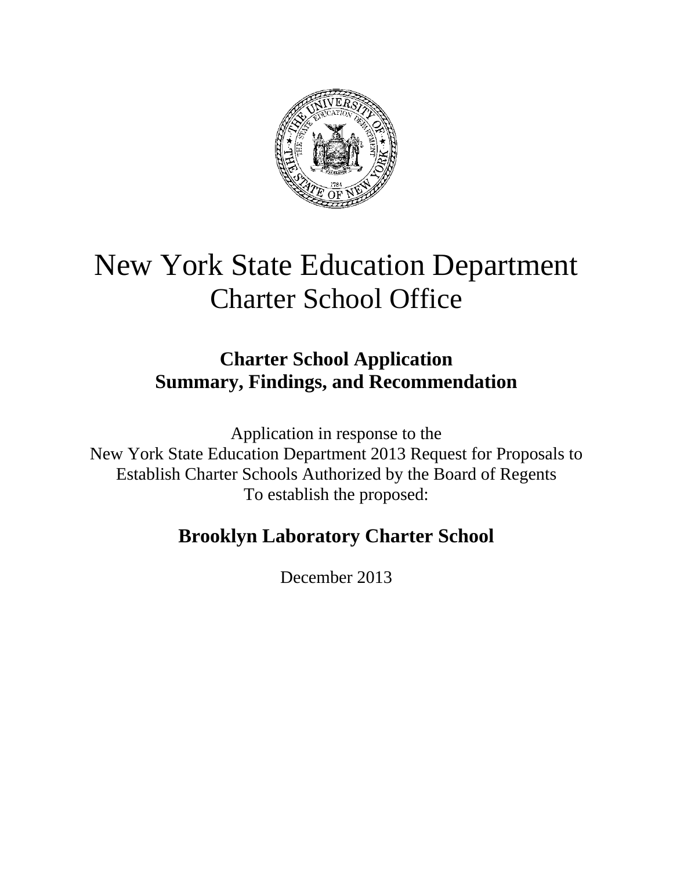

# New York State Education Department Charter School Office

# **Charter School Application Summary, Findings, and Recommendation**

Application in response to the New York State Education Department 2013 Request for Proposals to Establish Charter Schools Authorized by the Board of Regents To establish the proposed:

# **Brooklyn Laboratory Charter School**

December 2013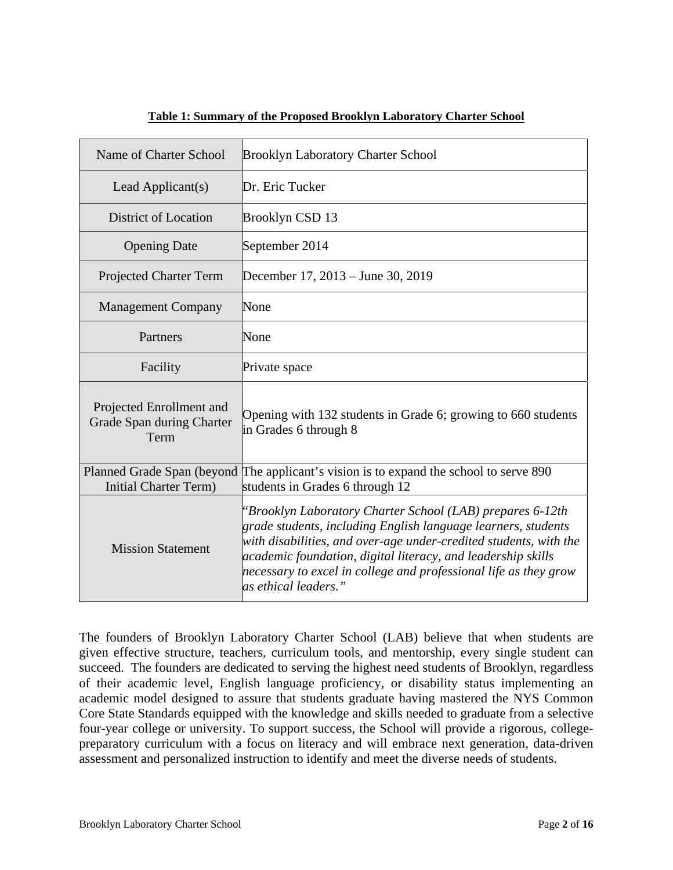| Name of Charter School                                        | <b>Brooklyn Laboratory Charter School</b>                                                                                                                                                                                                                                                                                                                   |
|---------------------------------------------------------------|-------------------------------------------------------------------------------------------------------------------------------------------------------------------------------------------------------------------------------------------------------------------------------------------------------------------------------------------------------------|
| Lead Applicant(s)                                             | Dr. Eric Tucker                                                                                                                                                                                                                                                                                                                                             |
| District of Location                                          | Brooklyn CSD 13                                                                                                                                                                                                                                                                                                                                             |
| <b>Opening Date</b>                                           | September 2014                                                                                                                                                                                                                                                                                                                                              |
| <b>Projected Charter Term</b>                                 | December 17, 2013 – June 30, 2019                                                                                                                                                                                                                                                                                                                           |
| <b>Management Company</b>                                     | None                                                                                                                                                                                                                                                                                                                                                        |
| Partners                                                      | None                                                                                                                                                                                                                                                                                                                                                        |
| Facility                                                      | Private space                                                                                                                                                                                                                                                                                                                                               |
| Projected Enrollment and<br>Grade Span during Charter<br>Term | Opening with 132 students in Grade 6; growing to 660 students<br>in Grades 6 through 8                                                                                                                                                                                                                                                                      |
| <b>Initial Charter Term)</b>                                  | Planned Grade Span (beyond The applicant's vision is to expand the school to serve 890<br>students in Grades 6 through 12                                                                                                                                                                                                                                   |
| <b>Mission Statement</b>                                      | "Brooklyn Laboratory Charter School (LAB) prepares 6-12th<br>grade students, including English language learners, students<br>with disabilities, and over-age under-credited students, with the<br>academic foundation, digital literacy, and leadership skills<br>necessary to excel in college and professional life as they grow<br>as ethical leaders." |

#### **Table 1: Summary of the Proposed Brooklyn Laboratory Charter School**

The founders of Brooklyn Laboratory Charter School (LAB) believe that when students are given effective structure, teachers, curriculum tools, and mentorship, every single student can succeed. The founders are dedicated to serving the highest need students of Brooklyn, regardless of their academic level, English language proficiency, or disability status implementing an academic model designed to assure that students graduate having mastered the NYS Common Core State Standards equipped with the knowledge and skills needed to graduate from a selective four-year college or university. To support success, the School will provide a rigorous, collegepreparatory curriculum with a focus on literacy and will embrace next generation, data-driven assessment and personalized instruction to identify and meet the diverse needs of students.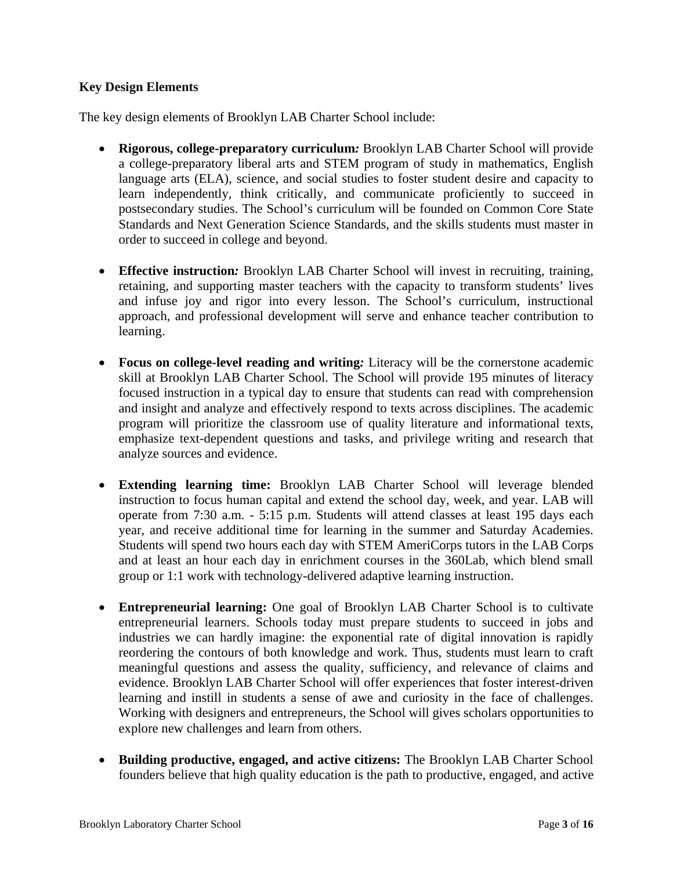#### **Key Design Elements**

The key design elements of Brooklyn LAB Charter School include:

- **Rigorous, college-preparatory curriculum***:* Brooklyn LAB Charter School will provide a college-preparatory liberal arts and STEM program of study in mathematics, English language arts (ELA), science, and social studies to foster student desire and capacity to learn independently, think critically, and communicate proficiently to succeed in postsecondary studies. The School's curriculum will be founded on Common Core State Standards and Next Generation Science Standards, and the skills students must master in order to succeed in college and beyond.
- **Effective instruction***:* Brooklyn LAB Charter School will invest in recruiting, training, retaining, and supporting master teachers with the capacity to transform students' lives and infuse joy and rigor into every lesson. The School's curriculum, instructional approach, and professional development will serve and enhance teacher contribution to learning.
- **Focus on college-level reading and writing***:* Literacy will be the cornerstone academic skill at Brooklyn LAB Charter School. The School will provide 195 minutes of literacy focused instruction in a typical day to ensure that students can read with comprehension and insight and analyze and effectively respond to texts across disciplines. The academic program will prioritize the classroom use of quality literature and informational texts, emphasize text-dependent questions and tasks, and privilege writing and research that analyze sources and evidence.
- **Extending learning time:** Brooklyn LAB Charter School will leverage blended instruction to focus human capital and extend the school day, week, and year. LAB will operate from 7:30 a.m. - 5:15 p.m. Students will attend classes at least 195 days each year, and receive additional time for learning in the summer and Saturday Academies. Students will spend two hours each day with STEM AmeriCorps tutors in the LAB Corps and at least an hour each day in enrichment courses in the 360Lab, which blend small group or 1:1 work with technology-delivered adaptive learning instruction.
- **Entrepreneurial learning:** One goal of Brooklyn LAB Charter School is to cultivate entrepreneurial learners. Schools today must prepare students to succeed in jobs and industries we can hardly imagine: the exponential rate of digital innovation is rapidly reordering the contours of both knowledge and work. Thus, students must learn to craft meaningful questions and assess the quality, sufficiency, and relevance of claims and evidence. Brooklyn LAB Charter School will offer experiences that foster interest-driven learning and instill in students a sense of awe and curiosity in the face of challenges. Working with designers and entrepreneurs, the School will gives scholars opportunities to explore new challenges and learn from others.
- **Building productive, engaged, and active citizens:** The Brooklyn LAB Charter School founders believe that high quality education is the path to productive, engaged, and active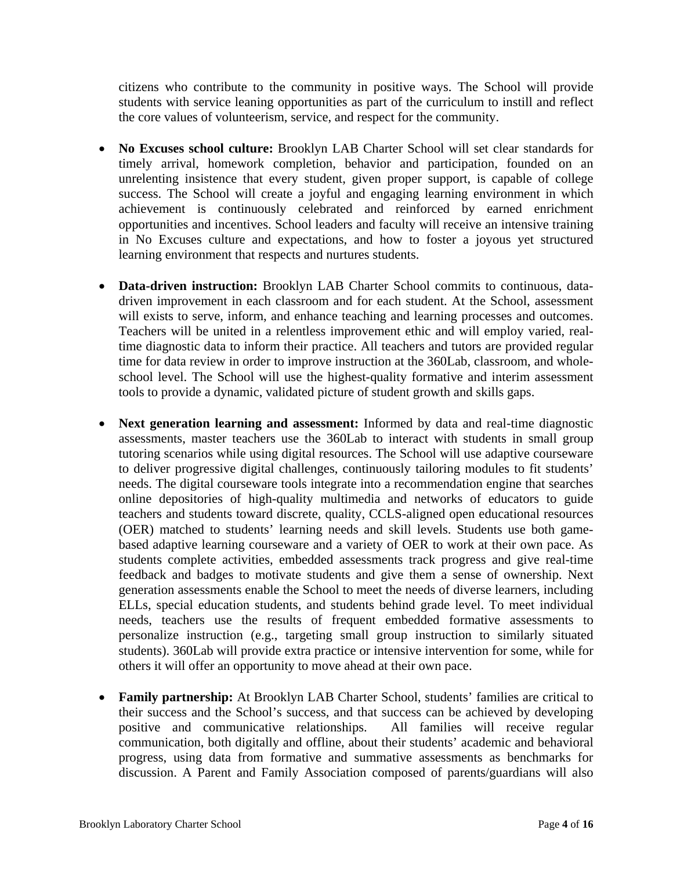citizens who contribute to the community in positive ways. The School will provide students with service leaning opportunities as part of the curriculum to instill and reflect the core values of volunteerism, service, and respect for the community.

- **No Excuses school culture:** Brooklyn LAB Charter School will set clear standards for timely arrival, homework completion, behavior and participation, founded on an unrelenting insistence that every student, given proper support, is capable of college success. The School will create a joyful and engaging learning environment in which achievement is continuously celebrated and reinforced by earned enrichment opportunities and incentives. School leaders and faculty will receive an intensive training in No Excuses culture and expectations, and how to foster a joyous yet structured learning environment that respects and nurtures students.
- **Data-driven instruction:** Brooklyn LAB Charter School commits to continuous, datadriven improvement in each classroom and for each student. At the School, assessment will exists to serve, inform, and enhance teaching and learning processes and outcomes. Teachers will be united in a relentless improvement ethic and will employ varied, realtime diagnostic data to inform their practice. All teachers and tutors are provided regular time for data review in order to improve instruction at the 360Lab, classroom, and wholeschool level. The School will use the highest-quality formative and interim assessment tools to provide a dynamic, validated picture of student growth and skills gaps.
- **Next generation learning and assessment:** Informed by data and real-time diagnostic assessments, master teachers use the 360Lab to interact with students in small group tutoring scenarios while using digital resources. The School will use adaptive courseware to deliver progressive digital challenges, continuously tailoring modules to fit students' needs. The digital courseware tools integrate into a recommendation engine that searches online depositories of high-quality multimedia and networks of educators to guide teachers and students toward discrete, quality, CCLS-aligned open educational resources (OER) matched to students' learning needs and skill levels. Students use both gamebased adaptive learning courseware and a variety of OER to work at their own pace. As students complete activities, embedded assessments track progress and give real-time feedback and badges to motivate students and give them a sense of ownership. Next generation assessments enable the School to meet the needs of diverse learners, including ELLs, special education students, and students behind grade level. To meet individual needs, teachers use the results of frequent embedded formative assessments to personalize instruction (e.g., targeting small group instruction to similarly situated students). 360Lab will provide extra practice or intensive intervention for some, while for others it will offer an opportunity to move ahead at their own pace.
- **Family partnership:** At Brooklyn LAB Charter School, students' families are critical to their success and the School's success, and that success can be achieved by developing positive and communicative relationships. All families will receive regular communication, both digitally and offline, about their students' academic and behavioral progress, using data from formative and summative assessments as benchmarks for discussion. A Parent and Family Association composed of parents/guardians will also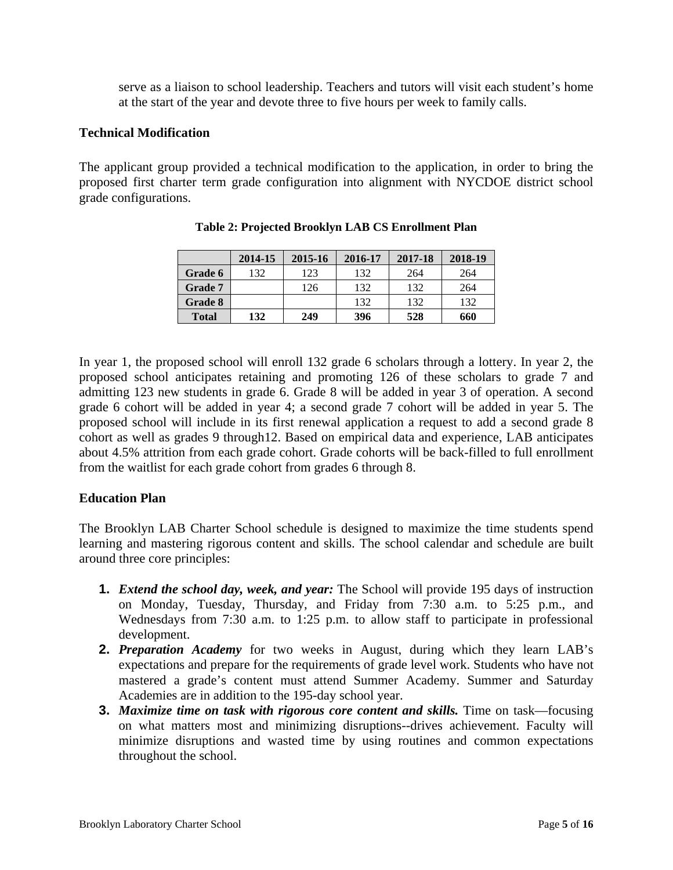serve as a liaison to school leadership. Teachers and tutors will visit each student's home at the start of the year and devote three to five hours per week to family calls.

#### **Technical Modification**

The applicant group provided a technical modification to the application, in order to bring the proposed first charter term grade configuration into alignment with NYCDOE district school grade configurations.

|              | 2014-15 | 2015-16 | 2016-17 | 2017-18 | 2018-19 |
|--------------|---------|---------|---------|---------|---------|
| Grade 6      | 132     | 123     | 132     | 264     | 264     |
| Grade 7      |         | 126     | 132     | 132     | 264     |
| Grade 8      |         |         | 132     | 132     | 132     |
| <b>Total</b> | 132     | 249     | 396     | 528     | 660     |

**Table 2: Projected Brooklyn LAB CS Enrollment Plan** 

In year 1, the proposed school will enroll 132 grade 6 scholars through a lottery. In year 2, the proposed school anticipates retaining and promoting 126 of these scholars to grade 7 and admitting 123 new students in grade 6. Grade 8 will be added in year 3 of operation. A second grade 6 cohort will be added in year 4; a second grade 7 cohort will be added in year 5. The proposed school will include in its first renewal application a request to add a second grade 8 cohort as well as grades 9 through12. Based on empirical data and experience, LAB anticipates about 4.5% attrition from each grade cohort. Grade cohorts will be back-filled to full enrollment from the waitlist for each grade cohort from grades 6 through 8.

#### **Education Plan**

The Brooklyn LAB Charter School schedule is designed to maximize the time students spend learning and mastering rigorous content and skills. The school calendar and schedule are built around three core principles:

- **1.** *Extend the school day, week, and year:* The School will provide 195 days of instruction on Monday, Tuesday, Thursday, and Friday from 7:30 a.m. to 5:25 p.m., and Wednesdays from 7:30 a.m. to 1:25 p.m. to allow staff to participate in professional development.
- **2.** *Preparation Academy* for two weeks in August, during which they learn LAB's expectations and prepare for the requirements of grade level work. Students who have not mastered a grade's content must attend Summer Academy. Summer and Saturday Academies are in addition to the 195-day school year.
- **3.** *Maximize time on task with rigorous core content and skills.* Time on task—focusing on what matters most and minimizing disruptions--drives achievement. Faculty will minimize disruptions and wasted time by using routines and common expectations throughout the school.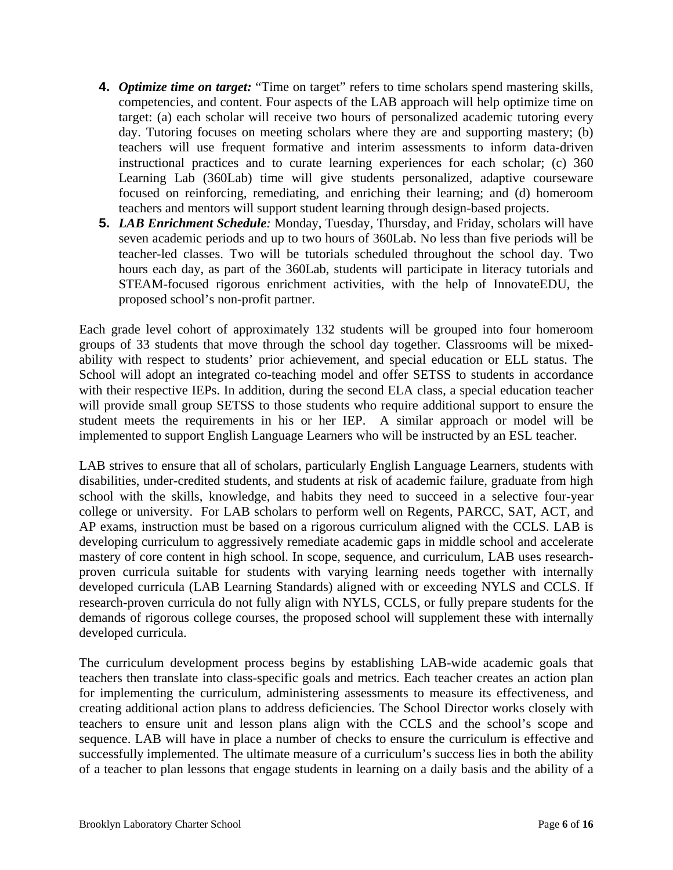- **4.** *Optimize time on target:* "Time on target" refers to time scholars spend mastering skills, competencies, and content. Four aspects of the LAB approach will help optimize time on target: (a) each scholar will receive two hours of personalized academic tutoring every day. Tutoring focuses on meeting scholars where they are and supporting mastery; (b) teachers will use frequent formative and interim assessments to inform data-driven instructional practices and to curate learning experiences for each scholar; (c) 360 Learning Lab (360Lab) time will give students personalized, adaptive courseware focused on reinforcing, remediating, and enriching their learning; and (d) homeroom teachers and mentors will support student learning through design-based projects.
- **5.** *LAB Enrichment Schedule:* Monday, Tuesday, Thursday, and Friday, scholars will have seven academic periods and up to two hours of 360Lab. No less than five periods will be teacher-led classes. Two will be tutorials scheduled throughout the school day. Two hours each day, as part of the 360Lab, students will participate in literacy tutorials and STEAM-focused rigorous enrichment activities, with the help of InnovateEDU, the proposed school's non-profit partner.

Each grade level cohort of approximately 132 students will be grouped into four homeroom groups of 33 students that move through the school day together. Classrooms will be mixedability with respect to students' prior achievement, and special education or ELL status. The School will adopt an integrated co-teaching model and offer SETSS to students in accordance with their respective IEPs. In addition, during the second ELA class, a special education teacher will provide small group SETSS to those students who require additional support to ensure the student meets the requirements in his or her IEP. A similar approach or model will be implemented to support English Language Learners who will be instructed by an ESL teacher.

LAB strives to ensure that all of scholars, particularly English Language Learners, students with disabilities, under-credited students, and students at risk of academic failure, graduate from high school with the skills, knowledge, and habits they need to succeed in a selective four-year college or university. For LAB scholars to perform well on Regents, PARCC, SAT, ACT, and AP exams, instruction must be based on a rigorous curriculum aligned with the CCLS. LAB is developing curriculum to aggressively remediate academic gaps in middle school and accelerate mastery of core content in high school. In scope, sequence, and curriculum, LAB uses researchproven curricula suitable for students with varying learning needs together with internally developed curricula (LAB Learning Standards) aligned with or exceeding NYLS and CCLS. If research-proven curricula do not fully align with NYLS, CCLS, or fully prepare students for the demands of rigorous college courses, the proposed school will supplement these with internally developed curricula.

The curriculum development process begins by establishing LAB-wide academic goals that teachers then translate into class-specific goals and metrics. Each teacher creates an action plan for implementing the curriculum, administering assessments to measure its effectiveness, and creating additional action plans to address deficiencies. The School Director works closely with teachers to ensure unit and lesson plans align with the CCLS and the school's scope and sequence. LAB will have in place a number of checks to ensure the curriculum is effective and successfully implemented. The ultimate measure of a curriculum's success lies in both the ability of a teacher to plan lessons that engage students in learning on a daily basis and the ability of a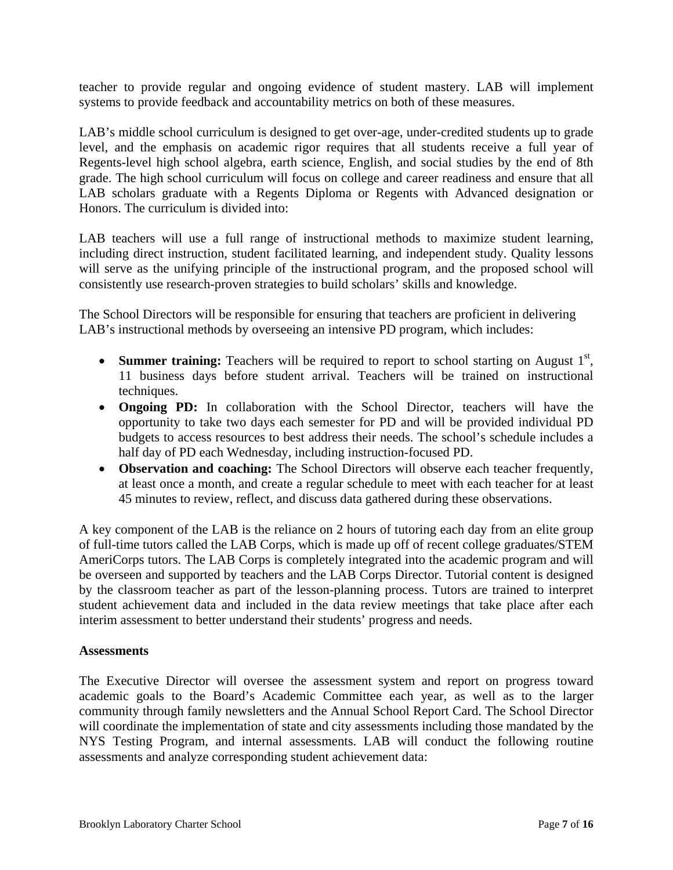teacher to provide regular and ongoing evidence of student mastery. LAB will implement systems to provide feedback and accountability metrics on both of these measures.

LAB's middle school curriculum is designed to get over-age, under-credited students up to grade level, and the emphasis on academic rigor requires that all students receive a full year of Regents-level high school algebra, earth science, English, and social studies by the end of 8th grade. The high school curriculum will focus on college and career readiness and ensure that all LAB scholars graduate with a Regents Diploma or Regents with Advanced designation or Honors. The curriculum is divided into:

LAB teachers will use a full range of instructional methods to maximize student learning, including direct instruction, student facilitated learning, and independent study. Quality lessons will serve as the unifying principle of the instructional program, and the proposed school will consistently use research-proven strategies to build scholars' skills and knowledge.

The School Directors will be responsible for ensuring that teachers are proficient in delivering LAB's instructional methods by overseeing an intensive PD program, which includes:

- Summer training: Teachers will be required to report to school starting on August 1<sup>st</sup>, 11 business days before student arrival. Teachers will be trained on instructional techniques.
- **Ongoing PD:** In collaboration with the School Director, teachers will have the opportunity to take two days each semester for PD and will be provided individual PD budgets to access resources to best address their needs. The school's schedule includes a half day of PD each Wednesday, including instruction-focused PD.
- **Observation and coaching:** The School Directors will observe each teacher frequently, at least once a month, and create a regular schedule to meet with each teacher for at least 45 minutes to review, reflect, and discuss data gathered during these observations.

A key component of the LAB is the reliance on 2 hours of tutoring each day from an elite group of full-time tutors called the LAB Corps, which is made up off of recent college graduates/STEM AmeriCorps tutors. The LAB Corps is completely integrated into the academic program and will be overseen and supported by teachers and the LAB Corps Director. Tutorial content is designed by the classroom teacher as part of the lesson-planning process. Tutors are trained to interpret student achievement data and included in the data review meetings that take place after each interim assessment to better understand their students' progress and needs.

#### **Assessments**

The Executive Director will oversee the assessment system and report on progress toward academic goals to the Board's Academic Committee each year, as well as to the larger community through family newsletters and the Annual School Report Card. The School Director will coordinate the implementation of state and city assessments including those mandated by the NYS Testing Program, and internal assessments. LAB will conduct the following routine assessments and analyze corresponding student achievement data: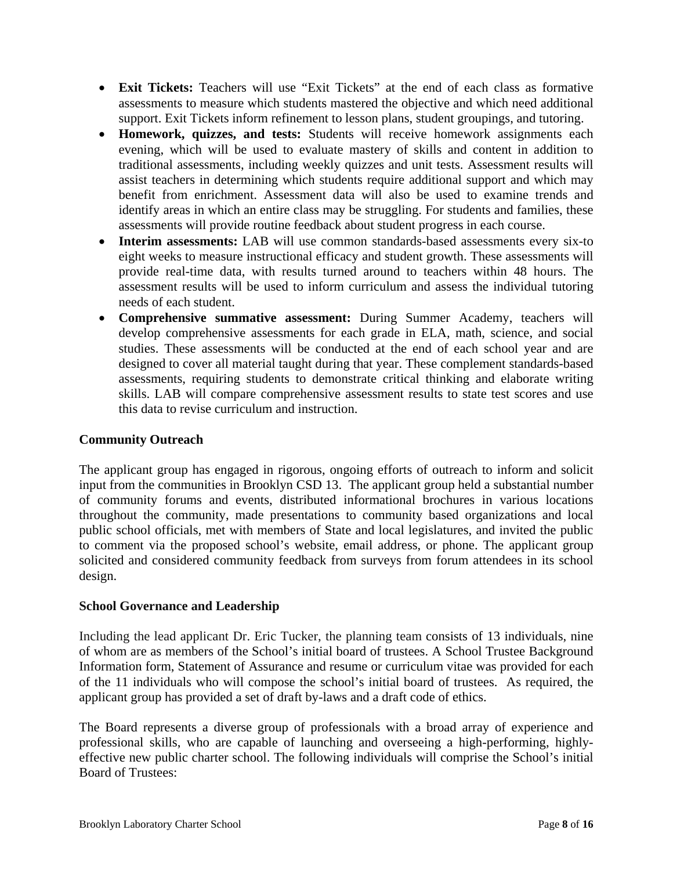- **Exit Tickets:** Teachers will use "Exit Tickets" at the end of each class as formative assessments to measure which students mastered the objective and which need additional support. Exit Tickets inform refinement to lesson plans, student groupings, and tutoring.
- **Homework, quizzes, and tests:** Students will receive homework assignments each evening, which will be used to evaluate mastery of skills and content in addition to traditional assessments, including weekly quizzes and unit tests. Assessment results will assist teachers in determining which students require additional support and which may benefit from enrichment. Assessment data will also be used to examine trends and identify areas in which an entire class may be struggling. For students and families, these assessments will provide routine feedback about student progress in each course.
- **Interim assessments:** LAB will use common standards-based assessments every six-to eight weeks to measure instructional efficacy and student growth. These assessments will provide real-time data, with results turned around to teachers within 48 hours. The assessment results will be used to inform curriculum and assess the individual tutoring needs of each student.
- **Comprehensive summative assessment:** During Summer Academy, teachers will develop comprehensive assessments for each grade in ELA, math, science, and social studies. These assessments will be conducted at the end of each school year and are designed to cover all material taught during that year. These complement standards-based assessments, requiring students to demonstrate critical thinking and elaborate writing skills. LAB will compare comprehensive assessment results to state test scores and use this data to revise curriculum and instruction.

#### **Community Outreach**

The applicant group has engaged in rigorous, ongoing efforts of outreach to inform and solicit input from the communities in Brooklyn CSD 13. The applicant group held a substantial number of community forums and events, distributed informational brochures in various locations throughout the community, made presentations to community based organizations and local public school officials, met with members of State and local legislatures, and invited the public to comment via the proposed school's website, email address, or phone. The applicant group solicited and considered community feedback from surveys from forum attendees in its school design.

#### **School Governance and Leadership**

Including the lead applicant Dr. Eric Tucker, the planning team consists of 13 individuals, nine of whom are as members of the School's initial board of trustees. A School Trustee Background Information form, Statement of Assurance and resume or curriculum vitae was provided for each of the 11 individuals who will compose the school's initial board of trustees. As required, the applicant group has provided a set of draft by-laws and a draft code of ethics.

The Board represents a diverse group of professionals with a broad array of experience and professional skills, who are capable of launching and overseeing a high-performing, highlyeffective new public charter school. The following individuals will comprise the School's initial Board of Trustees: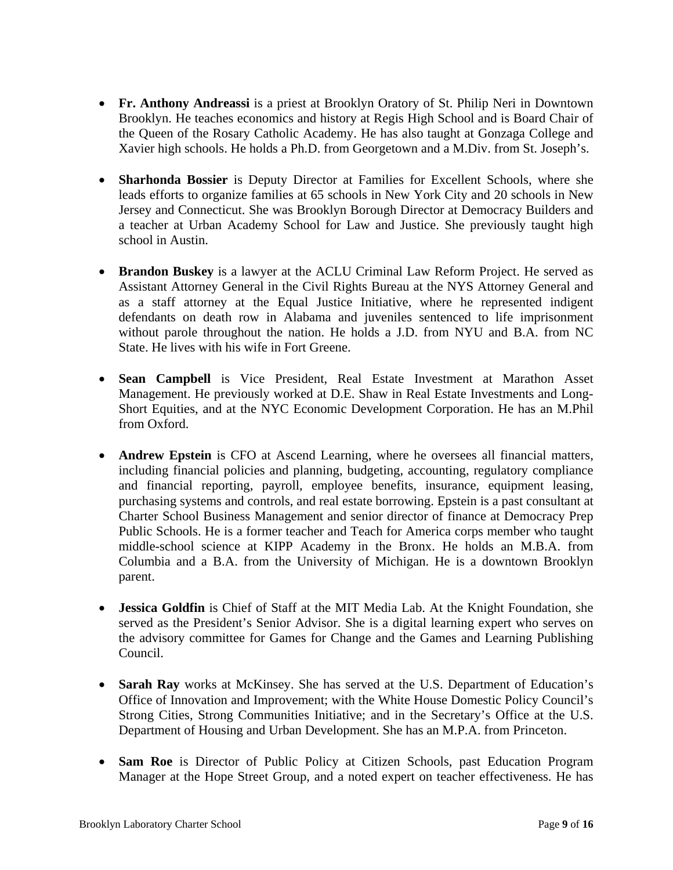- **Fr. Anthony Andreassi** is a priest at Brooklyn Oratory of St. Philip Neri in Downtown Brooklyn. He teaches economics and history at Regis High School and is Board Chair of the Queen of the Rosary Catholic Academy. He has also taught at Gonzaga College and Xavier high schools. He holds a Ph.D. from Georgetown and a M.Div. from St. Joseph's.
- **Sharhonda Bossier** is Deputy Director at Families for Excellent Schools, where she leads efforts to organize families at 65 schools in New York City and 20 schools in New Jersey and Connecticut. She was Brooklyn Borough Director at Democracy Builders and a teacher at Urban Academy School for Law and Justice. She previously taught high school in Austin.
- **Brandon Buskey** is a lawyer at the ACLU Criminal Law Reform Project. He served as Assistant Attorney General in the Civil Rights Bureau at the NYS Attorney General and as a staff attorney at the Equal Justice Initiative, where he represented indigent defendants on death row in Alabama and juveniles sentenced to life imprisonment without parole throughout the nation. He holds a J.D. from NYU and B.A. from NC State. He lives with his wife in Fort Greene.
- **Sean Campbell** is Vice President, Real Estate Investment at Marathon Asset Management. He previously worked at D.E. Shaw in Real Estate Investments and Long-Short Equities, and at the NYC Economic Development Corporation. He has an M.Phil from Oxford.
- **Andrew Epstein** is CFO at Ascend Learning, where he oversees all financial matters, including financial policies and planning, budgeting, accounting, regulatory compliance and financial reporting, payroll, employee benefits, insurance, equipment leasing, purchasing systems and controls, and real estate borrowing. Epstein is a past consultant at Charter School Business Management and senior director of finance at Democracy Prep Public Schools. He is a former teacher and Teach for America corps member who taught middle-school science at KIPP Academy in the Bronx. He holds an M.B.A. from Columbia and a B.A. from the University of Michigan. He is a downtown Brooklyn parent.
- **Jessica Goldfin** is Chief of Staff at the MIT Media Lab. At the Knight Foundation, she served as the President's Senior Advisor. She is a digital learning expert who serves on the advisory committee for Games for Change and the Games and Learning Publishing Council.
- **Sarah Ray** works at McKinsey. She has served at the U.S. Department of Education's Office of Innovation and Improvement; with the White House Domestic Policy Council's Strong Cities, Strong Communities Initiative; and in the Secretary's Office at the U.S. Department of Housing and Urban Development. She has an M.P.A. from Princeton.
- **Sam Roe** is Director of Public Policy at Citizen Schools, past Education Program Manager at the Hope Street Group, and a noted expert on teacher effectiveness. He has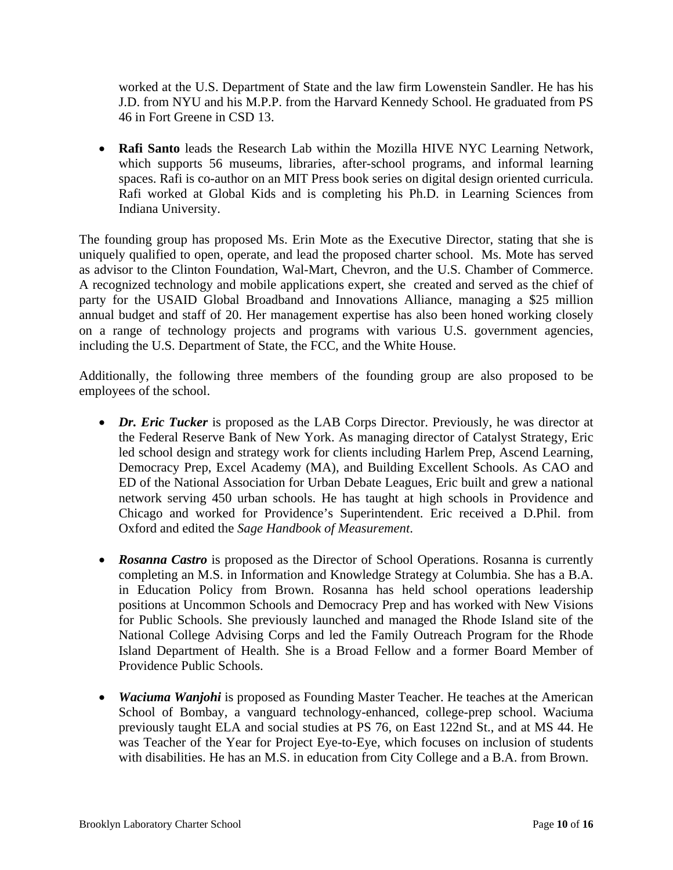worked at the U.S. Department of State and the law firm Lowenstein Sandler. He has his J.D. from NYU and his M.P.P. from the Harvard Kennedy School. He graduated from PS 46 in Fort Greene in CSD 13.

 **Rafi Santo** leads the Research Lab within the Mozilla HIVE NYC Learning Network, which supports 56 museums, libraries, after-school programs, and informal learning spaces. Rafi is co-author on an MIT Press book series on digital design oriented curricula. Rafi worked at Global Kids and is completing his Ph.D. in Learning Sciences from Indiana University.

The founding group has proposed Ms. Erin Mote as the Executive Director, stating that she is uniquely qualified to open, operate, and lead the proposed charter school. Ms. Mote has served as advisor to the Clinton Foundation, Wal-Mart, Chevron, and the U.S. Chamber of Commerce. A recognized technology and mobile applications expert, she created and served as the chief of party for the USAID Global Broadband and Innovations Alliance, managing a \$25 million annual budget and staff of 20. Her management expertise has also been honed working closely on a range of technology projects and programs with various U.S. government agencies, including the U.S. Department of State, the FCC, and the White House.

Additionally, the following three members of the founding group are also proposed to be employees of the school.

- *Dr. Eric Tucker* is proposed as the LAB Corps Director. Previously, he was director at the Federal Reserve Bank of New York. As managing director of Catalyst Strategy, Eric led school design and strategy work for clients including Harlem Prep, Ascend Learning, Democracy Prep, Excel Academy (MA), and Building Excellent Schools. As CAO and ED of the National Association for Urban Debate Leagues, Eric built and grew a national network serving 450 urban schools. He has taught at high schools in Providence and Chicago and worked for Providence's Superintendent. Eric received a D.Phil. from Oxford and edited the *Sage Handbook of Measurement*.
- **Rosanna Castro** is proposed as the Director of School Operations. Rosanna is currently completing an M.S. in Information and Knowledge Strategy at Columbia. She has a B.A. in Education Policy from Brown. Rosanna has held school operations leadership positions at Uncommon Schools and Democracy Prep and has worked with New Visions for Public Schools. She previously launched and managed the Rhode Island site of the National College Advising Corps and led the Family Outreach Program for the Rhode Island Department of Health. She is a Broad Fellow and a former Board Member of Providence Public Schools.
- *Waciuma Wanjohi* is proposed as Founding Master Teacher. He teaches at the American School of Bombay, a vanguard technology-enhanced, college-prep school. Waciuma previously taught ELA and social studies at PS 76, on East 122nd St., and at MS 44. He was Teacher of the Year for Project Eye-to-Eye, which focuses on inclusion of students with disabilities. He has an M.S. in education from City College and a B.A. from Brown.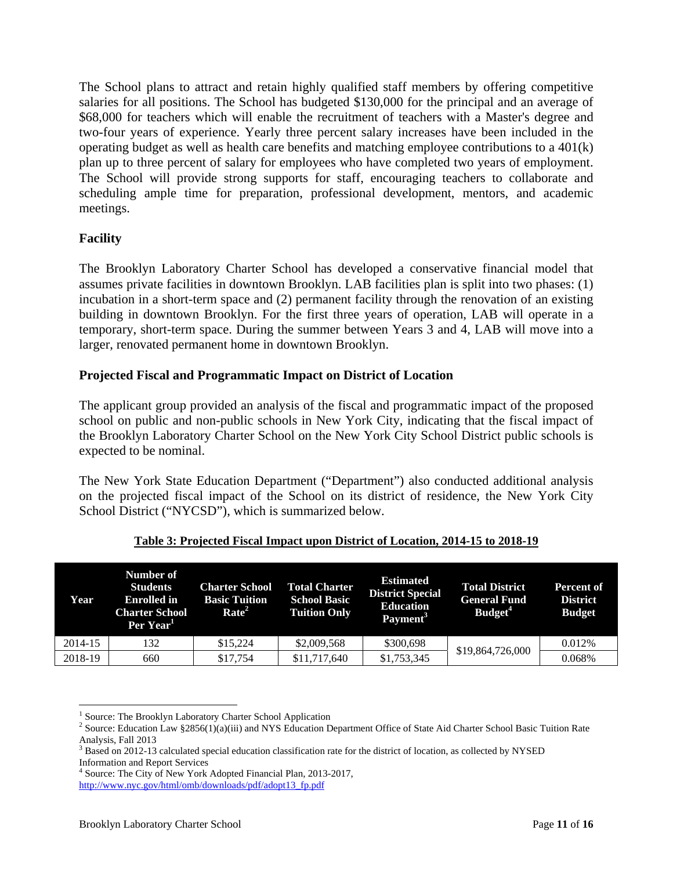The School plans to attract and retain highly qualified staff members by offering competitive salaries for all positions. The School has budgeted \$130,000 for the principal and an average of \$68,000 for teachers which will enable the recruitment of teachers with a Master's degree and two-four years of experience. Yearly three percent salary increases have been included in the operating budget as well as health care benefits and matching employee contributions to a 401(k) plan up to three percent of salary for employees who have completed two years of employment. The School will provide strong supports for staff, encouraging teachers to collaborate and scheduling ample time for preparation, professional development, mentors, and academic meetings.

#### **Facility**

The Brooklyn Laboratory Charter School has developed a conservative financial model that assumes private facilities in downtown Brooklyn. LAB facilities plan is split into two phases: (1) incubation in a short-term space and (2) permanent facility through the renovation of an existing building in downtown Brooklyn. For the first three years of operation, LAB will operate in a temporary, short-term space. During the summer between Years 3 and 4, LAB will move into a larger, renovated permanent home in downtown Brooklyn.

#### **Projected Fiscal and Programmatic Impact on District of Location**

The applicant group provided an analysis of the fiscal and programmatic impact of the proposed school on public and non-public schools in New York City, indicating that the fiscal impact of the Brooklyn Laboratory Charter School on the New York City School District public schools is expected to be nominal.

The New York State Education Department ("Department") also conducted additional analysis on the projected fiscal impact of the School on its district of residence, the New York City School District ("NYCSD"), which is summarized below.

| Year    | Number of<br><b>Students</b><br><b>Enrolled</b> in<br><b>Charter School</b><br>Per Year <sup>1</sup> | <b>Charter School</b><br><b>Basic Tuition</b><br>Rate <sup>2</sup> | <b>Total Charter</b><br><b>School Basic</b><br><b>Tuition Only</b> | <b>Estimated</b><br><b>District Special</b><br><b>Education</b><br>Payment <sup>3</sup> | <b>Total District</b><br><b>General Fund</b><br>Budget <sup>4</sup> | <b>Percent of</b><br><b>District</b><br><b>Budget</b> |
|---------|------------------------------------------------------------------------------------------------------|--------------------------------------------------------------------|--------------------------------------------------------------------|-----------------------------------------------------------------------------------------|---------------------------------------------------------------------|-------------------------------------------------------|
| 2014-15 | 132                                                                                                  | \$15,224                                                           | \$2,009,568                                                        | \$300,698                                                                               | \$19,864,726,000                                                    | 0.012\%                                               |
| 2018-19 | 660                                                                                                  | \$17,754                                                           | \$11,717,640                                                       | \$1,753,345                                                                             |                                                                     | 0.068%                                                |

#### **Table 3: Projected Fiscal Impact upon District of Location, 2014-15 to 2018-19**

 $\overline{a}$ <sup>1</sup> Source: The Brooklyn Laboratory Charter School Application 2<br><sup>2</sup> Source: Education Law 82856(1)(o)(iii) and NVS Education D

<sup>&</sup>lt;sup>2</sup> Source: Education Law §2856(1)(a)(iii) and NYS Education Department Office of State Aid Charter School Basic Tuition Rate Analysis, Fall 2013

 $3$  Based on 2012-13 calculated special education classification rate for the district of location, as collected by NYSED Information and Report Services

<sup>4</sup> Source: The City of New York Adopted Financial Plan, 2013-2017, http://www.nyc.gov/html/omb/downloads/pdf/adopt13\_fp.pdf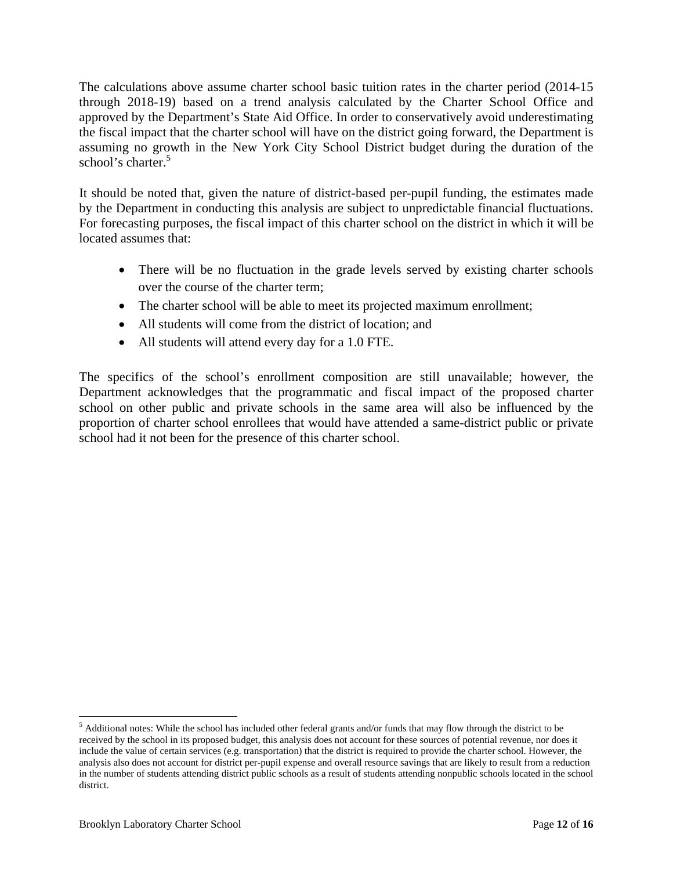The calculations above assume charter school basic tuition rates in the charter period (2014-15 through 2018-19) based on a trend analysis calculated by the Charter School Office and approved by the Department's State Aid Office. In order to conservatively avoid underestimating the fiscal impact that the charter school will have on the district going forward, the Department is assuming no growth in the New York City School District budget during the duration of the school's charter.<sup>5</sup>

It should be noted that, given the nature of district-based per-pupil funding, the estimates made by the Department in conducting this analysis are subject to unpredictable financial fluctuations. For forecasting purposes, the fiscal impact of this charter school on the district in which it will be located assumes that:

- There will be no fluctuation in the grade levels served by existing charter schools over the course of the charter term;
- The charter school will be able to meet its projected maximum enrollment;
- All students will come from the district of location; and
- All students will attend every day for a 1.0 FTE.

The specifics of the school's enrollment composition are still unavailable; however, the Department acknowledges that the programmatic and fiscal impact of the proposed charter school on other public and private schools in the same area will also be influenced by the proportion of charter school enrollees that would have attended a same-district public or private school had it not been for the presence of this charter school.

 $\overline{a}$ 

 $<sup>5</sup>$  Additional notes: While the school has included other federal grants and/or funds that may flow through the district to be</sup> received by the school in its proposed budget, this analysis does not account for these sources of potential revenue, nor does it include the value of certain services (e.g. transportation) that the district is required to provide the charter school. However, the analysis also does not account for district per-pupil expense and overall resource savings that are likely to result from a reduction in the number of students attending district public schools as a result of students attending nonpublic schools located in the school district.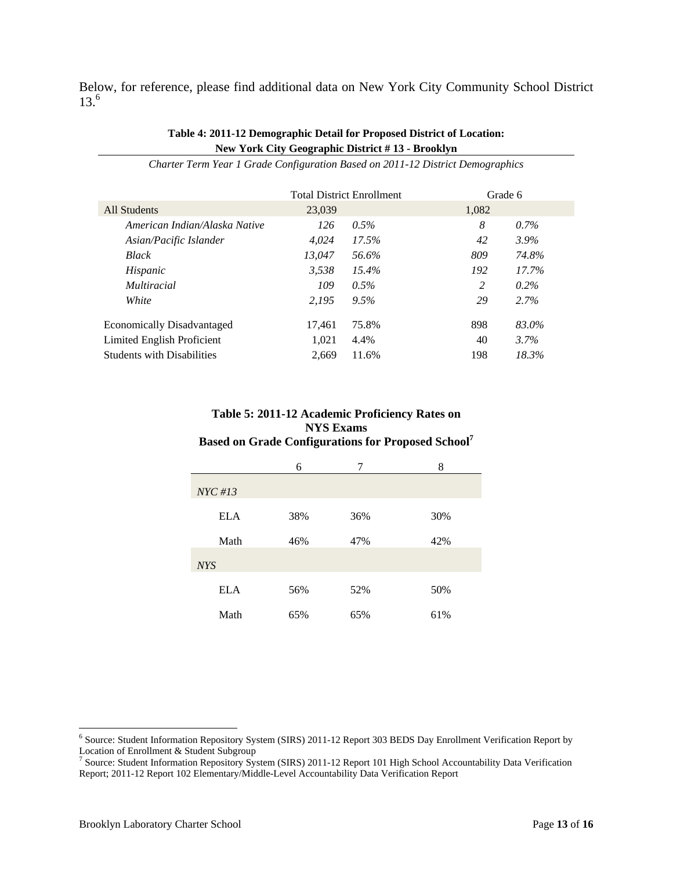Below, for reference, please find additional data on New York City Community School District  $13^{6}$ 

#### **Table 4: 2011-12 Demographic Detail for Proposed District of Location: New York City Geographic District # 13 - Brooklyn**

|                                   |        | <b>Total District Enrollment</b> | Grade 6 |         |
|-----------------------------------|--------|----------------------------------|---------|---------|
| All Students                      | 23,039 |                                  | 1,082   |         |
| American Indian/Alaska Native     | 126    | $0.5\%$                          | 8       | $0.7\%$ |
| Asian/Pacific Islander            | 4.024  | 17.5%                            | 42      | $3.9\%$ |
| <b>Black</b>                      | 13.047 | 56.6%                            | 809     | 74.8%   |
| Hispanic                          | 3.538  | 15.4%                            | 192     | 17.7%   |
| <i>Multiracial</i>                | 109    | $0.5\%$                          | 2       | $0.2\%$ |
| White                             | 2.195  | 9.5%                             | 29      | 2.7%    |
| <b>Economically Disadvantaged</b> | 17,461 | 75.8%                            | 898     | 83.0%   |
| Limited English Proficient        | 1.021  | 4.4%                             | 40      | 3.7%    |
| <b>Students with Disabilities</b> | 2.669  | 11.6%                            | 198     | 18.3%   |

*Charter Term Year 1 Grade Configuration Based on 2011-12 District Demographics* 

#### **Table 5: 2011-12 Academic Proficiency Rates on NYS Exams Based on Grade Configurations for Proposed School7**

|            | 6   | 7   | 8   |
|------------|-----|-----|-----|
| $NYC \#13$ |     |     |     |
| <b>ELA</b> | 38% | 36% | 30% |
| Math       | 46% | 47% | 42% |
| <b>NYS</b> |     |     |     |
| <b>ELA</b> | 56% | 52% | 50% |
| Math       | 65% | 65% | 61% |

 $\overline{a}$ 

<sup>&</sup>lt;sup>6</sup> Source: Student Information Repository System (SIRS) 2011-12 Report 303 BEDS Day Enrollment Verification Report by

Location of Enrollment & Student Subgroup<br><sup>7</sup> Source: Student Information Repository System (SIRS) 2011-12 Report 101 High School Accountability Data Verification Report; 2011-12 Report 102 Elementary/Middle-Level Accountability Data Verification Report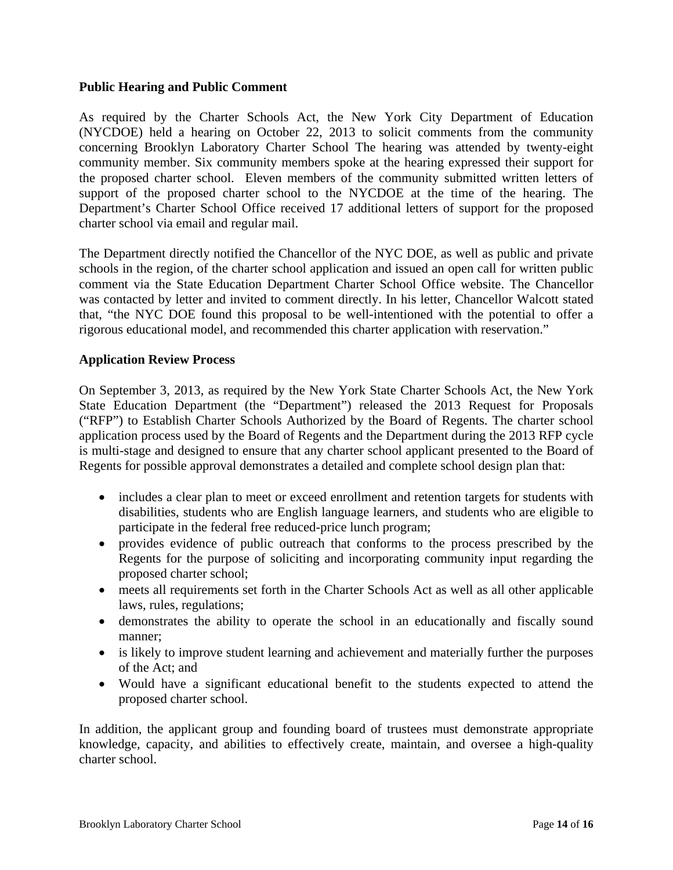#### **Public Hearing and Public Comment**

As required by the Charter Schools Act, the New York City Department of Education (NYCDOE) held a hearing on October 22, 2013 to solicit comments from the community concerning Brooklyn Laboratory Charter School The hearing was attended by twenty-eight community member. Six community members spoke at the hearing expressed their support for the proposed charter school. Eleven members of the community submitted written letters of support of the proposed charter school to the NYCDOE at the time of the hearing. The Department's Charter School Office received 17 additional letters of support for the proposed charter school via email and regular mail.

The Department directly notified the Chancellor of the NYC DOE, as well as public and private schools in the region, of the charter school application and issued an open call for written public comment via the State Education Department Charter School Office website. The Chancellor was contacted by letter and invited to comment directly. In his letter, Chancellor Walcott stated that, "the NYC DOE found this proposal to be well-intentioned with the potential to offer a rigorous educational model, and recommended this charter application with reservation."

#### **Application Review Process**

On September 3, 2013, as required by the New York State Charter Schools Act, the New York State Education Department (the "Department") released the 2013 Request for Proposals ("RFP") to Establish Charter Schools Authorized by the Board of Regents. The charter school application process used by the Board of Regents and the Department during the 2013 RFP cycle is multi-stage and designed to ensure that any charter school applicant presented to the Board of Regents for possible approval demonstrates a detailed and complete school design plan that:

- includes a clear plan to meet or exceed enrollment and retention targets for students with disabilities, students who are English language learners, and students who are eligible to participate in the federal free reduced-price lunch program;
- provides evidence of public outreach that conforms to the process prescribed by the Regents for the purpose of soliciting and incorporating community input regarding the proposed charter school;
- meets all requirements set forth in the Charter Schools Act as well as all other applicable laws, rules, regulations;
- demonstrates the ability to operate the school in an educationally and fiscally sound manner;
- is likely to improve student learning and achievement and materially further the purposes of the Act; and
- Would have a significant educational benefit to the students expected to attend the proposed charter school.

In addition, the applicant group and founding board of trustees must demonstrate appropriate knowledge, capacity, and abilities to effectively create, maintain, and oversee a high-quality charter school.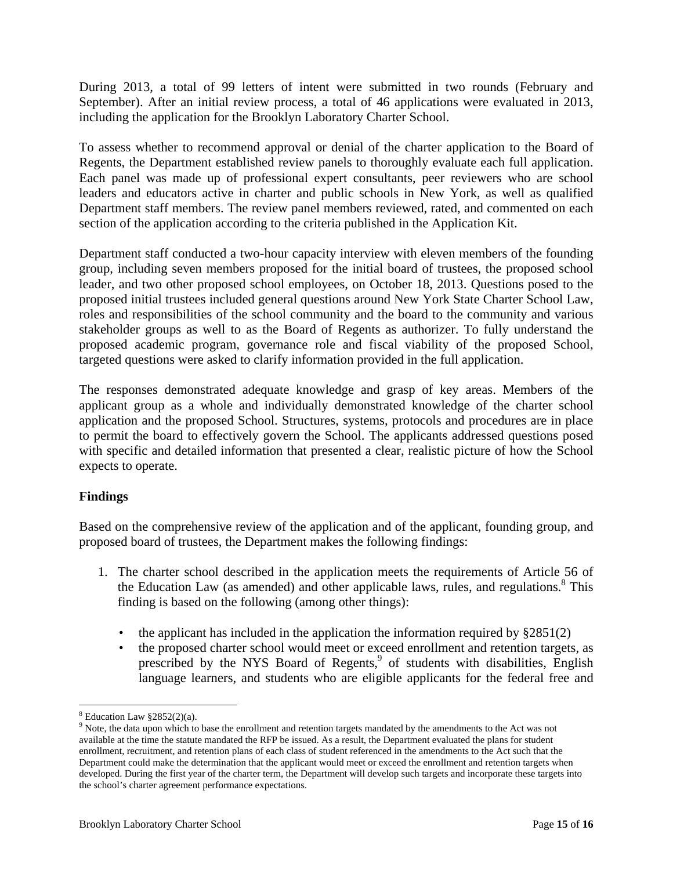During 2013, a total of 99 letters of intent were submitted in two rounds (February and September). After an initial review process, a total of 46 applications were evaluated in 2013, including the application for the Brooklyn Laboratory Charter School.

To assess whether to recommend approval or denial of the charter application to the Board of Regents, the Department established review panels to thoroughly evaluate each full application. Each panel was made up of professional expert consultants, peer reviewers who are school leaders and educators active in charter and public schools in New York, as well as qualified Department staff members. The review panel members reviewed, rated, and commented on each section of the application according to the criteria published in the Application Kit.

Department staff conducted a two-hour capacity interview with eleven members of the founding group, including seven members proposed for the initial board of trustees, the proposed school leader, and two other proposed school employees, on October 18, 2013. Questions posed to the proposed initial trustees included general questions around New York State Charter School Law, roles and responsibilities of the school community and the board to the community and various stakeholder groups as well to as the Board of Regents as authorizer. To fully understand the proposed academic program, governance role and fiscal viability of the proposed School, targeted questions were asked to clarify information provided in the full application.

The responses demonstrated adequate knowledge and grasp of key areas. Members of the applicant group as a whole and individually demonstrated knowledge of the charter school application and the proposed School. Structures, systems, protocols and procedures are in place to permit the board to effectively govern the School. The applicants addressed questions posed with specific and detailed information that presented a clear, realistic picture of how the School expects to operate.

#### **Findings**

Based on the comprehensive review of the application and of the applicant, founding group, and proposed board of trustees, the Department makes the following findings:

- 1. The charter school described in the application meets the requirements of Article 56 of the Education Law (as amended) and other applicable laws, rules, and regulations. $8$  This finding is based on the following (among other things):
	- the applicant has included in the application the information required by §2851(2)
	- the proposed charter school would meet or exceed enrollment and retention targets, as prescribed by the NYS Board of Regents,<sup>9</sup> of students with disabilities, English language learners, and students who are eligible applicants for the federal free and

 $\overline{a}$  $8$  Education Law  $$2852(2)(a)$ .

<sup>&</sup>lt;sup>9</sup> Note, the data upon which to base the enrollment and retention targets mandated by the amendments to the Act was not available at the time the statute mandated the RFP be issued. As a result, the Department evaluated the plans for student enrollment, recruitment, and retention plans of each class of student referenced in the amendments to the Act such that the Department could make the determination that the applicant would meet or exceed the enrollment and retention targets when developed. During the first year of the charter term, the Department will develop such targets and incorporate these targets into the school's charter agreement performance expectations.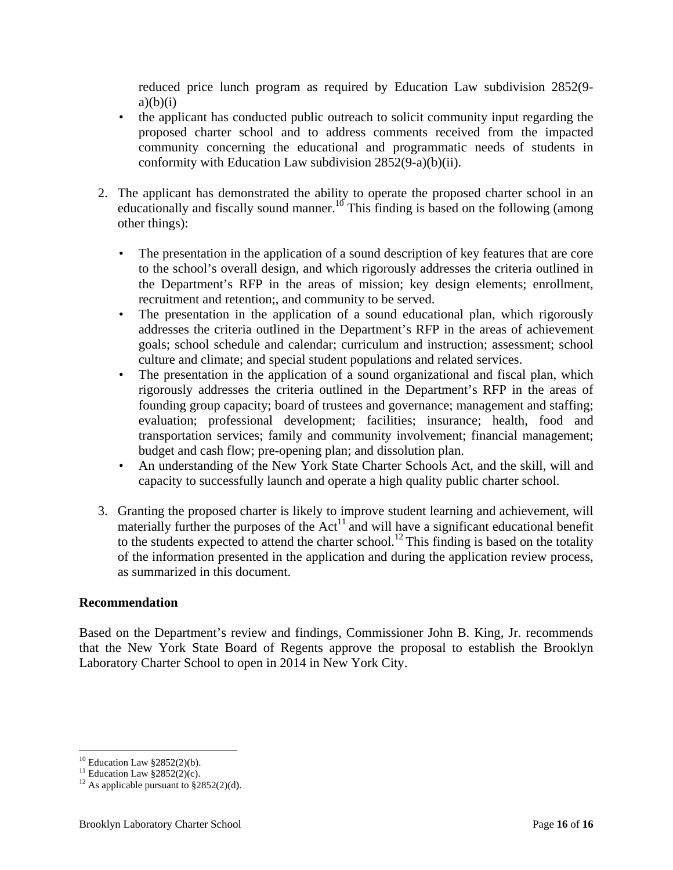reduced price lunch program as required by Education Law subdivision 2852(9  $a)(b)(i)$ 

- the applicant has conducted public outreach to solicit community input regarding the proposed charter school and to address comments received from the impacted community concerning the educational and programmatic needs of students in conformity with Education Law subdivision 2852(9-a)(b)(ii).
- 2. The applicant has demonstrated the ability to operate the proposed charter school in an educationally and fiscally sound manner.<sup>10</sup> This finding is based on the following (among other things):
	- The presentation in the application of a sound description of key features that are core to the school's overall design, and which rigorously addresses the criteria outlined in the Department's RFP in the areas of mission; key design elements; enrollment, recruitment and retention;, and community to be served.
	- The presentation in the application of a sound educational plan, which rigorously addresses the criteria outlined in the Department's RFP in the areas of achievement goals; school schedule and calendar; curriculum and instruction; assessment; school culture and climate; and special student populations and related services.
	- The presentation in the application of a sound organizational and fiscal plan, which rigorously addresses the criteria outlined in the Department's RFP in the areas of founding group capacity; board of trustees and governance; management and staffing; evaluation; professional development; facilities; insurance; health, food and transportation services; family and community involvement; financial management; budget and cash flow; pre-opening plan; and dissolution plan.
	- An understanding of the New York State Charter Schools Act, and the skill, will and capacity to successfully launch and operate a high quality public charter school.
- 3. Granting the proposed charter is likely to improve student learning and achievement, will materially further the purposes of the  $Act<sup>11</sup>$  and will have a significant educational benefit to the students expected to attend the charter school.<sup>12</sup> This finding is based on the totality of the information presented in the application and during the application review process, as summarized in this document.

# **Recommendation**

Based on the Department's review and findings, Commissioner John B. King, Jr. recommends that the New York State Board of Regents approve the proposal to establish the Brooklyn Laboratory Charter School to open in 2014 in New York City.

 $\overline{a}$  $10$  Education Law  $\S 2852(2)(b)$ .

<sup>&</sup>lt;sup>11</sup> Education Law  $\S 2852(2)(c)$ .

<sup>&</sup>lt;sup>12</sup> As applicable pursuant to  $\S 2852(2)(d)$ .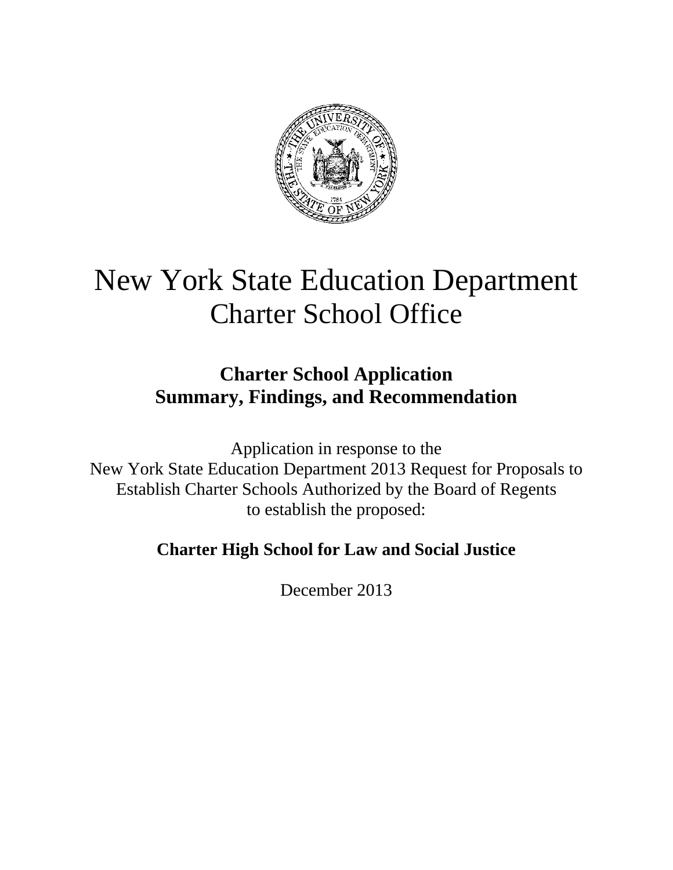

# New York State Education Department Charter School Office

# **Charter School Application Summary, Findings, and Recommendation**

Application in response to the New York State Education Department 2013 Request for Proposals to Establish Charter Schools Authorized by the Board of Regents to establish the proposed:

# **Charter High School for Law and Social Justice**

December 2013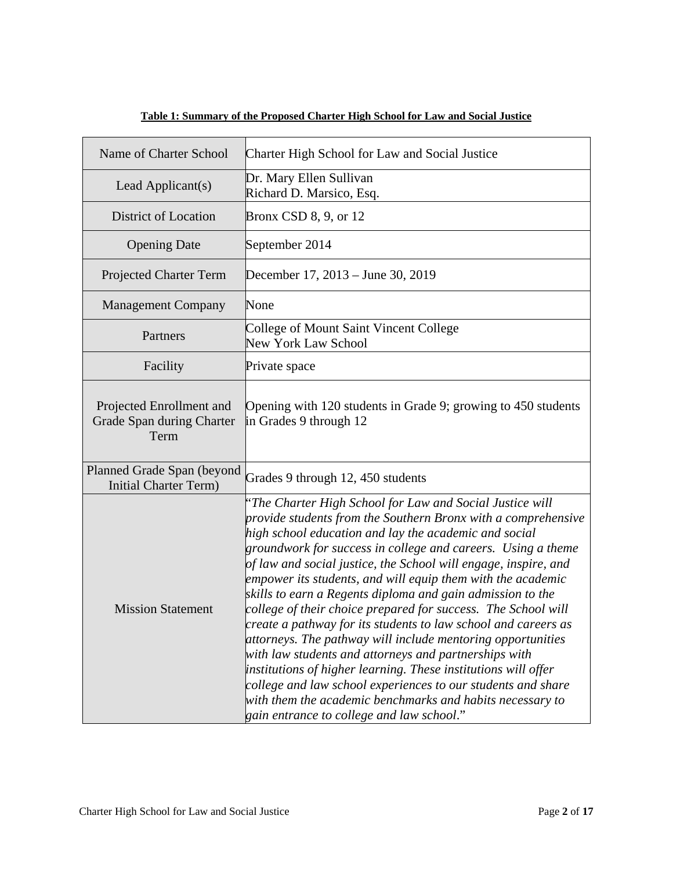| Name of Charter School                                        | Charter High School for Law and Social Justice                                                                                                                                                                                                                                                                                                                                                                                                                                                                                                                                                                                                                                                                                                                                                                                                                                                                                                            |
|---------------------------------------------------------------|-----------------------------------------------------------------------------------------------------------------------------------------------------------------------------------------------------------------------------------------------------------------------------------------------------------------------------------------------------------------------------------------------------------------------------------------------------------------------------------------------------------------------------------------------------------------------------------------------------------------------------------------------------------------------------------------------------------------------------------------------------------------------------------------------------------------------------------------------------------------------------------------------------------------------------------------------------------|
| Lead Applicant(s)                                             | Dr. Mary Ellen Sullivan<br>Richard D. Marsico, Esq.                                                                                                                                                                                                                                                                                                                                                                                                                                                                                                                                                                                                                                                                                                                                                                                                                                                                                                       |
| District of Location                                          | Bronx CSD 8, 9, or 12                                                                                                                                                                                                                                                                                                                                                                                                                                                                                                                                                                                                                                                                                                                                                                                                                                                                                                                                     |
| <b>Opening Date</b>                                           | September 2014                                                                                                                                                                                                                                                                                                                                                                                                                                                                                                                                                                                                                                                                                                                                                                                                                                                                                                                                            |
| <b>Projected Charter Term</b>                                 | December 17, 2013 – June 30, 2019                                                                                                                                                                                                                                                                                                                                                                                                                                                                                                                                                                                                                                                                                                                                                                                                                                                                                                                         |
| <b>Management Company</b>                                     | None                                                                                                                                                                                                                                                                                                                                                                                                                                                                                                                                                                                                                                                                                                                                                                                                                                                                                                                                                      |
| Partners                                                      | College of Mount Saint Vincent College<br>New York Law School                                                                                                                                                                                                                                                                                                                                                                                                                                                                                                                                                                                                                                                                                                                                                                                                                                                                                             |
| Facility                                                      | Private space                                                                                                                                                                                                                                                                                                                                                                                                                                                                                                                                                                                                                                                                                                                                                                                                                                                                                                                                             |
| Projected Enrollment and<br>Grade Span during Charter<br>Term | Opening with 120 students in Grade 9; growing to 450 students<br>in Grades 9 through 12                                                                                                                                                                                                                                                                                                                                                                                                                                                                                                                                                                                                                                                                                                                                                                                                                                                                   |
| Planned Grade Span (beyond<br><b>Initial Charter Term)</b>    | Grades 9 through 12, 450 students                                                                                                                                                                                                                                                                                                                                                                                                                                                                                                                                                                                                                                                                                                                                                                                                                                                                                                                         |
| <b>Mission Statement</b>                                      | "The Charter High School for Law and Social Justice will<br>provide students from the Southern Bronx with a comprehensive<br>high school education and lay the academic and social<br>groundwork for success in college and careers. Using a theme<br>of law and social justice, the School will engage, inspire, and<br>empower its students, and will equip them with the academic<br>skills to earn a Regents diploma and gain admission to the<br>college of their choice prepared for success. The School will<br>create a pathway for its students to law school and careers as<br>attorneys. The pathway will include mentoring opportunities<br>with law students and attorneys and partnerships with<br>institutions of higher learning. These institutions will offer<br>college and law school experiences to our students and share<br>with them the academic benchmarks and habits necessary to<br>gain entrance to college and law school." |

# **Table 1: Summary of the Proposed Charter High School for Law and Social Justice**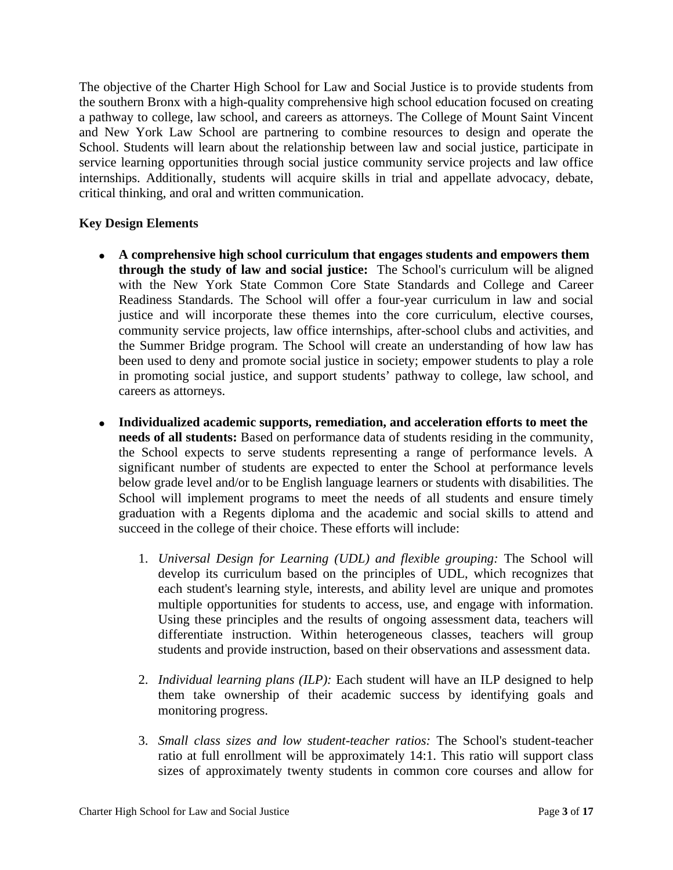The objective of the Charter High School for Law and Social Justice is to provide students from the southern Bronx with a high-quality comprehensive high school education focused on creating a pathway to college, law school, and careers as attorneys. The College of Mount Saint Vincent and New York Law School are partnering to combine resources to design and operate the School. Students will learn about the relationship between law and social justice, participate in service learning opportunities through social justice community service projects and law office internships. Additionally, students will acquire skills in trial and appellate advocacy, debate, critical thinking, and oral and written communication.

# **Key Design Elements**

- **A comprehensive high school curriculum that engages students and empowers them through the study of law and social justice:** The School's curriculum will be aligned with the New York State Common Core State Standards and College and Career Readiness Standards. The School will offer a four-year curriculum in law and social justice and will incorporate these themes into the core curriculum, elective courses, community service projects, law office internships, after-school clubs and activities, and the Summer Bridge program. The School will create an understanding of how law has been used to deny and promote social justice in society; empower students to play a role in promoting social justice, and support students' pathway to college, law school, and careers as attorneys.
- **Individualized academic supports, remediation, and acceleration efforts to meet the needs of all students:** Based on performance data of students residing in the community, the School expects to serve students representing a range of performance levels. A significant number of students are expected to enter the School at performance levels below grade level and/or to be English language learners or students with disabilities. The School will implement programs to meet the needs of all students and ensure timely graduation with a Regents diploma and the academic and social skills to attend and succeed in the college of their choice. These efforts will include:
	- 1. *Universal Design for Learning (UDL) and flexible grouping:* The School will develop its curriculum based on the principles of UDL, which recognizes that each student's learning style, interests, and ability level are unique and promotes multiple opportunities for students to access, use, and engage with information. Using these principles and the results of ongoing assessment data, teachers will differentiate instruction. Within heterogeneous classes, teachers will group students and provide instruction, based on their observations and assessment data.
	- 2. *Individual learning plans (ILP):* Each student will have an ILP designed to help them take ownership of their academic success by identifying goals and monitoring progress.
	- 3. *Small class sizes and low student-teacher ratios:* The School's student-teacher ratio at full enrollment will be approximately 14:1. This ratio will support class sizes of approximately twenty students in common core courses and allow for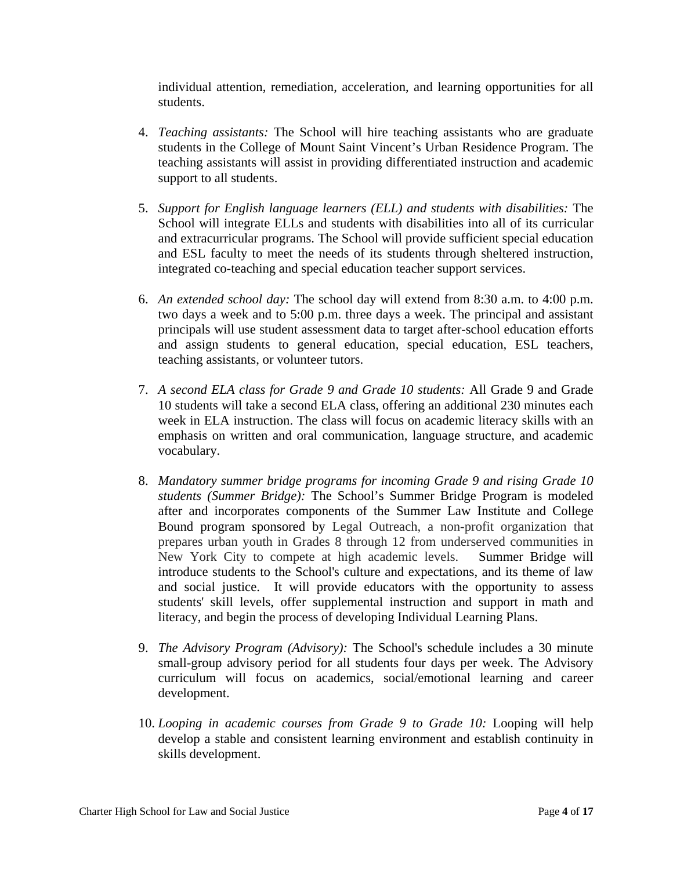individual attention, remediation, acceleration, and learning opportunities for all students.

- 4. *Teaching assistants:* The School will hire teaching assistants who are graduate students in the College of Mount Saint Vincent's Urban Residence Program. The teaching assistants will assist in providing differentiated instruction and academic support to all students.
- 5. *Support for English language learners (ELL) and students with disabilities:* The School will integrate ELLs and students with disabilities into all of its curricular and extracurricular programs. The School will provide sufficient special education and ESL faculty to meet the needs of its students through sheltered instruction, integrated co-teaching and special education teacher support services.
- 6. *An extended school day:* The school day will extend from 8:30 a.m. to 4:00 p.m. two days a week and to 5:00 p.m. three days a week. The principal and assistant principals will use student assessment data to target after-school education efforts and assign students to general education, special education, ESL teachers, teaching assistants, or volunteer tutors.
- 7. *A second ELA class for Grade 9 and Grade 10 students:* All Grade 9 and Grade 10 students will take a second ELA class, offering an additional 230 minutes each week in ELA instruction. The class will focus on academic literacy skills with an emphasis on written and oral communication, language structure, and academic vocabulary.
- 8. *Mandatory summer bridge programs for incoming Grade 9 and rising Grade 10 students (Summer Bridge):* The School's Summer Bridge Program is modeled after and incorporates components of the Summer Law Institute and College Bound program sponsored by Legal Outreach, a non-profit organization that prepares urban youth in Grades 8 through 12 from underserved communities in New York City to compete at high academic levels. Summer Bridge will introduce students to the School's culture and expectations, and its theme of law and social justice. It will provide educators with the opportunity to assess students' skill levels, offer supplemental instruction and support in math and literacy, and begin the process of developing Individual Learning Plans.
- 9. *The Advisory Program (Advisory):* The School's schedule includes a 30 minute small-group advisory period for all students four days per week. The Advisory curriculum will focus on academics, social/emotional learning and career development.
- 10. *Looping in academic courses from Grade 9 to Grade 10:* Looping will help develop a stable and consistent learning environment and establish continuity in skills development.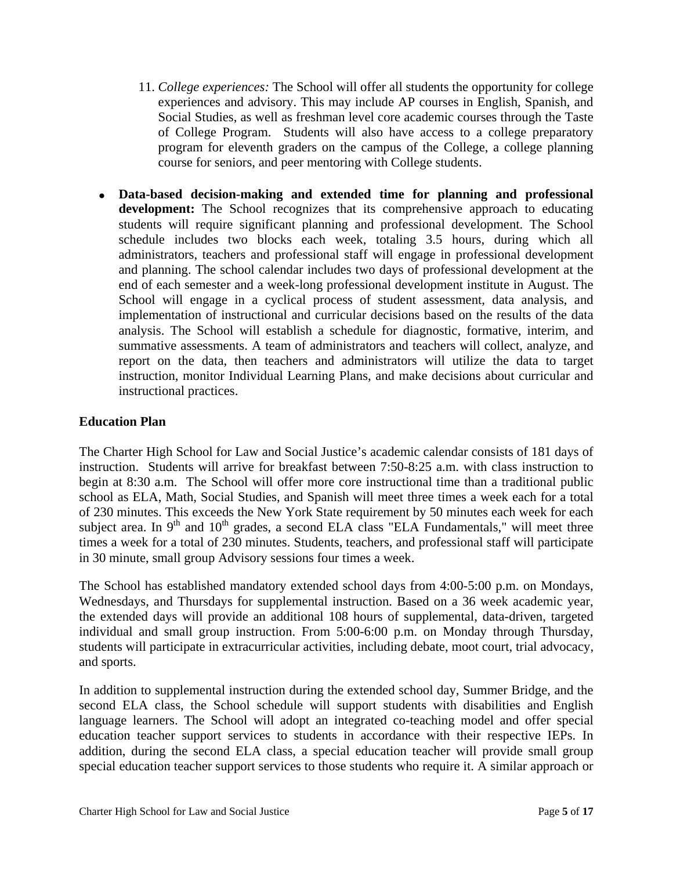- 11. *College experiences:* The School will offer all students the opportunity for college experiences and advisory. This may include AP courses in English, Spanish, and Social Studies, as well as freshman level core academic courses through the Taste of College Program. Students will also have access to a college preparatory program for eleventh graders on the campus of the College, a college planning course for seniors, and peer mentoring with College students.
- **Data-based decision-making and extended time for planning and professional development:** The School recognizes that its comprehensive approach to educating students will require significant planning and professional development. The School schedule includes two blocks each week, totaling 3.5 hours, during which all administrators, teachers and professional staff will engage in professional development and planning. The school calendar includes two days of professional development at the end of each semester and a week-long professional development institute in August. The School will engage in a cyclical process of student assessment, data analysis, and implementation of instructional and curricular decisions based on the results of the data analysis. The School will establish a schedule for diagnostic, formative, interim, and summative assessments. A team of administrators and teachers will collect, analyze, and report on the data, then teachers and administrators will utilize the data to target instruction, monitor Individual Learning Plans, and make decisions about curricular and instructional practices.

# **Education Plan**

The Charter High School for Law and Social Justice's academic calendar consists of 181 days of instruction. Students will arrive for breakfast between 7:50-8:25 a.m. with class instruction to begin at 8:30 a.m. The School will offer more core instructional time than a traditional public school as ELA, Math, Social Studies, and Spanish will meet three times a week each for a total of 230 minutes. This exceeds the New York State requirement by 50 minutes each week for each subject area. In  $9<sup>th</sup>$  and  $10<sup>th</sup>$  grades, a second ELA class "ELA Fundamentals," will meet three times a week for a total of 230 minutes. Students, teachers, and professional staff will participate in 30 minute, small group Advisory sessions four times a week.

The School has established mandatory extended school days from 4:00-5:00 p.m. on Mondays, Wednesdays, and Thursdays for supplemental instruction. Based on a 36 week academic year, the extended days will provide an additional 108 hours of supplemental, data-driven, targeted individual and small group instruction. From 5:00-6:00 p.m. on Monday through Thursday, students will participate in extracurricular activities, including debate, moot court, trial advocacy, and sports.

In addition to supplemental instruction during the extended school day, Summer Bridge, and the second ELA class, the School schedule will support students with disabilities and English language learners. The School will adopt an integrated co-teaching model and offer special education teacher support services to students in accordance with their respective IEPs. In addition, during the second ELA class, a special education teacher will provide small group special education teacher support services to those students who require it. A similar approach or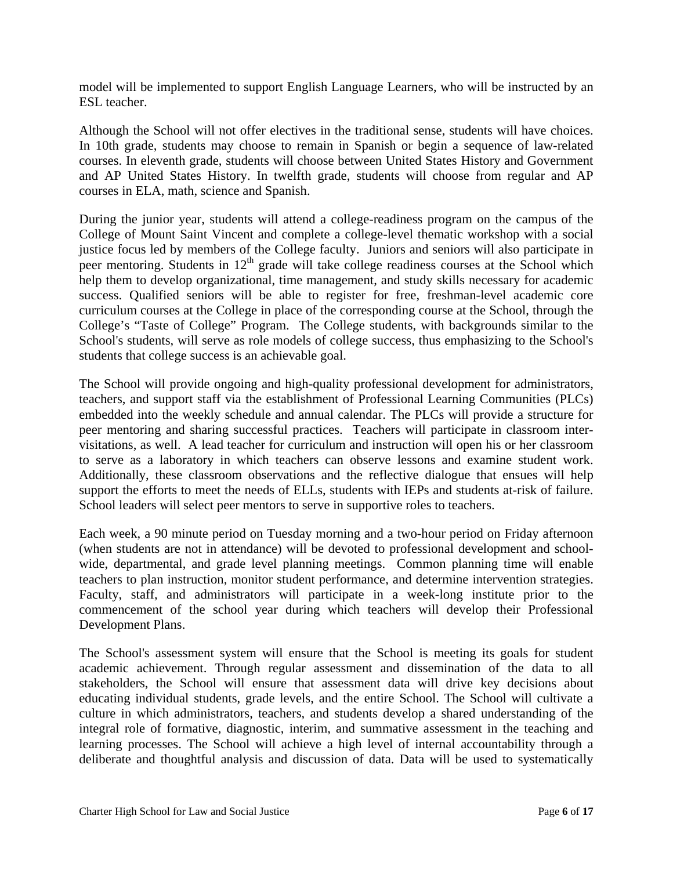model will be implemented to support English Language Learners, who will be instructed by an ESL teacher.

Although the School will not offer electives in the traditional sense, students will have choices. In 10th grade, students may choose to remain in Spanish or begin a sequence of law-related courses. In eleventh grade, students will choose between United States History and Government and AP United States History. In twelfth grade, students will choose from regular and AP courses in ELA, math, science and Spanish.

During the junior year, students will attend a college-readiness program on the campus of the College of Mount Saint Vincent and complete a college-level thematic workshop with a social justice focus led by members of the College faculty. Juniors and seniors will also participate in peer mentoring. Students in  $12<sup>th</sup>$  grade will take college readiness courses at the School which help them to develop organizational, time management, and study skills necessary for academic success. Qualified seniors will be able to register for free, freshman-level academic core curriculum courses at the College in place of the corresponding course at the School, through the College's "Taste of College" Program. The College students, with backgrounds similar to the School's students, will serve as role models of college success, thus emphasizing to the School's students that college success is an achievable goal.

The School will provide ongoing and high-quality professional development for administrators, teachers, and support staff via the establishment of Professional Learning Communities (PLCs) embedded into the weekly schedule and annual calendar. The PLCs will provide a structure for peer mentoring and sharing successful practices. Teachers will participate in classroom intervisitations, as well. A lead teacher for curriculum and instruction will open his or her classroom to serve as a laboratory in which teachers can observe lessons and examine student work. Additionally, these classroom observations and the reflective dialogue that ensues will help support the efforts to meet the needs of ELLs, students with IEPs and students at-risk of failure. School leaders will select peer mentors to serve in supportive roles to teachers.

Each week, a 90 minute period on Tuesday morning and a two-hour period on Friday afternoon (when students are not in attendance) will be devoted to professional development and schoolwide, departmental, and grade level planning meetings. Common planning time will enable teachers to plan instruction, monitor student performance, and determine intervention strategies. Faculty, staff, and administrators will participate in a week-long institute prior to the commencement of the school year during which teachers will develop their Professional Development Plans.

The School's assessment system will ensure that the School is meeting its goals for student academic achievement. Through regular assessment and dissemination of the data to all stakeholders, the School will ensure that assessment data will drive key decisions about educating individual students, grade levels, and the entire School. The School will cultivate a culture in which administrators, teachers, and students develop a shared understanding of the integral role of formative, diagnostic, interim, and summative assessment in the teaching and learning processes. The School will achieve a high level of internal accountability through a deliberate and thoughtful analysis and discussion of data. Data will be used to systematically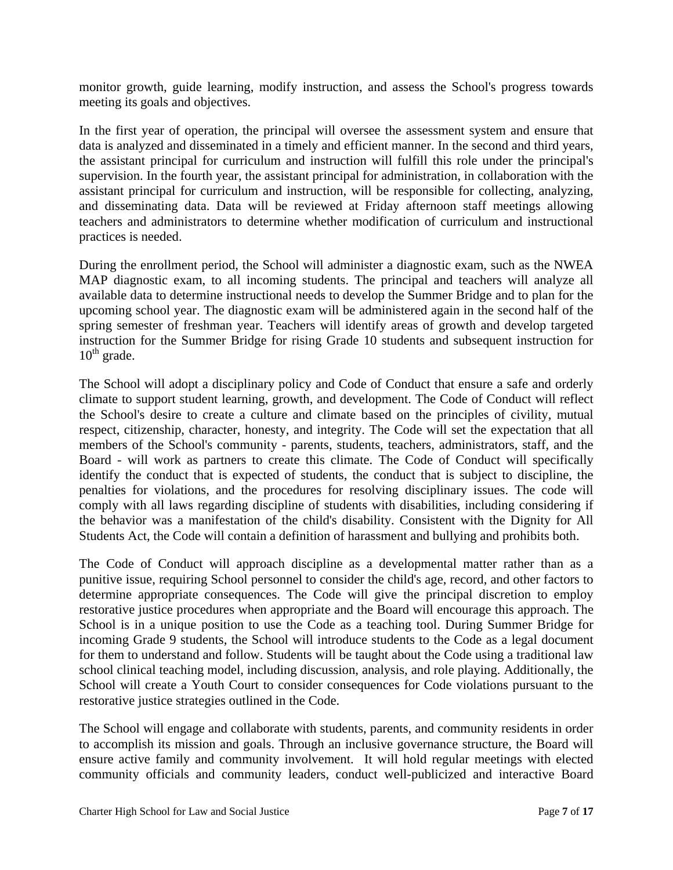monitor growth, guide learning, modify instruction, and assess the School's progress towards meeting its goals and objectives.

In the first year of operation, the principal will oversee the assessment system and ensure that data is analyzed and disseminated in a timely and efficient manner. In the second and third years, the assistant principal for curriculum and instruction will fulfill this role under the principal's supervision. In the fourth year, the assistant principal for administration, in collaboration with the assistant principal for curriculum and instruction, will be responsible for collecting, analyzing, and disseminating data. Data will be reviewed at Friday afternoon staff meetings allowing teachers and administrators to determine whether modification of curriculum and instructional practices is needed.

During the enrollment period, the School will administer a diagnostic exam, such as the NWEA MAP diagnostic exam, to all incoming students. The principal and teachers will analyze all available data to determine instructional needs to develop the Summer Bridge and to plan for the upcoming school year. The diagnostic exam will be administered again in the second half of the spring semester of freshman year. Teachers will identify areas of growth and develop targeted instruction for the Summer Bridge for rising Grade 10 students and subsequent instruction for  $10^{th}$  grade.

The School will adopt a disciplinary policy and Code of Conduct that ensure a safe and orderly climate to support student learning, growth, and development. The Code of Conduct will reflect the School's desire to create a culture and climate based on the principles of civility, mutual respect, citizenship, character, honesty, and integrity. The Code will set the expectation that all members of the School's community - parents, students, teachers, administrators, staff, and the Board - will work as partners to create this climate. The Code of Conduct will specifically identify the conduct that is expected of students, the conduct that is subject to discipline, the penalties for violations, and the procedures for resolving disciplinary issues. The code will comply with all laws regarding discipline of students with disabilities, including considering if the behavior was a manifestation of the child's disability. Consistent with the Dignity for All Students Act, the Code will contain a definition of harassment and bullying and prohibits both.

The Code of Conduct will approach discipline as a developmental matter rather than as a punitive issue, requiring School personnel to consider the child's age, record, and other factors to determine appropriate consequences. The Code will give the principal discretion to employ restorative justice procedures when appropriate and the Board will encourage this approach. The School is in a unique position to use the Code as a teaching tool. During Summer Bridge for incoming Grade 9 students, the School will introduce students to the Code as a legal document for them to understand and follow. Students will be taught about the Code using a traditional law school clinical teaching model, including discussion, analysis, and role playing. Additionally, the School will create a Youth Court to consider consequences for Code violations pursuant to the restorative justice strategies outlined in the Code.

The School will engage and collaborate with students, parents, and community residents in order to accomplish its mission and goals. Through an inclusive governance structure, the Board will ensure active family and community involvement. It will hold regular meetings with elected community officials and community leaders, conduct well-publicized and interactive Board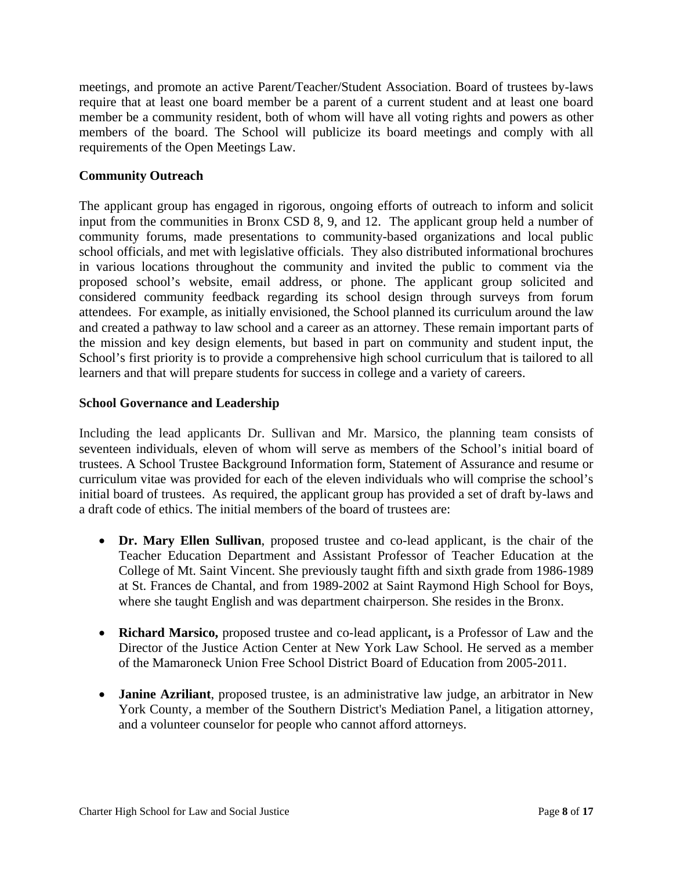meetings, and promote an active Parent/Teacher/Student Association. Board of trustees by-laws require that at least one board member be a parent of a current student and at least one board member be a community resident, both of whom will have all voting rights and powers as other members of the board. The School will publicize its board meetings and comply with all requirements of the Open Meetings Law.

# **Community Outreach**

The applicant group has engaged in rigorous, ongoing efforts of outreach to inform and solicit input from the communities in Bronx CSD 8, 9, and 12. The applicant group held a number of community forums, made presentations to community-based organizations and local public school officials, and met with legislative officials. They also distributed informational brochures in various locations throughout the community and invited the public to comment via the proposed school's website, email address, or phone. The applicant group solicited and considered community feedback regarding its school design through surveys from forum attendees. For example, as initially envisioned, the School planned its curriculum around the law and created a pathway to law school and a career as an attorney. These remain important parts of the mission and key design elements, but based in part on community and student input, the School's first priority is to provide a comprehensive high school curriculum that is tailored to all learners and that will prepare students for success in college and a variety of careers.

# **School Governance and Leadership**

Including the lead applicants Dr. Sullivan and Mr. Marsico, the planning team consists of seventeen individuals, eleven of whom will serve as members of the School's initial board of trustees. A School Trustee Background Information form, Statement of Assurance and resume or curriculum vitae was provided for each of the eleven individuals who will comprise the school's initial board of trustees. As required, the applicant group has provided a set of draft by-laws and a draft code of ethics. The initial members of the board of trustees are:

- **Dr. Mary Ellen Sullivan**, proposed trustee and co-lead applicant, is the chair of the Teacher Education Department and Assistant Professor of Teacher Education at the College of Mt. Saint Vincent. She previously taught fifth and sixth grade from 1986-1989 at St. Frances de Chantal, and from 1989-2002 at Saint Raymond High School for Boys, where she taught English and was department chairperson. She resides in the Bronx.
- **Richard Marsico,** proposed trustee and co-lead applicant**,** is a Professor of Law and the Director of the Justice Action Center at New York Law School. He served as a member of the Mamaroneck Union Free School District Board of Education from 2005-2011.
- **Janine Azriliant**, proposed trustee, is an administrative law judge, an arbitrator in New York County, a member of the Southern District's Mediation Panel, a litigation attorney, and a volunteer counselor for people who cannot afford attorneys.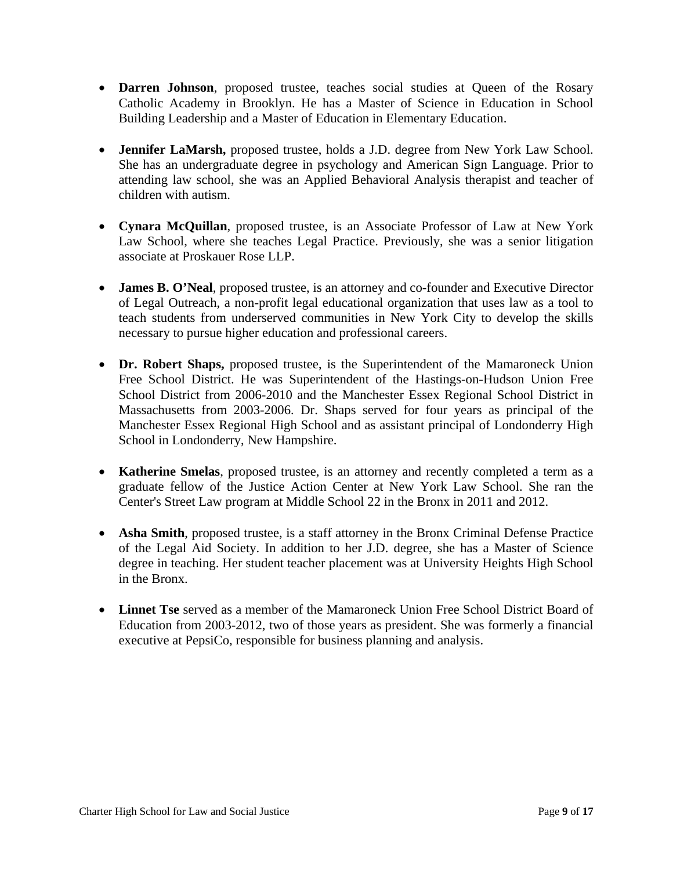- **Darren Johnson**, proposed trustee, teaches social studies at Queen of the Rosary Catholic Academy in Brooklyn. He has a Master of Science in Education in School Building Leadership and a Master of Education in Elementary Education.
- **Jennifer LaMarsh,** proposed trustee, holds a J.D. degree from New York Law School. She has an undergraduate degree in psychology and American Sign Language. Prior to attending law school, she was an Applied Behavioral Analysis therapist and teacher of children with autism.
- **Cynara McQuillan**, proposed trustee, is an Associate Professor of Law at New York Law School, where she teaches Legal Practice. Previously, she was a senior litigation associate at Proskauer Rose LLP.
- **James B. O'Neal**, proposed trustee, is an attorney and co-founder and Executive Director of Legal Outreach, a non-profit legal educational organization that uses law as a tool to teach students from underserved communities in New York City to develop the skills necessary to pursue higher education and professional careers.
- **Dr. Robert Shaps,** proposed trustee, is the Superintendent of the Mamaroneck Union Free School District. He was Superintendent of the Hastings-on-Hudson Union Free School District from 2006-2010 and the Manchester Essex Regional School District in Massachusetts from 2003-2006. Dr. Shaps served for four years as principal of the Manchester Essex Regional High School and as assistant principal of Londonderry High School in Londonderry, New Hampshire.
- **Katherine Smelas**, proposed trustee, is an attorney and recently completed a term as a graduate fellow of the Justice Action Center at New York Law School. She ran the Center's Street Law program at Middle School 22 in the Bronx in 2011 and 2012.
- Asha Smith, proposed trustee, is a staff attorney in the Bronx Criminal Defense Practice of the Legal Aid Society. In addition to her J.D. degree, she has a Master of Science degree in teaching. Her student teacher placement was at University Heights High School in the Bronx.
- **Linnet Tse** served as a member of the Mamaroneck Union Free School District Board of Education from 2003-2012, two of those years as president. She was formerly a financial executive at PepsiCo, responsible for business planning and analysis.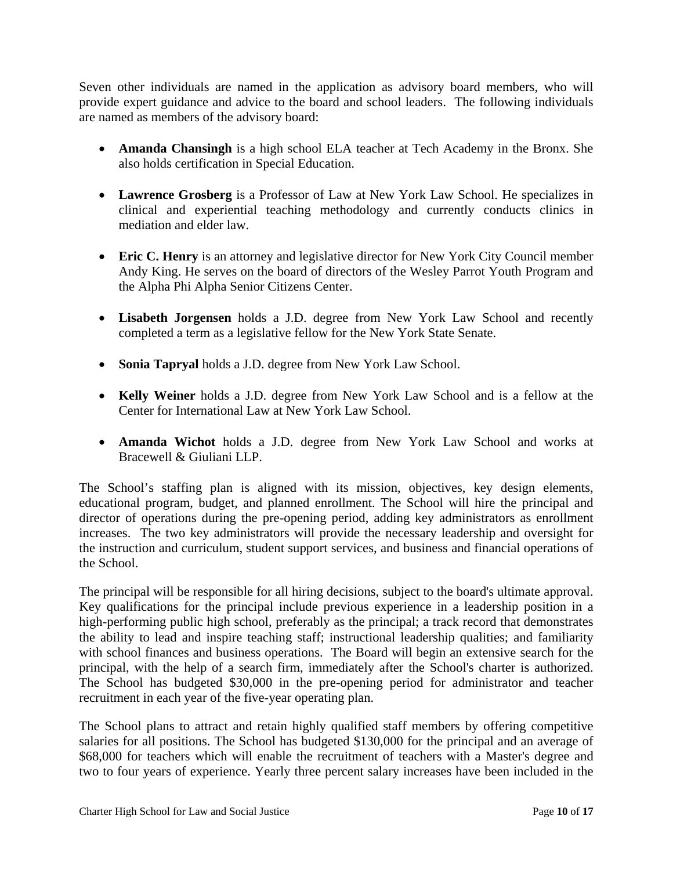Seven other individuals are named in the application as advisory board members, who will provide expert guidance and advice to the board and school leaders. The following individuals are named as members of the advisory board:

- **Amanda Chansingh** is a high school ELA teacher at Tech Academy in the Bronx. She also holds certification in Special Education.
- **Lawrence Grosberg** is a Professor of Law at New York Law School. He specializes in clinical and experiential teaching methodology and currently conducts clinics in mediation and elder law.
- **Eric C. Henry** is an attorney and legislative director for New York City Council member Andy King. He serves on the board of directors of the Wesley Parrot Youth Program and the Alpha Phi Alpha Senior Citizens Center.
- **Lisabeth Jorgensen** holds a J.D. degree from New York Law School and recently completed a term as a legislative fellow for the New York State Senate.
- **Sonia Tapryal** holds a J.D. degree from New York Law School.
- **Kelly Weiner** holds a J.D. degree from New York Law School and is a fellow at the Center for International Law at New York Law School.
- **Amanda Wichot** holds a J.D. degree from New York Law School and works at Bracewell & Giuliani LLP.

The School's staffing plan is aligned with its mission, objectives, key design elements, educational program, budget, and planned enrollment. The School will hire the principal and director of operations during the pre-opening period, adding key administrators as enrollment increases. The two key administrators will provide the necessary leadership and oversight for the instruction and curriculum, student support services, and business and financial operations of the School.

The principal will be responsible for all hiring decisions, subject to the board's ultimate approval. Key qualifications for the principal include previous experience in a leadership position in a high-performing public high school, preferably as the principal; a track record that demonstrates the ability to lead and inspire teaching staff; instructional leadership qualities; and familiarity with school finances and business operations. The Board will begin an extensive search for the principal, with the help of a search firm, immediately after the School's charter is authorized. The School has budgeted \$30,000 in the pre-opening period for administrator and teacher recruitment in each year of the five-year operating plan.

The School plans to attract and retain highly qualified staff members by offering competitive salaries for all positions. The School has budgeted \$130,000 for the principal and an average of \$68,000 for teachers which will enable the recruitment of teachers with a Master's degree and two to four years of experience. Yearly three percent salary increases have been included in the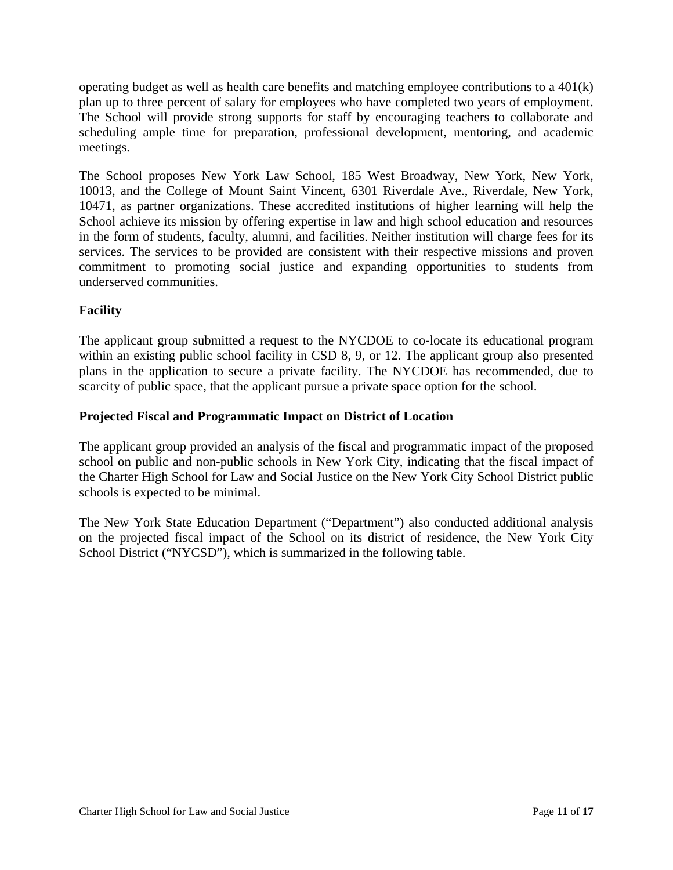operating budget as well as health care benefits and matching employee contributions to a 401(k) plan up to three percent of salary for employees who have completed two years of employment. The School will provide strong supports for staff by encouraging teachers to collaborate and scheduling ample time for preparation, professional development, mentoring, and academic meetings.

The School proposes New York Law School, 185 West Broadway, New York, New York, 10013, and the College of Mount Saint Vincent, 6301 Riverdale Ave., Riverdale, New York, 10471, as partner organizations. These accredited institutions of higher learning will help the School achieve its mission by offering expertise in law and high school education and resources in the form of students, faculty, alumni, and facilities. Neither institution will charge fees for its services. The services to be provided are consistent with their respective missions and proven commitment to promoting social justice and expanding opportunities to students from underserved communities.

# **Facility**

The applicant group submitted a request to the NYCDOE to co-locate its educational program within an existing public school facility in CSD 8, 9, or 12. The applicant group also presented plans in the application to secure a private facility. The NYCDOE has recommended, due to scarcity of public space, that the applicant pursue a private space option for the school.

# **Projected Fiscal and Programmatic Impact on District of Location**

The applicant group provided an analysis of the fiscal and programmatic impact of the proposed school on public and non-public schools in New York City, indicating that the fiscal impact of the Charter High School for Law and Social Justice on the New York City School District public schools is expected to be minimal.

The New York State Education Department ("Department") also conducted additional analysis on the projected fiscal impact of the School on its district of residence, the New York City School District ("NYCSD"), which is summarized in the following table.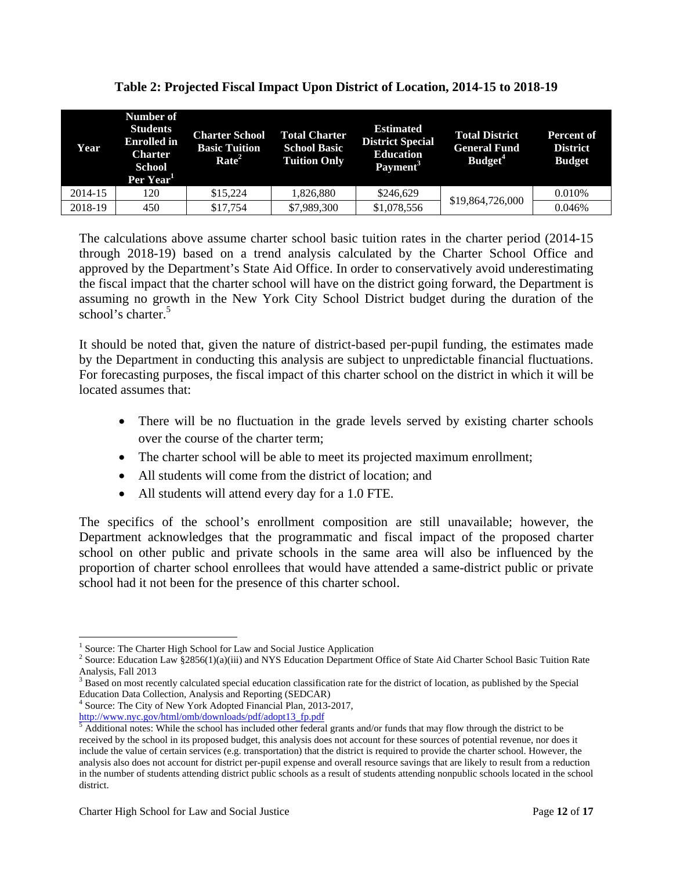| Year    | Number of<br><b>Students</b><br><b>Enrolled</b> in<br><b>Charter</b><br>School<br>Per Year <sup>1</sup> | <b>Charter School</b><br><b>Basic Tuition</b><br>Rate <sup>2</sup> | <b>Total Charter</b><br><b>School Basic</b><br><b>Tuition Only</b> | <b>Estimated</b><br><b>District Special</b><br><b>Education</b><br>Payment <sup>3</sup> | <b>Total District</b><br><b>General Fund</b><br>Budget <sup>4</sup> | <b>Percent of</b><br><b>District</b><br><b>Budget</b> |
|---------|---------------------------------------------------------------------------------------------------------|--------------------------------------------------------------------|--------------------------------------------------------------------|-----------------------------------------------------------------------------------------|---------------------------------------------------------------------|-------------------------------------------------------|
| 2014-15 | 120                                                                                                     | \$15,224                                                           | 1.826.880                                                          | \$246,629                                                                               |                                                                     | 0.010\%                                               |
| 2018-19 | 450                                                                                                     | \$17,754                                                           | \$7,989,300                                                        | \$1,078,556                                                                             | \$19,864,726,000                                                    | 0.046%                                                |

The calculations above assume charter school basic tuition rates in the charter period (2014-15 through 2018-19) based on a trend analysis calculated by the Charter School Office and approved by the Department's State Aid Office. In order to conservatively avoid underestimating the fiscal impact that the charter school will have on the district going forward, the Department is assuming no growth in the New York City School District budget during the duration of the school's charter.<sup>5</sup>

It should be noted that, given the nature of district-based per-pupil funding, the estimates made by the Department in conducting this analysis are subject to unpredictable financial fluctuations. For forecasting purposes, the fiscal impact of this charter school on the district in which it will be located assumes that:

- There will be no fluctuation in the grade levels served by existing charter schools over the course of the charter term;
- The charter school will be able to meet its projected maximum enrollment;
- All students will come from the district of location; and
- All students will attend every day for a 1.0 FTE.

The specifics of the school's enrollment composition are still unavailable; however, the Department acknowledges that the programmatic and fiscal impact of the proposed charter school on other public and private schools in the same area will also be influenced by the proportion of charter school enrollees that would have attended a same-district public or private school had it not been for the presence of this charter school.

 $\overline{a}$ 

<sup>&</sup>lt;sup>1</sup> Source: The Charter High School for Law and Social Justice Application  $\frac{2}{5}$  Source: Education Law  $\frac{$2656(1)(0)(iii)}{2}$  and NVS Education Department

<sup>&</sup>lt;sup>2</sup> Source: Education Law §2856(1)(a)(iii) and NYS Education Department Office of State Aid Charter School Basic Tuition Rate Analysis, Fall 2013

<sup>&</sup>lt;sup>3</sup> Based on most recently calculated special education classification rate for the district of location, as published by the Special Education Data Collection, Analysis and Reporting (SEDCAR) 4

<sup>&</sup>lt;sup>4</sup> Source: The City of New York Adopted Financial Plan, 2013-2017, http://www.nyc.gov/html/omb/downloads/pdf/adopt13\_fp.pdf 5

 $<sup>5</sup>$  Additional notes: While the school has included other federal grants and/or funds that may flow through the district to be</sup> received by the school in its proposed budget, this analysis does not account for these sources of potential revenue, nor does it include the value of certain services (e.g. transportation) that the district is required to provide the charter school. However, the analysis also does not account for district per-pupil expense and overall resource savings that are likely to result from a reduction in the number of students attending district public schools as a result of students attending nonpublic schools located in the school district.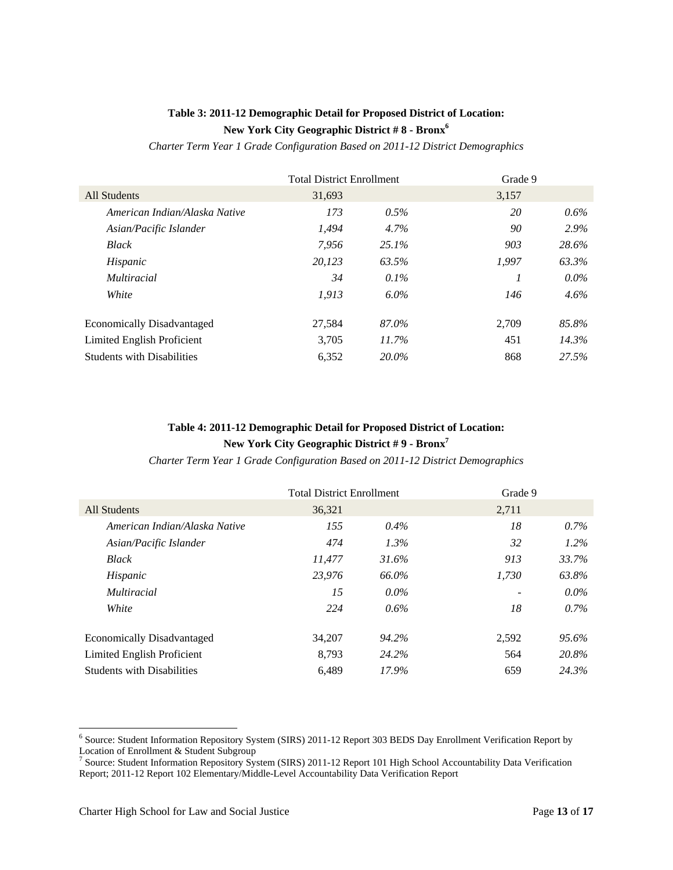# **Table 3: 2011-12 Demographic Detail for Proposed District of Location: New York City Geographic District # 8 - Bronx6**

*Charter Term Year 1 Grade Configuration Based on 2011-12 District Demographics* 

|                                   | <b>Total District Enrollment</b> |         | Grade 9 |         |
|-----------------------------------|----------------------------------|---------|---------|---------|
| All Students                      | 31,693                           |         | 3,157   |         |
| American Indian/Alaska Native     | 173                              | 0.5%    | 20      | $0.6\%$ |
| Asian/Pacific Islander            | 1,494                            | 4.7%    | 90      | $2.9\%$ |
| <b>Black</b>                      | 7.956                            | 25.1%   | 903     | 28.6%   |
| Hispanic                          | 20.123                           | 63.5%   | 1.997   | 63.3%   |
| <i>Multiracial</i>                | 34                               | $0.1\%$ |         | $0.0\%$ |
| White                             | 1.913                            | $6.0\%$ | 146     | $4.6\%$ |
| <b>Economically Disadvantaged</b> | 27,584                           | 87.0%   | 2.709   | 85.8%   |
| Limited English Proficient        | 3.705                            | 11.7%   | 451     | 14.3%   |
| <b>Students with Disabilities</b> | 6,352                            | 20.0%   | 868     | 27.5%   |

# **Table 4: 2011-12 Demographic Detail for Proposed District of Location: New York City Geographic District # 9 - Bronx7**

*Charter Term Year 1 Grade Configuration Based on 2011-12 District Demographics* 

|                                   | <b>Total District Enrollment</b> |         | Grade 9 |         |
|-----------------------------------|----------------------------------|---------|---------|---------|
| All Students                      | 36,321                           |         | 2,711   |         |
| American Indian/Alaska Native     | 155                              | $0.4\%$ | 18      | $0.7\%$ |
| Asian/Pacific Islander            | 474                              | $1.3\%$ | 32      | $1.2\%$ |
| <b>Black</b>                      | 11,477                           | 31.6%   | 913     | 33.7%   |
| Hispanic                          | 23,976                           | 66.0%   | 1,730   | 63.8%   |
| <i>Multiracial</i>                | 15                               | $0.0\%$ |         | $0.0\%$ |
| White                             | 224                              | 0.6%    | 18      | $0.7\%$ |
| <b>Economically Disadvantaged</b> | 34,207                           | 94.2%   | 2,592   | 95.6%   |
| Limited English Proficient        | 8.793                            | 24.2%   | 564     | 20.8%   |
| <b>Students with Disabilities</b> | 6,489                            | 17.9%   | 659     | 24.3%   |

 $\overline{a}$ 

<sup>&</sup>lt;sup>6</sup> Source: Student Information Repository System (SIRS) 2011-12 Report 303 BEDS Day Enrollment Verification Report by

Location of Enrollment & Student Subgroup<br><sup>7</sup> Source: Student Information Repository System (SIRS) 2011-12 Report 101 High School Accountability Data Verification Report; 2011-12 Report 102 Elementary/Middle-Level Accountability Data Verification Report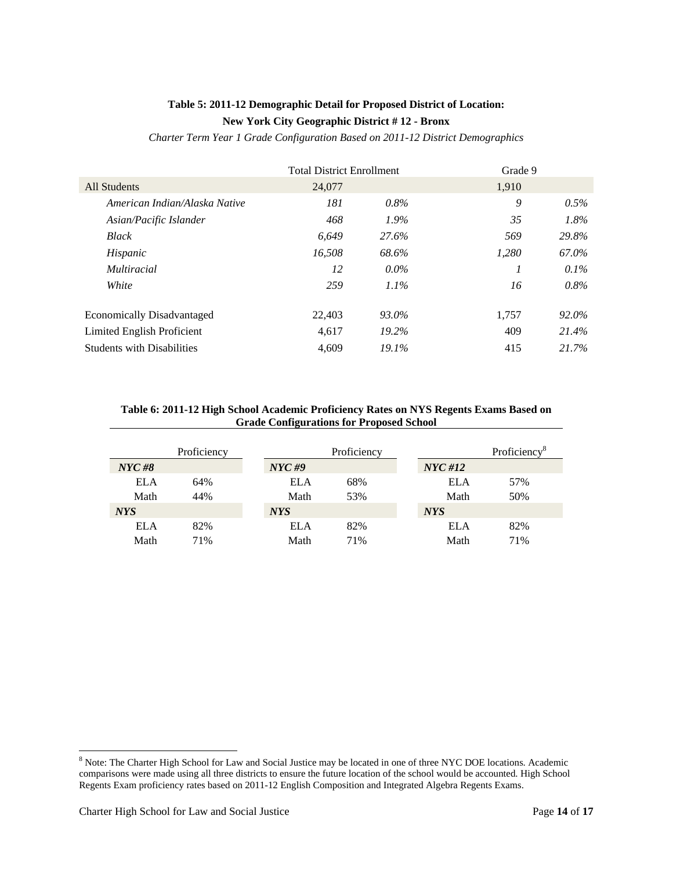# **Table 5: 2011-12 Demographic Detail for Proposed District of Location: New York City Geographic District # 12 - Bronx**

*Charter Term Year 1 Grade Configuration Based on 2011-12 District Demographics* 

|                                   | <b>Total District Enrollment</b> |          | Grade 9 |         |
|-----------------------------------|----------------------------------|----------|---------|---------|
| All Students                      | 24,077                           |          | 1,910   |         |
| American Indian/Alaska Native     | 181                              | $0.8\%$  | 9       | $0.5\%$ |
| Asian/Pacific Islander            | 468                              | $1.9\%$  | 35      | 1.8%    |
| Black                             | 6.649                            | 27.6%    | 569     | 29.8%   |
| Hispanic                          | 16.508                           | 68.6%    | 1,280   | 67.0%   |
| <i>Multiracial</i>                | 12                               | $0.0\%$  |         | 0.1%    |
| White                             | 259                              | $1.1\%$  | 16      | $0.8\%$ |
| <b>Economically Disadvantaged</b> | 22,403                           | 93.0%    | 1.757   | 92.0%   |
| Limited English Proficient        | 4,617                            | 19.2%    | 409     | 21.4%   |
| <b>Students with Disabilities</b> | 4.609                            | $19.1\%$ | 415     | 21.7%   |

#### **Table 6: 2011-12 High School Academic Proficiency Rates on NYS Regents Exams Based on Grade Configurations for Proposed School**

|                                                   | Proficiency |            | Proficiency |            | Proficiency <sup>8</sup> |
|---------------------------------------------------|-------------|------------|-------------|------------|--------------------------|
| $\boldsymbol{N} \boldsymbol{Y} \boldsymbol{C}$ #8 |             | $NYC$ #9   |             | NYC#12     |                          |
| <b>ELA</b>                                        | 64%         | ELA        | 68%         | ELA        | 57%                      |
| Math                                              | 44%         | Math       | 53%         | Math       | 50%                      |
| <b>NYS</b>                                        |             | <b>NYS</b> |             | <b>NYS</b> |                          |
| <b>ELA</b>                                        | 82%         | ELA        | 82%         | ELA        | 82%                      |
| Math                                              | 71%         | Math       | 71%         | Math       | 71%                      |

<sup>&</sup>lt;sup>8</sup><br>Note: The Charter High School for Law and Social Justice may be located in one of three NYC DOE locations. Academic comparisons were made using all three districts to ensure the future location of the school would be accounted. High School Regents Exam proficiency rates based on 2011-12 English Composition and Integrated Algebra Regents Exams.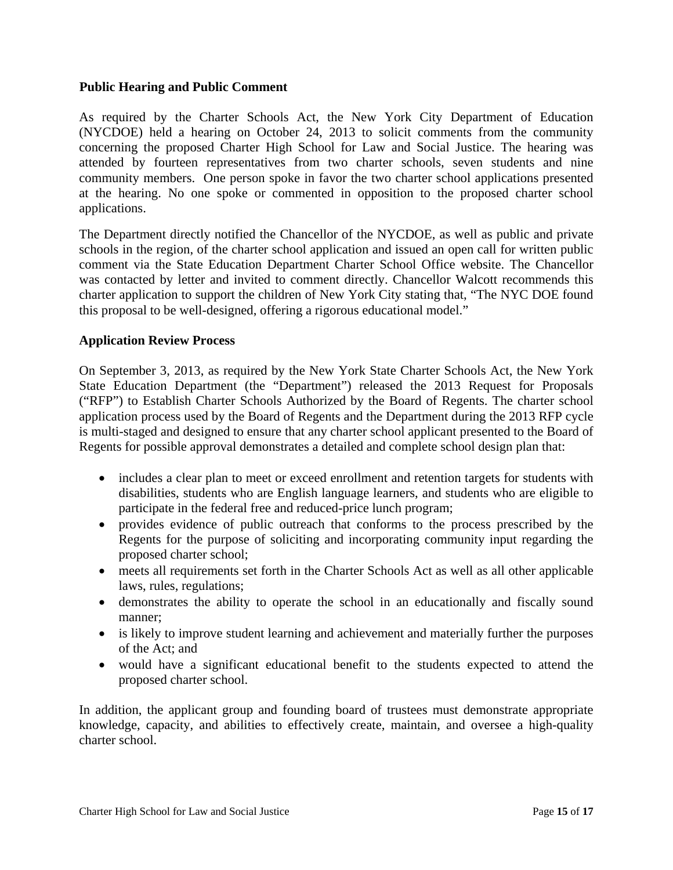### **Public Hearing and Public Comment**

As required by the Charter Schools Act, the New York City Department of Education (NYCDOE) held a hearing on October 24, 2013 to solicit comments from the community concerning the proposed Charter High School for Law and Social Justice. The hearing was attended by fourteen representatives from two charter schools, seven students and nine community members. One person spoke in favor the two charter school applications presented at the hearing. No one spoke or commented in opposition to the proposed charter school applications.

The Department directly notified the Chancellor of the NYCDOE, as well as public and private schools in the region, of the charter school application and issued an open call for written public comment via the State Education Department Charter School Office website. The Chancellor was contacted by letter and invited to comment directly. Chancellor Walcott recommends this charter application to support the children of New York City stating that, "The NYC DOE found this proposal to be well-designed, offering a rigorous educational model."

# **Application Review Process**

On September 3, 2013, as required by the New York State Charter Schools Act, the New York State Education Department (the "Department") released the 2013 Request for Proposals ("RFP") to Establish Charter Schools Authorized by the Board of Regents. The charter school application process used by the Board of Regents and the Department during the 2013 RFP cycle is multi-staged and designed to ensure that any charter school applicant presented to the Board of Regents for possible approval demonstrates a detailed and complete school design plan that:

- includes a clear plan to meet or exceed enrollment and retention targets for students with disabilities, students who are English language learners, and students who are eligible to participate in the federal free and reduced-price lunch program;
- provides evidence of public outreach that conforms to the process prescribed by the Regents for the purpose of soliciting and incorporating community input regarding the proposed charter school;
- meets all requirements set forth in the Charter Schools Act as well as all other applicable laws, rules, regulations;
- demonstrates the ability to operate the school in an educationally and fiscally sound manner;
- is likely to improve student learning and achievement and materially further the purposes of the Act; and
- would have a significant educational benefit to the students expected to attend the proposed charter school.

In addition, the applicant group and founding board of trustees must demonstrate appropriate knowledge, capacity, and abilities to effectively create, maintain, and oversee a high-quality charter school.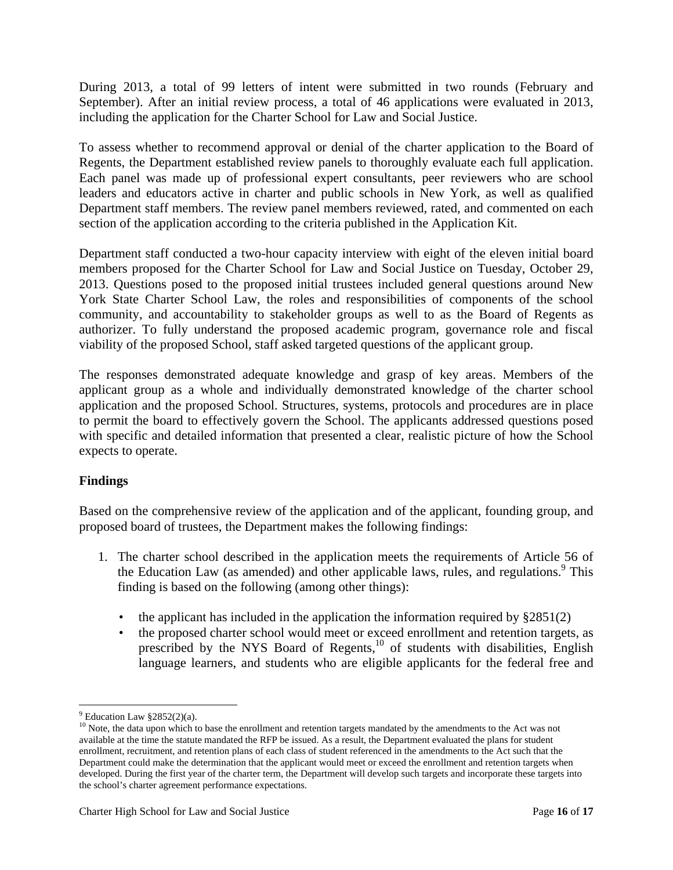During 2013, a total of 99 letters of intent were submitted in two rounds (February and September). After an initial review process, a total of 46 applications were evaluated in 2013, including the application for the Charter School for Law and Social Justice.

To assess whether to recommend approval or denial of the charter application to the Board of Regents, the Department established review panels to thoroughly evaluate each full application. Each panel was made up of professional expert consultants, peer reviewers who are school leaders and educators active in charter and public schools in New York, as well as qualified Department staff members. The review panel members reviewed, rated, and commented on each section of the application according to the criteria published in the Application Kit.

Department staff conducted a two-hour capacity interview with eight of the eleven initial board members proposed for the Charter School for Law and Social Justice on Tuesday, October 29, 2013. Questions posed to the proposed initial trustees included general questions around New York State Charter School Law, the roles and responsibilities of components of the school community, and accountability to stakeholder groups as well to as the Board of Regents as authorizer. To fully understand the proposed academic program, governance role and fiscal viability of the proposed School, staff asked targeted questions of the applicant group.

The responses demonstrated adequate knowledge and grasp of key areas. Members of the applicant group as a whole and individually demonstrated knowledge of the charter school application and the proposed School. Structures, systems, protocols and procedures are in place to permit the board to effectively govern the School. The applicants addressed questions posed with specific and detailed information that presented a clear, realistic picture of how the School expects to operate.

# **Findings**

Based on the comprehensive review of the application and of the applicant, founding group, and proposed board of trustees, the Department makes the following findings:

- 1. The charter school described in the application meets the requirements of Article 56 of the Education Law (as amended) and other applicable laws, rules, and regulations.<sup>9</sup> This finding is based on the following (among other things):
	- the applicant has included in the application the information required by  $\S 2851(2)$
	- the proposed charter school would meet or exceed enrollment and retention targets, as prescribed by the NYS Board of Regents, $^{10}$  of students with disabilities, English language learners, and students who are eligible applicants for the federal free and

 $\overline{a}$  $9$  Education Law  $§2852(2)(a)$ .

<sup>&</sup>lt;sup>10</sup> Note, the data upon which to base the enrollment and retention targets mandated by the amendments to the Act was not available at the time the statute mandated the RFP be issued. As a result, the Department evaluated the plans for student enrollment, recruitment, and retention plans of each class of student referenced in the amendments to the Act such that the Department could make the determination that the applicant would meet or exceed the enrollment and retention targets when developed. During the first year of the charter term, the Department will develop such targets and incorporate these targets into the school's charter agreement performance expectations.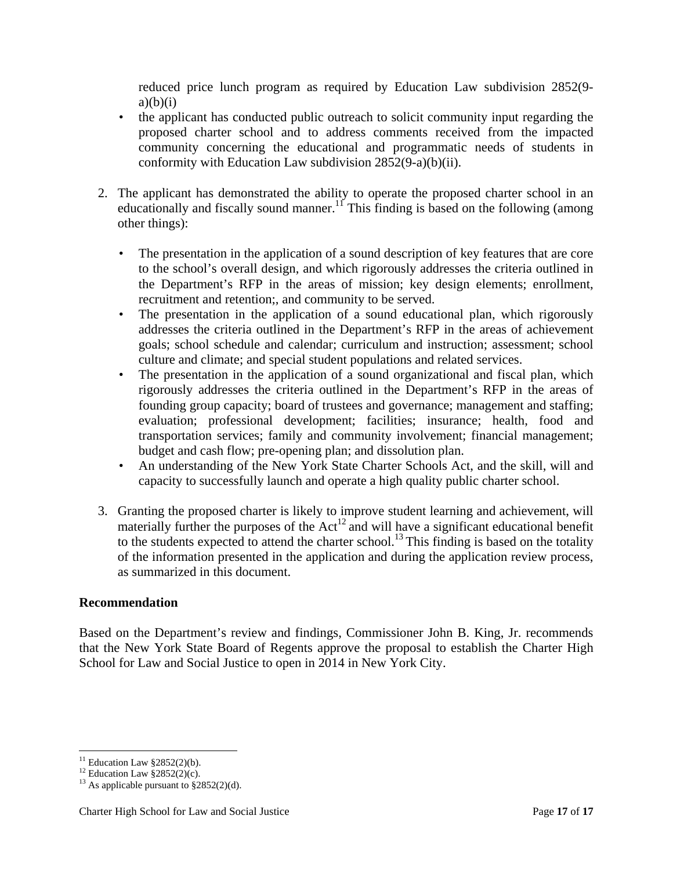reduced price lunch program as required by Education Law subdivision 2852(9  $a)(b)(i)$ 

- the applicant has conducted public outreach to solicit community input regarding the proposed charter school and to address comments received from the impacted community concerning the educational and programmatic needs of students in conformity with Education Law subdivision 2852(9-a)(b)(ii).
- 2. The applicant has demonstrated the ability to operate the proposed charter school in an educationally and fiscally sound manner.<sup>11</sup> This finding is based on the following (among other things):
	- The presentation in the application of a sound description of key features that are core to the school's overall design, and which rigorously addresses the criteria outlined in the Department's RFP in the areas of mission; key design elements; enrollment, recruitment and retention;, and community to be served.
	- The presentation in the application of a sound educational plan, which rigorously addresses the criteria outlined in the Department's RFP in the areas of achievement goals; school schedule and calendar; curriculum and instruction; assessment; school culture and climate; and special student populations and related services.
	- The presentation in the application of a sound organizational and fiscal plan, which rigorously addresses the criteria outlined in the Department's RFP in the areas of founding group capacity; board of trustees and governance; management and staffing; evaluation; professional development; facilities; insurance; health, food and transportation services; family and community involvement; financial management; budget and cash flow; pre-opening plan; and dissolution plan.
	- An understanding of the New York State Charter Schools Act, and the skill, will and capacity to successfully launch and operate a high quality public charter school.
- 3. Granting the proposed charter is likely to improve student learning and achievement, will materially further the purposes of the  $Act^{12}$  and will have a significant educational benefit to the students expected to attend the charter school.<sup>13</sup> This finding is based on the totality of the information presented in the application and during the application review process, as summarized in this document.

# **Recommendation**

Based on the Department's review and findings, Commissioner John B. King, Jr. recommends that the New York State Board of Regents approve the proposal to establish the Charter High School for Law and Social Justice to open in 2014 in New York City.

 $\overline{a}$  $11$  Education Law §2852(2)(b).

<sup>&</sup>lt;sup>12</sup> Education Law  $\S 2852(2)(c)$ .

<sup>&</sup>lt;sup>13</sup> As applicable pursuant to  $\frac{\sqrt{2852}}{20}$ (d).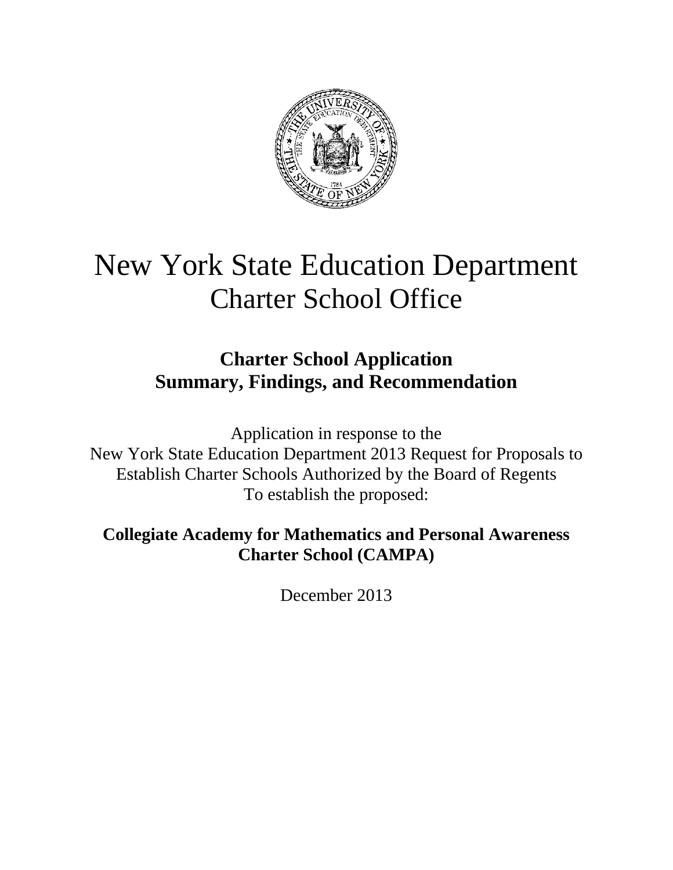

# New York State Education Department Charter School Office

# **Charter School Application Summary, Findings, and Recommendation**

Application in response to the New York State Education Department 2013 Request for Proposals to Establish Charter Schools Authorized by the Board of Regents To establish the proposed:

**Collegiate Academy for Mathematics and Personal Awareness Charter School (CAMPA)** 

December 2013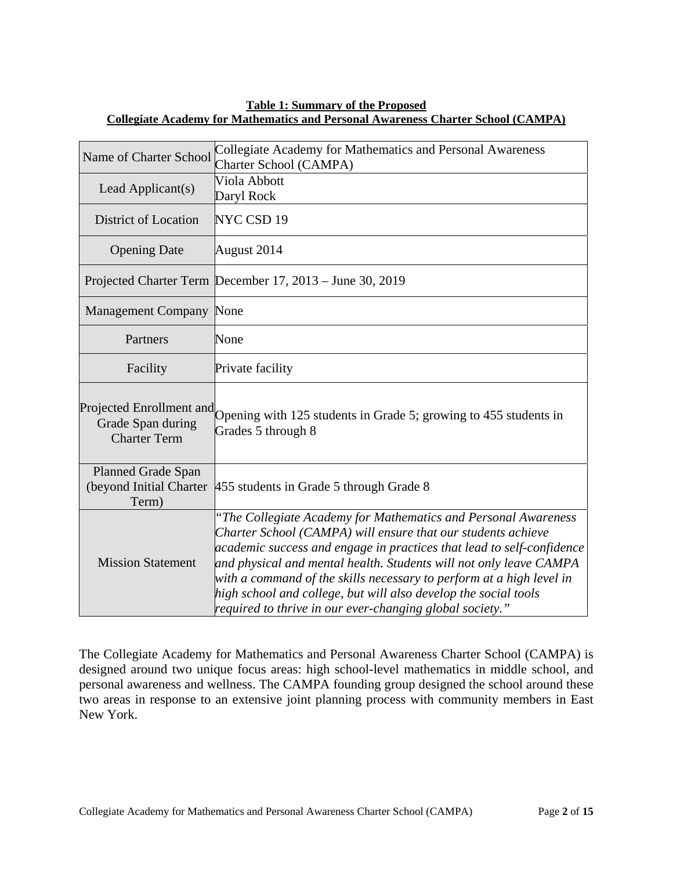| Name of Charter School                   | Collegiate Academy for Mathematics and Personal Awareness<br>Charter School (CAMPA)                                                                                                                                                                                                                                                                                                                                                                                                  |
|------------------------------------------|--------------------------------------------------------------------------------------------------------------------------------------------------------------------------------------------------------------------------------------------------------------------------------------------------------------------------------------------------------------------------------------------------------------------------------------------------------------------------------------|
| Lead Applicant(s)                        | Viola Abbott<br>Daryl Rock                                                                                                                                                                                                                                                                                                                                                                                                                                                           |
| District of Location                     | NYC CSD 19                                                                                                                                                                                                                                                                                                                                                                                                                                                                           |
| <b>Opening Date</b>                      | August 2014                                                                                                                                                                                                                                                                                                                                                                                                                                                                          |
|                                          | Projected Charter Term December 17, 2013 – June 30, 2019                                                                                                                                                                                                                                                                                                                                                                                                                             |
| <b>Management Company None</b>           |                                                                                                                                                                                                                                                                                                                                                                                                                                                                                      |
| Partners                                 | None                                                                                                                                                                                                                                                                                                                                                                                                                                                                                 |
| Facility                                 | Private facility                                                                                                                                                                                                                                                                                                                                                                                                                                                                     |
| Grade Span during<br><b>Charter Term</b> | Projected Enrollment and Opening with 125 students in Grade 5; growing to 455 students in<br>Grades 5 through 8                                                                                                                                                                                                                                                                                                                                                                      |
| <b>Planned Grade Span</b><br>Term)       | (beyond Initial Charter 455 students in Grade 5 through Grade 8                                                                                                                                                                                                                                                                                                                                                                                                                      |
| <b>Mission Statement</b>                 | "The Collegiate Academy for Mathematics and Personal Awareness<br>Charter School (CAMPA) will ensure that our students achieve<br>academic success and engage in practices that lead to self-confidence<br>and physical and mental health. Students will not only leave CAMPA<br>with a command of the skills necessary to perform at a high level in<br>high school and college, but will also develop the social tools<br>required to thrive in our ever-changing global society." |

#### **Table 1: Summary of the Proposed Collegiate Academy for Mathematics and Personal Awareness Charter School (CAMPA)**

The Collegiate Academy for Mathematics and Personal Awareness Charter School (CAMPA) is designed around two unique focus areas: high school-level mathematics in middle school, and personal awareness and wellness. The CAMPA founding group designed the school around these two areas in response to an extensive joint planning process with community members in East New York.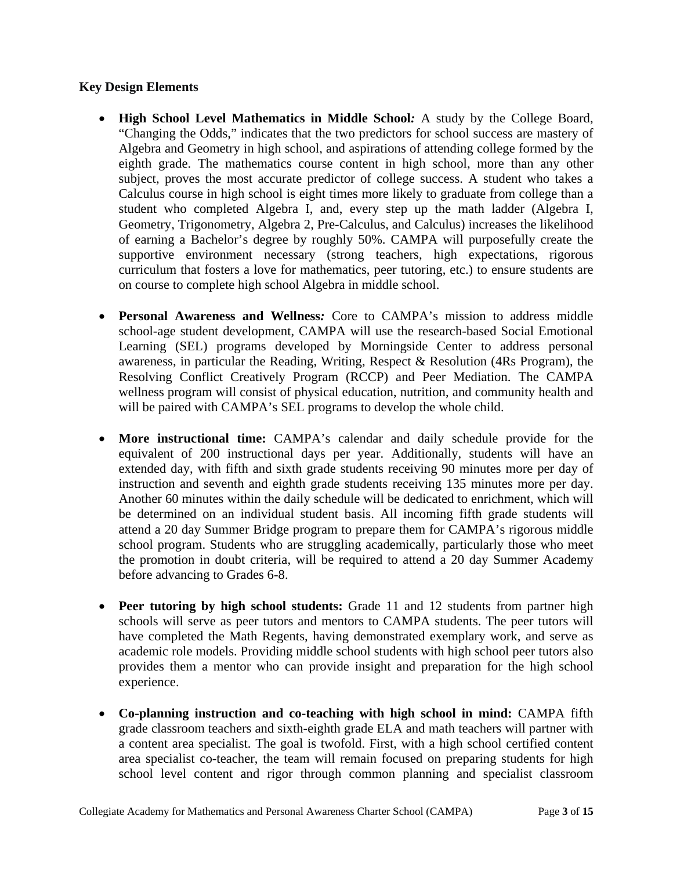# **Key Design Elements**

- **High School Level Mathematics in Middle School***:* A study by the College Board, "Changing the Odds," indicates that the two predictors for school success are mastery of Algebra and Geometry in high school, and aspirations of attending college formed by the eighth grade. The mathematics course content in high school, more than any other subject, proves the most accurate predictor of college success. A student who takes a Calculus course in high school is eight times more likely to graduate from college than a student who completed Algebra I, and, every step up the math ladder (Algebra I, Geometry, Trigonometry, Algebra 2, Pre-Calculus, and Calculus) increases the likelihood of earning a Bachelor's degree by roughly 50%. CAMPA will purposefully create the supportive environment necessary (strong teachers, high expectations, rigorous curriculum that fosters a love for mathematics, peer tutoring, etc.) to ensure students are on course to complete high school Algebra in middle school.
- **Personal Awareness and Wellness***:* Core to CAMPA's mission to address middle school-age student development, CAMPA will use the research-based Social Emotional Learning (SEL) programs developed by Morningside Center to address personal awareness, in particular the Reading, Writing, Respect & Resolution (4Rs Program), the Resolving Conflict Creatively Program (RCCP) and Peer Mediation. The CAMPA wellness program will consist of physical education, nutrition, and community health and will be paired with CAMPA's SEL programs to develop the whole child.
- **More instructional time:** CAMPA's calendar and daily schedule provide for the equivalent of 200 instructional days per year. Additionally, students will have an extended day, with fifth and sixth grade students receiving 90 minutes more per day of instruction and seventh and eighth grade students receiving 135 minutes more per day. Another 60 minutes within the daily schedule will be dedicated to enrichment, which will be determined on an individual student basis. All incoming fifth grade students will attend a 20 day Summer Bridge program to prepare them for CAMPA's rigorous middle school program. Students who are struggling academically, particularly those who meet the promotion in doubt criteria, will be required to attend a 20 day Summer Academy before advancing to Grades 6-8.
- **Peer tutoring by high school students:** Grade 11 and 12 students from partner high schools will serve as peer tutors and mentors to CAMPA students. The peer tutors will have completed the Math Regents, having demonstrated exemplary work, and serve as academic role models. Providing middle school students with high school peer tutors also provides them a mentor who can provide insight and preparation for the high school experience.
- **Co-planning instruction and co-teaching with high school in mind:** CAMPA fifth grade classroom teachers and sixth-eighth grade ELA and math teachers will partner with a content area specialist. The goal is twofold. First, with a high school certified content area specialist co-teacher, the team will remain focused on preparing students for high school level content and rigor through common planning and specialist classroom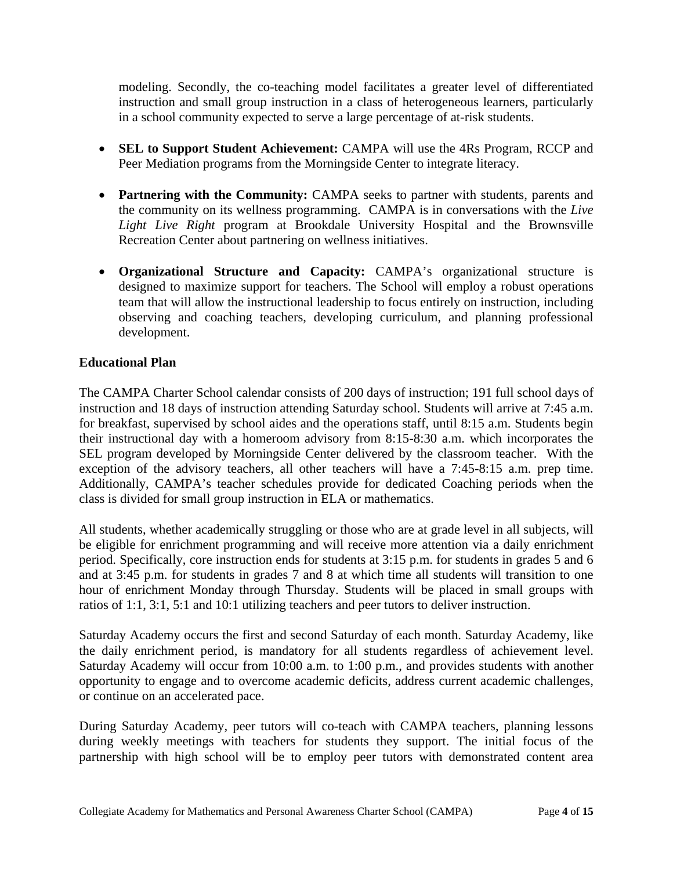modeling. Secondly, the co-teaching model facilitates a greater level of differentiated instruction and small group instruction in a class of heterogeneous learners, particularly in a school community expected to serve a large percentage of at-risk students.

- **SEL to Support Student Achievement:** CAMPA will use the 4Rs Program, RCCP and Peer Mediation programs from the Morningside Center to integrate literacy.
- **Partnering with the Community:** CAMPA seeks to partner with students, parents and the community on its wellness programming. CAMPA is in conversations with the *Live Light Live Right* program at Brookdale University Hospital and the Brownsville Recreation Center about partnering on wellness initiatives.
- **Organizational Structure and Capacity:** CAMPA's organizational structure is designed to maximize support for teachers. The School will employ a robust operations team that will allow the instructional leadership to focus entirely on instruction, including observing and coaching teachers, developing curriculum, and planning professional development.

# **Educational Plan**

The CAMPA Charter School calendar consists of 200 days of instruction; 191 full school days of instruction and 18 days of instruction attending Saturday school. Students will arrive at 7:45 a.m. for breakfast, supervised by school aides and the operations staff, until 8:15 a.m. Students begin their instructional day with a homeroom advisory from 8:15-8:30 a.m. which incorporates the SEL program developed by Morningside Center delivered by the classroom teacher. With the exception of the advisory teachers, all other teachers will have a 7:45-8:15 a.m. prep time. Additionally, CAMPA's teacher schedules provide for dedicated Coaching periods when the class is divided for small group instruction in ELA or mathematics.

All students, whether academically struggling or those who are at grade level in all subjects, will be eligible for enrichment programming and will receive more attention via a daily enrichment period. Specifically, core instruction ends for students at 3:15 p.m. for students in grades 5 and 6 and at 3:45 p.m. for students in grades 7 and 8 at which time all students will transition to one hour of enrichment Monday through Thursday. Students will be placed in small groups with ratios of 1:1, 3:1, 5:1 and 10:1 utilizing teachers and peer tutors to deliver instruction.

Saturday Academy occurs the first and second Saturday of each month. Saturday Academy, like the daily enrichment period, is mandatory for all students regardless of achievement level. Saturday Academy will occur from 10:00 a.m. to 1:00 p.m., and provides students with another opportunity to engage and to overcome academic deficits, address current academic challenges, or continue on an accelerated pace.

During Saturday Academy, peer tutors will co-teach with CAMPA teachers, planning lessons during weekly meetings with teachers for students they support. The initial focus of the partnership with high school will be to employ peer tutors with demonstrated content area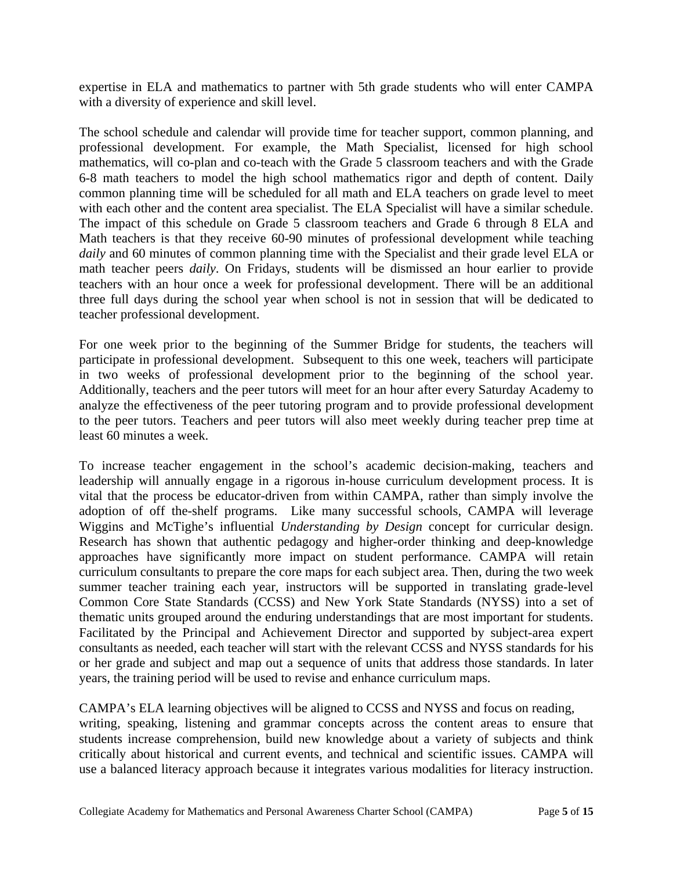expertise in ELA and mathematics to partner with 5th grade students who will enter CAMPA with a diversity of experience and skill level.

The school schedule and calendar will provide time for teacher support, common planning, and professional development. For example, the Math Specialist, licensed for high school mathematics, will co-plan and co-teach with the Grade 5 classroom teachers and with the Grade 6-8 math teachers to model the high school mathematics rigor and depth of content. Daily common planning time will be scheduled for all math and ELA teachers on grade level to meet with each other and the content area specialist. The ELA Specialist will have a similar schedule. The impact of this schedule on Grade 5 classroom teachers and Grade 6 through 8 ELA and Math teachers is that they receive 60-90 minutes of professional development while teaching *daily* and 60 minutes of common planning time with the Specialist and their grade level ELA or math teacher peers *daily*. On Fridays, students will be dismissed an hour earlier to provide teachers with an hour once a week for professional development. There will be an additional three full days during the school year when school is not in session that will be dedicated to teacher professional development.

For one week prior to the beginning of the Summer Bridge for students, the teachers will participate in professional development. Subsequent to this one week, teachers will participate in two weeks of professional development prior to the beginning of the school year. Additionally, teachers and the peer tutors will meet for an hour after every Saturday Academy to analyze the effectiveness of the peer tutoring program and to provide professional development to the peer tutors. Teachers and peer tutors will also meet weekly during teacher prep time at least 60 minutes a week.

To increase teacher engagement in the school's academic decision-making, teachers and leadership will annually engage in a rigorous in-house curriculum development process. It is vital that the process be educator-driven from within CAMPA, rather than simply involve the adoption of off the-shelf programs. Like many successful schools, CAMPA will leverage Wiggins and McTighe's influential *Understanding by Design* concept for curricular design. Research has shown that authentic pedagogy and higher-order thinking and deep-knowledge approaches have significantly more impact on student performance. CAMPA will retain curriculum consultants to prepare the core maps for each subject area. Then, during the two week summer teacher training each year, instructors will be supported in translating grade-level Common Core State Standards (CCSS) and New York State Standards (NYSS) into a set of thematic units grouped around the enduring understandings that are most important for students. Facilitated by the Principal and Achievement Director and supported by subject-area expert consultants as needed, each teacher will start with the relevant CCSS and NYSS standards for his or her grade and subject and map out a sequence of units that address those standards. In later years, the training period will be used to revise and enhance curriculum maps.

CAMPA's ELA learning objectives will be aligned to CCSS and NYSS and focus on reading, writing, speaking, listening and grammar concepts across the content areas to ensure that students increase comprehension, build new knowledge about a variety of subjects and think critically about historical and current events, and technical and scientific issues. CAMPA will use a balanced literacy approach because it integrates various modalities for literacy instruction.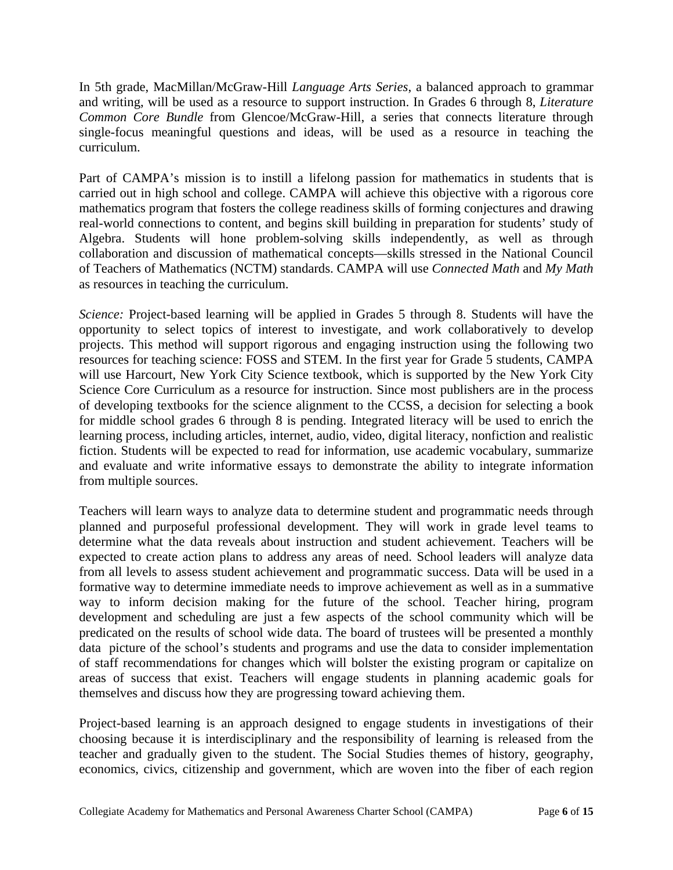In 5th grade, MacMillan/McGraw-Hill *Language Arts Series*, a balanced approach to grammar and writing, will be used as a resource to support instruction. In Grades 6 through 8, *Literature Common Core Bundle* from Glencoe/McGraw-Hill, a series that connects literature through single-focus meaningful questions and ideas, will be used as a resource in teaching the curriculum.

Part of CAMPA's mission is to instill a lifelong passion for mathematics in students that is carried out in high school and college. CAMPA will achieve this objective with a rigorous core mathematics program that fosters the college readiness skills of forming conjectures and drawing real-world connections to content, and begins skill building in preparation for students' study of Algebra. Students will hone problem-solving skills independently, as well as through collaboration and discussion of mathematical concepts—skills stressed in the National Council of Teachers of Mathematics (NCTM) standards. CAMPA will use *Connected Math* and *My Math* as resources in teaching the curriculum.

*Science:* Project-based learning will be applied in Grades 5 through 8. Students will have the opportunity to select topics of interest to investigate, and work collaboratively to develop projects. This method will support rigorous and engaging instruction using the following two resources for teaching science: FOSS and STEM. In the first year for Grade 5 students, CAMPA will use Harcourt, New York City Science textbook, which is supported by the New York City Science Core Curriculum as a resource for instruction. Since most publishers are in the process of developing textbooks for the science alignment to the CCSS, a decision for selecting a book for middle school grades 6 through 8 is pending. Integrated literacy will be used to enrich the learning process, including articles, internet, audio, video, digital literacy, nonfiction and realistic fiction. Students will be expected to read for information, use academic vocabulary, summarize and evaluate and write informative essays to demonstrate the ability to integrate information from multiple sources.

Teachers will learn ways to analyze data to determine student and programmatic needs through planned and purposeful professional development. They will work in grade level teams to determine what the data reveals about instruction and student achievement. Teachers will be expected to create action plans to address any areas of need. School leaders will analyze data from all levels to assess student achievement and programmatic success. Data will be used in a formative way to determine immediate needs to improve achievement as well as in a summative way to inform decision making for the future of the school. Teacher hiring, program development and scheduling are just a few aspects of the school community which will be predicated on the results of school wide data. The board of trustees will be presented a monthly data picture of the school's students and programs and use the data to consider implementation of staff recommendations for changes which will bolster the existing program or capitalize on areas of success that exist. Teachers will engage students in planning academic goals for themselves and discuss how they are progressing toward achieving them.

Project-based learning is an approach designed to engage students in investigations of their choosing because it is interdisciplinary and the responsibility of learning is released from the teacher and gradually given to the student. The Social Studies themes of history, geography, economics, civics, citizenship and government, which are woven into the fiber of each region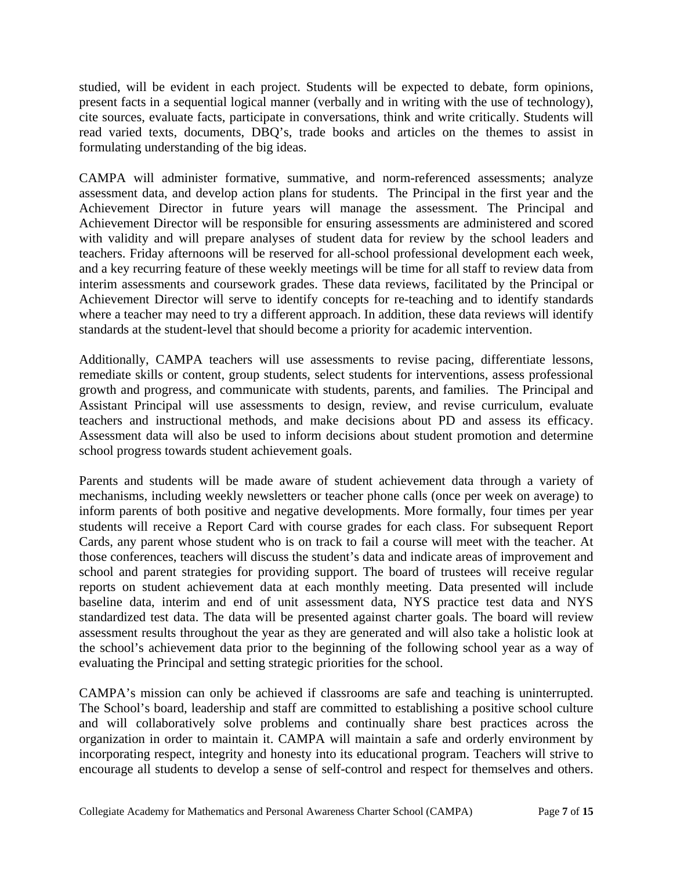studied, will be evident in each project. Students will be expected to debate, form opinions, present facts in a sequential logical manner (verbally and in writing with the use of technology), cite sources, evaluate facts, participate in conversations, think and write critically. Students will read varied texts, documents, DBQ's, trade books and articles on the themes to assist in formulating understanding of the big ideas.

CAMPA will administer formative, summative, and norm-referenced assessments; analyze assessment data, and develop action plans for students. The Principal in the first year and the Achievement Director in future years will manage the assessment. The Principal and Achievement Director will be responsible for ensuring assessments are administered and scored with validity and will prepare analyses of student data for review by the school leaders and teachers. Friday afternoons will be reserved for all-school professional development each week, and a key recurring feature of these weekly meetings will be time for all staff to review data from interim assessments and coursework grades. These data reviews, facilitated by the Principal or Achievement Director will serve to identify concepts for re-teaching and to identify standards where a teacher may need to try a different approach. In addition, these data reviews will identify standards at the student-level that should become a priority for academic intervention.

Additionally, CAMPA teachers will use assessments to revise pacing, differentiate lessons, remediate skills or content, group students, select students for interventions, assess professional growth and progress, and communicate with students, parents, and families. The Principal and Assistant Principal will use assessments to design, review, and revise curriculum, evaluate teachers and instructional methods, and make decisions about PD and assess its efficacy. Assessment data will also be used to inform decisions about student promotion and determine school progress towards student achievement goals.

Parents and students will be made aware of student achievement data through a variety of mechanisms, including weekly newsletters or teacher phone calls (once per week on average) to inform parents of both positive and negative developments. More formally, four times per year students will receive a Report Card with course grades for each class. For subsequent Report Cards, any parent whose student who is on track to fail a course will meet with the teacher. At those conferences, teachers will discuss the student's data and indicate areas of improvement and school and parent strategies for providing support. The board of trustees will receive regular reports on student achievement data at each monthly meeting. Data presented will include baseline data, interim and end of unit assessment data, NYS practice test data and NYS standardized test data. The data will be presented against charter goals. The board will review assessment results throughout the year as they are generated and will also take a holistic look at the school's achievement data prior to the beginning of the following school year as a way of evaluating the Principal and setting strategic priorities for the school.

CAMPA's mission can only be achieved if classrooms are safe and teaching is uninterrupted. The School's board, leadership and staff are committed to establishing a positive school culture and will collaboratively solve problems and continually share best practices across the organization in order to maintain it. CAMPA will maintain a safe and orderly environment by incorporating respect, integrity and honesty into its educational program. Teachers will strive to encourage all students to develop a sense of self-control and respect for themselves and others.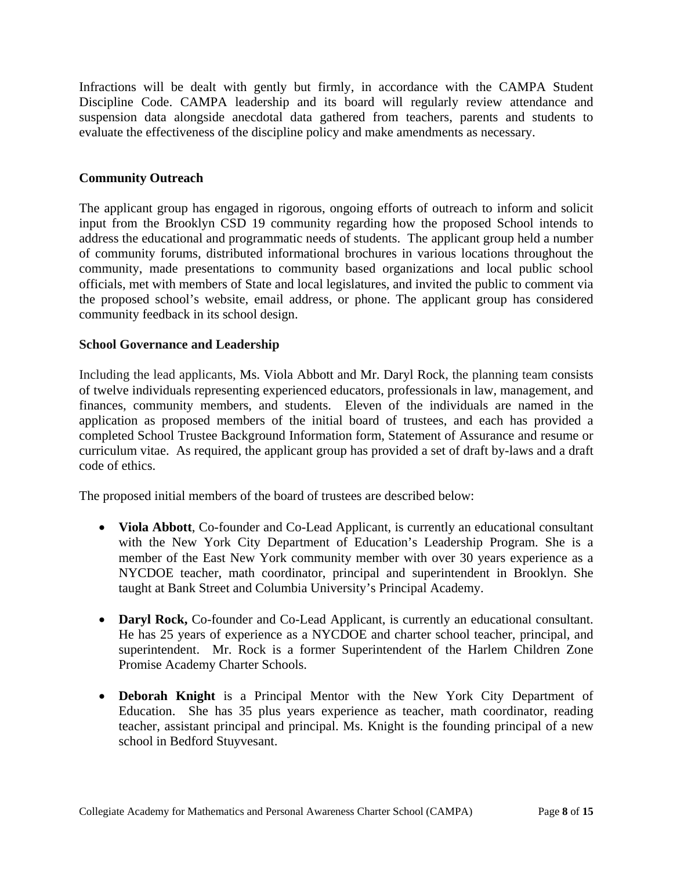Infractions will be dealt with gently but firmly, in accordance with the CAMPA Student Discipline Code. CAMPA leadership and its board will regularly review attendance and suspension data alongside anecdotal data gathered from teachers, parents and students to evaluate the effectiveness of the discipline policy and make amendments as necessary.

# **Community Outreach**

The applicant group has engaged in rigorous, ongoing efforts of outreach to inform and solicit input from the Brooklyn CSD 19 community regarding how the proposed School intends to address the educational and programmatic needs of students. The applicant group held a number of community forums, distributed informational brochures in various locations throughout the community, made presentations to community based organizations and local public school officials, met with members of State and local legislatures, and invited the public to comment via the proposed school's website, email address, or phone. The applicant group has considered community feedback in its school design.

# **School Governance and Leadership**

Including the lead applicants, Ms. Viola Abbott and Mr. Daryl Rock, the planning team consists of twelve individuals representing experienced educators, professionals in law, management, and finances, community members, and students. Eleven of the individuals are named in the application as proposed members of the initial board of trustees, and each has provided a completed School Trustee Background Information form, Statement of Assurance and resume or curriculum vitae. As required, the applicant group has provided a set of draft by-laws and a draft code of ethics.

The proposed initial members of the board of trustees are described below:

- **Viola Abbott**, Co-founder and Co-Lead Applicant, is currently an educational consultant with the New York City Department of Education's Leadership Program. She is a member of the East New York community member with over 30 years experience as a NYCDOE teacher, math coordinator, principal and superintendent in Brooklyn. She taught at Bank Street and Columbia University's Principal Academy.
- **Daryl Rock,** Co-founder and Co-Lead Applicant, is currently an educational consultant. He has 25 years of experience as a NYCDOE and charter school teacher, principal, and superintendent. Mr. Rock is a former Superintendent of the Harlem Children Zone Promise Academy Charter Schools.
- **Deborah Knight** is a Principal Mentor with the New York City Department of Education. She has 35 plus years experience as teacher, math coordinator, reading teacher, assistant principal and principal. Ms. Knight is the founding principal of a new school in Bedford Stuyvesant.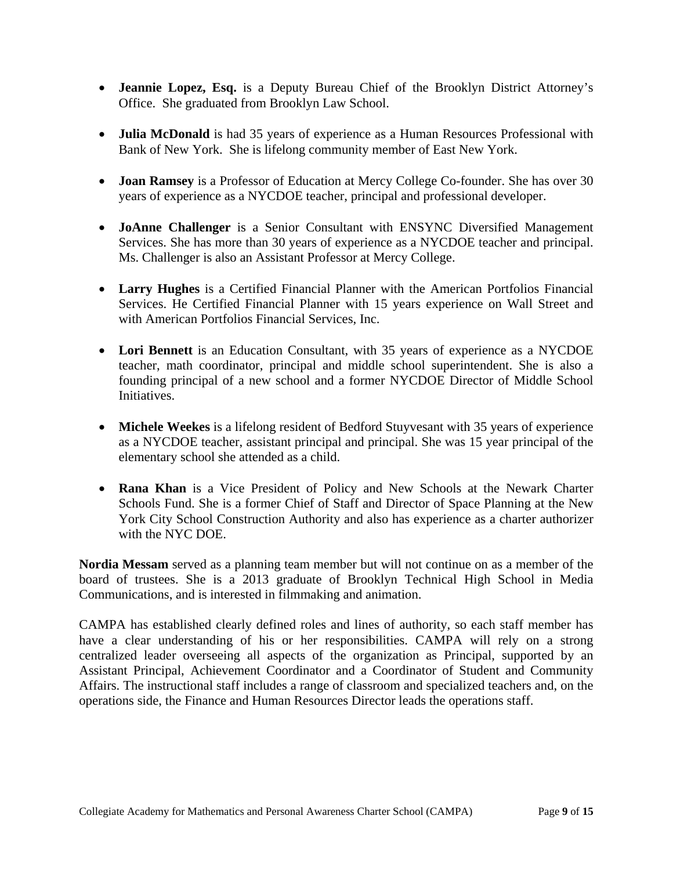- **Jeannie Lopez, Esq.** is a Deputy Bureau Chief of the Brooklyn District Attorney's Office. She graduated from Brooklyn Law School.
- **Julia McDonald** is had 35 years of experience as a Human Resources Professional with Bank of New York. She is lifelong community member of East New York.
- **Joan Ramsey** is a Professor of Education at Mercy College Co-founder. She has over 30 years of experience as a NYCDOE teacher, principal and professional developer.
- **JoAnne Challenger** is a Senior Consultant with ENSYNC Diversified Management Services. She has more than 30 years of experience as a NYCDOE teacher and principal. Ms. Challenger is also an Assistant Professor at Mercy College.
- **Larry Hughes** is a Certified Financial Planner with the American Portfolios Financial Services. He Certified Financial Planner with 15 years experience on Wall Street and with American Portfolios Financial Services, Inc.
- **Lori Bennett** is an Education Consultant, with 35 years of experience as a NYCDOE teacher, math coordinator, principal and middle school superintendent. She is also a founding principal of a new school and a former NYCDOE Director of Middle School Initiatives.
- **Michele Weekes** is a lifelong resident of Bedford Stuyvesant with 35 years of experience as a NYCDOE teacher, assistant principal and principal. She was 15 year principal of the elementary school she attended as a child.
- **Rana Khan** is a Vice President of Policy and New Schools at the Newark Charter Schools Fund. She is a former Chief of Staff and Director of Space Planning at the New York City School Construction Authority and also has experience as a charter authorizer with the NYC DOE.

**Nordia Messam** served as a planning team member but will not continue on as a member of the board of trustees. She is a 2013 graduate of Brooklyn Technical High School in Media Communications, and is interested in filmmaking and animation.

CAMPA has established clearly defined roles and lines of authority, so each staff member has have a clear understanding of his or her responsibilities. CAMPA will rely on a strong centralized leader overseeing all aspects of the organization as Principal, supported by an Assistant Principal, Achievement Coordinator and a Coordinator of Student and Community Affairs. The instructional staff includes a range of classroom and specialized teachers and, on the operations side, the Finance and Human Resources Director leads the operations staff.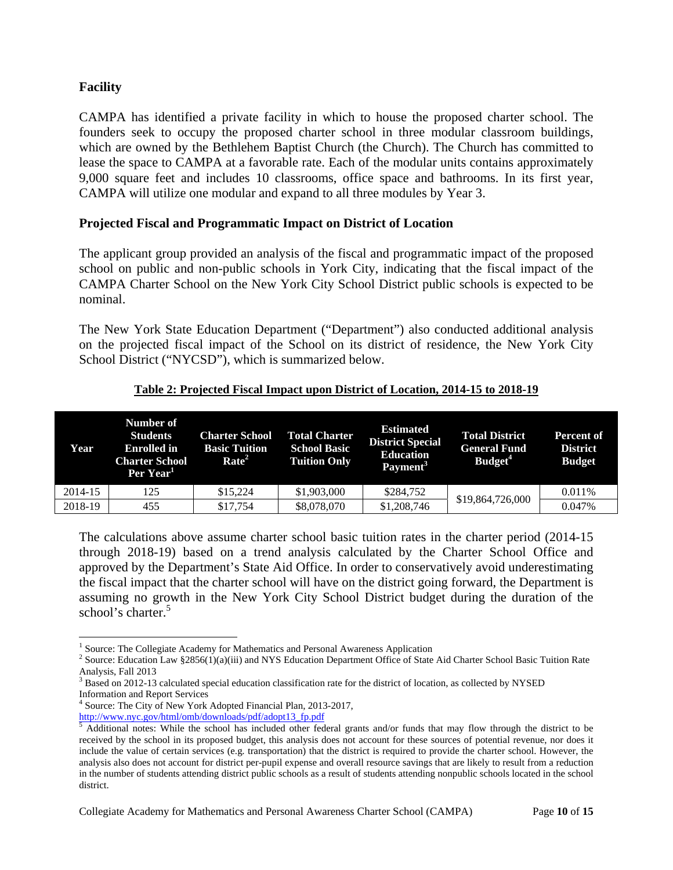# **Facility**

<u>.</u>

CAMPA has identified a private facility in which to house the proposed charter school. The founders seek to occupy the proposed charter school in three modular classroom buildings, which are owned by the Bethlehem Baptist Church (the Church). The Church has committed to lease the space to CAMPA at a favorable rate. Each of the modular units contains approximately 9,000 square feet and includes 10 classrooms, office space and bathrooms. In its first year, CAMPA will utilize one modular and expand to all three modules by Year 3.

# **Projected Fiscal and Programmatic Impact on District of Location**

The applicant group provided an analysis of the fiscal and programmatic impact of the proposed school on public and non-public schools in York City, indicating that the fiscal impact of the CAMPA Charter School on the New York City School District public schools is expected to be nominal.

The New York State Education Department ("Department") also conducted additional analysis on the projected fiscal impact of the School on its district of residence, the New York City School District ("NYCSD"), which is summarized below.

# **Table 2: Projected Fiscal Impact upon District of Location, 2014-15 to 2018-19**

| Year    | Number of<br><b>Students</b><br><b>Enrolled</b> in<br><b>Charter School</b><br>Per Year <sup>1</sup> | <b>Charter School</b><br><b>Basic Tuition</b><br>Rate <sup>2</sup> | <b>Total Charter</b><br><b>School Basic</b><br><b>Tuition Only</b> | <b>Estimated</b><br><b>District Special</b><br><b>Education</b><br>Payment <sup>3</sup> | <b>Total District</b><br><b>General Fund</b><br>Budget <sup>4</sup> | Percent of<br><b>District</b><br><b>Budget</b> |
|---------|------------------------------------------------------------------------------------------------------|--------------------------------------------------------------------|--------------------------------------------------------------------|-----------------------------------------------------------------------------------------|---------------------------------------------------------------------|------------------------------------------------|
| 2014-15 | 125                                                                                                  | \$15.224                                                           | \$1,903,000                                                        | \$284,752                                                                               |                                                                     | $0.011\%$                                      |
| 2018-19 | 455                                                                                                  | \$17,754                                                           | \$8,078,070                                                        | \$1,208,746                                                                             | \$19,864,726,000                                                    | 0.047%                                         |

The calculations above assume charter school basic tuition rates in the charter period (2014-15 through 2018-19) based on a trend analysis calculated by the Charter School Office and approved by the Department's State Aid Office. In order to conservatively avoid underestimating the fiscal impact that the charter school will have on the district going forward, the Department is assuming no growth in the New York City School District budget during the duration of the school's charter.<sup>5</sup>

<sup>&</sup>lt;sup>1</sup> Source: The Collegiate Academy for Mathematics and Personal Awareness Application

<sup>&</sup>lt;sup>2</sup> Source: Education Law §2856(1)(a)(iii) and NYS Education Department Office of State Aid Charter School Basic Tuition Rate Analysis, Fall 2013

<sup>&</sup>lt;sup>3</sup> Based on 2012-13 calculated special education classification rate for the district of location, as collected by NYSED Information and Report Services

<sup>4</sup> Source: The City of New York Adopted Financial Plan, 2013-2017, http://www.nyc.gov/html/omb/downloads/pdf/adopt13\_fp.pdf 5

 $\frac{1}{2}$  Additional notes: While the school has included other federal grants and/or funds that may flow through the district to be received by the school in its proposed budget, this analysis does not account for these sources of potential revenue, nor does it include the value of certain services (e.g. transportation) that the district is required to provide the charter school. However, the analysis also does not account for district per-pupil expense and overall resource savings that are likely to result from a reduction in the number of students attending district public schools as a result of students attending nonpublic schools located in the school district.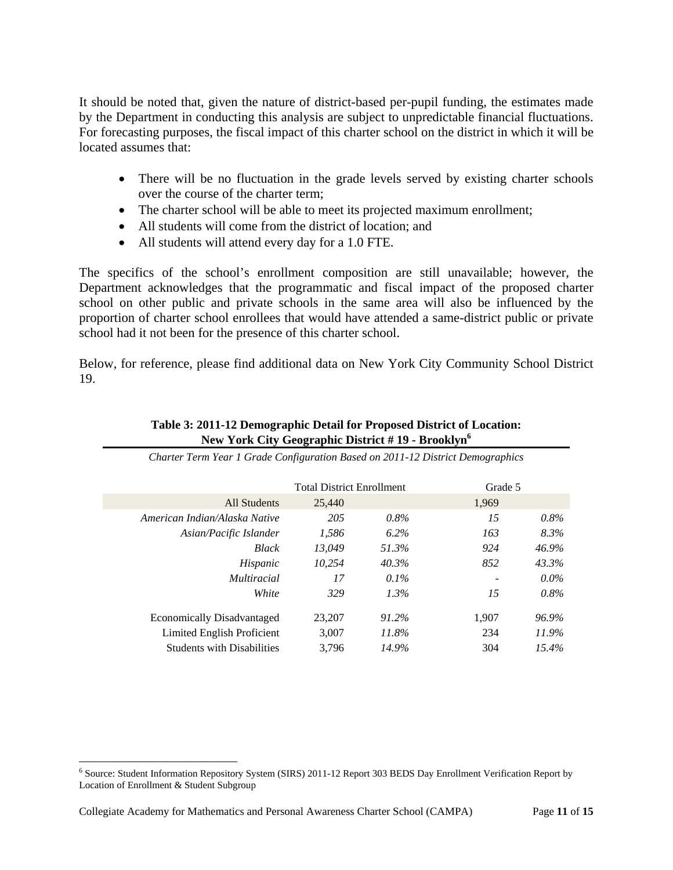It should be noted that, given the nature of district-based per-pupil funding, the estimates made by the Department in conducting this analysis are subject to unpredictable financial fluctuations. For forecasting purposes, the fiscal impact of this charter school on the district in which it will be located assumes that:

- There will be no fluctuation in the grade levels served by existing charter schools over the course of the charter term;
- The charter school will be able to meet its projected maximum enrollment;
- All students will come from the district of location; and
- All students will attend every day for a 1.0 FTE.

The specifics of the school's enrollment composition are still unavailable; however, the Department acknowledges that the programmatic and fiscal impact of the proposed charter school on other public and private schools in the same area will also be influenced by the proportion of charter school enrollees that would have attended a same-district public or private school had it not been for the presence of this charter school.

Below, for reference, please find additional data on New York City Community School District 19.

| Table 3: 2011-12 Demographic Detail for Proposed District of Location: |
|------------------------------------------------------------------------|
| New York City Geographic District #19 - Brooklyn <sup>6</sup>          |

|                                   | <b>Total District Enrollment</b> |         | Grade 5 |          |
|-----------------------------------|----------------------------------|---------|---------|----------|
| <b>All Students</b>               | 25,440                           |         | 1,969   |          |
| American Indian/Alaska Native     | 205                              | $0.8\%$ | 15      | $0.8\%$  |
| Asian/Pacific Islander            | 1,586                            | $6.2\%$ | 163     | 8.3%     |
| <b>Black</b>                      | 13.049                           | 51.3%   | 924     | 46.9%    |
| Hispanic                          | 10.254                           | 40.3%   | 852     | 43.3%    |
| <i>Multiracial</i>                | 17                               | $0.1\%$ |         | $0.0\%$  |
| White                             | 329                              | $1.3\%$ | 15      | $0.8\%$  |
| <b>Economically Disadvantaged</b> | 23,207                           | 91.2%   | 1,907   | 96.9%    |
| Limited English Proficient        | 3,007                            | 11.8%   | 234     | 11.9%    |
| <b>Students with Disabilities</b> | 3.796                            | 14.9%   | 304     | $15.4\%$ |

*Charter Term Year 1 Grade Configuration Based on 2011-12 District Demographics* 

 6 Source: Student Information Repository System (SIRS) 2011-12 Report 303 BEDS Day Enrollment Verification Report by Location of Enrollment & Student Subgroup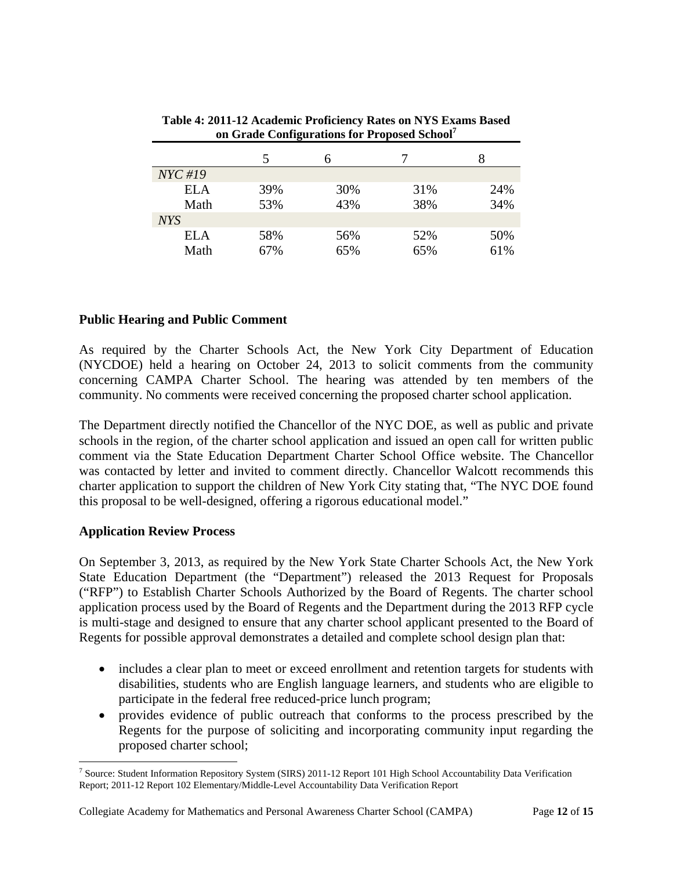| $NYC$ #19  |     |     |     |     |
|------------|-----|-----|-----|-----|
| ELA        | 39% | 30% | 31% | 24% |
| Math       | 53% | 43% | 38% | 34% |
| <b>NYS</b> |     |     |     |     |
| ELA        | 58% | 56% | 52% | 50% |
| Math       | 67% | 65% | 65% | 61% |

**Table 4: 2011-12 Academic Proficiency Rates on NYS Exams Based on Grade Configurations for Proposed School7**

# **Public Hearing and Public Comment**

As required by the Charter Schools Act, the New York City Department of Education (NYCDOE) held a hearing on October 24, 2013 to solicit comments from the community concerning CAMPA Charter School. The hearing was attended by ten members of the community. No comments were received concerning the proposed charter school application.

The Department directly notified the Chancellor of the NYC DOE, as well as public and private schools in the region, of the charter school application and issued an open call for written public comment via the State Education Department Charter School Office website. The Chancellor was contacted by letter and invited to comment directly. Chancellor Walcott recommends this charter application to support the children of New York City stating that, "The NYC DOE found this proposal to be well-designed, offering a rigorous educational model."

# **Application Review Process**

1

On September 3, 2013, as required by the New York State Charter Schools Act, the New York State Education Department (the "Department") released the 2013 Request for Proposals ("RFP") to Establish Charter Schools Authorized by the Board of Regents. The charter school application process used by the Board of Regents and the Department during the 2013 RFP cycle is multi-stage and designed to ensure that any charter school applicant presented to the Board of Regents for possible approval demonstrates a detailed and complete school design plan that:

- includes a clear plan to meet or exceed enrollment and retention targets for students with disabilities, students who are English language learners, and students who are eligible to participate in the federal free reduced-price lunch program;
- provides evidence of public outreach that conforms to the process prescribed by the Regents for the purpose of soliciting and incorporating community input regarding the proposed charter school;

<sup>&</sup>lt;sup>7</sup> Source: Student Information Repository System (SIRS) 2011-12 Report 101 High School Accountability Data Verification Report; 2011-12 Report 102 Elementary/Middle-Level Accountability Data Verification Report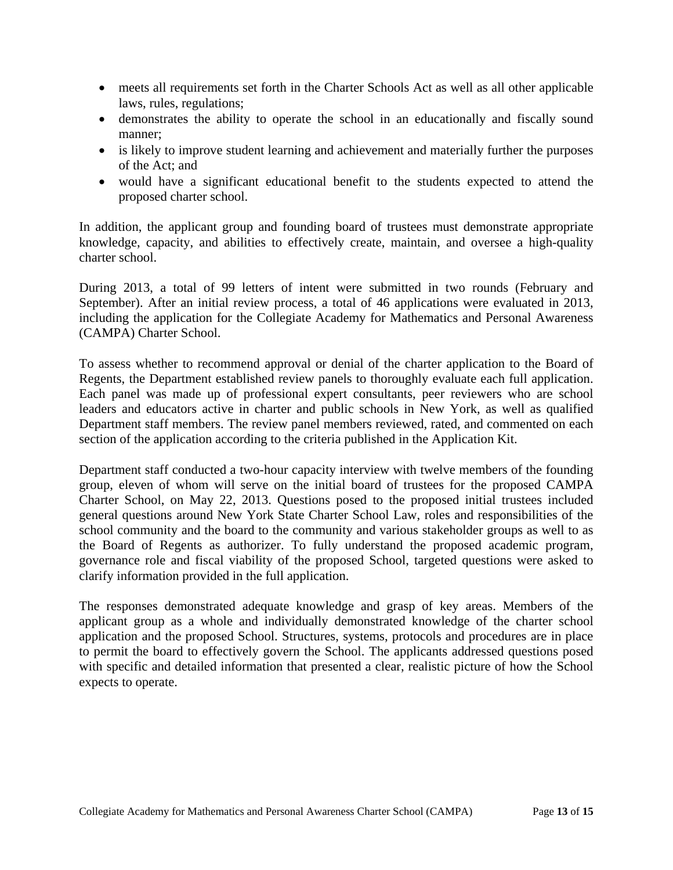- meets all requirements set forth in the Charter Schools Act as well as all other applicable laws, rules, regulations;
- demonstrates the ability to operate the school in an educationally and fiscally sound manner;
- is likely to improve student learning and achievement and materially further the purposes of the Act; and
- would have a significant educational benefit to the students expected to attend the proposed charter school.

In addition, the applicant group and founding board of trustees must demonstrate appropriate knowledge, capacity, and abilities to effectively create, maintain, and oversee a high-quality charter school.

During 2013, a total of 99 letters of intent were submitted in two rounds (February and September). After an initial review process, a total of 46 applications were evaluated in 2013, including the application for the Collegiate Academy for Mathematics and Personal Awareness (CAMPA) Charter School.

To assess whether to recommend approval or denial of the charter application to the Board of Regents, the Department established review panels to thoroughly evaluate each full application. Each panel was made up of professional expert consultants, peer reviewers who are school leaders and educators active in charter and public schools in New York, as well as qualified Department staff members. The review panel members reviewed, rated, and commented on each section of the application according to the criteria published in the Application Kit.

Department staff conducted a two-hour capacity interview with twelve members of the founding group, eleven of whom will serve on the initial board of trustees for the proposed CAMPA Charter School, on May 22, 2013. Questions posed to the proposed initial trustees included general questions around New York State Charter School Law, roles and responsibilities of the school community and the board to the community and various stakeholder groups as well to as the Board of Regents as authorizer. To fully understand the proposed academic program, governance role and fiscal viability of the proposed School, targeted questions were asked to clarify information provided in the full application.

The responses demonstrated adequate knowledge and grasp of key areas. Members of the applicant group as a whole and individually demonstrated knowledge of the charter school application and the proposed School. Structures, systems, protocols and procedures are in place to permit the board to effectively govern the School. The applicants addressed questions posed with specific and detailed information that presented a clear, realistic picture of how the School expects to operate.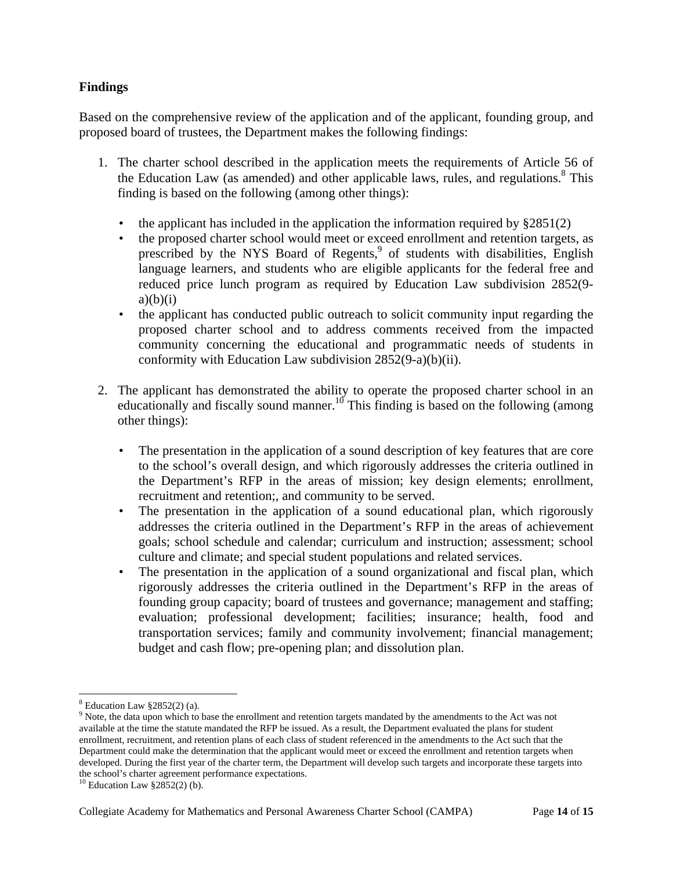# **Findings**

Based on the comprehensive review of the application and of the applicant, founding group, and proposed board of trustees, the Department makes the following findings:

- 1. The charter school described in the application meets the requirements of Article 56 of the Education Law (as amended) and other applicable laws, rules, and regulations.<sup>8</sup> This finding is based on the following (among other things):
	- the applicant has included in the application the information required by  $\S 2851(2)$
	- the proposed charter school would meet or exceed enrollment and retention targets, as prescribed by the NYS Board of Regents,<sup>9</sup> of students with disabilities, English language learners, and students who are eligible applicants for the federal free and reduced price lunch program as required by Education Law subdivision 2852(9  $a)(b)(i)$
	- the applicant has conducted public outreach to solicit community input regarding the proposed charter school and to address comments received from the impacted community concerning the educational and programmatic needs of students in conformity with Education Law subdivision 2852(9-a)(b)(ii).
- 2. The applicant has demonstrated the ability to operate the proposed charter school in an educationally and fiscally sound manner.<sup>10</sup> This finding is based on the following (among other things):
	- The presentation in the application of a sound description of key features that are core to the school's overall design, and which rigorously addresses the criteria outlined in the Department's RFP in the areas of mission; key design elements; enrollment, recruitment and retention;, and community to be served.
	- The presentation in the application of a sound educational plan, which rigorously addresses the criteria outlined in the Department's RFP in the areas of achievement goals; school schedule and calendar; curriculum and instruction; assessment; school culture and climate; and special student populations and related services.
	- The presentation in the application of a sound organizational and fiscal plan, which rigorously addresses the criteria outlined in the Department's RFP in the areas of founding group capacity; board of trustees and governance; management and staffing; evaluation; professional development; facilities; insurance; health, food and transportation services; family and community involvement; financial management; budget and cash flow; pre-opening plan; and dissolution plan.

<u>.</u>

 $8$  Education Law  $$2852(2)$  (a).

<sup>&</sup>lt;sup>9</sup> Note, the data upon which to base the enrollment and retention targets mandated by the amendments to the Act was not available at the time the statute mandated the RFP be issued. As a result, the Department evaluated the plans for student enrollment, recruitment, and retention plans of each class of student referenced in the amendments to the Act such that the Department could make the determination that the applicant would meet or exceed the enrollment and retention targets when developed. During the first year of the charter term, the Department will develop such targets and incorporate these targets into the school's charter agreement performance expectations.

<sup>10</sup> Education Law §2852(2) (b).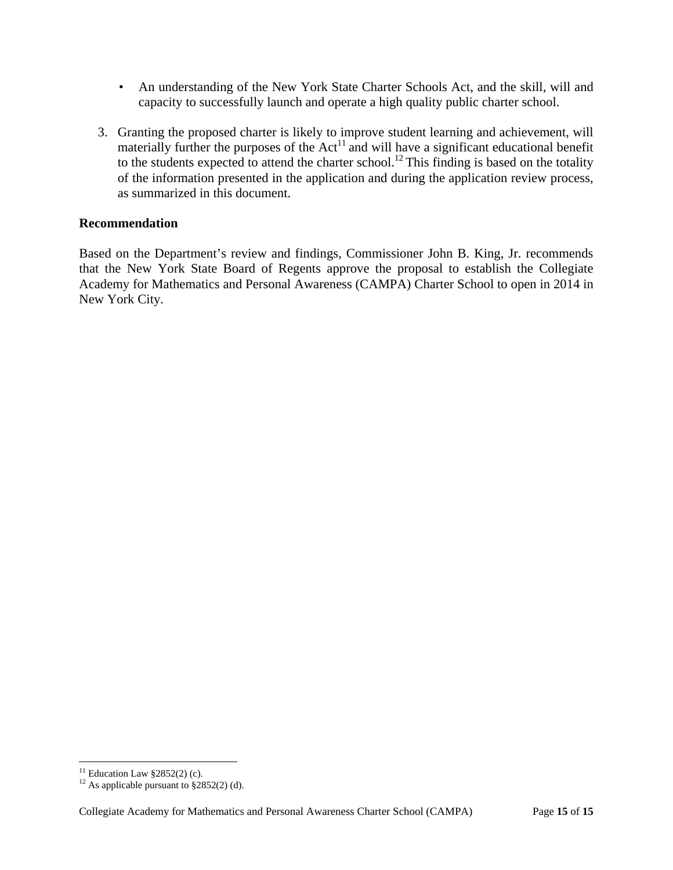- An understanding of the New York State Charter Schools Act, and the skill, will and capacity to successfully launch and operate a high quality public charter school.
- 3. Granting the proposed charter is likely to improve student learning and achievement, will materially further the purposes of the Act<sup>11</sup> and will have a significant educational benefit to the students expected to attend the charter school.<sup>12</sup> This finding is based on the totality of the information presented in the application and during the application review process, as summarized in this document.

# **Recommendation**

Based on the Department's review and findings, Commissioner John B. King, Jr. recommends that the New York State Board of Regents approve the proposal to establish the Collegiate Academy for Mathematics and Personal Awareness (CAMPA) Charter School to open in 2014 in New York City.

 $\overline{a}$ 

<sup>&</sup>lt;sup>11</sup> Education Law  $§2852(2)$  (c).

<sup>&</sup>lt;sup>12</sup> As applicable pursuant to  $\S 2852(2)$  (d).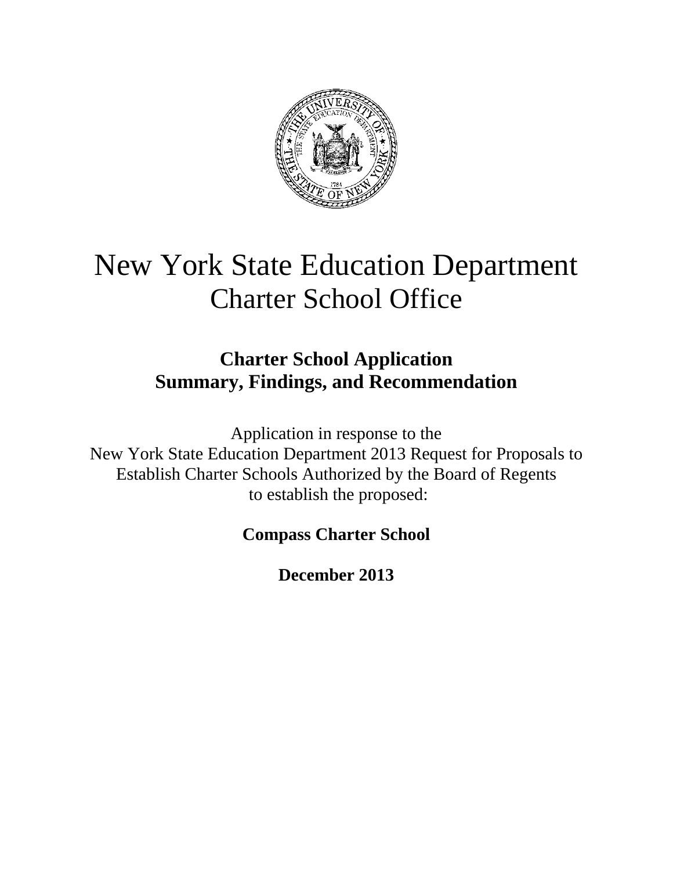

# New York State Education Department Charter School Office

# **Charter School Application Summary, Findings, and Recommendation**

Application in response to the New York State Education Department 2013 Request for Proposals to Establish Charter Schools Authorized by the Board of Regents to establish the proposed:

# **Compass Charter School**

**December 2013**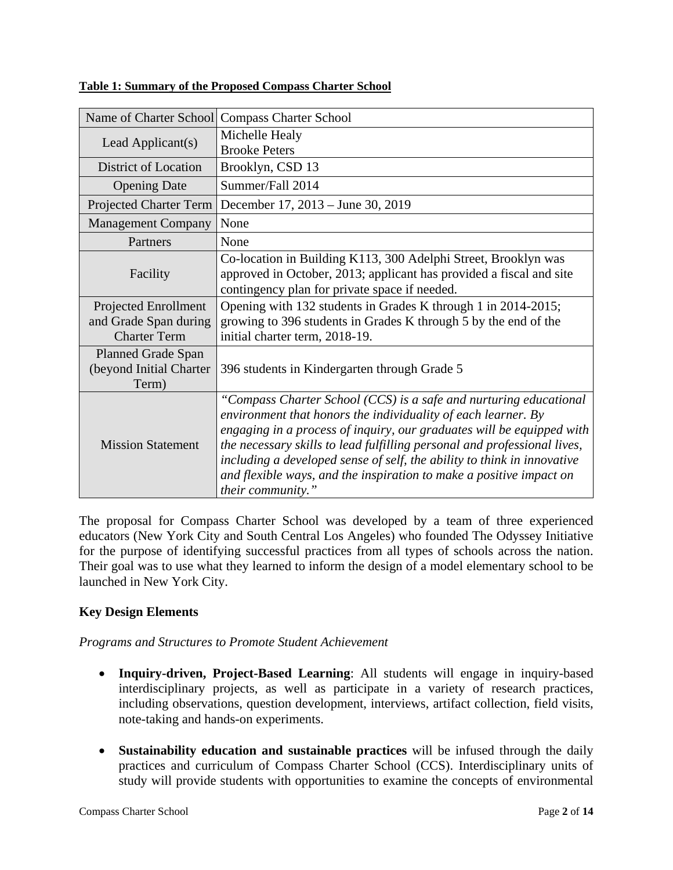| Name of Charter School      | <b>Compass Charter School</b>                                                                                        |
|-----------------------------|----------------------------------------------------------------------------------------------------------------------|
| Lead Applicant(s)           | Michelle Healy                                                                                                       |
|                             | <b>Brooke Peters</b>                                                                                                 |
| <b>District of Location</b> | Brooklyn, CSD 13                                                                                                     |
| <b>Opening Date</b>         | Summer/Fall 2014                                                                                                     |
| Projected Charter Term      | December 17, 2013 – June 30, 2019                                                                                    |
| <b>Management Company</b>   | None                                                                                                                 |
| Partners                    | None                                                                                                                 |
| Facility                    | Co-location in Building K113, 300 Adelphi Street, Brooklyn was                                                       |
|                             | approved in October, 2013; applicant has provided a fiscal and site<br>contingency plan for private space if needed. |
| Projected Enrollment        | Opening with 132 students in Grades K through 1 in 2014-2015;                                                        |
| and Grade Span during       | growing to 396 students in Grades K through 5 by the end of the                                                      |
| <b>Charter Term</b>         | initial charter term, 2018-19.                                                                                       |
| <b>Planned Grade Span</b>   |                                                                                                                      |
| (beyond Initial Charter     | 396 students in Kindergarten through Grade 5                                                                         |
| Term)                       |                                                                                                                      |
| <b>Mission Statement</b>    | "Compass Charter School (CCS) is a safe and nurturing educational                                                    |
|                             | environment that honors the individuality of each learner. By                                                        |
|                             | engaging in a process of inquiry, our graduates will be equipped with                                                |
|                             | the necessary skills to lead fulfilling personal and professional lives,                                             |
|                             | including a developed sense of self, the ability to think in innovative                                              |
|                             | and flexible ways, and the inspiration to make a positive impact on                                                  |
|                             | their community."                                                                                                    |

#### **Table 1: Summary of the Proposed Compass Charter School**

The proposal for Compass Charter School was developed by a team of three experienced educators (New York City and South Central Los Angeles) who founded The Odyssey Initiative for the purpose of identifying successful practices from all types of schools across the nation. Their goal was to use what they learned to inform the design of a model elementary school to be launched in New York City.

# **Key Design Elements**

# *Programs and Structures to Promote Student Achievement*

- **Inquiry-driven, Project-Based Learning**: All students will engage in inquiry-based interdisciplinary projects, as well as participate in a variety of research practices, including observations, question development, interviews, artifact collection, field visits, note-taking and hands-on experiments.
- **Sustainability education and sustainable practices** will be infused through the daily practices and curriculum of Compass Charter School (CCS). Interdisciplinary units of study will provide students with opportunities to examine the concepts of environmental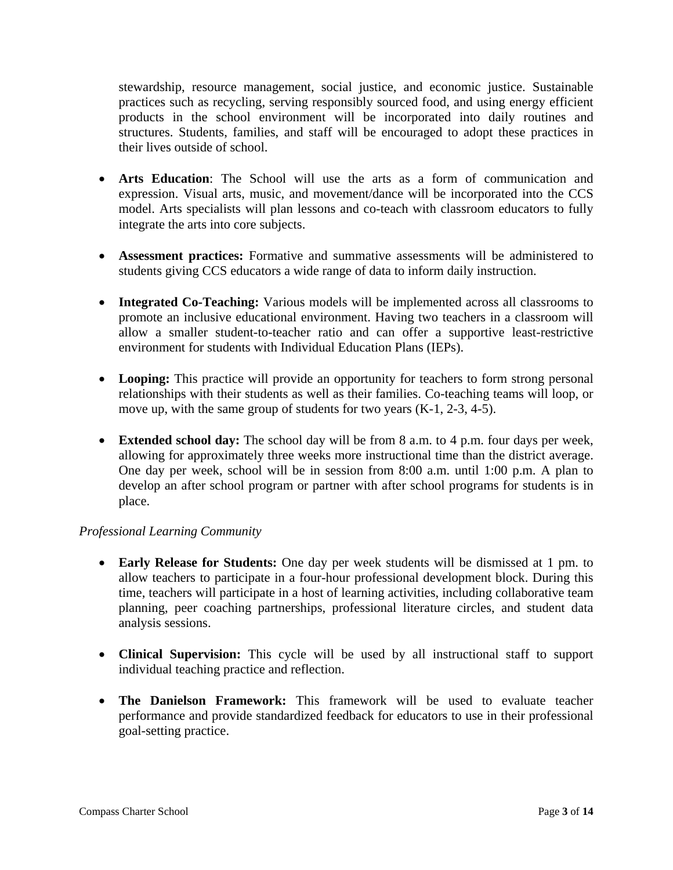stewardship, resource management, social justice, and economic justice. Sustainable practices such as recycling, serving responsibly sourced food, and using energy efficient products in the school environment will be incorporated into daily routines and structures. Students, families, and staff will be encouraged to adopt these practices in their lives outside of school.

- **Arts Education**: The School will use the arts as a form of communication and expression. Visual arts, music, and movement/dance will be incorporated into the CCS model. Arts specialists will plan lessons and co-teach with classroom educators to fully integrate the arts into core subjects.
- **Assessment practices:** Formative and summative assessments will be administered to students giving CCS educators a wide range of data to inform daily instruction.
- Integrated Co-Teaching: Various models will be implemented across all classrooms to promote an inclusive educational environment. Having two teachers in a classroom will allow a smaller student-to-teacher ratio and can offer a supportive least-restrictive environment for students with Individual Education Plans (IEPs).
- Looping: This practice will provide an opportunity for teachers to form strong personal relationships with their students as well as their families. Co-teaching teams will loop, or move up, with the same group of students for two years (K-1, 2-3, 4-5).
- **Extended school day:** The school day will be from 8 a.m. to 4 p.m. four days per week, allowing for approximately three weeks more instructional time than the district average. One day per week, school will be in session from 8:00 a.m. until 1:00 p.m. A plan to develop an after school program or partner with after school programs for students is in place.

# *Professional Learning Community*

- **Early Release for Students:** One day per week students will be dismissed at 1 pm. to allow teachers to participate in a four-hour professional development block. During this time, teachers will participate in a host of learning activities, including collaborative team planning, peer coaching partnerships, professional literature circles, and student data analysis sessions.
- **Clinical Supervision:** This cycle will be used by all instructional staff to support individual teaching practice and reflection.
- **The Danielson Framework:** This framework will be used to evaluate teacher performance and provide standardized feedback for educators to use in their professional goal-setting practice.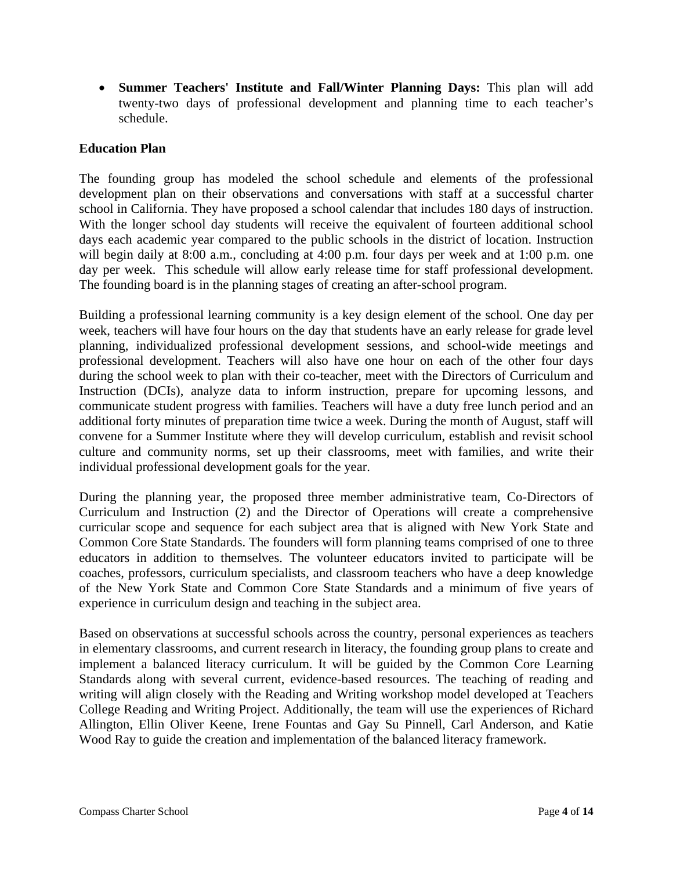**Summer Teachers' Institute and Fall/Winter Planning Days:** This plan will add twenty-two days of professional development and planning time to each teacher's schedule.

#### **Education Plan**

The founding group has modeled the school schedule and elements of the professional development plan on their observations and conversations with staff at a successful charter school in California. They have proposed a school calendar that includes 180 days of instruction. With the longer school day students will receive the equivalent of fourteen additional school days each academic year compared to the public schools in the district of location. Instruction will begin daily at 8:00 a.m., concluding at 4:00 p.m. four days per week and at 1:00 p.m. one day per week. This schedule will allow early release time for staff professional development. The founding board is in the planning stages of creating an after-school program.

Building a professional learning community is a key design element of the school. One day per week, teachers will have four hours on the day that students have an early release for grade level planning, individualized professional development sessions, and school-wide meetings and professional development. Teachers will also have one hour on each of the other four days during the school week to plan with their co-teacher, meet with the Directors of Curriculum and Instruction (DCIs), analyze data to inform instruction, prepare for upcoming lessons, and communicate student progress with families. Teachers will have a duty free lunch period and an additional forty minutes of preparation time twice a week. During the month of August, staff will convene for a Summer Institute where they will develop curriculum, establish and revisit school culture and community norms, set up their classrooms, meet with families, and write their individual professional development goals for the year.

During the planning year, the proposed three member administrative team, Co-Directors of Curriculum and Instruction (2) and the Director of Operations will create a comprehensive curricular scope and sequence for each subject area that is aligned with New York State and Common Core State Standards. The founders will form planning teams comprised of one to three educators in addition to themselves. The volunteer educators invited to participate will be coaches, professors, curriculum specialists, and classroom teachers who have a deep knowledge of the New York State and Common Core State Standards and a minimum of five years of experience in curriculum design and teaching in the subject area.

Based on observations at successful schools across the country, personal experiences as teachers in elementary classrooms, and current research in literacy, the founding group plans to create and implement a balanced literacy curriculum. It will be guided by the Common Core Learning Standards along with several current, evidence-based resources. The teaching of reading and writing will align closely with the Reading and Writing workshop model developed at Teachers College Reading and Writing Project. Additionally, the team will use the experiences of Richard Allington, Ellin Oliver Keene, Irene Fountas and Gay Su Pinnell, Carl Anderson, and Katie Wood Ray to guide the creation and implementation of the balanced literacy framework.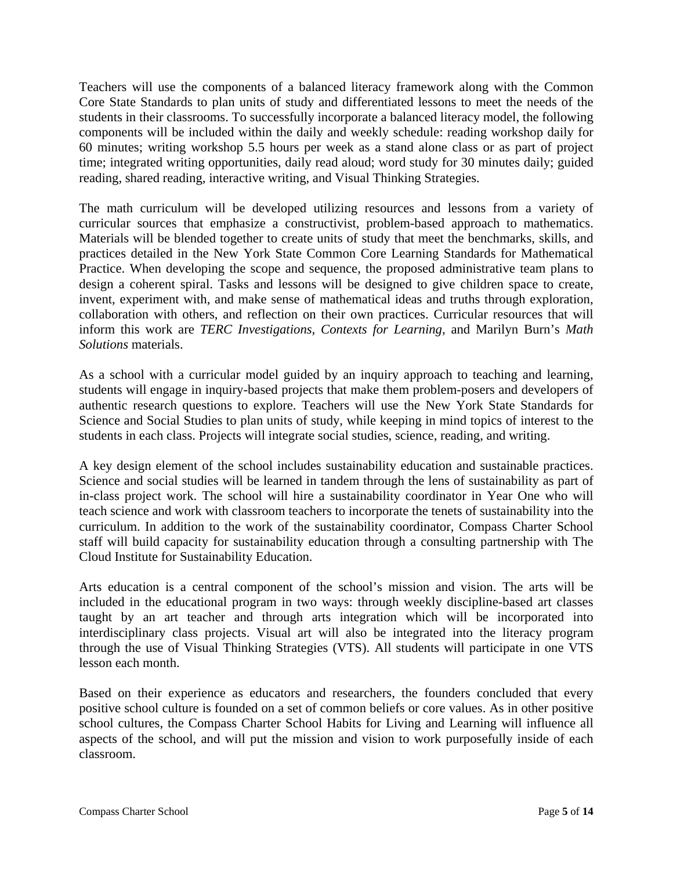Teachers will use the components of a balanced literacy framework along with the Common Core State Standards to plan units of study and differentiated lessons to meet the needs of the students in their classrooms. To successfully incorporate a balanced literacy model, the following components will be included within the daily and weekly schedule: reading workshop daily for 60 minutes; writing workshop 5.5 hours per week as a stand alone class or as part of project time; integrated writing opportunities, daily read aloud; word study for 30 minutes daily; guided reading, shared reading, interactive writing, and Visual Thinking Strategies.

The math curriculum will be developed utilizing resources and lessons from a variety of curricular sources that emphasize a constructivist, problem-based approach to mathematics. Materials will be blended together to create units of study that meet the benchmarks, skills, and practices detailed in the New York State Common Core Learning Standards for Mathematical Practice. When developing the scope and sequence, the proposed administrative team plans to design a coherent spiral. Tasks and lessons will be designed to give children space to create, invent, experiment with, and make sense of mathematical ideas and truths through exploration, collaboration with others, and reflection on their own practices. Curricular resources that will inform this work are *TERC Investigations, Contexts for Learning,* and Marilyn Burn's *Math Solutions* materials.

As a school with a curricular model guided by an inquiry approach to teaching and learning, students will engage in inquiry-based projects that make them problem-posers and developers of authentic research questions to explore. Teachers will use the New York State Standards for Science and Social Studies to plan units of study, while keeping in mind topics of interest to the students in each class. Projects will integrate social studies, science, reading, and writing.

A key design element of the school includes sustainability education and sustainable practices. Science and social studies will be learned in tandem through the lens of sustainability as part of in-class project work. The school will hire a sustainability coordinator in Year One who will teach science and work with classroom teachers to incorporate the tenets of sustainability into the curriculum. In addition to the work of the sustainability coordinator, Compass Charter School staff will build capacity for sustainability education through a consulting partnership with The Cloud Institute for Sustainability Education.

Arts education is a central component of the school's mission and vision. The arts will be included in the educational program in two ways: through weekly discipline-based art classes taught by an art teacher and through arts integration which will be incorporated into interdisciplinary class projects. Visual art will also be integrated into the literacy program through the use of Visual Thinking Strategies (VTS). All students will participate in one VTS lesson each month.

Based on their experience as educators and researchers, the founders concluded that every positive school culture is founded on a set of common beliefs or core values. As in other positive school cultures, the Compass Charter School Habits for Living and Learning will influence all aspects of the school, and will put the mission and vision to work purposefully inside of each classroom.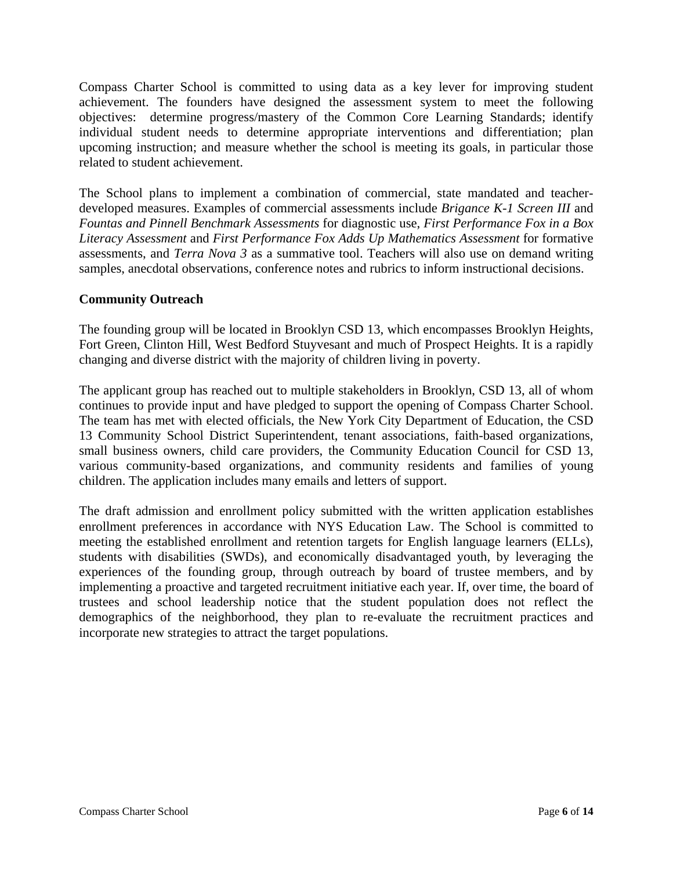Compass Charter School is committed to using data as a key lever for improving student achievement. The founders have designed the assessment system to meet the following objectives: determine progress/mastery of the Common Core Learning Standards; identify individual student needs to determine appropriate interventions and differentiation; plan upcoming instruction; and measure whether the school is meeting its goals, in particular those related to student achievement.

The School plans to implement a combination of commercial, state mandated and teacherdeveloped measures. Examples of commercial assessments include *Brigance K-1 Screen III* and *Fountas and Pinnell Benchmark Assessments* for diagnostic use, *First Performance Fox in a Box Literacy Assessment* and *First Performance Fox Adds Up Mathematics Assessment* for formative assessments, and *Terra Nova 3* as a summative tool. Teachers will also use on demand writing samples, anecdotal observations, conference notes and rubrics to inform instructional decisions.

## **Community Outreach**

The founding group will be located in Brooklyn CSD 13, which encompasses Brooklyn Heights, Fort Green, Clinton Hill, West Bedford Stuyvesant and much of Prospect Heights. It is a rapidly changing and diverse district with the majority of children living in poverty.

The applicant group has reached out to multiple stakeholders in Brooklyn, CSD 13, all of whom continues to provide input and have pledged to support the opening of Compass Charter School. The team has met with elected officials, the New York City Department of Education, the CSD 13 Community School District Superintendent, tenant associations, faith-based organizations, small business owners, child care providers, the Community Education Council for CSD 13, various community-based organizations, and community residents and families of young children. The application includes many emails and letters of support.

The draft admission and enrollment policy submitted with the written application establishes enrollment preferences in accordance with NYS Education Law. The School is committed to meeting the established enrollment and retention targets for English language learners (ELLs), students with disabilities (SWDs), and economically disadvantaged youth, by leveraging the experiences of the founding group, through outreach by board of trustee members, and by implementing a proactive and targeted recruitment initiative each year. If, over time, the board of trustees and school leadership notice that the student population does not reflect the demographics of the neighborhood, they plan to re-evaluate the recruitment practices and incorporate new strategies to attract the target populations.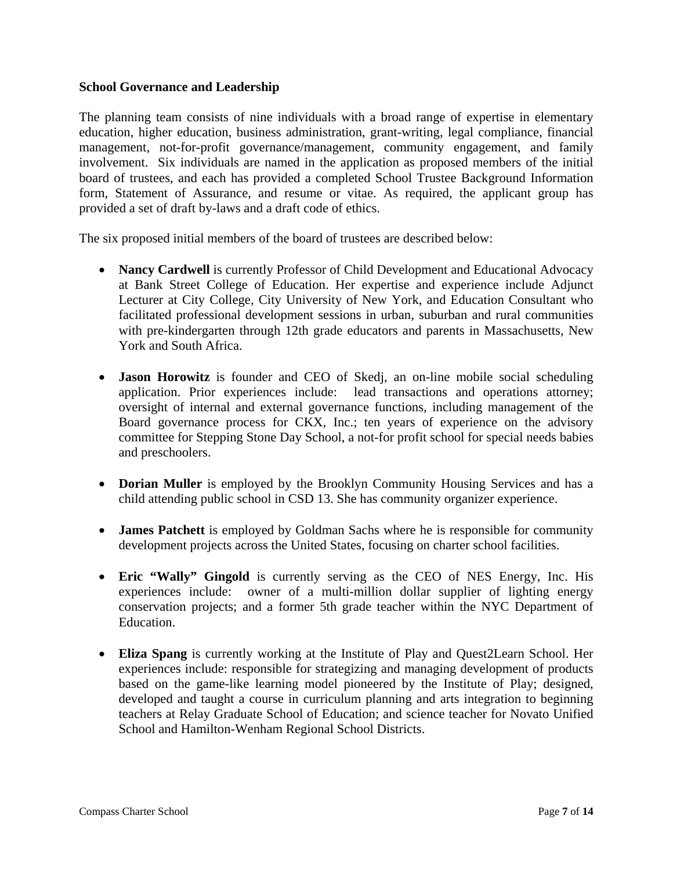#### **School Governance and Leadership**

The planning team consists of nine individuals with a broad range of expertise in elementary education, higher education, business administration, grant-writing, legal compliance, financial management, not-for-profit governance/management, community engagement, and family involvement. Six individuals are named in the application as proposed members of the initial board of trustees, and each has provided a completed School Trustee Background Information form, Statement of Assurance, and resume or vitae. As required, the applicant group has provided a set of draft by-laws and a draft code of ethics.

The six proposed initial members of the board of trustees are described below:

- Nancy Cardwell is currently Professor of Child Development and Educational Advocacy at Bank Street College of Education. Her expertise and experience include Adjunct Lecturer at City College, City University of New York, and Education Consultant who facilitated professional development sessions in urban, suburban and rural communities with pre-kindergarten through 12th grade educators and parents in Massachusetts, New York and South Africa.
- **Jason Horowitz** is founder and CEO of Skedj, an on-line mobile social scheduling application. Prior experiences include: lead transactions and operations attorney; oversight of internal and external governance functions, including management of the Board governance process for CKX, Inc.; ten years of experience on the advisory committee for Stepping Stone Day School, a not-for profit school for special needs babies and preschoolers.
- **Dorian Muller** is employed by the Brooklyn Community Housing Services and has a child attending public school in CSD 13. She has community organizer experience.
- **James Patchett** is employed by Goldman Sachs where he is responsible for community development projects across the United States, focusing on charter school facilities.
- **Eric "Wally" Gingold** is currently serving as the CEO of NES Energy, Inc. His experiences include: owner of a multi-million dollar supplier of lighting energy conservation projects; and a former 5th grade teacher within the NYC Department of Education.
- **Eliza Spang** is currently working at the Institute of Play and Quest2Learn School. Her experiences include: responsible for strategizing and managing development of products based on the game-like learning model pioneered by the Institute of Play; designed, developed and taught a course in curriculum planning and arts integration to beginning teachers at Relay Graduate School of Education; and science teacher for Novato Unified School and Hamilton-Wenham Regional School Districts.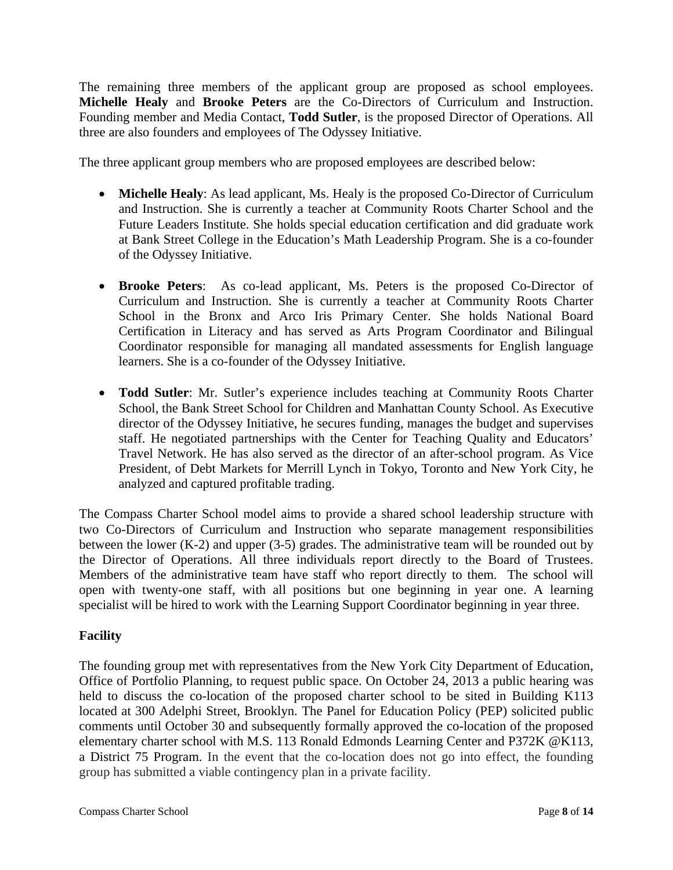The remaining three members of the applicant group are proposed as school employees. **Michelle Healy** and **Brooke Peters** are the Co-Directors of Curriculum and Instruction. Founding member and Media Contact, **Todd Sutler**, is the proposed Director of Operations. All three are also founders and employees of The Odyssey Initiative.

The three applicant group members who are proposed employees are described below:

- **Michelle Healy**: As lead applicant, Ms. Healy is the proposed Co-Director of Curriculum and Instruction. She is currently a teacher at Community Roots Charter School and the Future Leaders Institute. She holds special education certification and did graduate work at Bank Street College in the Education's Math Leadership Program. She is a co-founder of the Odyssey Initiative.
- **Brooke Peters**: As co-lead applicant, Ms. Peters is the proposed Co-Director of Curriculum and Instruction. She is currently a teacher at Community Roots Charter School in the Bronx and Arco Iris Primary Center. She holds National Board Certification in Literacy and has served as Arts Program Coordinator and Bilingual Coordinator responsible for managing all mandated assessments for English language learners. She is a co-founder of the Odyssey Initiative.
- **Todd Sutler**: Mr. Sutler's experience includes teaching at Community Roots Charter School, the Bank Street School for Children and Manhattan County School. As Executive director of the Odyssey Initiative, he secures funding, manages the budget and supervises staff. He negotiated partnerships with the Center for Teaching Quality and Educators' Travel Network. He has also served as the director of an after-school program. As Vice President, of Debt Markets for Merrill Lynch in Tokyo, Toronto and New York City, he analyzed and captured profitable trading.

The Compass Charter School model aims to provide a shared school leadership structure with two Co-Directors of Curriculum and Instruction who separate management responsibilities between the lower  $(K-2)$  and upper  $(3-5)$  grades. The administrative team will be rounded out by the Director of Operations. All three individuals report directly to the Board of Trustees. Members of the administrative team have staff who report directly to them. The school will open with twenty-one staff, with all positions but one beginning in year one. A learning specialist will be hired to work with the Learning Support Coordinator beginning in year three.

# **Facility**

The founding group met with representatives from the New York City Department of Education, Office of Portfolio Planning, to request public space. On October 24, 2013 a public hearing was held to discuss the co-location of the proposed charter school to be sited in Building K113 located at 300 Adelphi Street, Brooklyn. The Panel for Education Policy (PEP) solicited public comments until October 30 and subsequently formally approved the co-location of the proposed elementary charter school with M.S. 113 Ronald Edmonds Learning Center and P372K @K113, a District 75 Program. In the event that the co-location does not go into effect, the founding group has submitted a viable contingency plan in a private facility.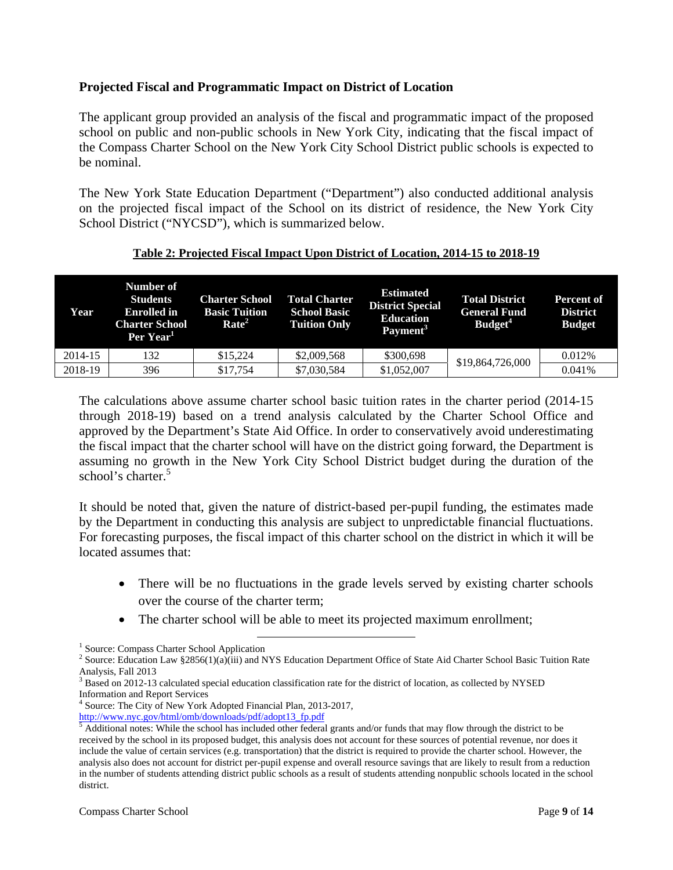#### **Projected Fiscal and Programmatic Impact on District of Location**

The applicant group provided an analysis of the fiscal and programmatic impact of the proposed school on public and non-public schools in New York City, indicating that the fiscal impact of the Compass Charter School on the New York City School District public schools is expected to be nominal.

The New York State Education Department ("Department") also conducted additional analysis on the projected fiscal impact of the School on its district of residence, the New York City School District ("NYCSD"), which is summarized below.

| Year    | Number of<br><b>Students</b><br><b>Enrolled</b> in<br><b>Charter School</b><br>Per Year <sup>1</sup> | <b>Charter School</b><br><b>Basic Tuition</b><br>Rate <sup>2</sup> | <b>Total Charter</b><br><b>School Basic</b><br><b>Tuition Only</b> | <b>Estimated</b><br><b>District Special</b><br><b>Education</b><br>Payment <sup>3</sup> | <b>Total District</b><br><b>General Fund</b><br>Budget <sup>4</sup> | Percent of<br><b>District</b><br><b>Budget</b> |
|---------|------------------------------------------------------------------------------------------------------|--------------------------------------------------------------------|--------------------------------------------------------------------|-----------------------------------------------------------------------------------------|---------------------------------------------------------------------|------------------------------------------------|
| 2014-15 | 132                                                                                                  | \$15.224                                                           | \$2,009,568                                                        | \$300,698                                                                               |                                                                     | 0.012%                                         |
| 2018-19 | 396                                                                                                  | \$17,754                                                           | \$7,030,584                                                        | \$1,052,007                                                                             | \$19,864,726,000                                                    | 0.041\%                                        |

#### **Table 2: Projected Fiscal Impact Upon District of Location, 2014-15 to 2018-19**

The calculations above assume charter school basic tuition rates in the charter period (2014-15 through 2018-19) based on a trend analysis calculated by the Charter School Office and approved by the Department's State Aid Office. In order to conservatively avoid underestimating the fiscal impact that the charter school will have on the district going forward, the Department is assuming no growth in the New York City School District budget during the duration of the school's charter.<sup>5</sup>

It should be noted that, given the nature of district-based per-pupil funding, the estimates made by the Department in conducting this analysis are subject to unpredictable financial fluctuations. For forecasting purposes, the fiscal impact of this charter school on the district in which it will be located assumes that:

- There will be no fluctuations in the grade levels served by existing charter schools over the course of the charter term;
- The charter school will be able to meet its projected maximum enrollment;

<sup>-&</sup>lt;br><sup>1</sup> Source: Compass Charter School Application <sup>1</sup> Source: Compass Charter School Application  $\frac{2}{3}$  Source: Education Law \$2856(1)(c)(iii) and N

<sup>&</sup>lt;sup>2</sup> Source: Education Law §2856(1)(a)(iii) and NYS Education Department Office of State Aid Charter School Basic Tuition Rate Analysis, Fall 2013

<sup>&</sup>lt;sup>3</sup> Based on 2012-13 calculated special education classification rate for the district of location, as collected by NYSED Information and Report Services

<sup>4</sup> Source: The City of New York Adopted Financial Plan, 2013-2017, http://www.nyc.gov/html/omb/downloads/pdf/adopt13\_fp.pdf <sup>5</sup>

 $\frac{5}{3}$  Additional notes: While the school has included other federal grants and/or funds that may flow through the district to be received by the school in its proposed budget, this analysis does not account for these sources of potential revenue, nor does it include the value of certain services (e.g. transportation) that the district is required to provide the charter school. However, the analysis also does not account for district per-pupil expense and overall resource savings that are likely to result from a reduction in the number of students attending district public schools as a result of students attending nonpublic schools located in the school district.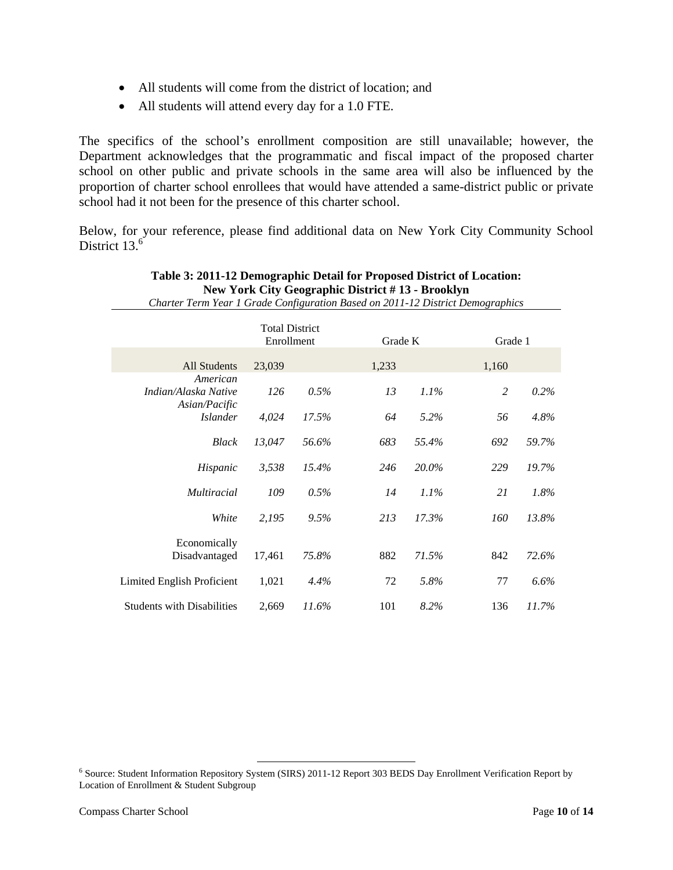- All students will come from the district of location; and
- All students will attend every day for a 1.0 FTE.

The specifics of the school's enrollment composition are still unavailable; however, the Department acknowledges that the programmatic and fiscal impact of the proposed charter school on other public and private schools in the same area will also be influenced by the proportion of charter school enrollees that would have attended a same-district public or private school had it not been for the presence of this charter school.

Below, for your reference, please find additional data on New York City Community School District 13.<sup>6</sup>

| Charter Term Year 1 Grade Configuration Based on 2011-12 District Demographics |                                     |       |         |         |                |         |
|--------------------------------------------------------------------------------|-------------------------------------|-------|---------|---------|----------------|---------|
|                                                                                | <b>Total District</b><br>Enrollment |       | Grade K |         | Grade 1        |         |
| <b>All Students</b>                                                            | 23,039                              |       | 1,233   |         | 1,160          |         |
| American<br>Indian/Alaska Native<br>Asian/Pacific                              | 126                                 | 0.5%  | 13      | $1.1\%$ | $\overline{2}$ | 0.2%    |
| <i>Islander</i>                                                                | 4,024                               | 17.5% | 64      | 5.2%    | 56             | 4.8%    |
| <b>Black</b>                                                                   | 13,047                              | 56.6% | 683     | 55.4%   | 692            | 59.7%   |
| Hispanic                                                                       | 3,538                               | 15.4% | 246     | 20.0%   | 229            | 19.7%   |
| <i>Multiracial</i>                                                             | 109                                 | 0.5%  | 14      | $1.1\%$ | 21             | 1.8%    |
| White                                                                          | 2,195                               | 9.5%  | 213     | 17.3%   | 160            | 13.8%   |
| Economically<br>Disadvantaged                                                  | 17,461                              | 75.8% | 882     | 71.5%   | 842            | 72.6%   |
| Limited English Proficient                                                     | 1,021                               | 4.4%  | 72      | 5.8%    | 77             | $6.6\%$ |
| <b>Students with Disabilities</b>                                              | 2,669                               | 11.6% | 101     | 8.2%    | 136            | 11.7%   |

#### **Table 3: 2011-12 Demographic Detail for Proposed District of Location: New York City Geographic District # 13 - Brooklyn**

<sup>6</sup><br>
Source: Student Information Repository System (SIRS) 2011-12 Report 303 BEDS Day Enrollment Verification Report by Location of Enrollment & Student Subgroup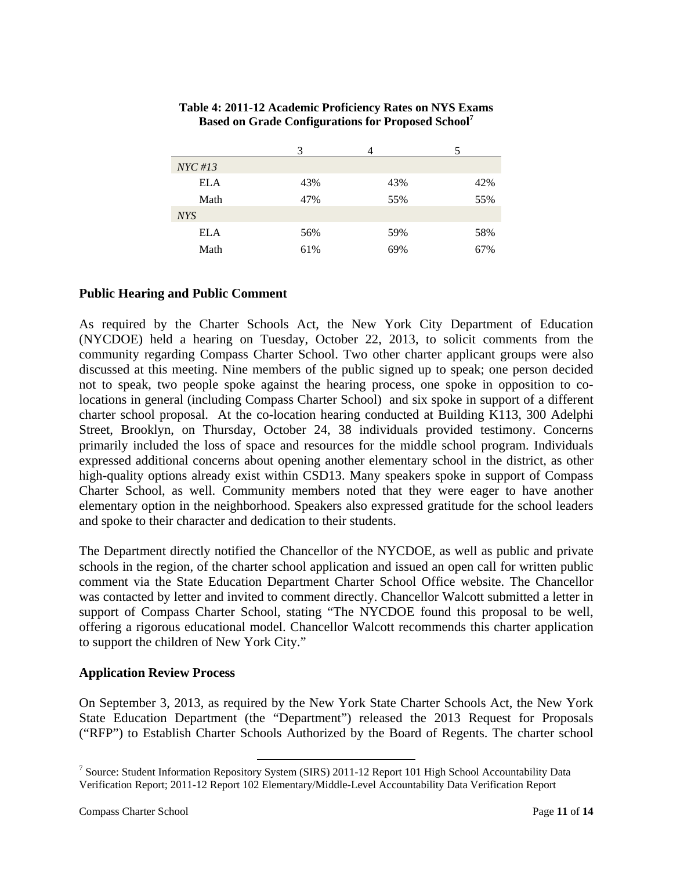| $NYC \#13$ |     |     |     |
|------------|-----|-----|-----|
| <b>ELA</b> | 43% | 43% | 42% |
| Math       | 47% | 55% | 55% |
| <b>NYS</b> |     |     |     |
| <b>ELA</b> | 56% | 59% | 58% |
| Math       | 61% | 69% | 67% |

#### **Table 4: 2011-12 Academic Proficiency Rates on NYS Exams Based on Grade Configurations for Proposed School7**

## **Public Hearing and Public Comment**

As required by the Charter Schools Act, the New York City Department of Education (NYCDOE) held a hearing on Tuesday, October 22, 2013, to solicit comments from the community regarding Compass Charter School. Two other charter applicant groups were also discussed at this meeting. Nine members of the public signed up to speak; one person decided not to speak, two people spoke against the hearing process, one spoke in opposition to colocations in general (including Compass Charter School) and six spoke in support of a different charter school proposal. At the co-location hearing conducted at Building K113, 300 Adelphi Street, Brooklyn, on Thursday, October 24, 38 individuals provided testimony. Concerns primarily included the loss of space and resources for the middle school program. Individuals expressed additional concerns about opening another elementary school in the district, as other high-quality options already exist within CSD13. Many speakers spoke in support of Compass Charter School, as well. Community members noted that they were eager to have another elementary option in the neighborhood. Speakers also expressed gratitude for the school leaders and spoke to their character and dedication to their students.

The Department directly notified the Chancellor of the NYCDOE, as well as public and private schools in the region, of the charter school application and issued an open call for written public comment via the State Education Department Charter School Office website. The Chancellor was contacted by letter and invited to comment directly. Chancellor Walcott submitted a letter in support of Compass Charter School, stating "The NYCDOE found this proposal to be well, offering a rigorous educational model. Chancellor Walcott recommends this charter application to support the children of New York City."

#### **Application Review Process**

On September 3, 2013, as required by the New York State Charter Schools Act, the New York State Education Department (the "Department") released the 2013 Request for Proposals ("RFP") to Establish Charter Schools Authorized by the Board of Regents. The charter school

<sup>&</sup>lt;sup>7</sup> Source: Student Information Repository System (SIRS) 2011-12 Report 101 High School Accountability Data Verification Report; 2011-12 Report 102 Elementary/Middle-Level Accountability Data Verification Report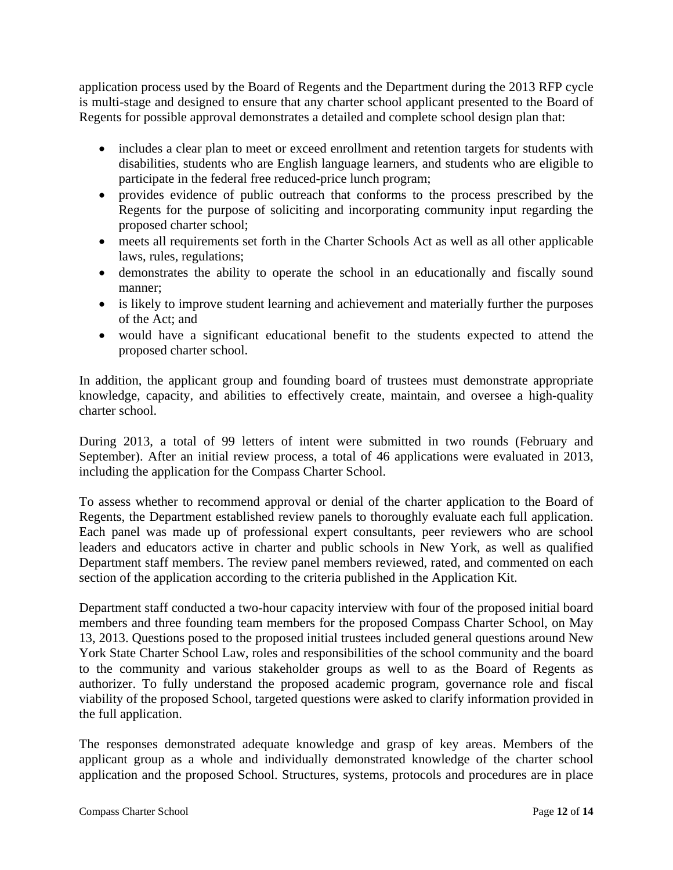application process used by the Board of Regents and the Department during the 2013 RFP cycle is multi-stage and designed to ensure that any charter school applicant presented to the Board of Regents for possible approval demonstrates a detailed and complete school design plan that:

- includes a clear plan to meet or exceed enrollment and retention targets for students with disabilities, students who are English language learners, and students who are eligible to participate in the federal free reduced-price lunch program;
- provides evidence of public outreach that conforms to the process prescribed by the Regents for the purpose of soliciting and incorporating community input regarding the proposed charter school;
- meets all requirements set forth in the Charter Schools Act as well as all other applicable laws, rules, regulations;
- demonstrates the ability to operate the school in an educationally and fiscally sound manner;
- is likely to improve student learning and achievement and materially further the purposes of the Act; and
- would have a significant educational benefit to the students expected to attend the proposed charter school.

In addition, the applicant group and founding board of trustees must demonstrate appropriate knowledge, capacity, and abilities to effectively create, maintain, and oversee a high-quality charter school.

During 2013, a total of 99 letters of intent were submitted in two rounds (February and September). After an initial review process, a total of 46 applications were evaluated in 2013, including the application for the Compass Charter School.

To assess whether to recommend approval or denial of the charter application to the Board of Regents, the Department established review panels to thoroughly evaluate each full application. Each panel was made up of professional expert consultants, peer reviewers who are school leaders and educators active in charter and public schools in New York, as well as qualified Department staff members. The review panel members reviewed, rated, and commented on each section of the application according to the criteria published in the Application Kit.

Department staff conducted a two-hour capacity interview with four of the proposed initial board members and three founding team members for the proposed Compass Charter School, on May 13, 2013. Questions posed to the proposed initial trustees included general questions around New York State Charter School Law, roles and responsibilities of the school community and the board to the community and various stakeholder groups as well to as the Board of Regents as authorizer. To fully understand the proposed academic program, governance role and fiscal viability of the proposed School, targeted questions were asked to clarify information provided in the full application.

The responses demonstrated adequate knowledge and grasp of key areas. Members of the applicant group as a whole and individually demonstrated knowledge of the charter school application and the proposed School. Structures, systems, protocols and procedures are in place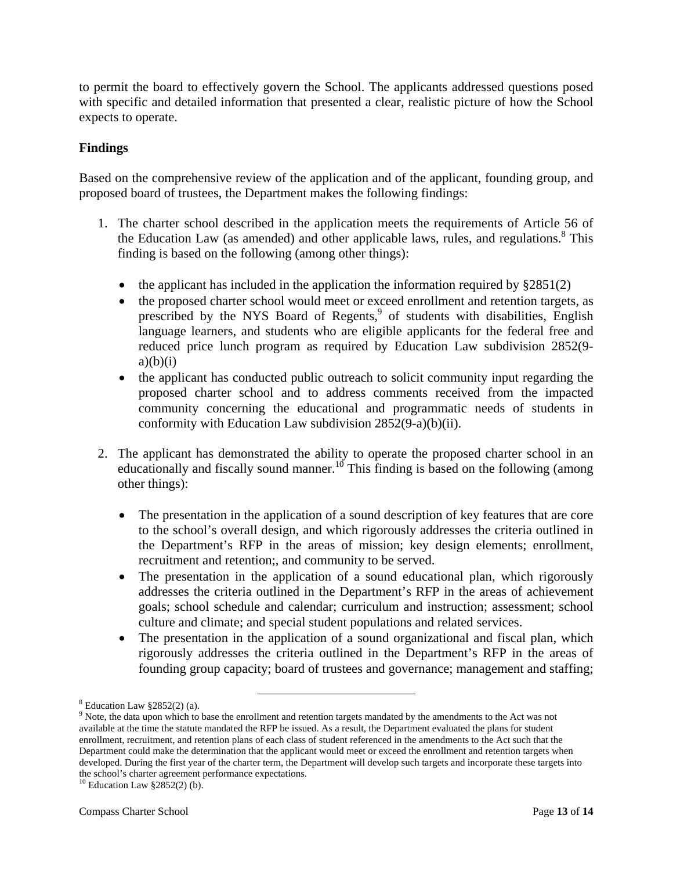to permit the board to effectively govern the School. The applicants addressed questions posed with specific and detailed information that presented a clear, realistic picture of how the School expects to operate.

## **Findings**

Based on the comprehensive review of the application and of the applicant, founding group, and proposed board of trustees, the Department makes the following findings:

- 1. The charter school described in the application meets the requirements of Article 56 of the Education Law (as amended) and other applicable laws, rules, and regulations.<sup>8</sup> This finding is based on the following (among other things):
	- the applicant has included in the application the information required by  $\S 2851(2)$
	- the proposed charter school would meet or exceed enrollment and retention targets, as prescribed by the NYS Board of Regents,<sup>9</sup> of students with disabilities, English language learners, and students who are eligible applicants for the federal free and reduced price lunch program as required by Education Law subdivision 2852(9  $a)(b)(i)$
	- the applicant has conducted public outreach to solicit community input regarding the proposed charter school and to address comments received from the impacted community concerning the educational and programmatic needs of students in conformity with Education Law subdivision 2852(9-a)(b)(ii).
- 2. The applicant has demonstrated the ability to operate the proposed charter school in an educationally and fiscally sound manner.<sup>10</sup> This finding is based on the following (among other things):
	- The presentation in the application of a sound description of key features that are core to the school's overall design, and which rigorously addresses the criteria outlined in the Department's RFP in the areas of mission; key design elements; enrollment, recruitment and retention;, and community to be served.
	- The presentation in the application of a sound educational plan, which rigorously addresses the criteria outlined in the Department's RFP in the areas of achievement goals; school schedule and calendar; curriculum and instruction; assessment; school culture and climate; and special student populations and related services.
	- The presentation in the application of a sound organizational and fiscal plan, which rigorously addresses the criteria outlined in the Department's RFP in the areas of founding group capacity; board of trustees and governance; management and staffing;

 $8^8$  Education Law §2852(2) (a).

<sup>&</sup>lt;sup>9</sup> Note, the data upon which to base the enrollment and retention targets mandated by the amendments to the Act was not available at the time the statute mandated the RFP be issued. As a result, the Department evaluated the plans for student enrollment, recruitment, and retention plans of each class of student referenced in the amendments to the Act such that the Department could make the determination that the applicant would meet or exceed the enrollment and retention targets when developed. During the first year of the charter term, the Department will develop such targets and incorporate these targets into the school's charter agreement performance expectations.

<sup>10</sup> Education Law §2852(2) (b).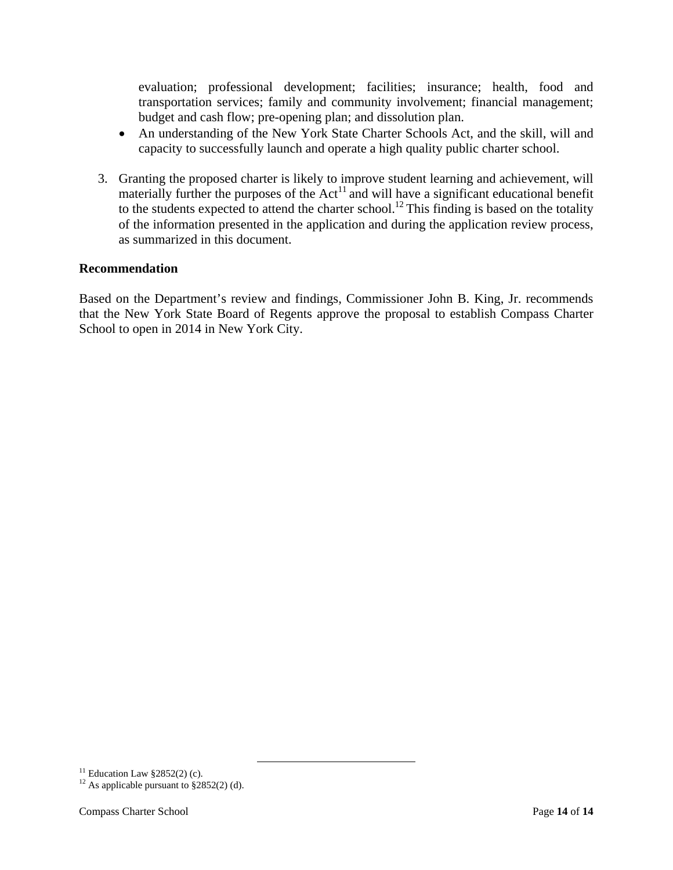evaluation; professional development; facilities; insurance; health, food and transportation services; family and community involvement; financial management; budget and cash flow; pre-opening plan; and dissolution plan.

- An understanding of the New York State Charter Schools Act, and the skill, will and capacity to successfully launch and operate a high quality public charter school.
- 3. Granting the proposed charter is likely to improve student learning and achievement, will materially further the purposes of the  $Act<sup>11</sup>$  and will have a significant educational benefit to the students expected to attend the charter school.<sup>12</sup> This finding is based on the totality of the information presented in the application and during the application review process, as summarized in this document.

#### **Recommendation**

Based on the Department's review and findings, Commissioner John B. King, Jr. recommends that the New York State Board of Regents approve the proposal to establish Compass Charter School to open in 2014 in New York City.

<sup>&</sup>lt;sup>11</sup> Education Law §2852(2) (c).

<sup>&</sup>lt;sup>12</sup> As applicable pursuant to  $\S 2852(2)$  (d).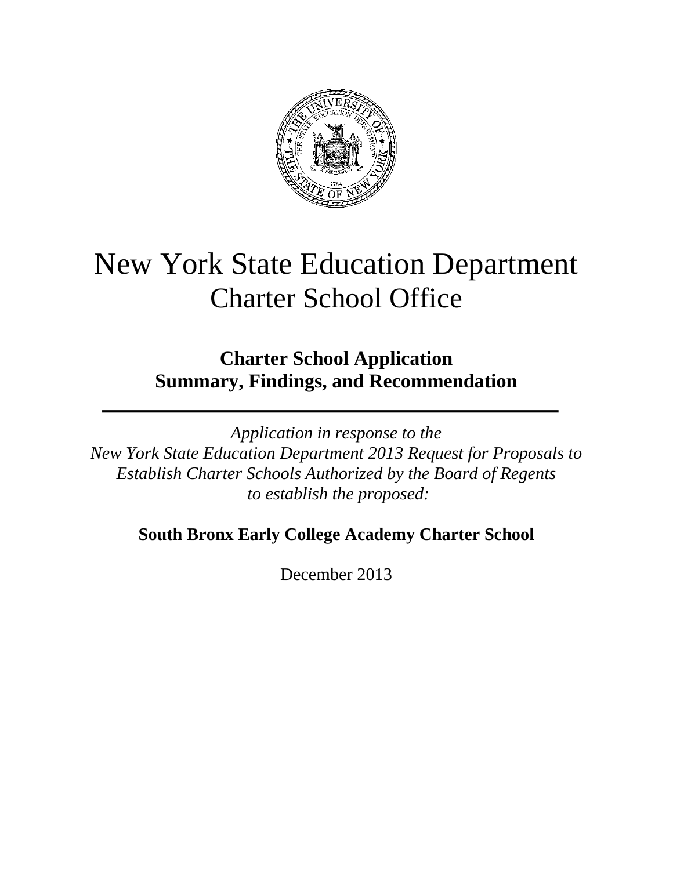

# New York State Education Department Charter School Office

# **Charter School Application Summary, Findings, and Recommendation**

*Application in response to the New York State Education Department 2013 Request for Proposals to Establish Charter Schools Authorized by the Board of Regents to establish the proposed:* 

# **South Bronx Early College Academy Charter School**

December 2013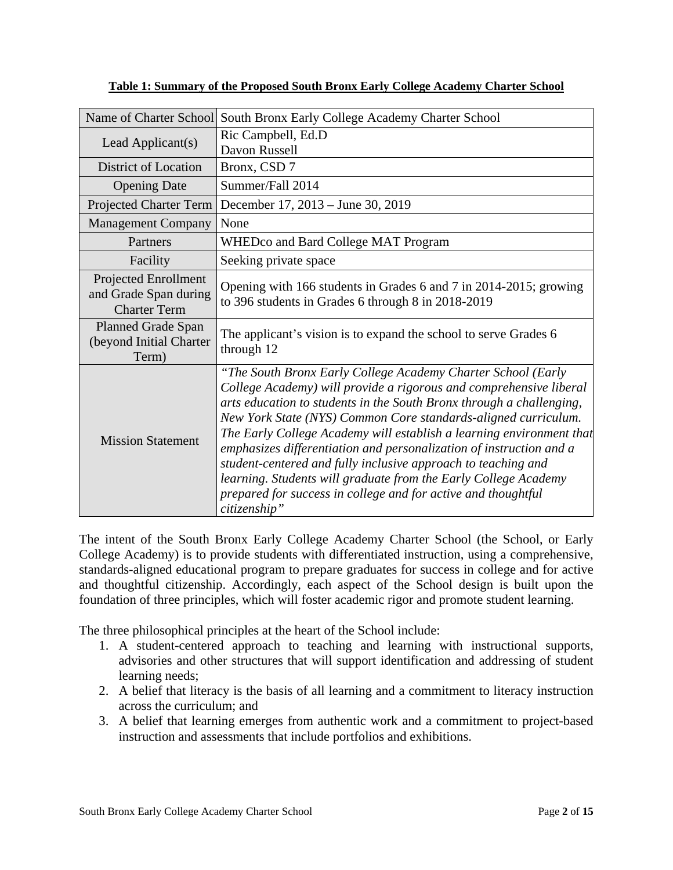| Name of Charter School                                               | South Bronx Early College Academy Charter School                                                                                                                                                                                                                                                                                                                                                                                                                                                                                                                                                                                                 |
|----------------------------------------------------------------------|--------------------------------------------------------------------------------------------------------------------------------------------------------------------------------------------------------------------------------------------------------------------------------------------------------------------------------------------------------------------------------------------------------------------------------------------------------------------------------------------------------------------------------------------------------------------------------------------------------------------------------------------------|
| Lead Applicant(s)                                                    | Ric Campbell, Ed.D<br>Davon Russell                                                                                                                                                                                                                                                                                                                                                                                                                                                                                                                                                                                                              |
| <b>District of Location</b>                                          | Bronx, CSD 7                                                                                                                                                                                                                                                                                                                                                                                                                                                                                                                                                                                                                                     |
| <b>Opening Date</b>                                                  | Summer/Fall 2014                                                                                                                                                                                                                                                                                                                                                                                                                                                                                                                                                                                                                                 |
| <b>Projected Charter Term</b>                                        | December 17, 2013 – June 30, 2019                                                                                                                                                                                                                                                                                                                                                                                                                                                                                                                                                                                                                |
| <b>Management Company</b>                                            | None                                                                                                                                                                                                                                                                                                                                                                                                                                                                                                                                                                                                                                             |
| Partners                                                             | WHEDco and Bard College MAT Program                                                                                                                                                                                                                                                                                                                                                                                                                                                                                                                                                                                                              |
| Facility                                                             | Seeking private space                                                                                                                                                                                                                                                                                                                                                                                                                                                                                                                                                                                                                            |
| Projected Enrollment<br>and Grade Span during<br><b>Charter Term</b> | Opening with 166 students in Grades 6 and 7 in 2014-2015; growing<br>to 396 students in Grades 6 through 8 in 2018-2019                                                                                                                                                                                                                                                                                                                                                                                                                                                                                                                          |
| <b>Planned Grade Span</b><br>(beyond Initial Charter<br>Term)        | The applicant's vision is to expand the school to serve Grades 6<br>through 12                                                                                                                                                                                                                                                                                                                                                                                                                                                                                                                                                                   |
| <b>Mission Statement</b>                                             | "The South Bronx Early College Academy Charter School (Early<br>College Academy) will provide a rigorous and comprehensive liberal<br>arts education to students in the South Bronx through a challenging,<br>New York State (NYS) Common Core standards-aligned curriculum.<br>The Early College Academy will establish a learning environment that<br>emphasizes differentiation and personalization of instruction and a<br>student-centered and fully inclusive approach to teaching and<br>learning. Students will graduate from the Early College Academy<br>prepared for success in college and for active and thoughtful<br>citizenship" |

**Table 1: Summary of the Proposed South Bronx Early College Academy Charter School** 

The intent of the South Bronx Early College Academy Charter School (the School, or Early College Academy) is to provide students with differentiated instruction, using a comprehensive, standards-aligned educational program to prepare graduates for success in college and for active and thoughtful citizenship. Accordingly, each aspect of the School design is built upon the foundation of three principles, which will foster academic rigor and promote student learning.

The three philosophical principles at the heart of the School include:

- 1. A student-centered approach to teaching and learning with instructional supports, advisories and other structures that will support identification and addressing of student learning needs;
- 2. A belief that literacy is the basis of all learning and a commitment to literacy instruction across the curriculum; and
- 3. A belief that learning emerges from authentic work and a commitment to project-based instruction and assessments that include portfolios and exhibitions.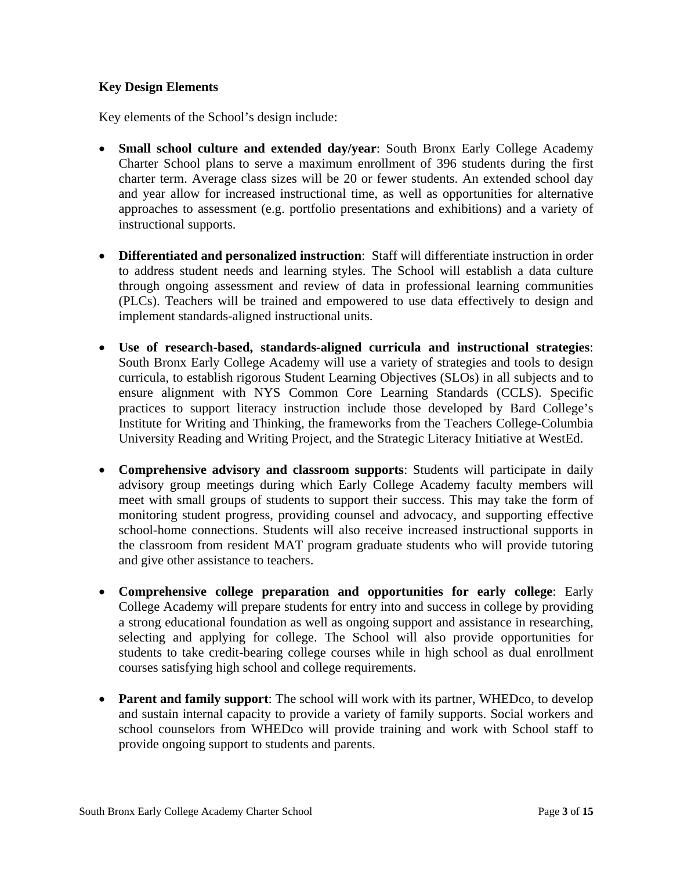## **Key Design Elements**

Key elements of the School's design include:

- **Small school culture and extended day/year**: South Bronx Early College Academy Charter School plans to serve a maximum enrollment of 396 students during the first charter term. Average class sizes will be 20 or fewer students. An extended school day and year allow for increased instructional time, as well as opportunities for alternative approaches to assessment (e.g. portfolio presentations and exhibitions) and a variety of instructional supports.
- **Differentiated and personalized instruction**: Staff will differentiate instruction in order to address student needs and learning styles. The School will establish a data culture through ongoing assessment and review of data in professional learning communities (PLCs). Teachers will be trained and empowered to use data effectively to design and implement standards-aligned instructional units.
- **Use of research-based, standards-aligned curricula and instructional strategies**: South Bronx Early College Academy will use a variety of strategies and tools to design curricula, to establish rigorous Student Learning Objectives (SLOs) in all subjects and to ensure alignment with NYS Common Core Learning Standards (CCLS). Specific practices to support literacy instruction include those developed by Bard College's Institute for Writing and Thinking, the frameworks from the Teachers College-Columbia University Reading and Writing Project, and the Strategic Literacy Initiative at WestEd.
- **Comprehensive advisory and classroom supports**: Students will participate in daily advisory group meetings during which Early College Academy faculty members will meet with small groups of students to support their success. This may take the form of monitoring student progress, providing counsel and advocacy, and supporting effective school-home connections. Students will also receive increased instructional supports in the classroom from resident MAT program graduate students who will provide tutoring and give other assistance to teachers.
- **Comprehensive college preparation and opportunities for early college**: Early College Academy will prepare students for entry into and success in college by providing a strong educational foundation as well as ongoing support and assistance in researching, selecting and applying for college. The School will also provide opportunities for students to take credit-bearing college courses while in high school as dual enrollment courses satisfying high school and college requirements.
- **Parent and family support:** The school will work with its partner, WHEDco, to develop and sustain internal capacity to provide a variety of family supports. Social workers and school counselors from WHEDco will provide training and work with School staff to provide ongoing support to students and parents.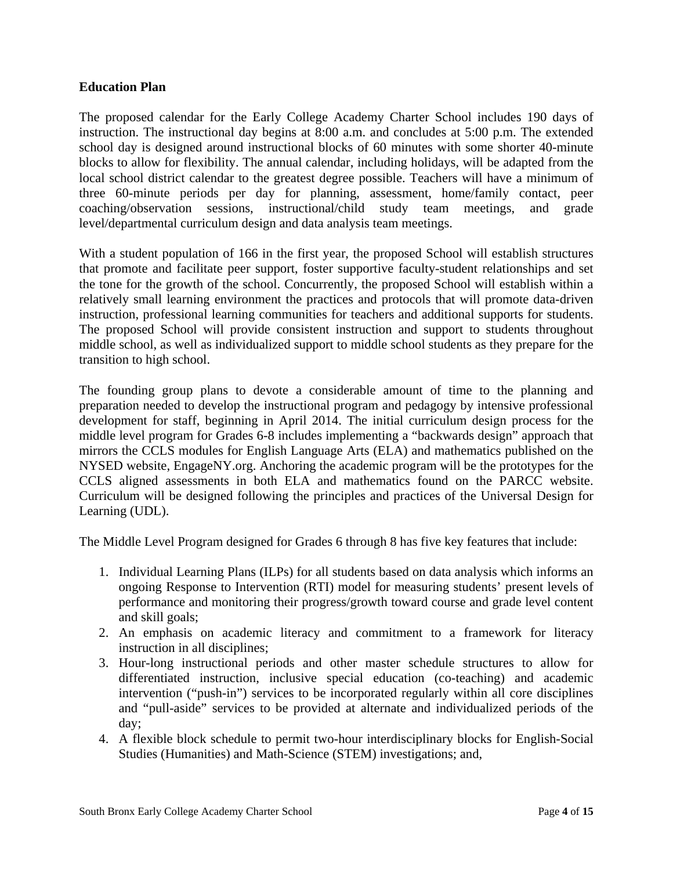#### **Education Plan**

The proposed calendar for the Early College Academy Charter School includes 190 days of instruction. The instructional day begins at 8:00 a.m. and concludes at 5:00 p.m. The extended school day is designed around instructional blocks of 60 minutes with some shorter 40-minute blocks to allow for flexibility. The annual calendar, including holidays, will be adapted from the local school district calendar to the greatest degree possible. Teachers will have a minimum of three 60-minute periods per day for planning, assessment, home/family contact, peer coaching/observation sessions, instructional/child study team meetings, and grade level/departmental curriculum design and data analysis team meetings.

With a student population of 166 in the first year, the proposed School will establish structures that promote and facilitate peer support, foster supportive faculty-student relationships and set the tone for the growth of the school. Concurrently, the proposed School will establish within a relatively small learning environment the practices and protocols that will promote data-driven instruction, professional learning communities for teachers and additional supports for students. The proposed School will provide consistent instruction and support to students throughout middle school, as well as individualized support to middle school students as they prepare for the transition to high school.

The founding group plans to devote a considerable amount of time to the planning and preparation needed to develop the instructional program and pedagogy by intensive professional development for staff, beginning in April 2014. The initial curriculum design process for the middle level program for Grades 6-8 includes implementing a "backwards design" approach that mirrors the CCLS modules for English Language Arts (ELA) and mathematics published on the NYSED website, EngageNY.org. Anchoring the academic program will be the prototypes for the CCLS aligned assessments in both ELA and mathematics found on the PARCC website. Curriculum will be designed following the principles and practices of the Universal Design for Learning (UDL).

The Middle Level Program designed for Grades 6 through 8 has five key features that include:

- 1. Individual Learning Plans (ILPs) for all students based on data analysis which informs an ongoing Response to Intervention (RTI) model for measuring students' present levels of performance and monitoring their progress/growth toward course and grade level content and skill goals;
- 2. An emphasis on academic literacy and commitment to a framework for literacy instruction in all disciplines;
- 3. Hour-long instructional periods and other master schedule structures to allow for differentiated instruction, inclusive special education (co-teaching) and academic intervention ("push-in") services to be incorporated regularly within all core disciplines and "pull-aside" services to be provided at alternate and individualized periods of the day;
- 4. A flexible block schedule to permit two-hour interdisciplinary blocks for English-Social Studies (Humanities) and Math-Science (STEM) investigations; and,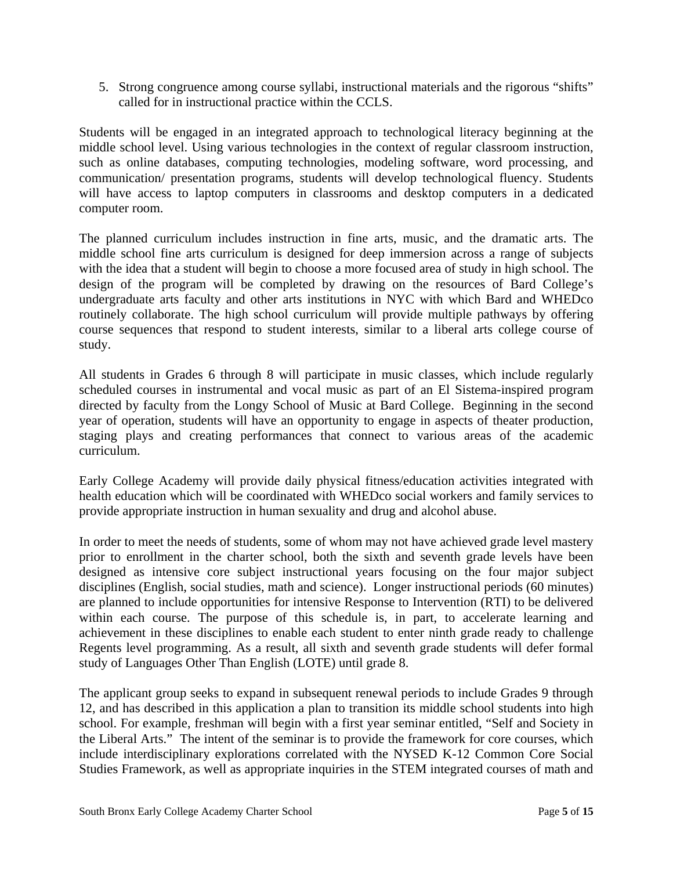5. Strong congruence among course syllabi, instructional materials and the rigorous "shifts" called for in instructional practice within the CCLS.

Students will be engaged in an integrated approach to technological literacy beginning at the middle school level. Using various technologies in the context of regular classroom instruction, such as online databases, computing technologies, modeling software, word processing, and communication/ presentation programs, students will develop technological fluency. Students will have access to laptop computers in classrooms and desktop computers in a dedicated computer room.

The planned curriculum includes instruction in fine arts, music, and the dramatic arts. The middle school fine arts curriculum is designed for deep immersion across a range of subjects with the idea that a student will begin to choose a more focused area of study in high school. The design of the program will be completed by drawing on the resources of Bard College's undergraduate arts faculty and other arts institutions in NYC with which Bard and WHEDco routinely collaborate. The high school curriculum will provide multiple pathways by offering course sequences that respond to student interests, similar to a liberal arts college course of study.

All students in Grades 6 through 8 will participate in music classes, which include regularly scheduled courses in instrumental and vocal music as part of an El Sistema-inspired program directed by faculty from the Longy School of Music at Bard College. Beginning in the second year of operation, students will have an opportunity to engage in aspects of theater production, staging plays and creating performances that connect to various areas of the academic curriculum.

Early College Academy will provide daily physical fitness/education activities integrated with health education which will be coordinated with WHEDco social workers and family services to provide appropriate instruction in human sexuality and drug and alcohol abuse.

In order to meet the needs of students, some of whom may not have achieved grade level mastery prior to enrollment in the charter school, both the sixth and seventh grade levels have been designed as intensive core subject instructional years focusing on the four major subject disciplines (English, social studies, math and science). Longer instructional periods (60 minutes) are planned to include opportunities for intensive Response to Intervention (RTI) to be delivered within each course. The purpose of this schedule is, in part, to accelerate learning and achievement in these disciplines to enable each student to enter ninth grade ready to challenge Regents level programming. As a result, all sixth and seventh grade students will defer formal study of Languages Other Than English (LOTE) until grade 8.

The applicant group seeks to expand in subsequent renewal periods to include Grades 9 through 12, and has described in this application a plan to transition its middle school students into high school. For example, freshman will begin with a first year seminar entitled, "Self and Society in the Liberal Arts." The intent of the seminar is to provide the framework for core courses, which include interdisciplinary explorations correlated with the NYSED K-12 Common Core Social Studies Framework, as well as appropriate inquiries in the STEM integrated courses of math and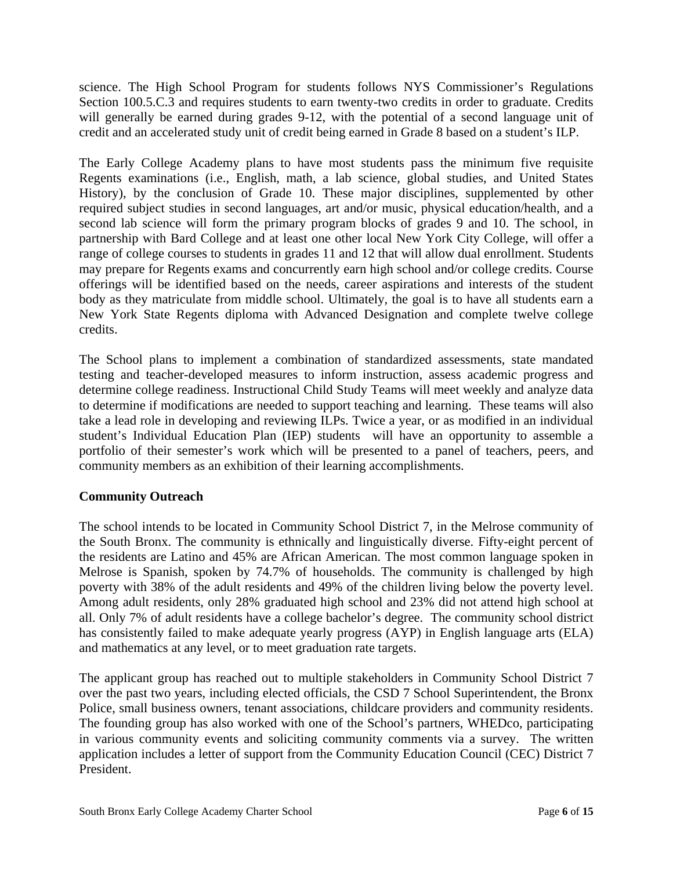science. The High School Program for students follows NYS Commissioner's Regulations Section 100.5.C.3 and requires students to earn twenty-two credits in order to graduate. Credits will generally be earned during grades 9-12, with the potential of a second language unit of credit and an accelerated study unit of credit being earned in Grade 8 based on a student's ILP.

The Early College Academy plans to have most students pass the minimum five requisite Regents examinations (i.e., English, math, a lab science, global studies, and United States History), by the conclusion of Grade 10. These major disciplines, supplemented by other required subject studies in second languages, art and/or music, physical education/health, and a second lab science will form the primary program blocks of grades 9 and 10. The school, in partnership with Bard College and at least one other local New York City College, will offer a range of college courses to students in grades 11 and 12 that will allow dual enrollment. Students may prepare for Regents exams and concurrently earn high school and/or college credits. Course offerings will be identified based on the needs, career aspirations and interests of the student body as they matriculate from middle school. Ultimately, the goal is to have all students earn a New York State Regents diploma with Advanced Designation and complete twelve college credits.

The School plans to implement a combination of standardized assessments, state mandated testing and teacher-developed measures to inform instruction, assess academic progress and determine college readiness. Instructional Child Study Teams will meet weekly and analyze data to determine if modifications are needed to support teaching and learning. These teams will also take a lead role in developing and reviewing ILPs. Twice a year, or as modified in an individual student's Individual Education Plan (IEP) students will have an opportunity to assemble a portfolio of their semester's work which will be presented to a panel of teachers, peers, and community members as an exhibition of their learning accomplishments.

# **Community Outreach**

The school intends to be located in Community School District 7, in the Melrose community of the South Bronx. The community is ethnically and linguistically diverse. Fifty-eight percent of the residents are Latino and 45% are African American. The most common language spoken in Melrose is Spanish, spoken by 74.7% of households. The community is challenged by high poverty with 38% of the adult residents and 49% of the children living below the poverty level. Among adult residents, only 28% graduated high school and 23% did not attend high school at all. Only 7% of adult residents have a college bachelor's degree. The community school district has consistently failed to make adequate yearly progress (AYP) in English language arts (ELA) and mathematics at any level, or to meet graduation rate targets.

The applicant group has reached out to multiple stakeholders in Community School District 7 over the past two years, including elected officials, the CSD 7 School Superintendent, the Bronx Police, small business owners, tenant associations, childcare providers and community residents. The founding group has also worked with one of the School's partners, WHEDco, participating in various community events and soliciting community comments via a survey. The written application includes a letter of support from the Community Education Council (CEC) District 7 President.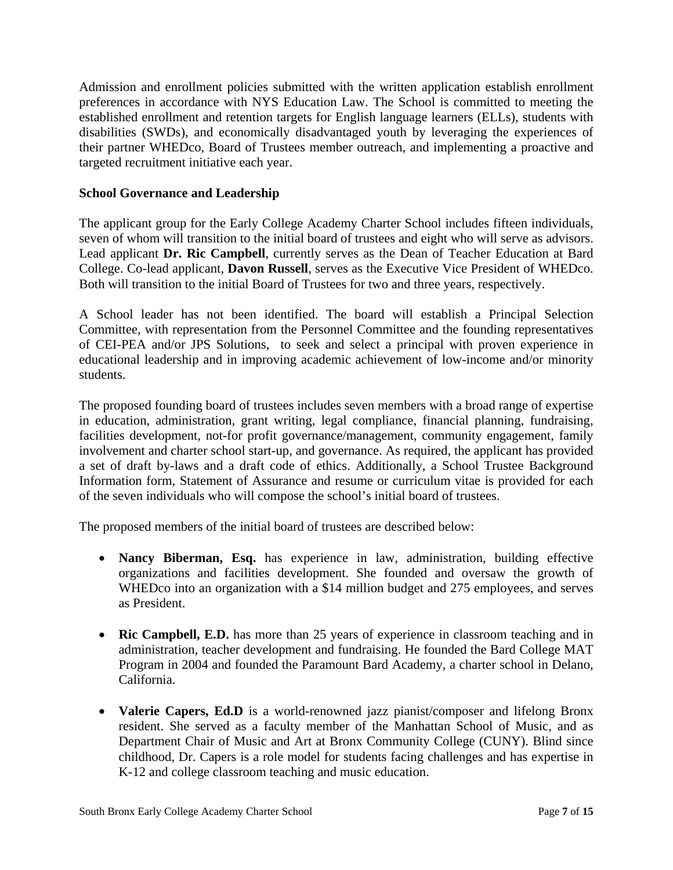Admission and enrollment policies submitted with the written application establish enrollment preferences in accordance with NYS Education Law. The School is committed to meeting the established enrollment and retention targets for English language learners (ELLs), students with disabilities (SWDs), and economically disadvantaged youth by leveraging the experiences of their partner WHEDco, Board of Trustees member outreach, and implementing a proactive and targeted recruitment initiative each year.

#### **School Governance and Leadership**

The applicant group for the Early College Academy Charter School includes fifteen individuals, seven of whom will transition to the initial board of trustees and eight who will serve as advisors. Lead applicant **Dr. Ric Campbell**, currently serves as the Dean of Teacher Education at Bard College. Co-lead applicant, **Davon Russell**, serves as the Executive Vice President of WHEDco. Both will transition to the initial Board of Trustees for two and three years, respectively.

A School leader has not been identified. The board will establish a Principal Selection Committee, with representation from the Personnel Committee and the founding representatives of CEI-PEA and/or JPS Solutions, to seek and select a principal with proven experience in educational leadership and in improving academic achievement of low-income and/or minority students.

The proposed founding board of trustees includes seven members with a broad range of expertise in education, administration, grant writing, legal compliance, financial planning, fundraising, facilities development, not-for profit governance/management, community engagement, family involvement and charter school start-up, and governance. As required, the applicant has provided a set of draft by-laws and a draft code of ethics. Additionally, a School Trustee Background Information form, Statement of Assurance and resume or curriculum vitae is provided for each of the seven individuals who will compose the school's initial board of trustees.

The proposed members of the initial board of trustees are described below:

- **Nancy Biberman, Esq.** has experience in law, administration, building effective organizations and facilities development. She founded and oversaw the growth of WHEDco into an organization with a \$14 million budget and 275 employees, and serves as President.
- **Ric Campbell, E.D.** has more than 25 years of experience in classroom teaching and in administration, teacher development and fundraising. He founded the Bard College MAT Program in 2004 and founded the Paramount Bard Academy, a charter school in Delano, California.
- **Valerie Capers, Ed.D** is a world-renowned jazz pianist/composer and lifelong Bronx resident. She served as a faculty member of the Manhattan School of Music, and as Department Chair of Music and Art at Bronx Community College (CUNY). Blind since childhood, Dr. Capers is a role model for students facing challenges and has expertise in K-12 and college classroom teaching and music education.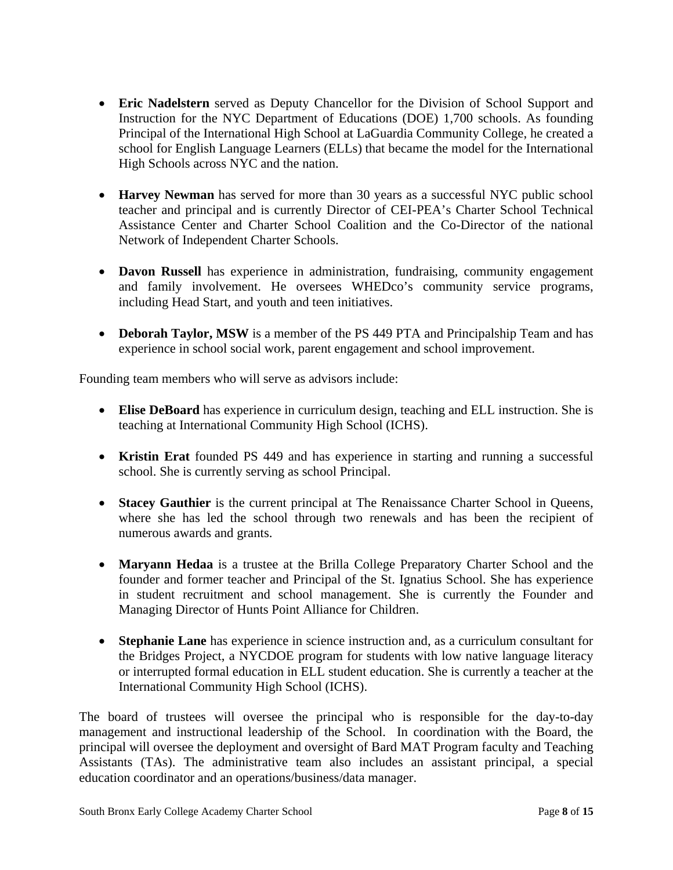- **Eric Nadelstern** served as Deputy Chancellor for the Division of School Support and Instruction for the NYC Department of Educations (DOE) 1,700 schools. As founding Principal of the International High School at LaGuardia Community College, he created a school for English Language Learners (ELLs) that became the model for the International High Schools across NYC and the nation.
- **Harvey Newman** has served for more than 30 years as a successful NYC public school teacher and principal and is currently Director of CEI-PEA's Charter School Technical Assistance Center and Charter School Coalition and the Co-Director of the national Network of Independent Charter Schools.
- **Davon Russell** has experience in administration, fundraising, community engagement and family involvement. He oversees WHEDco's community service programs, including Head Start, and youth and teen initiatives.
- **Deborah Taylor, MSW** is a member of the PS 449 PTA and Principalship Team and has experience in school social work, parent engagement and school improvement.

Founding team members who will serve as advisors include:

- **Elise DeBoard** has experience in curriculum design, teaching and ELL instruction. She is teaching at International Community High School (ICHS).
- **Kristin Erat** founded PS 449 and has experience in starting and running a successful school. She is currently serving as school Principal.
- **Stacey Gauthier** is the current principal at The Renaissance Charter School in Queens, where she has led the school through two renewals and has been the recipient of numerous awards and grants.
- **Maryann Hedaa** is a trustee at the Brilla College Preparatory Charter School and the founder and former teacher and Principal of the St. Ignatius School. She has experience in student recruitment and school management. She is currently the Founder and Managing Director of Hunts Point Alliance for Children.
- **Stephanie Lane** has experience in science instruction and, as a curriculum consultant for the Bridges Project, a NYCDOE program for students with low native language literacy or interrupted formal education in ELL student education. She is currently a teacher at the International Community High School (ICHS).

The board of trustees will oversee the principal who is responsible for the day-to-day management and instructional leadership of the School. In coordination with the Board, the principal will oversee the deployment and oversight of Bard MAT Program faculty and Teaching Assistants (TAs). The administrative team also includes an assistant principal, a special education coordinator and an operations/business/data manager.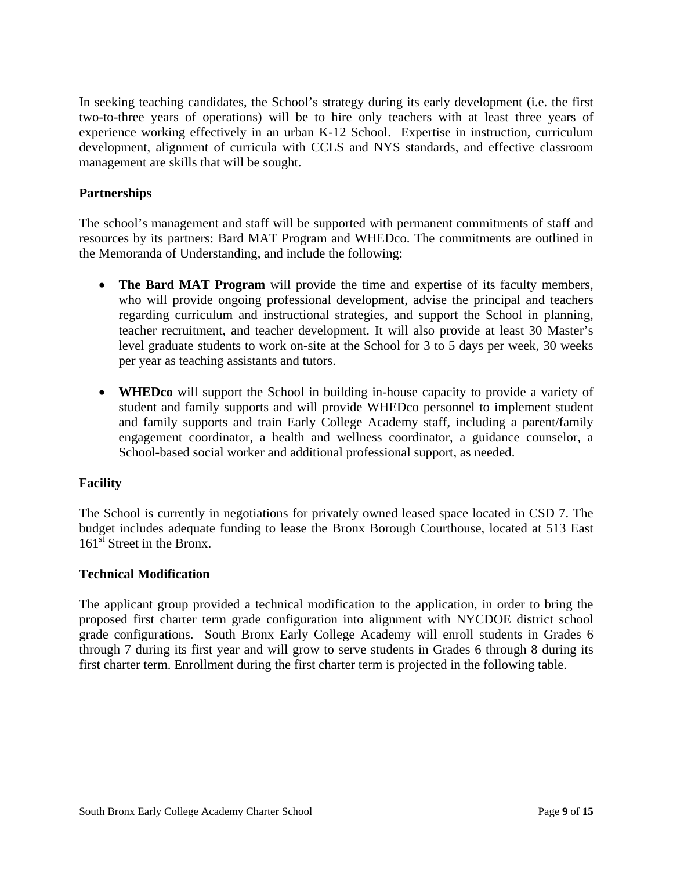In seeking teaching candidates, the School's strategy during its early development (i.e. the first two-to-three years of operations) will be to hire only teachers with at least three years of experience working effectively in an urban K-12 School. Expertise in instruction, curriculum development, alignment of curricula with CCLS and NYS standards, and effective classroom management are skills that will be sought.

## **Partnerships**

The school's management and staff will be supported with permanent commitments of staff and resources by its partners: Bard MAT Program and WHEDco. The commitments are outlined in the Memoranda of Understanding, and include the following:

- **The Bard MAT Program** will provide the time and expertise of its faculty members, who will provide ongoing professional development, advise the principal and teachers regarding curriculum and instructional strategies, and support the School in planning, teacher recruitment, and teacher development. It will also provide at least 30 Master's level graduate students to work on-site at the School for 3 to 5 days per week, 30 weeks per year as teaching assistants and tutors.
- **WHEDco** will support the School in building in-house capacity to provide a variety of student and family supports and will provide WHEDco personnel to implement student and family supports and train Early College Academy staff, including a parent/family engagement coordinator, a health and wellness coordinator, a guidance counselor, a School-based social worker and additional professional support, as needed.

#### **Facility**

The School is currently in negotiations for privately owned leased space located in CSD 7. The budget includes adequate funding to lease the Bronx Borough Courthouse, located at 513 East  $161<sup>st</sup>$  Street in the Bronx.

#### **Technical Modification**

The applicant group provided a technical modification to the application, in order to bring the proposed first charter term grade configuration into alignment with NYCDOE district school grade configurations. South Bronx Early College Academy will enroll students in Grades 6 through 7 during its first year and will grow to serve students in Grades 6 through 8 during its first charter term. Enrollment during the first charter term is projected in the following table.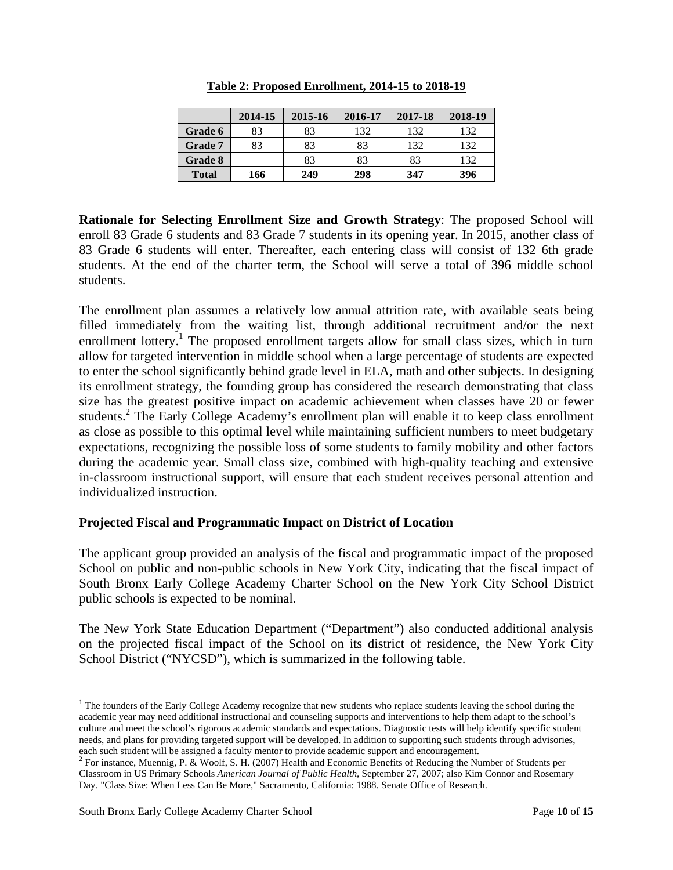|              | 2014-15 | 2015-16 | 2016-17 | 2017-18 | 2018-19 |
|--------------|---------|---------|---------|---------|---------|
| Grade 6      | 83      | 83      | 132     | 132     | 132     |
| Grade 7      | 83      | 83      | 83      | 132     | 132     |
| Grade 8      |         | 83      | 83      | 83      | 132     |
| <b>Total</b> | 166     | 249     | 298     | 347     | 396     |

**Table 2: Proposed Enrollment, 2014-15 to 2018-19** 

**Rationale for Selecting Enrollment Size and Growth Strategy**: The proposed School will enroll 83 Grade 6 students and 83 Grade 7 students in its opening year. In 2015, another class of 83 Grade 6 students will enter. Thereafter, each entering class will consist of 132 6th grade students. At the end of the charter term, the School will serve a total of 396 middle school students.

The enrollment plan assumes a relatively low annual attrition rate, with available seats being filled immediately from the waiting list, through additional recruitment and/or the next enrollment lottery.<sup>1</sup> The proposed enrollment targets allow for small class sizes, which in turn allow for targeted intervention in middle school when a large percentage of students are expected to enter the school significantly behind grade level in ELA, math and other subjects. In designing its enrollment strategy, the founding group has considered the research demonstrating that class size has the greatest positive impact on academic achievement when classes have 20 or fewer students.<sup>2</sup> The Early College Academy's enrollment plan will enable it to keep class enrollment as close as possible to this optimal level while maintaining sufficient numbers to meet budgetary expectations, recognizing the possible loss of some students to family mobility and other factors during the academic year. Small class size, combined with high-quality teaching and extensive in-classroom instructional support, will ensure that each student receives personal attention and individualized instruction.

# **Projected Fiscal and Programmatic Impact on District of Location**

The applicant group provided an analysis of the fiscal and programmatic impact of the proposed School on public and non-public schools in New York City, indicating that the fiscal impact of South Bronx Early College Academy Charter School on the New York City School District public schools is expected to be nominal.

The New York State Education Department ("Department") also conducted additional analysis on the projected fiscal impact of the School on its district of residence, the New York City School District ("NYCSD"), which is summarized in the following table.

<sup>&</sup>lt;sup>1</sup> The founders of the Early College Academy recognize that new students who replace students leaving the school during the  $\frac{1}{2}$ academic year may need additional instructional and counseling supports and interventions to help them adapt to the school's culture and meet the school's rigorous academic standards and expectations. Diagnostic tests will help identify specific student needs, and plans for providing targeted support will be developed. In addition to supporting such students through advisories, each such student will be assigned a faculty mentor to provide academic support and encouragement.

<sup>&</sup>lt;sup>2</sup> For instance, Muennig, P. & Woolf, S. H. (2007) Health and Economic Benefits of Reducing the Number of Students per Classroom in US Primary Schools *American Journal of Public Health,* September 27, 2007; also Kim Connor and Rosemary Day. "Class Size: When Less Can Be More," Sacramento, California: 1988. Senate Office of Research.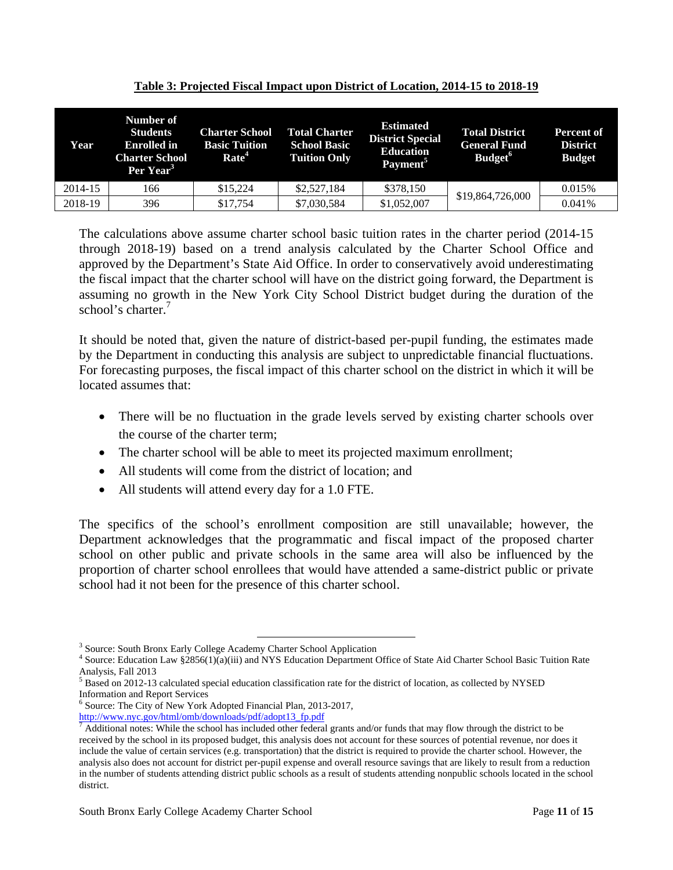| Year    | Number of<br><b>Students</b><br><b>Enrolled</b> in<br><b>Charter School</b><br>Per Year <sup>3</sup> | <b>Charter School</b><br><b>Basic Tuition</b><br>Rate <sup>4</sup> | <b>Total Charter</b><br><b>School Basic</b><br><b>Tuition Only</b> | <b>Estimated</b><br><b>District Special</b><br><b>Education</b><br>Payment <sup>5</sup> | <b>Total District</b><br><b>General Fund</b><br>Budget <sup>6</sup> | Percent of<br><b>District</b><br><b>Budget</b> |
|---------|------------------------------------------------------------------------------------------------------|--------------------------------------------------------------------|--------------------------------------------------------------------|-----------------------------------------------------------------------------------------|---------------------------------------------------------------------|------------------------------------------------|
| 2014-15 | 166                                                                                                  | \$15.224                                                           | \$2,527,184                                                        | \$378,150                                                                               |                                                                     | 0.015%                                         |
| 2018-19 | 396                                                                                                  | \$17,754                                                           | \$7,030,584                                                        | \$1,052,007                                                                             | \$19,864,726,000                                                    | 0.041%                                         |

**Table 3: Projected Fiscal Impact upon District of Location, 2014-15 to 2018-19**

The calculations above assume charter school basic tuition rates in the charter period (2014-15 through 2018-19) based on a trend analysis calculated by the Charter School Office and approved by the Department's State Aid Office. In order to conservatively avoid underestimating the fiscal impact that the charter school will have on the district going forward, the Department is assuming no growth in the New York City School District budget during the duration of the school's charter.<sup>7</sup>

It should be noted that, given the nature of district-based per-pupil funding, the estimates made by the Department in conducting this analysis are subject to unpredictable financial fluctuations. For forecasting purposes, the fiscal impact of this charter school on the district in which it will be located assumes that:

- There will be no fluctuation in the grade levels served by existing charter schools over the course of the charter term;
- The charter school will be able to meet its projected maximum enrollment;
- All students will come from the district of location; and
- All students will attend every day for a 1.0 FTE.

The specifics of the school's enrollment composition are still unavailable; however, the Department acknowledges that the programmatic and fiscal impact of the proposed charter school on other public and private schools in the same area will also be influenced by the proportion of charter school enrollees that would have attended a same-district public or private school had it not been for the presence of this charter school.

<sup>-&</sup>lt;br><sup>3</sup> Source: South Propy Forly College Academ <sup>3</sup> Source: South Bronx Early College Academy Charter School Application  $\frac{4}{3}$  Source: Education Law  $\frac{82856(1)(0)(iii)}{2}$  and NVS Education Department G

<sup>&</sup>lt;sup>4</sup> Source: Education Law §2856(1)(a)(iii) and NYS Education Department Office of State Aid Charter School Basic Tuition Rate Analysis, Fall 2013

 $<sup>5</sup>$  Based on 2012-13 calculated special education classification rate for the district of location, as collected by NYSED</sup> Information and Report Services

<sup>6</sup> Source: The City of New York Adopted Financial Plan, 2013-2017, http://www.nyc.gov/html/omb/downloads/pdf/adopt13\_fp.pdf <sup>7</sup>

 $^7$  Additional notes: While the school has included other federal grants and/or funds that may flow through the district to be received by the school in its proposed budget, this analysis does not account for these sources of potential revenue, nor does it include the value of certain services (e.g. transportation) that the district is required to provide the charter school. However, the analysis also does not account for district per-pupil expense and overall resource savings that are likely to result from a reduction in the number of students attending district public schools as a result of students attending nonpublic schools located in the school district.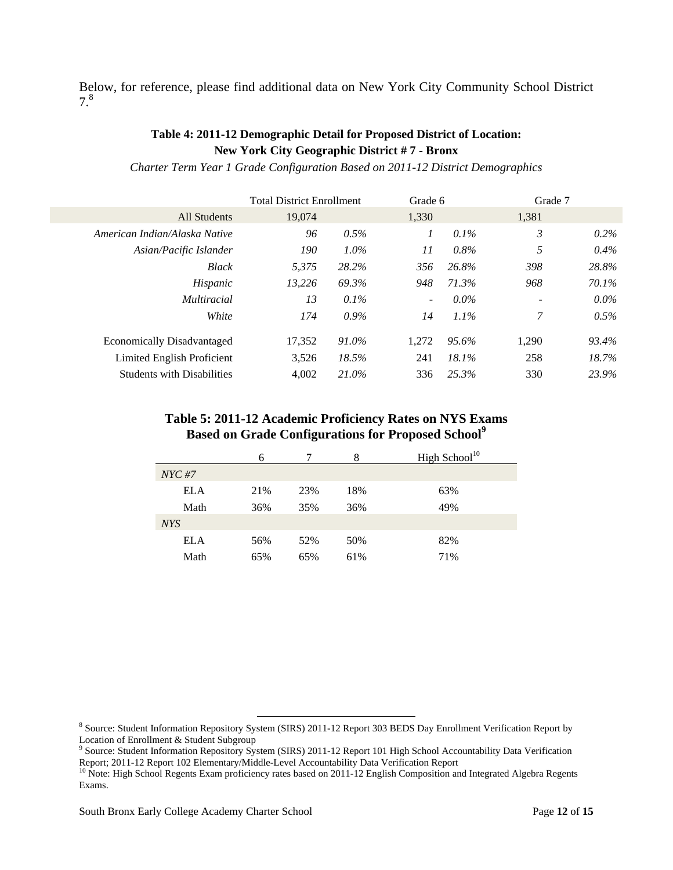Below, for reference, please find additional data on New York City Community School District 7.8

## **Table 4: 2011-12 Demographic Detail for Proposed District of Location: New York City Geographic District # 7 - Bronx**

*Charter Term Year 1 Grade Configuration Based on 2011-12 District Demographics* 

| 19,074 |         | 1,330                            |         | 1,381          |         |
|--------|---------|----------------------------------|---------|----------------|---------|
| 96     | $0.5\%$ | 1                                | $0.1\%$ | $\mathfrak{Z}$ | $0.2\%$ |
| 190    | $1.0\%$ | 11                               | 0.8%    | 5              | $0.4\%$ |
| 5.375  | 28.2%   | 356                              | 26.8%   | 398            | 28.8%   |
| 13.226 | 69.3%   | 948                              | 71.3%   | 968            | 70.1%   |
| 13     | $0.1\%$ | $\overline{\phantom{a}}$         | $0.0\%$ |                | $0.0\%$ |
| 174    | $0.9\%$ | 14                               | $1.1\%$ | 7              | $0.5\%$ |
| 17,352 | 91.0%   | 1.272                            | 95.6%   | 1.290          | 93.4%   |
| 3,526  | 18.5%   | 241                              | 18.1%   | 258            | 18.7%   |
| 4,002  | 21.0%   | 336                              | 25.3%   | 330            | 23.9%   |
|        |         | <b>Total District Enrollment</b> |         | Grade 6        | Grade 7 |

#### **Table 5: 2011-12 Academic Proficiency Rates on NYS Exams Based on Grade Configurations for Proposed School<sup>9</sup>**

|            | 6   |     | 8   | High School $10$ |
|------------|-----|-----|-----|------------------|
| $NYC \#7$  |     |     |     |                  |
| <b>ELA</b> | 21% | 23% | 18% | 63%              |
| Math       | 36% | 35% | 36% | 49%              |
| <b>NYS</b> |     |     |     |                  |
| <b>ELA</b> | 56% | 52% | 50% | 82%              |
| Math       | 65% | 65% | 61% | 71%              |

<sup>&</sup>lt;sup>8</sup><br>Bource: Student Information Repository System (SIRS) 2011-12 Report 303 BEDS Day Enrollment Verification Report by

Location of Enrollment & Student Subgroup<br><sup>9</sup> Source: Student Information Repository System (SIRS) 2011-12 Report 101 High School Accountability Data Verification Report; 2011-12 Report 102 Elementary/Middle-Level Accountability Data Verification Report

<sup>&</sup>lt;sup>10</sup> Note: High School Regents Exam proficiency rates based on 2011-12 English Composition and Integrated Algebra Regents Exams.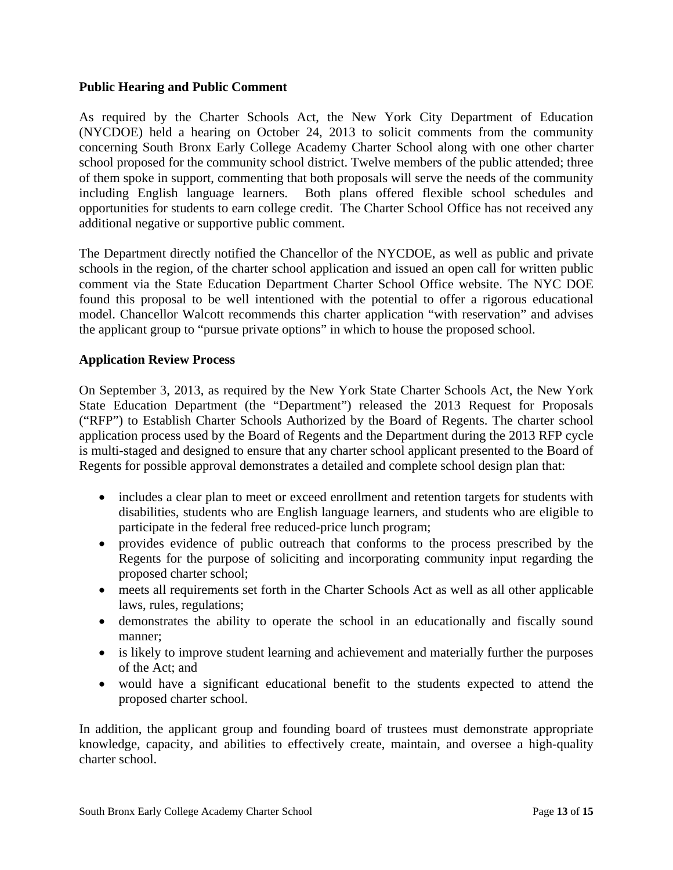#### **Public Hearing and Public Comment**

As required by the Charter Schools Act, the New York City Department of Education (NYCDOE) held a hearing on October 24, 2013 to solicit comments from the community concerning South Bronx Early College Academy Charter School along with one other charter school proposed for the community school district. Twelve members of the public attended; three of them spoke in support, commenting that both proposals will serve the needs of the community including English language learners. Both plans offered flexible school schedules and opportunities for students to earn college credit. The Charter School Office has not received any additional negative or supportive public comment.

The Department directly notified the Chancellor of the NYCDOE, as well as public and private schools in the region, of the charter school application and issued an open call for written public comment via the State Education Department Charter School Office website. The NYC DOE found this proposal to be well intentioned with the potential to offer a rigorous educational model. Chancellor Walcott recommends this charter application "with reservation" and advises the applicant group to "pursue private options" in which to house the proposed school.

#### **Application Review Process**

On September 3, 2013, as required by the New York State Charter Schools Act, the New York State Education Department (the "Department") released the 2013 Request for Proposals ("RFP") to Establish Charter Schools Authorized by the Board of Regents. The charter school application process used by the Board of Regents and the Department during the 2013 RFP cycle is multi-staged and designed to ensure that any charter school applicant presented to the Board of Regents for possible approval demonstrates a detailed and complete school design plan that:

- includes a clear plan to meet or exceed enrollment and retention targets for students with disabilities, students who are English language learners, and students who are eligible to participate in the federal free reduced-price lunch program;
- provides evidence of public outreach that conforms to the process prescribed by the Regents for the purpose of soliciting and incorporating community input regarding the proposed charter school;
- meets all requirements set forth in the Charter Schools Act as well as all other applicable laws, rules, regulations;
- demonstrates the ability to operate the school in an educationally and fiscally sound manner;
- is likely to improve student learning and achievement and materially further the purposes of the Act; and
- would have a significant educational benefit to the students expected to attend the proposed charter school.

In addition, the applicant group and founding board of trustees must demonstrate appropriate knowledge, capacity, and abilities to effectively create, maintain, and oversee a high-quality charter school.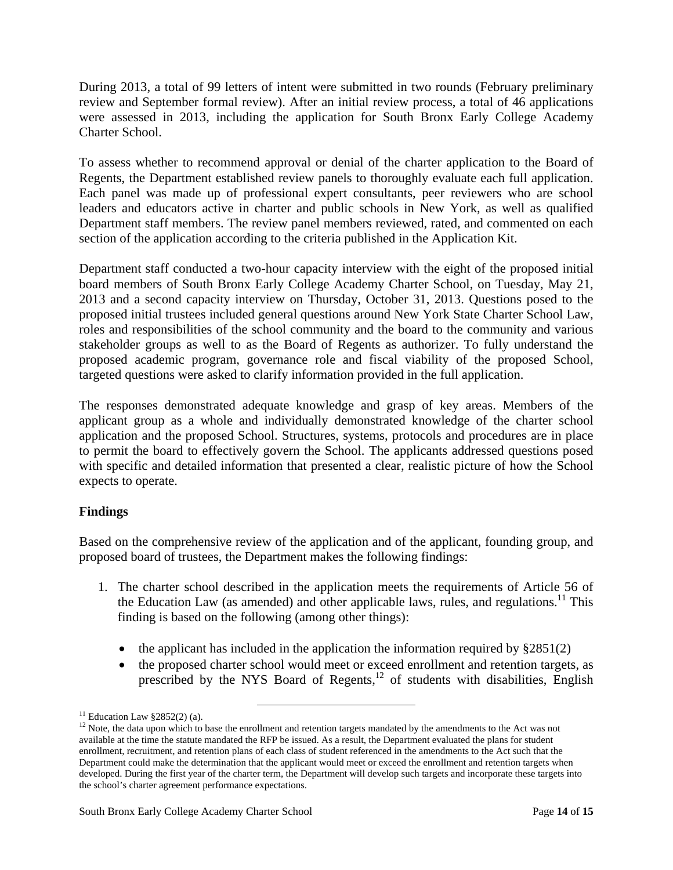During 2013, a total of 99 letters of intent were submitted in two rounds (February preliminary review and September formal review). After an initial review process, a total of 46 applications were assessed in 2013, including the application for South Bronx Early College Academy Charter School.

To assess whether to recommend approval or denial of the charter application to the Board of Regents, the Department established review panels to thoroughly evaluate each full application. Each panel was made up of professional expert consultants, peer reviewers who are school leaders and educators active in charter and public schools in New York, as well as qualified Department staff members. The review panel members reviewed, rated, and commented on each section of the application according to the criteria published in the Application Kit.

Department staff conducted a two-hour capacity interview with the eight of the proposed initial board members of South Bronx Early College Academy Charter School, on Tuesday, May 21, 2013 and a second capacity interview on Thursday, October 31, 2013. Questions posed to the proposed initial trustees included general questions around New York State Charter School Law, roles and responsibilities of the school community and the board to the community and various stakeholder groups as well to as the Board of Regents as authorizer. To fully understand the proposed academic program, governance role and fiscal viability of the proposed School, targeted questions were asked to clarify information provided in the full application.

The responses demonstrated adequate knowledge and grasp of key areas. Members of the applicant group as a whole and individually demonstrated knowledge of the charter school application and the proposed School. Structures, systems, protocols and procedures are in place to permit the board to effectively govern the School. The applicants addressed questions posed with specific and detailed information that presented a clear, realistic picture of how the School expects to operate.

# **Findings**

Based on the comprehensive review of the application and of the applicant, founding group, and proposed board of trustees, the Department makes the following findings:

- 1. The charter school described in the application meets the requirements of Article 56 of the Education Law (as amended) and other applicable laws, rules, and regulations.<sup>11</sup> This finding is based on the following (among other things):
	- the applicant has included in the application the information required by  $\S 2851(2)$
	- the proposed charter school would meet or exceed enrollment and retention targets, as prescribed by the NYS Board of Regents, $^{12}$  of students with disabilities, English

<sup>&</sup>lt;sup>11</sup> Education Law  $82852(2)$  (a).

<sup>&</sup>lt;sup>12</sup> Note, the data upon which to base the enrollment and retention targets mandated by the amendments to the Act was not available at the time the statute mandated the RFP be issued. As a result, the Department evaluated the plans for student enrollment, recruitment, and retention plans of each class of student referenced in the amendments to the Act such that the Department could make the determination that the applicant would meet or exceed the enrollment and retention targets when developed. During the first year of the charter term, the Department will develop such targets and incorporate these targets into the school's charter agreement performance expectations.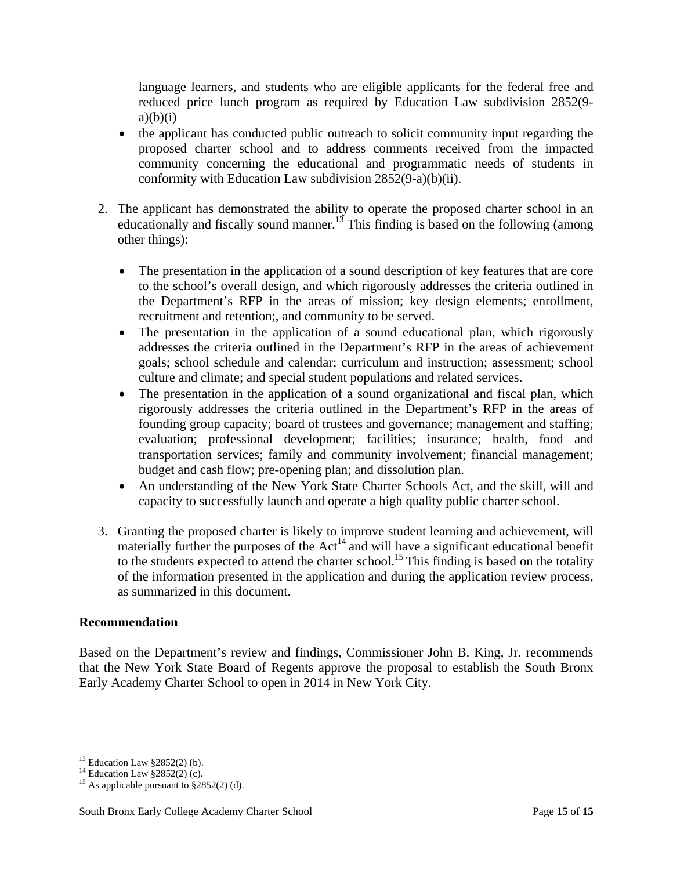language learners, and students who are eligible applicants for the federal free and reduced price lunch program as required by Education Law subdivision 2852(9  $a)(b)(i)$ 

- the applicant has conducted public outreach to solicit community input regarding the proposed charter school and to address comments received from the impacted community concerning the educational and programmatic needs of students in conformity with Education Law subdivision 2852(9-a)(b)(ii).
- 2. The applicant has demonstrated the ability to operate the proposed charter school in an educationally and fiscally sound manner.<sup>13</sup> This finding is based on the following (among other things):
	- The presentation in the application of a sound description of key features that are core to the school's overall design, and which rigorously addresses the criteria outlined in the Department's RFP in the areas of mission; key design elements; enrollment, recruitment and retention;, and community to be served.
	- The presentation in the application of a sound educational plan, which rigorously addresses the criteria outlined in the Department's RFP in the areas of achievement goals; school schedule and calendar; curriculum and instruction; assessment; school culture and climate; and special student populations and related services.
	- The presentation in the application of a sound organizational and fiscal plan, which rigorously addresses the criteria outlined in the Department's RFP in the areas of founding group capacity; board of trustees and governance; management and staffing; evaluation; professional development; facilities; insurance; health, food and transportation services; family and community involvement; financial management; budget and cash flow; pre-opening plan; and dissolution plan.
	- An understanding of the New York State Charter Schools Act, and the skill, will and capacity to successfully launch and operate a high quality public charter school.
- 3. Granting the proposed charter is likely to improve student learning and achievement, will materially further the purposes of the  $Act<sup>14</sup>$  and will have a significant educational benefit to the students expected to attend the charter school.<sup>15</sup> This finding is based on the totality of the information presented in the application and during the application review process, as summarized in this document.

#### **Recommendation**

Based on the Department's review and findings, Commissioner John B. King, Jr. recommends that the New York State Board of Regents approve the proposal to establish the South Bronx Early Academy Charter School to open in 2014 in New York City.

<sup>&</sup>lt;sup>13</sup> Education Law §2852(2) (b).

 $14$  Education Law §2852(2) (c).

<sup>&</sup>lt;sup>15</sup> As applicable pursuant to  $\S 2852(2)$  (d).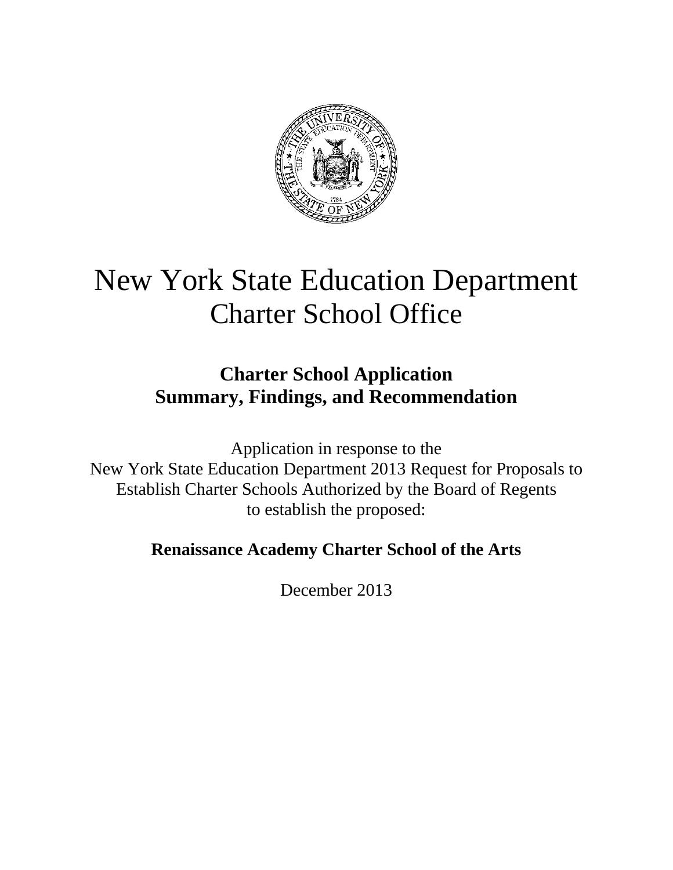

# New York State Education Department Charter School Office

# **Charter School Application Summary, Findings, and Recommendation**

Application in response to the New York State Education Department 2013 Request for Proposals to Establish Charter Schools Authorized by the Board of Regents to establish the proposed:

# **Renaissance Academy Charter School of the Arts**

December 2013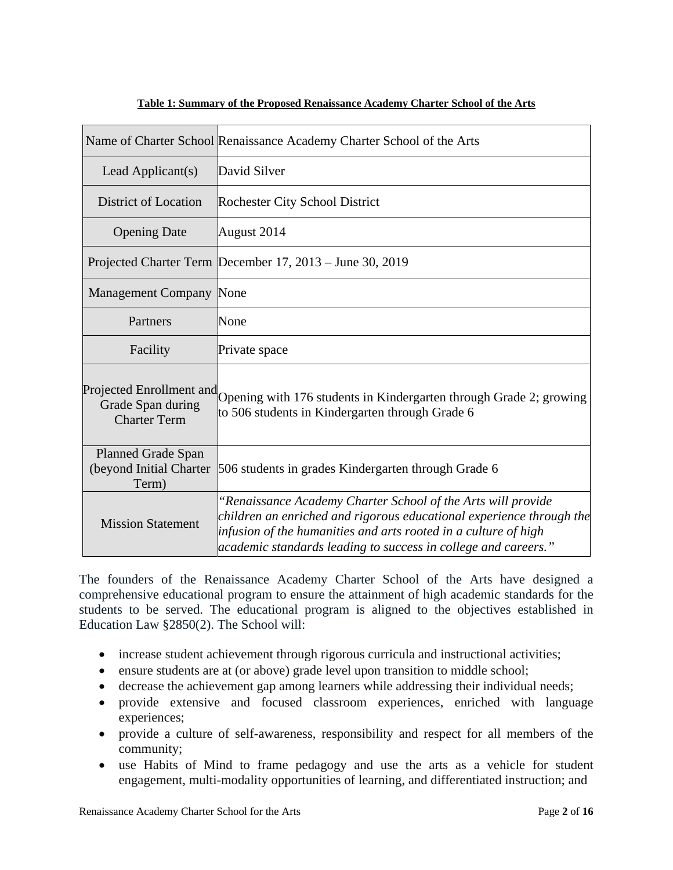|                                                               | Name of Charter School Renaissance Academy Charter School of the Arts                                                                                                                                                                                                     |
|---------------------------------------------------------------|---------------------------------------------------------------------------------------------------------------------------------------------------------------------------------------------------------------------------------------------------------------------------|
| Lead Applicant(s)                                             | David Silver                                                                                                                                                                                                                                                              |
| District of Location                                          | Rochester City School District                                                                                                                                                                                                                                            |
| <b>Opening Date</b>                                           | August 2014                                                                                                                                                                                                                                                               |
|                                                               | Projected Charter Term December 17, 2013 – June 30, 2019                                                                                                                                                                                                                  |
| <b>Management Company None</b>                                |                                                                                                                                                                                                                                                                           |
| Partners                                                      | None                                                                                                                                                                                                                                                                      |
| Facility                                                      | Private space                                                                                                                                                                                                                                                             |
| Grade Span during<br><b>Charter Term</b>                      | Projected Enrollment and Opening with 176 students in Kindergarten through Grade 2; growing<br>to 506 students in Kindergarten through Grade 6                                                                                                                            |
| <b>Planned Grade Span</b><br>(beyond Initial Charter<br>Term) | 506 students in grades Kindergarten through Grade 6                                                                                                                                                                                                                       |
| <b>Mission Statement</b>                                      | "Renaissance Academy Charter School of the Arts will provide<br>children an enriched and rigorous educational experience through the<br>infusion of the humanities and arts rooted in a culture of high<br>academic standards leading to success in college and careers." |

#### **Table 1: Summary of the Proposed Renaissance Academy Charter School of the Arts**

The founders of the Renaissance Academy Charter School of the Arts have designed a comprehensive educational program to ensure the attainment of high academic standards for the students to be served. The educational program is aligned to the objectives established in Education Law §2850(2). The School will:

- increase student achievement through rigorous curricula and instructional activities;
- ensure students are at (or above) grade level upon transition to middle school;
- decrease the achievement gap among learners while addressing their individual needs;
- provide extensive and focused classroom experiences, enriched with language experiences;
- provide a culture of self-awareness, responsibility and respect for all members of the community;
- use Habits of Mind to frame pedagogy and use the arts as a vehicle for student engagement, multi-modality opportunities of learning, and differentiated instruction; and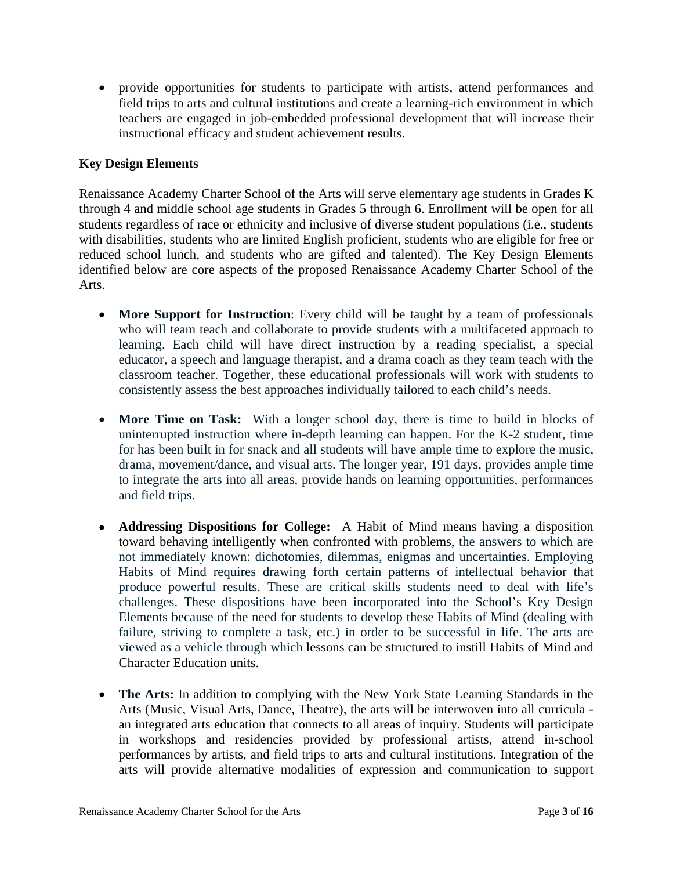provide opportunities for students to participate with artists, attend performances and field trips to arts and cultural institutions and create a learning-rich environment in which teachers are engaged in job-embedded professional development that will increase their instructional efficacy and student achievement results.

## **Key Design Elements**

Renaissance Academy Charter School of the Arts will serve elementary age students in Grades K through 4 and middle school age students in Grades 5 through 6. Enrollment will be open for all students regardless of race or ethnicity and inclusive of diverse student populations (i.e., students with disabilities, students who are limited English proficient, students who are eligible for free or reduced school lunch, and students who are gifted and talented). The Key Design Elements identified below are core aspects of the proposed Renaissance Academy Charter School of the Arts.

- **More Support for Instruction**: Every child will be taught by a team of professionals who will team teach and collaborate to provide students with a multifaceted approach to learning. Each child will have direct instruction by a reading specialist, a special educator, a speech and language therapist, and a drama coach as they team teach with the classroom teacher. Together, these educational professionals will work with students to consistently assess the best approaches individually tailored to each child's needs.
- **More Time on Task:** With a longer school day, there is time to build in blocks of uninterrupted instruction where in-depth learning can happen. For the K-2 student, time for has been built in for snack and all students will have ample time to explore the music, drama, movement/dance, and visual arts. The longer year, 191 days, provides ample time to integrate the arts into all areas, provide hands on learning opportunities, performances and field trips.
- **Addressing Dispositions for College:** A Habit of Mind means having a disposition toward behaving intelligently when confronted with problems, the answers to which are not immediately known: dichotomies, dilemmas, enigmas and uncertainties. Employing Habits of Mind requires drawing forth certain patterns of intellectual behavior that produce powerful results. These are critical skills students need to deal with life's challenges. These dispositions have been incorporated into the School's Key Design Elements because of the need for students to develop these Habits of Mind (dealing with failure, striving to complete a task, etc.) in order to be successful in life. The arts are viewed as a vehicle through which lessons can be structured to instill Habits of Mind and Character Education units.
- **The Arts:** In addition to complying with the New York State Learning Standards in the Arts (Music, Visual Arts, Dance, Theatre), the arts will be interwoven into all curricula an integrated arts education that connects to all areas of inquiry. Students will participate in workshops and residencies provided by professional artists, attend in-school performances by artists, and field trips to arts and cultural institutions. Integration of the arts will provide alternative modalities of expression and communication to support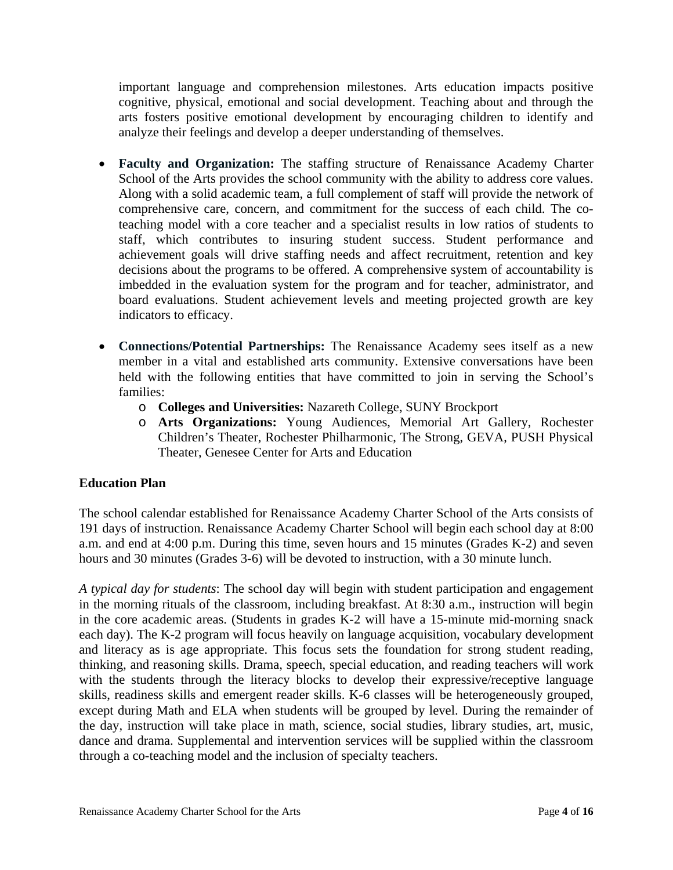important language and comprehension milestones. Arts education impacts positive cognitive, physical, emotional and social development. Teaching about and through the arts fosters positive emotional development by encouraging children to identify and analyze their feelings and develop a deeper understanding of themselves.

- **Faculty and Organization:** The staffing structure of Renaissance Academy Charter School of the Arts provides the school community with the ability to address core values. Along with a solid academic team, a full complement of staff will provide the network of comprehensive care, concern, and commitment for the success of each child. The coteaching model with a core teacher and a specialist results in low ratios of students to staff, which contributes to insuring student success. Student performance and achievement goals will drive staffing needs and affect recruitment, retention and key decisions about the programs to be offered. A comprehensive system of accountability is imbedded in the evaluation system for the program and for teacher, administrator, and board evaluations. Student achievement levels and meeting projected growth are key indicators to efficacy.
- **Connections/Potential Partnerships:** The Renaissance Academy sees itself as a new member in a vital and established arts community. Extensive conversations have been held with the following entities that have committed to join in serving the School's families:
	- o **Colleges and Universities:** Nazareth College, SUNY Brockport
	- o **Arts Organizations:** Young Audiences, Memorial Art Gallery, Rochester Children's Theater, Rochester Philharmonic, The Strong, GEVA, PUSH Physical Theater, Genesee Center for Arts and Education

# **Education Plan**

The school calendar established for Renaissance Academy Charter School of the Arts consists of 191 days of instruction. Renaissance Academy Charter School will begin each school day at 8:00 a.m. and end at 4:00 p.m. During this time, seven hours and 15 minutes (Grades K-2) and seven hours and 30 minutes (Grades 3-6) will be devoted to instruction, with a 30 minute lunch.

*A typical day for students*: The school day will begin with student participation and engagement in the morning rituals of the classroom, including breakfast. At 8:30 a.m., instruction will begin in the core academic areas. (Students in grades K-2 will have a 15-minute mid-morning snack each day). The K-2 program will focus heavily on language acquisition, vocabulary development and literacy as is age appropriate. This focus sets the foundation for strong student reading, thinking, and reasoning skills. Drama, speech, special education, and reading teachers will work with the students through the literacy blocks to develop their expressive/receptive language skills, readiness skills and emergent reader skills. K-6 classes will be heterogeneously grouped, except during Math and ELA when students will be grouped by level. During the remainder of the day, instruction will take place in math, science, social studies, library studies, art, music, dance and drama. Supplemental and intervention services will be supplied within the classroom through a co-teaching model and the inclusion of specialty teachers.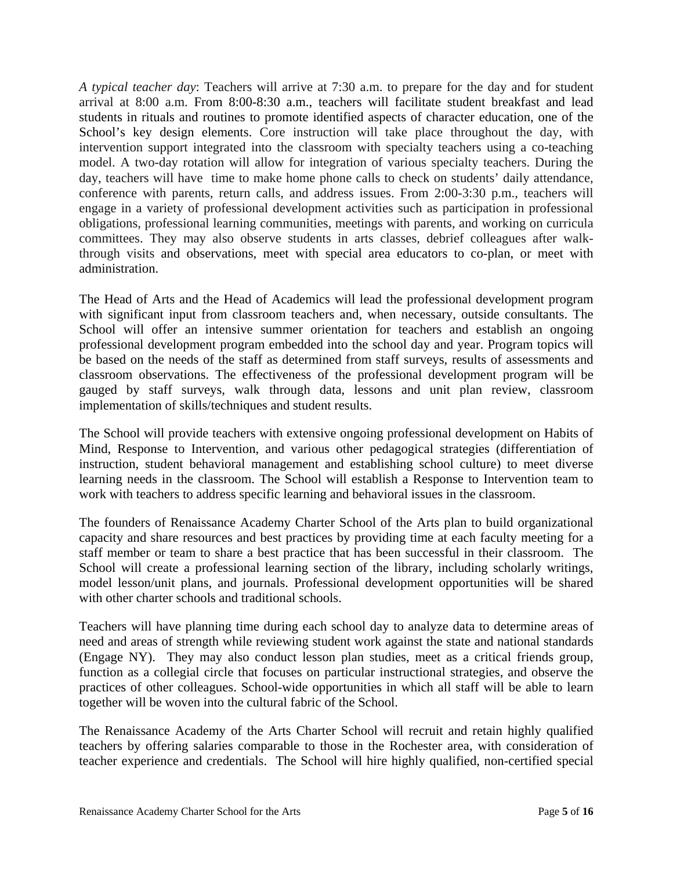*A typical teacher day*: Teachers will arrive at 7:30 a.m. to prepare for the day and for student arrival at 8:00 a.m. From 8:00-8:30 a.m., teachers will facilitate student breakfast and lead students in rituals and routines to promote identified aspects of character education, one of the School's key design elements. Core instruction will take place throughout the day, with intervention support integrated into the classroom with specialty teachers using a co-teaching model. A two-day rotation will allow for integration of various specialty teachers. During the day, teachers will have time to make home phone calls to check on students' daily attendance, conference with parents, return calls, and address issues. From 2:00-3:30 p.m., teachers will engage in a variety of professional development activities such as participation in professional obligations, professional learning communities, meetings with parents, and working on curricula committees. They may also observe students in arts classes, debrief colleagues after walkthrough visits and observations, meet with special area educators to co-plan, or meet with administration.

The Head of Arts and the Head of Academics will lead the professional development program with significant input from classroom teachers and, when necessary, outside consultants. The School will offer an intensive summer orientation for teachers and establish an ongoing professional development program embedded into the school day and year. Program topics will be based on the needs of the staff as determined from staff surveys, results of assessments and classroom observations. The effectiveness of the professional development program will be gauged by staff surveys, walk through data, lessons and unit plan review, classroom implementation of skills/techniques and student results.

The School will provide teachers with extensive ongoing professional development on Habits of Mind, Response to Intervention, and various other pedagogical strategies (differentiation of instruction, student behavioral management and establishing school culture) to meet diverse learning needs in the classroom. The School will establish a Response to Intervention team to work with teachers to address specific learning and behavioral issues in the classroom.

The founders of Renaissance Academy Charter School of the Arts plan to build organizational capacity and share resources and best practices by providing time at each faculty meeting for a staff member or team to share a best practice that has been successful in their classroom. The School will create a professional learning section of the library, including scholarly writings, model lesson/unit plans, and journals. Professional development opportunities will be shared with other charter schools and traditional schools.

Teachers will have planning time during each school day to analyze data to determine areas of need and areas of strength while reviewing student work against the state and national standards (Engage NY). They may also conduct lesson plan studies, meet as a critical friends group, function as a collegial circle that focuses on particular instructional strategies, and observe the practices of other colleagues. School-wide opportunities in which all staff will be able to learn together will be woven into the cultural fabric of the School.

The Renaissance Academy of the Arts Charter School will recruit and retain highly qualified teachers by offering salaries comparable to those in the Rochester area, with consideration of teacher experience and credentials. The School will hire highly qualified, non-certified special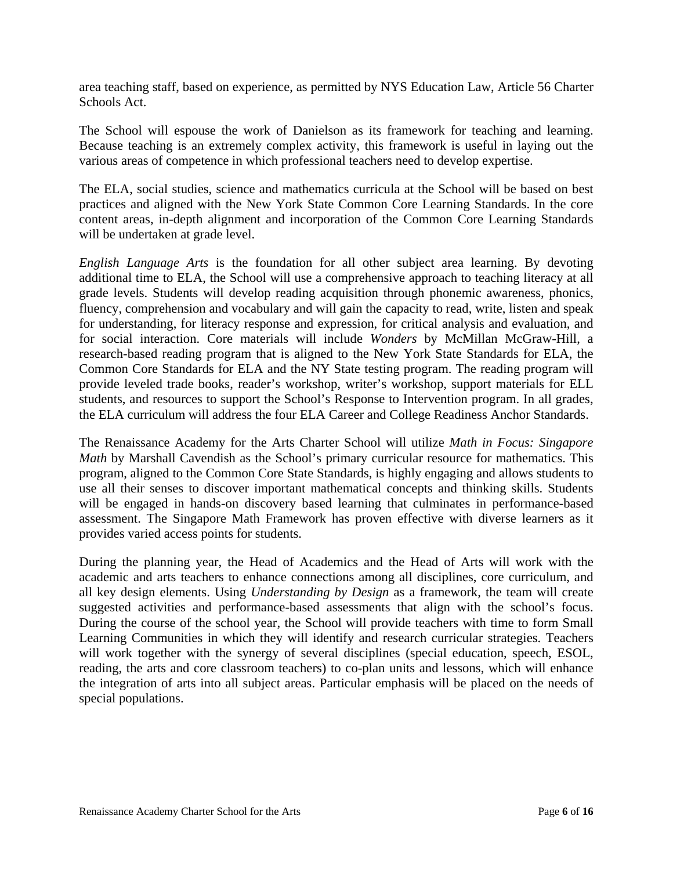area teaching staff, based on experience, as permitted by NYS Education Law, Article 56 Charter Schools Act.

The School will espouse the work of Danielson as its framework for teaching and learning. Because teaching is an extremely complex activity, this framework is useful in laying out the various areas of competence in which professional teachers need to develop expertise.

The ELA, social studies, science and mathematics curricula at the School will be based on best practices and aligned with the New York State Common Core Learning Standards. In the core content areas, in-depth alignment and incorporation of the Common Core Learning Standards will be undertaken at grade level.

*English Language Arts* is the foundation for all other subject area learning. By devoting additional time to ELA, the School will use a comprehensive approach to teaching literacy at all grade levels. Students will develop reading acquisition through phonemic awareness, phonics, fluency, comprehension and vocabulary and will gain the capacity to read, write, listen and speak for understanding, for literacy response and expression, for critical analysis and evaluation, and for social interaction. Core materials will include *Wonders* by McMillan McGraw-Hill, a research-based reading program that is aligned to the New York State Standards for ELA, the Common Core Standards for ELA and the NY State testing program. The reading program will provide leveled trade books, reader's workshop, writer's workshop, support materials for ELL students, and resources to support the School's Response to Intervention program. In all grades, the ELA curriculum will address the four ELA Career and College Readiness Anchor Standards.

The Renaissance Academy for the Arts Charter School will utilize *Math in Focus: Singapore Math* by Marshall Cavendish as the School's primary curricular resource for mathematics. This program, aligned to the Common Core State Standards, is highly engaging and allows students to use all their senses to discover important mathematical concepts and thinking skills. Students will be engaged in hands-on discovery based learning that culminates in performance-based assessment. The Singapore Math Framework has proven effective with diverse learners as it provides varied access points for students.

During the planning year, the Head of Academics and the Head of Arts will work with the academic and arts teachers to enhance connections among all disciplines, core curriculum, and all key design elements. Using *Understanding by Design* as a framework, the team will create suggested activities and performance-based assessments that align with the school's focus. During the course of the school year, the School will provide teachers with time to form Small Learning Communities in which they will identify and research curricular strategies. Teachers will work together with the synergy of several disciplines (special education, speech, ESOL, reading, the arts and core classroom teachers) to co-plan units and lessons, which will enhance the integration of arts into all subject areas. Particular emphasis will be placed on the needs of special populations.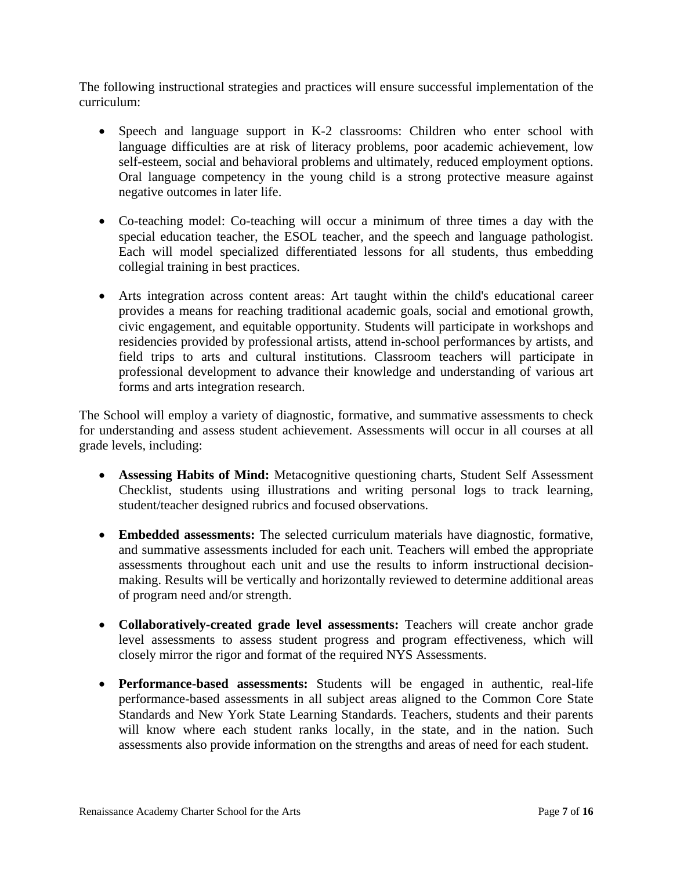The following instructional strategies and practices will ensure successful implementation of the curriculum:

- Speech and language support in K-2 classrooms: Children who enter school with language difficulties are at risk of literacy problems, poor academic achievement, low self-esteem, social and behavioral problems and ultimately, reduced employment options. Oral language competency in the young child is a strong protective measure against negative outcomes in later life.
- Co-teaching model: Co-teaching will occur a minimum of three times a day with the special education teacher, the ESOL teacher, and the speech and language pathologist. Each will model specialized differentiated lessons for all students, thus embedding collegial training in best practices.
- Arts integration across content areas: Art taught within the child's educational career provides a means for reaching traditional academic goals, social and emotional growth, civic engagement, and equitable opportunity. Students will participate in workshops and residencies provided by professional artists, attend in-school performances by artists, and field trips to arts and cultural institutions. Classroom teachers will participate in professional development to advance their knowledge and understanding of various art forms and arts integration research.

The School will employ a variety of diagnostic, formative, and summative assessments to check for understanding and assess student achievement. Assessments will occur in all courses at all grade levels, including:

- **Assessing Habits of Mind:** Metacognitive questioning charts, Student Self Assessment Checklist, students using illustrations and writing personal logs to track learning, student/teacher designed rubrics and focused observations.
- **Embedded assessments:** The selected curriculum materials have diagnostic, formative, and summative assessments included for each unit. Teachers will embed the appropriate assessments throughout each unit and use the results to inform instructional decisionmaking. Results will be vertically and horizontally reviewed to determine additional areas of program need and/or strength.
- **Collaboratively-created grade level assessments:** Teachers will create anchor grade level assessments to assess student progress and program effectiveness, which will closely mirror the rigor and format of the required NYS Assessments.
- **Performance-based assessments:** Students will be engaged in authentic, real-life performance-based assessments in all subject areas aligned to the Common Core State Standards and New York State Learning Standards. Teachers, students and their parents will know where each student ranks locally, in the state, and in the nation. Such assessments also provide information on the strengths and areas of need for each student.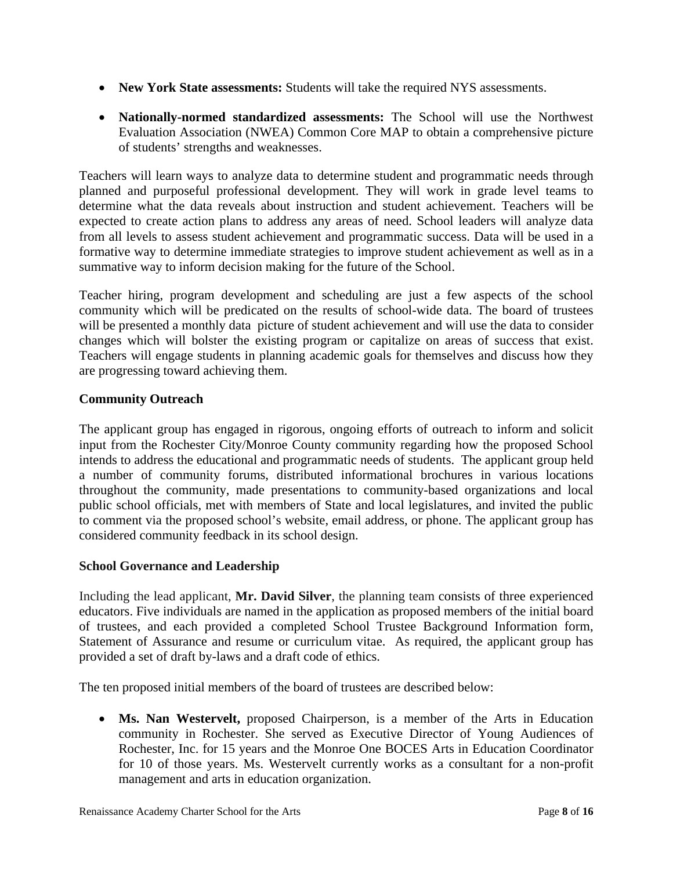- **New York State assessments:** Students will take the required NYS assessments.
- **Nationally-normed standardized assessments:** The School will use the Northwest Evaluation Association (NWEA) Common Core MAP to obtain a comprehensive picture of students' strengths and weaknesses.

Teachers will learn ways to analyze data to determine student and programmatic needs through planned and purposeful professional development. They will work in grade level teams to determine what the data reveals about instruction and student achievement. Teachers will be expected to create action plans to address any areas of need. School leaders will analyze data from all levels to assess student achievement and programmatic success. Data will be used in a formative way to determine immediate strategies to improve student achievement as well as in a summative way to inform decision making for the future of the School.

Teacher hiring, program development and scheduling are just a few aspects of the school community which will be predicated on the results of school-wide data. The board of trustees will be presented a monthly data picture of student achievement and will use the data to consider changes which will bolster the existing program or capitalize on areas of success that exist. Teachers will engage students in planning academic goals for themselves and discuss how they are progressing toward achieving them.

# **Community Outreach**

The applicant group has engaged in rigorous, ongoing efforts of outreach to inform and solicit input from the Rochester City/Monroe County community regarding how the proposed School intends to address the educational and programmatic needs of students. The applicant group held a number of community forums, distributed informational brochures in various locations throughout the community, made presentations to community-based organizations and local public school officials, met with members of State and local legislatures, and invited the public to comment via the proposed school's website, email address, or phone. The applicant group has considered community feedback in its school design.

# **School Governance and Leadership**

Including the lead applicant, **Mr. David Silver**, the planning team consists of three experienced educators. Five individuals are named in the application as proposed members of the initial board of trustees, and each provided a completed School Trustee Background Information form, Statement of Assurance and resume or curriculum vitae. As required, the applicant group has provided a set of draft by-laws and a draft code of ethics.

The ten proposed initial members of the board of trustees are described below:

 **Ms. Nan Westervelt,** proposed Chairperson, is a member of the Arts in Education community in Rochester. She served as Executive Director of Young Audiences of Rochester, Inc. for 15 years and the Monroe One BOCES Arts in Education Coordinator for 10 of those years. Ms. Westervelt currently works as a consultant for a non-profit management and arts in education organization.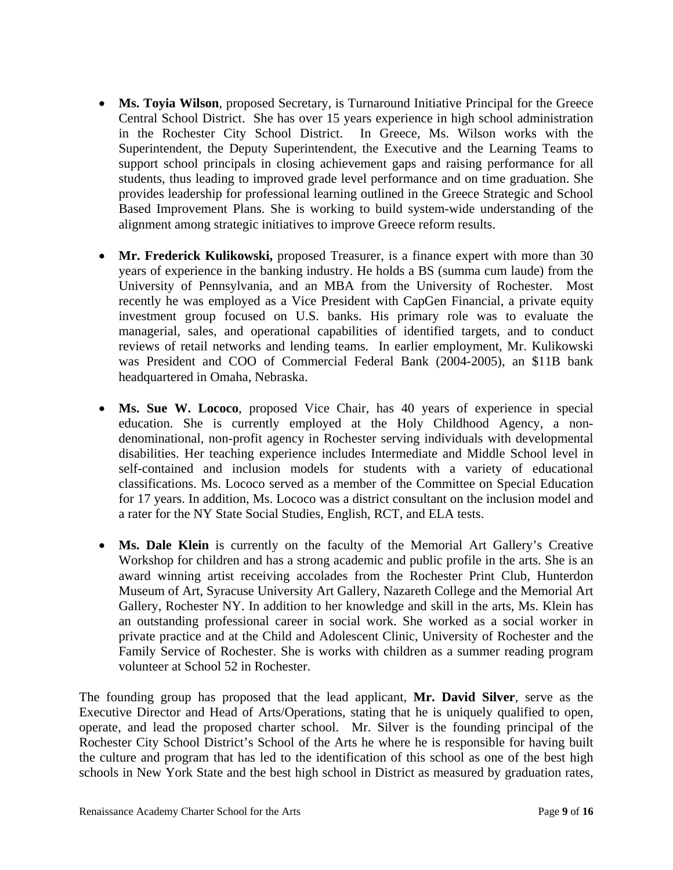- **Ms. Toyia Wilson**, proposed Secretary, is Turnaround Initiative Principal for the Greece Central School District. She has over 15 years experience in high school administration in the Rochester City School District. In Greece, Ms. Wilson works with the Superintendent, the Deputy Superintendent, the Executive and the Learning Teams to support school principals in closing achievement gaps and raising performance for all students, thus leading to improved grade level performance and on time graduation. She provides leadership for professional learning outlined in the Greece Strategic and School Based Improvement Plans. She is working to build system-wide understanding of the alignment among strategic initiatives to improve Greece reform results.
- Mr. Frederick Kulikowski, proposed Treasurer, is a finance expert with more than 30 years of experience in the banking industry. He holds a BS (summa cum laude) from the University of Pennsylvania, and an MBA from the University of Rochester. Most recently he was employed as a Vice President with CapGen Financial, a private equity investment group focused on U.S. banks. His primary role was to evaluate the managerial, sales, and operational capabilities of identified targets, and to conduct reviews of retail networks and lending teams. In earlier employment, Mr. Kulikowski was President and COO of Commercial Federal Bank (2004-2005), an \$11B bank headquartered in Omaha, Nebraska.
- **Ms. Sue W. Lococo**, proposed Vice Chair, has 40 years of experience in special education. She is currently employed at the Holy Childhood Agency, a nondenominational, non-profit agency in Rochester serving individuals with developmental disabilities. Her teaching experience includes Intermediate and Middle School level in self-contained and inclusion models for students with a variety of educational classifications. Ms. Lococo served as a member of the Committee on Special Education for 17 years. In addition, Ms. Lococo was a district consultant on the inclusion model and a rater for the NY State Social Studies, English, RCT, and ELA tests.
- **Ms. Dale Klein** is currently on the faculty of the Memorial Art Gallery's Creative Workshop for children and has a strong academic and public profile in the arts. She is an award winning artist receiving accolades from the Rochester Print Club, Hunterdon Museum of Art, Syracuse University Art Gallery, Nazareth College and the Memorial Art Gallery, Rochester NY. In addition to her knowledge and skill in the arts, Ms. Klein has an outstanding professional career in social work. She worked as a social worker in private practice and at the Child and Adolescent Clinic, University of Rochester and the Family Service of Rochester. She is works with children as a summer reading program volunteer at School 52 in Rochester.

The founding group has proposed that the lead applicant, **Mr. David Silver**, serve as the Executive Director and Head of Arts/Operations, stating that he is uniquely qualified to open, operate, and lead the proposed charter school. Mr. Silver is the founding principal of the Rochester City School District's School of the Arts he where he is responsible for having built the culture and program that has led to the identification of this school as one of the best high schools in New York State and the best high school in District as measured by graduation rates,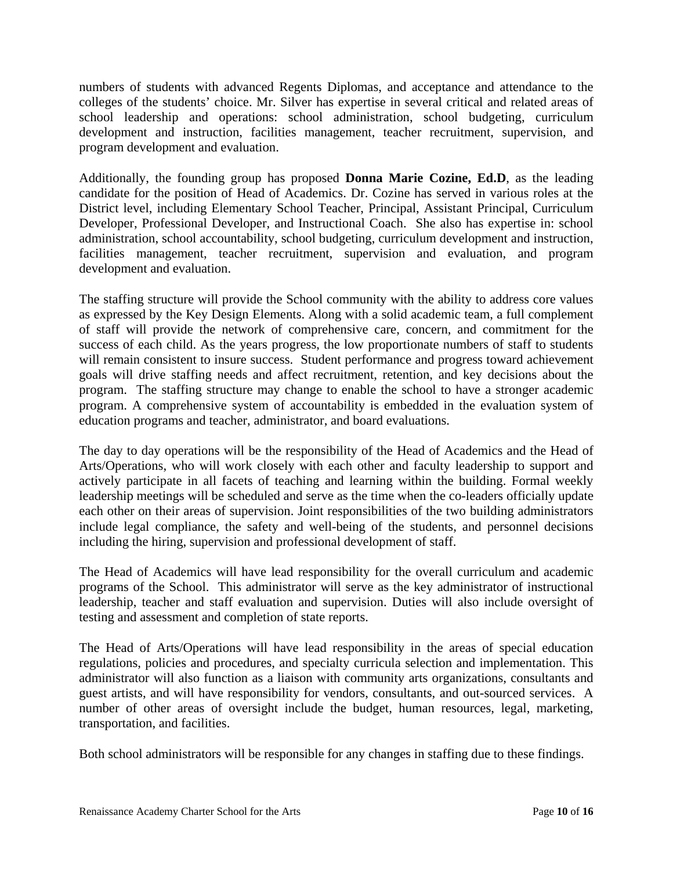numbers of students with advanced Regents Diplomas, and acceptance and attendance to the colleges of the students' choice. Mr. Silver has expertise in several critical and related areas of school leadership and operations: school administration, school budgeting, curriculum development and instruction, facilities management, teacher recruitment, supervision, and program development and evaluation.

Additionally, the founding group has proposed **Donna Marie Cozine, Ed.D**, as the leading candidate for the position of Head of Academics. Dr. Cozine has served in various roles at the District level, including Elementary School Teacher, Principal, Assistant Principal, Curriculum Developer, Professional Developer, and Instructional Coach. She also has expertise in: school administration, school accountability, school budgeting, curriculum development and instruction, facilities management, teacher recruitment, supervision and evaluation, and program development and evaluation.

The staffing structure will provide the School community with the ability to address core values as expressed by the Key Design Elements. Along with a solid academic team, a full complement of staff will provide the network of comprehensive care, concern, and commitment for the success of each child. As the years progress, the low proportionate numbers of staff to students will remain consistent to insure success. Student performance and progress toward achievement goals will drive staffing needs and affect recruitment, retention, and key decisions about the program. The staffing structure may change to enable the school to have a stronger academic program. A comprehensive system of accountability is embedded in the evaluation system of education programs and teacher, administrator, and board evaluations.

The day to day operations will be the responsibility of the Head of Academics and the Head of Arts/Operations, who will work closely with each other and faculty leadership to support and actively participate in all facets of teaching and learning within the building. Formal weekly leadership meetings will be scheduled and serve as the time when the co-leaders officially update each other on their areas of supervision. Joint responsibilities of the two building administrators include legal compliance, the safety and well-being of the students, and personnel decisions including the hiring, supervision and professional development of staff.

The Head of Academics will have lead responsibility for the overall curriculum and academic programs of the School. This administrator will serve as the key administrator of instructional leadership, teacher and staff evaluation and supervision. Duties will also include oversight of testing and assessment and completion of state reports.

The Head of Arts/Operations will have lead responsibility in the areas of special education regulations, policies and procedures, and specialty curricula selection and implementation. This administrator will also function as a liaison with community arts organizations, consultants and guest artists, and will have responsibility for vendors, consultants, and out-sourced services. A number of other areas of oversight include the budget, human resources, legal, marketing, transportation, and facilities.

Both school administrators will be responsible for any changes in staffing due to these findings.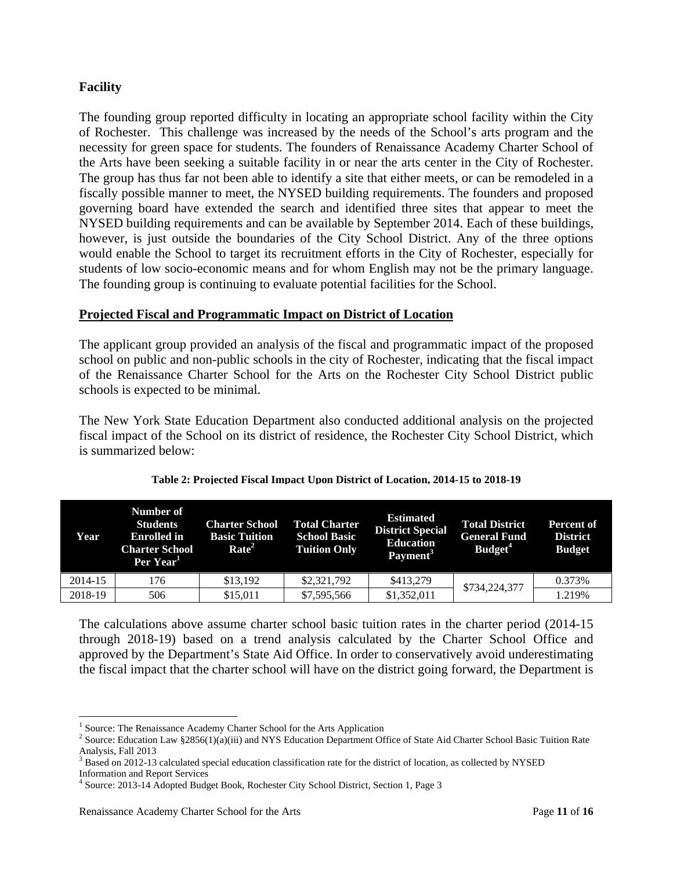### **Facility**

The founding group reported difficulty in locating an appropriate school facility within the City of Rochester. This challenge was increased by the needs of the School's arts program and the necessity for green space for students. The founders of Renaissance Academy Charter School of the Arts have been seeking a suitable facility in or near the arts center in the City of Rochester. The group has thus far not been able to identify a site that either meets, or can be remodeled in a fiscally possible manner to meet, the NYSED building requirements. The founders and proposed governing board have extended the search and identified three sites that appear to meet the NYSED building requirements and can be available by September 2014. Each of these buildings, however, is just outside the boundaries of the City School District. Any of the three options would enable the School to target its recruitment efforts in the City of Rochester, especially for students of low socio-economic means and for whom English may not be the primary language. The founding group is continuing to evaluate potential facilities for the School.

#### **Projected Fiscal and Programmatic Impact on District of Location**

The applicant group provided an analysis of the fiscal and programmatic impact of the proposed school on public and non-public schools in the city of Rochester, indicating that the fiscal impact of the Renaissance Charter School for the Arts on the Rochester City School District public schools is expected to be minimal.

The New York State Education Department also conducted additional analysis on the projected fiscal impact of the School on its district of residence, the Rochester City School District, which is summarized below:

| Year    | Number of<br><b>Students</b><br><b>Enrolled</b> in<br><b>Charter School</b><br>Per Year <sup>1</sup> | <b>Charter School</b><br><b>Basic Tuition</b><br>Rate <sup>2</sup> | <b>Total Charter</b><br><b>School Basic</b><br><b>Tuition Only</b> | <b>Estimated</b><br><b>District Special</b><br><b>Education</b><br>Payment <sup>3</sup> | <b>Total District</b><br><b>General Fund</b><br>Budget <sup>4</sup> | <b>Percent of</b><br><b>District</b><br><b>Budget</b> |
|---------|------------------------------------------------------------------------------------------------------|--------------------------------------------------------------------|--------------------------------------------------------------------|-----------------------------------------------------------------------------------------|---------------------------------------------------------------------|-------------------------------------------------------|
| 2014-15 | 176                                                                                                  | \$13,192                                                           | \$2,321,792                                                        | \$413,279                                                                               |                                                                     | 0.373%                                                |
| 2018-19 | 506                                                                                                  | \$15,011                                                           | \$7,595,566                                                        | \$1,352,011                                                                             | \$734,224,377                                                       | 1.219%                                                |

#### **Table 2: Projected Fiscal Impact Upon District of Location, 2014-15 to 2018-19**

The calculations above assume charter school basic tuition rates in the charter period (2014-15 through 2018-19) based on a trend analysis calculated by the Charter School Office and approved by the Department's State Aid Office. In order to conservatively avoid underestimating the fiscal impact that the charter school will have on the district going forward, the Department is

<sup>&</sup>lt;sup>1</sup> Source: The Renaissance Academy Charter School for the Arts Application  $\frac{2}{5}$  Source: Education Law  $\frac{82856(1)(0)(iii)}{2}$  and NVS Education Department Of

<sup>&</sup>lt;sup>2</sup> Source: Education Law §2856(1)(a)(iii) and NYS Education Department Office of State Aid Charter School Basic Tuition Rate Analysis, Fall 2013

<sup>&</sup>lt;sup>3</sup> Based on 2012-13 calculated special education classification rate for the district of location, as collected by NYSED

Information and Report Services

<sup>4</sup> Source: 2013-14 Adopted Budget Book, Rochester City School District, Section 1, Page 3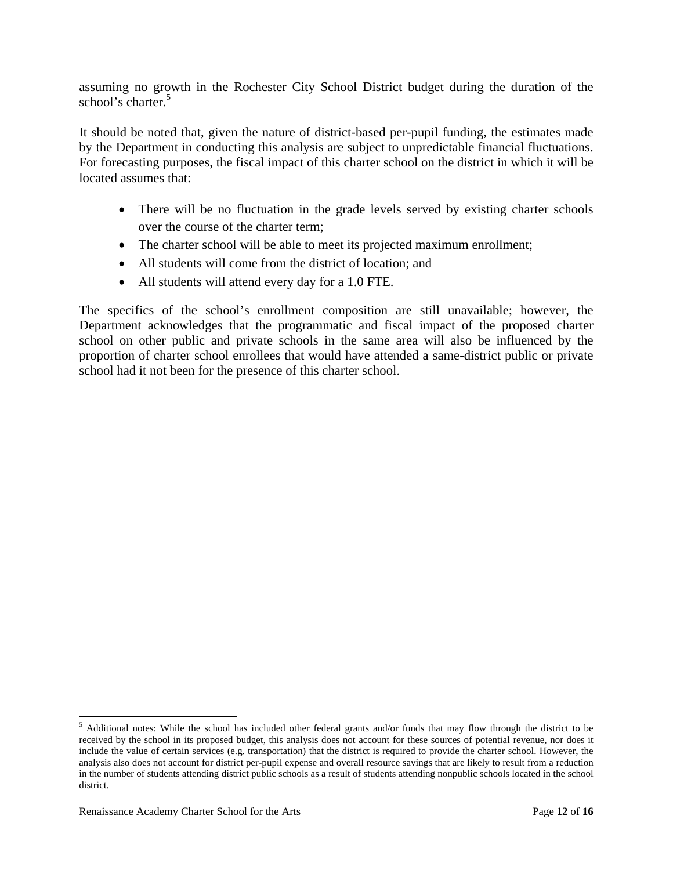assuming no growth in the Rochester City School District budget during the duration of the school's charter.<sup>5</sup>

It should be noted that, given the nature of district-based per-pupil funding, the estimates made by the Department in conducting this analysis are subject to unpredictable financial fluctuations. For forecasting purposes, the fiscal impact of this charter school on the district in which it will be located assumes that:

- There will be no fluctuation in the grade levels served by existing charter schools over the course of the charter term;
- The charter school will be able to meet its projected maximum enrollment;
- All students will come from the district of location; and
- All students will attend every day for a 1.0 FTE.

The specifics of the school's enrollment composition are still unavailable; however, the Department acknowledges that the programmatic and fiscal impact of the proposed charter school on other public and private schools in the same area will also be influenced by the proportion of charter school enrollees that would have attended a same-district public or private school had it not been for the presence of this charter school.

 $<sup>5</sup>$  Additional notes: While the school has included other federal grants and/or funds that may flow through the district to be</sup> received by the school in its proposed budget, this analysis does not account for these sources of potential revenue, nor does it include the value of certain services (e.g. transportation) that the district is required to provide the charter school. However, the analysis also does not account for district per-pupil expense and overall resource savings that are likely to result from a reduction in the number of students attending district public schools as a result of students attending nonpublic schools located in the school district.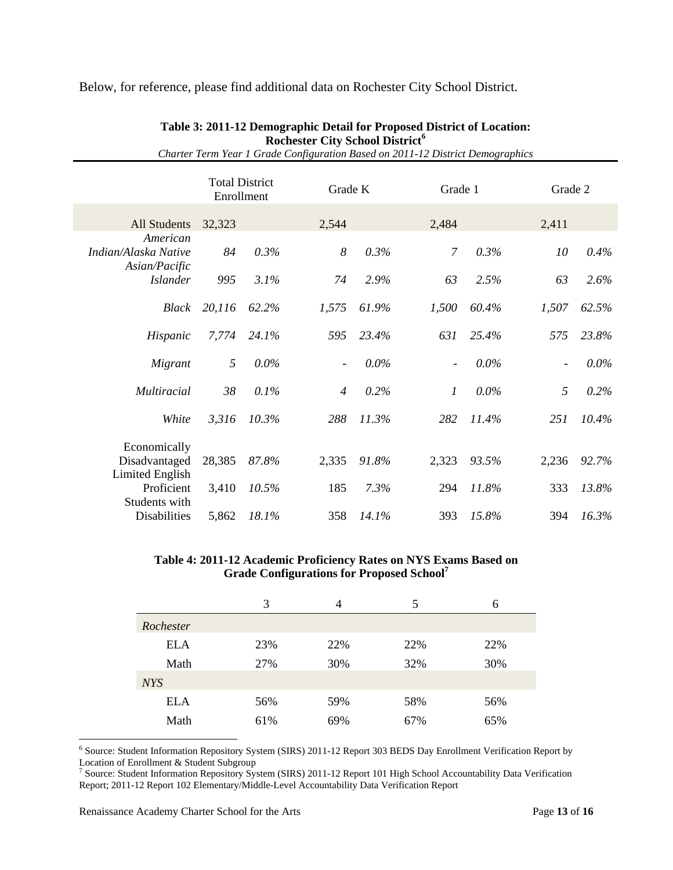Below, for reference, please find additional data on Rochester City School District.

|                                                       | <b>Total District</b><br>Enrollment |         | Grade K                  |         | Grade 1                  |         | Grade 2                  |         |
|-------------------------------------------------------|-------------------------------------|---------|--------------------------|---------|--------------------------|---------|--------------------------|---------|
| All Students                                          | 32,323                              |         | 2,544                    |         | 2,484                    |         | 2,411                    |         |
| American<br>Indian/Alaska Native                      | 84                                  | 0.3%    | 8                        | 0.3%    | $\overline{7}$           | 0.3%    | 10                       | 0.4%    |
| Asian/Pacific<br><b>Islander</b>                      | 995                                 | 3.1%    | 74                       | 2.9%    | 63                       | 2.5%    | 63                       | 2.6%    |
| Black                                                 | 20,116                              | 62.2%   | 1,575                    | 61.9%   | 1,500                    | 60.4%   | 1,507                    | 62.5%   |
| Hispanic                                              | 7,774                               | 24.1%   | 595                      | 23.4%   | 631                      | 25.4%   | 575                      | 23.8%   |
| Migrant                                               | 5                                   | $0.0\%$ | $\overline{\phantom{a}}$ | $0.0\%$ | $\overline{\phantom{a}}$ | $0.0\%$ | $\overline{\phantom{a}}$ | $0.0\%$ |
| Multiracial                                           | 38                                  | 0.1%    | $\overline{4}$           | 0.2%    | $\mathfrak{1}$           | $0.0\%$ | 5                        | 0.2%    |
| White                                                 | 3,316                               | 10.3%   | 288                      | 11.3%   | 282                      | 11.4%   | 251                      | 10.4%   |
| Economically<br>Disadvantaged                         | 28,385                              | 87.8%   | 2,335                    | 91.8%   | 2,323                    | 93.5%   | 2,236                    | 92.7%   |
| <b>Limited English</b><br>Proficient<br>Students with | 3,410                               | 10.5%   | 185                      | 7.3%    | 294                      | 11.8%   | 333                      | 13.8%   |
| Disabilities                                          | 5,862                               | 18.1%   | 358                      | 14.1%   | 393                      | 15.8%   | 394                      | 16.3%   |

#### **Table 3: 2011-12 Demographic Detail for Proposed District of Location: Rochester City School District<sup>6</sup>** *Charter Term Year 1 Grade Configuration Based on 2011-12 District Demographics*

#### **Table 4: 2011-12 Academic Proficiency Rates on NYS Exams Based on Grade Configurations for Proposed School7**

|            | 3   | 4   | 5   | 6   |
|------------|-----|-----|-----|-----|
| Rochester  |     |     |     |     |
| <b>ELA</b> | 23% | 22% | 22% | 22% |
| Math       | 27% | 30% | 32% | 30% |
| <b>NYS</b> |     |     |     |     |
| <b>ELA</b> | 56% | 59% | 58% | 56% |
| Math       | 61% | 69% | 67% | 65% |

6 Source: Student Information Repository System (SIRS) 2011-12 Report 303 BEDS Day Enrollment Verification Report by

Location of Enrollment & Student Subgroup<br><sup>7</sup> Source: Student Information Repository System (SIRS) 2011-12 Report 101 High School Accountability Data Verification Report; 2011-12 Report 102 Elementary/Middle-Level Accountability Data Verification Report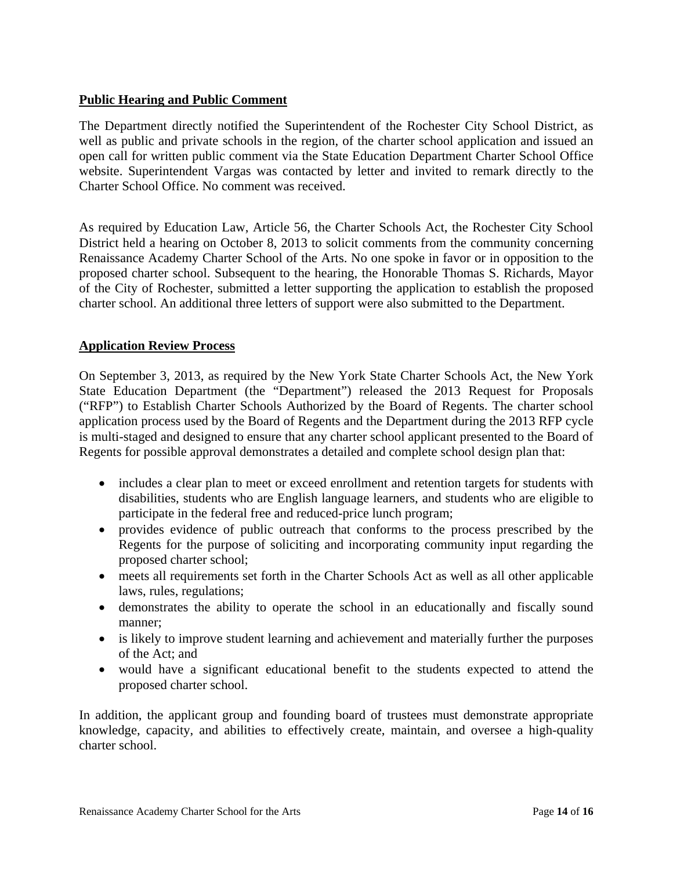### **Public Hearing and Public Comment**

The Department directly notified the Superintendent of the Rochester City School District, as well as public and private schools in the region, of the charter school application and issued an open call for written public comment via the State Education Department Charter School Office website. Superintendent Vargas was contacted by letter and invited to remark directly to the Charter School Office. No comment was received.

As required by Education Law, Article 56, the Charter Schools Act, the Rochester City School District held a hearing on October 8, 2013 to solicit comments from the community concerning Renaissance Academy Charter School of the Arts. No one spoke in favor or in opposition to the proposed charter school. Subsequent to the hearing, the Honorable Thomas S. Richards, Mayor of the City of Rochester, submitted a letter supporting the application to establish the proposed charter school. An additional three letters of support were also submitted to the Department.

### **Application Review Process**

On September 3, 2013, as required by the New York State Charter Schools Act, the New York State Education Department (the "Department") released the 2013 Request for Proposals ("RFP") to Establish Charter Schools Authorized by the Board of Regents. The charter school application process used by the Board of Regents and the Department during the 2013 RFP cycle is multi-staged and designed to ensure that any charter school applicant presented to the Board of Regents for possible approval demonstrates a detailed and complete school design plan that:

- includes a clear plan to meet or exceed enrollment and retention targets for students with disabilities, students who are English language learners, and students who are eligible to participate in the federal free and reduced-price lunch program;
- provides evidence of public outreach that conforms to the process prescribed by the Regents for the purpose of soliciting and incorporating community input regarding the proposed charter school;
- meets all requirements set forth in the Charter Schools Act as well as all other applicable laws, rules, regulations;
- demonstrates the ability to operate the school in an educationally and fiscally sound manner;
- is likely to improve student learning and achievement and materially further the purposes of the Act; and
- would have a significant educational benefit to the students expected to attend the proposed charter school.

In addition, the applicant group and founding board of trustees must demonstrate appropriate knowledge, capacity, and abilities to effectively create, maintain, and oversee a high-quality charter school.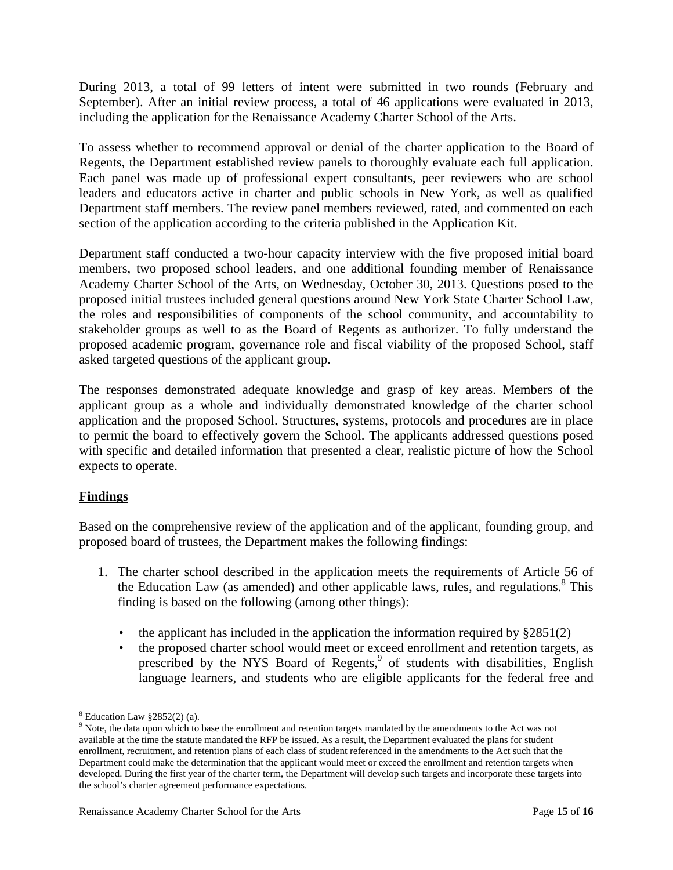During 2013, a total of 99 letters of intent were submitted in two rounds (February and September). After an initial review process, a total of 46 applications were evaluated in 2013, including the application for the Renaissance Academy Charter School of the Arts.

To assess whether to recommend approval or denial of the charter application to the Board of Regents, the Department established review panels to thoroughly evaluate each full application. Each panel was made up of professional expert consultants, peer reviewers who are school leaders and educators active in charter and public schools in New York, as well as qualified Department staff members. The review panel members reviewed, rated, and commented on each section of the application according to the criteria published in the Application Kit.

Department staff conducted a two-hour capacity interview with the five proposed initial board members, two proposed school leaders, and one additional founding member of Renaissance Academy Charter School of the Arts, on Wednesday, October 30, 2013. Questions posed to the proposed initial trustees included general questions around New York State Charter School Law, the roles and responsibilities of components of the school community, and accountability to stakeholder groups as well to as the Board of Regents as authorizer. To fully understand the proposed academic program, governance role and fiscal viability of the proposed School, staff asked targeted questions of the applicant group.

The responses demonstrated adequate knowledge and grasp of key areas. Members of the applicant group as a whole and individually demonstrated knowledge of the charter school application and the proposed School. Structures, systems, protocols and procedures are in place to permit the board to effectively govern the School. The applicants addressed questions posed with specific and detailed information that presented a clear, realistic picture of how the School expects to operate.

# **Findings**

Based on the comprehensive review of the application and of the applicant, founding group, and proposed board of trustees, the Department makes the following findings:

- 1. The charter school described in the application meets the requirements of Article 56 of the Education Law (as amended) and other applicable laws, rules, and regulations. $8$  This finding is based on the following (among other things):
	- the applicant has included in the application the information required by §2851(2)
	- the proposed charter school would meet or exceed enrollment and retention targets, as prescribed by the NYS Board of Regents,<sup>9</sup> of students with disabilities, English language learners, and students who are eligible applicants for the federal free and

 $\overline{a}$  $8$  Education Law  $$2852(2)$  (a).

<sup>&</sup>lt;sup>9</sup> Note, the data upon which to base the enrollment and retention targets mandated by the amendments to the Act was not available at the time the statute mandated the RFP be issued. As a result, the Department evaluated the plans for student enrollment, recruitment, and retention plans of each class of student referenced in the amendments to the Act such that the Department could make the determination that the applicant would meet or exceed the enrollment and retention targets when developed. During the first year of the charter term, the Department will develop such targets and incorporate these targets into the school's charter agreement performance expectations.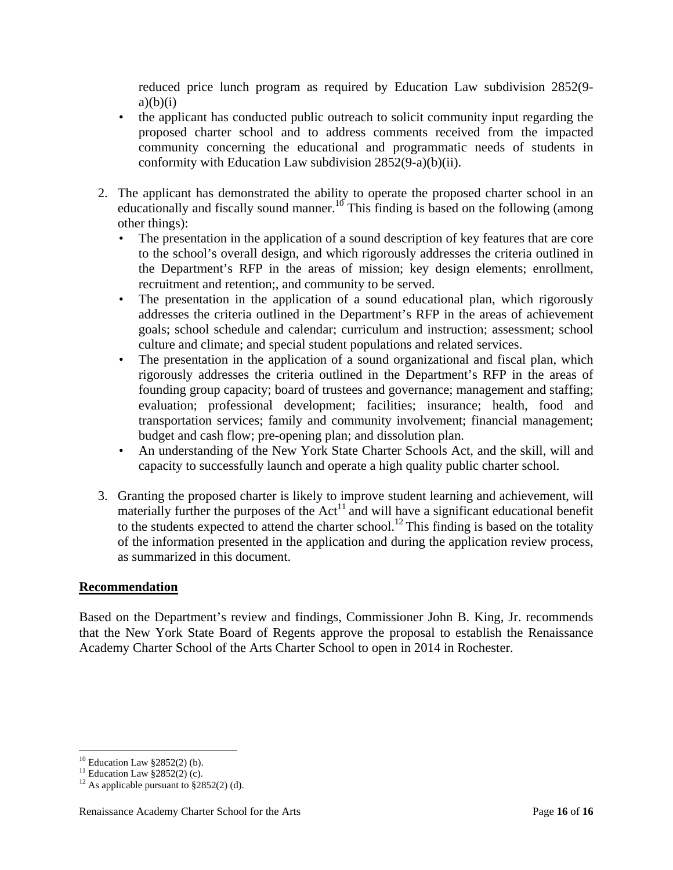reduced price lunch program as required by Education Law subdivision 2852(9  $a)(b)(i)$ 

- the applicant has conducted public outreach to solicit community input regarding the proposed charter school and to address comments received from the impacted community concerning the educational and programmatic needs of students in conformity with Education Law subdivision 2852(9-a)(b)(ii).
- 2. The applicant has demonstrated the ability to operate the proposed charter school in an educationally and fiscally sound manner.<sup>10</sup> This finding is based on the following (among other things):
	- The presentation in the application of a sound description of key features that are core to the school's overall design, and which rigorously addresses the criteria outlined in the Department's RFP in the areas of mission; key design elements; enrollment, recruitment and retention;, and community to be served.
	- The presentation in the application of a sound educational plan, which rigorously addresses the criteria outlined in the Department's RFP in the areas of achievement goals; school schedule and calendar; curriculum and instruction; assessment; school culture and climate; and special student populations and related services.
	- The presentation in the application of a sound organizational and fiscal plan, which rigorously addresses the criteria outlined in the Department's RFP in the areas of founding group capacity; board of trustees and governance; management and staffing; evaluation; professional development; facilities; insurance; health, food and transportation services; family and community involvement; financial management; budget and cash flow; pre-opening plan; and dissolution plan.
	- An understanding of the New York State Charter Schools Act, and the skill, will and capacity to successfully launch and operate a high quality public charter school.
- 3. Granting the proposed charter is likely to improve student learning and achievement, will materially further the purposes of the  $Act<sup>11</sup>$  and will have a significant educational benefit to the students expected to attend the charter school.<sup>12</sup> This finding is based on the totality of the information presented in the application and during the application review process, as summarized in this document.

#### **Recommendation**

Based on the Department's review and findings, Commissioner John B. King, Jr. recommends that the New York State Board of Regents approve the proposal to establish the Renaissance Academy Charter School of the Arts Charter School to open in 2014 in Rochester.

 $10$  Education Law §2852(2) (b).

<sup>&</sup>lt;sup>11</sup> Education Law  $\S 2852(2)$  (c).

<sup>&</sup>lt;sup>12</sup> As applicable pursuant to  $\frac{$2852(2)}{d}$ .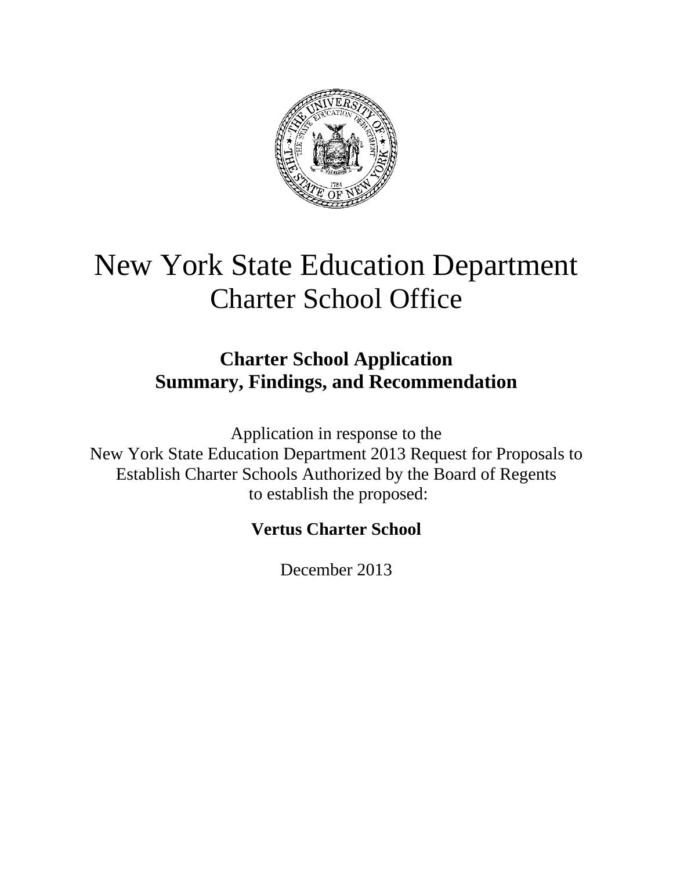

# New York State Education Department Charter School Office

# **Charter School Application Summary, Findings, and Recommendation**

Application in response to the New York State Education Department 2013 Request for Proposals to Establish Charter Schools Authorized by the Board of Regents to establish the proposed:

# **Vertus Charter School**

December 2013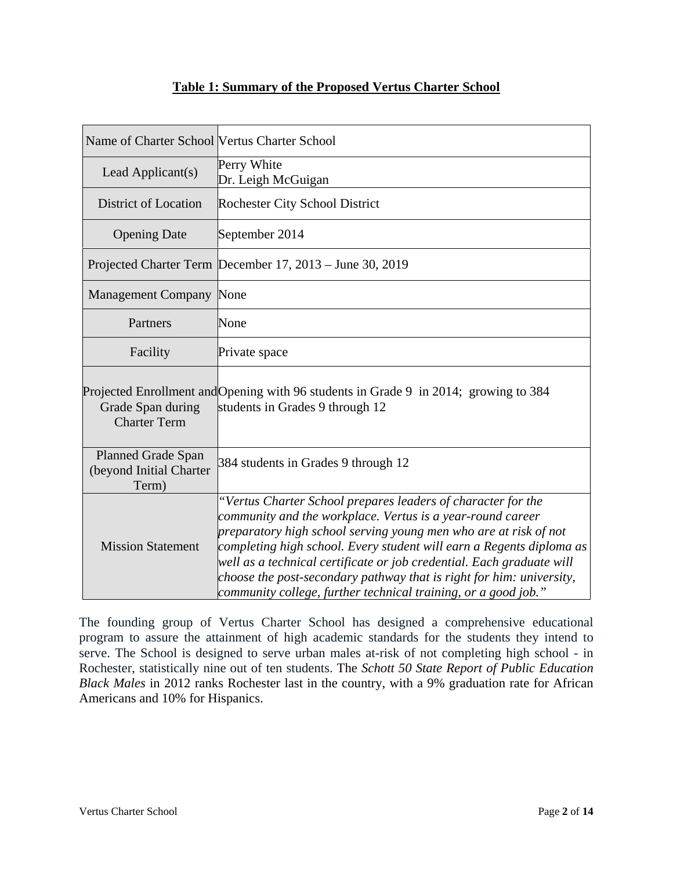# **Table 1: Summary of the Proposed Vertus Charter School**

| Name of Charter School Vertus Charter School                  |                                                                                                                                                                                                                                                                                                                                                                                                                                                                                           |
|---------------------------------------------------------------|-------------------------------------------------------------------------------------------------------------------------------------------------------------------------------------------------------------------------------------------------------------------------------------------------------------------------------------------------------------------------------------------------------------------------------------------------------------------------------------------|
| Lead Applicant(s)                                             | Perry White<br>Dr. Leigh McGuigan                                                                                                                                                                                                                                                                                                                                                                                                                                                         |
| District of Location                                          | <b>Rochester City School District</b>                                                                                                                                                                                                                                                                                                                                                                                                                                                     |
| <b>Opening Date</b>                                           | September 2014                                                                                                                                                                                                                                                                                                                                                                                                                                                                            |
|                                                               | Projected Charter Term December 17, 2013 – June 30, 2019                                                                                                                                                                                                                                                                                                                                                                                                                                  |
| <b>Management Company None</b>                                |                                                                                                                                                                                                                                                                                                                                                                                                                                                                                           |
| Partners                                                      | None                                                                                                                                                                                                                                                                                                                                                                                                                                                                                      |
| Facility                                                      | Private space                                                                                                                                                                                                                                                                                                                                                                                                                                                                             |
| Grade Span during<br><b>Charter Term</b>                      | Projected Enrollment and Opening with 96 students in Grade 9 in 2014; growing to 384<br>students in Grades 9 through 12                                                                                                                                                                                                                                                                                                                                                                   |
| <b>Planned Grade Span</b><br>(beyond Initial Charter<br>Term) | 384 students in Grades 9 through 12                                                                                                                                                                                                                                                                                                                                                                                                                                                       |
| <b>Mission Statement</b>                                      | "Vertus Charter School prepares leaders of character for the<br>community and the workplace. Vertus is a year-round career<br>preparatory high school serving young men who are at risk of not<br>completing high school. Every student will earn a Regents diploma as<br>well as a technical certificate or job credential. Each graduate will<br>choose the post-secondary pathway that is right for him: university,<br>community college, further technical training, or a good job." |

The founding group of Vertus Charter School has designed a comprehensive educational program to assure the attainment of high academic standards for the students they intend to serve. The School is designed to serve urban males at-risk of not completing high school - in Rochester, statistically nine out of ten students. The *Schott 50 State Report of Public Education Black Males* in 2012 ranks Rochester last in the country, with a 9% graduation rate for African Americans and 10% for Hispanics.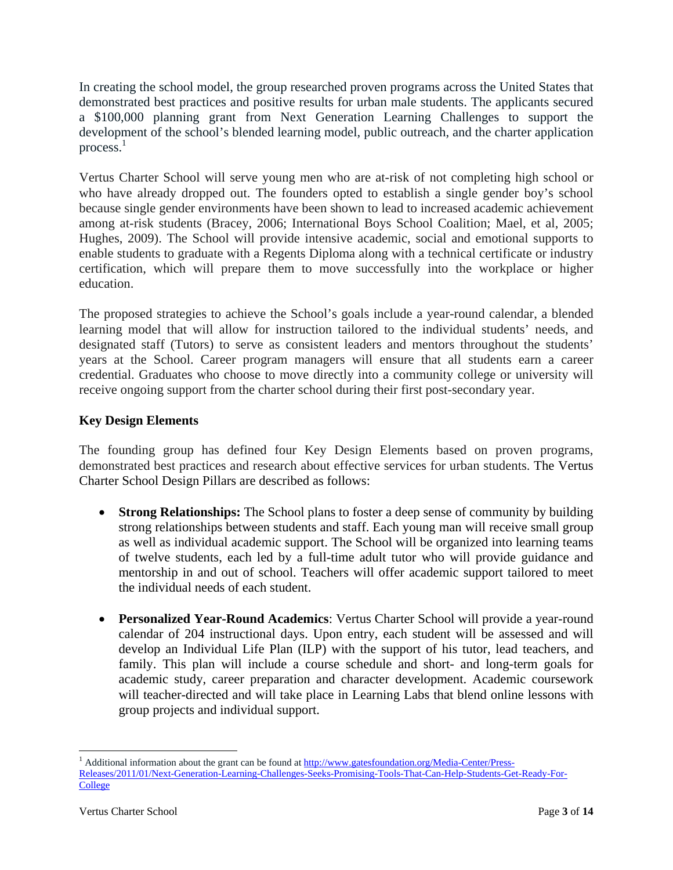In creating the school model, the group researched proven programs across the United States that demonstrated best practices and positive results for urban male students. The applicants secured a \$100,000 planning grant from Next Generation Learning Challenges to support the development of the school's blended learning model, public outreach, and the charter application process. $1$ 

Vertus Charter School will serve young men who are at-risk of not completing high school or who have already dropped out. The founders opted to establish a single gender boy's school because single gender environments have been shown to lead to increased academic achievement among at-risk students (Bracey, 2006; International Boys School Coalition; Mael, et al, 2005; Hughes, 2009). The School will provide intensive academic, social and emotional supports to enable students to graduate with a Regents Diploma along with a technical certificate or industry certification, which will prepare them to move successfully into the workplace or higher education.

The proposed strategies to achieve the School's goals include a year-round calendar, a blended learning model that will allow for instruction tailored to the individual students' needs, and designated staff (Tutors) to serve as consistent leaders and mentors throughout the students' years at the School. Career program managers will ensure that all students earn a career credential. Graduates who choose to move directly into a community college or university will receive ongoing support from the charter school during their first post-secondary year.

# **Key Design Elements**

The founding group has defined four Key Design Elements based on proven programs, demonstrated best practices and research about effective services for urban students. The Vertus Charter School Design Pillars are described as follows:

- **Strong Relationships:** The School plans to foster a deep sense of community by building strong relationships between students and staff. Each young man will receive small group as well as individual academic support. The School will be organized into learning teams of twelve students, each led by a full-time adult tutor who will provide guidance and mentorship in and out of school. Teachers will offer academic support tailored to meet the individual needs of each student.
- **Personalized Year-Round Academics**: Vertus Charter School will provide a year-round calendar of 204 instructional days. Upon entry, each student will be assessed and will develop an Individual Life Plan (ILP) with the support of his tutor, lead teachers, and family. This plan will include a course schedule and short- and long-term goals for academic study, career preparation and character development. Academic coursework will teacher-directed and will take place in Learning Labs that blend online lessons with group projects and individual support.

<sup>&</sup>lt;sup>1</sup> Additional information about the grant can be found at http://www.gatesfoundation.org/Media-Center/Press-Releases/2011/01/Next-Generation-Learning-Challenges-Seeks-Promising-Tools-That-Can-Help-Students-Get-Ready-For-**College**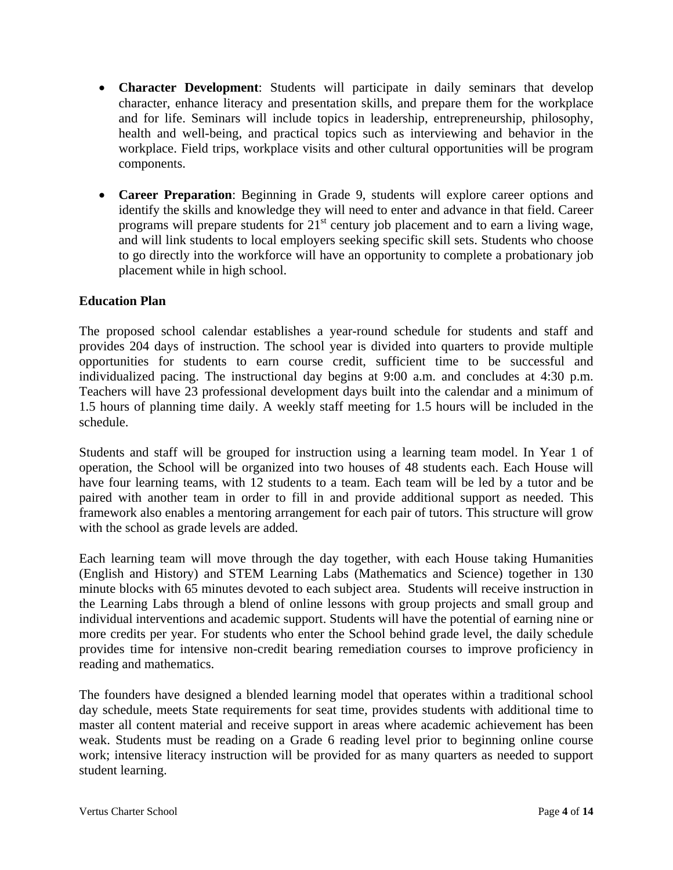- **Character Development**: Students will participate in daily seminars that develop character, enhance literacy and presentation skills, and prepare them for the workplace and for life. Seminars will include topics in leadership, entrepreneurship, philosophy, health and well-being, and practical topics such as interviewing and behavior in the workplace. Field trips, workplace visits and other cultural opportunities will be program components.
- **Career Preparation**: Beginning in Grade 9, students will explore career options and identify the skills and knowledge they will need to enter and advance in that field. Career programs will prepare students for  $21<sup>st</sup>$  century job placement and to earn a living wage, and will link students to local employers seeking specific skill sets. Students who choose to go directly into the workforce will have an opportunity to complete a probationary job placement while in high school.

### **Education Plan**

The proposed school calendar establishes a year-round schedule for students and staff and provides 204 days of instruction. The school year is divided into quarters to provide multiple opportunities for students to earn course credit, sufficient time to be successful and individualized pacing. The instructional day begins at 9:00 a.m. and concludes at 4:30 p.m. Teachers will have 23 professional development days built into the calendar and a minimum of 1.5 hours of planning time daily. A weekly staff meeting for 1.5 hours will be included in the schedule.

Students and staff will be grouped for instruction using a learning team model. In Year 1 of operation, the School will be organized into two houses of 48 students each. Each House will have four learning teams, with 12 students to a team. Each team will be led by a tutor and be paired with another team in order to fill in and provide additional support as needed. This framework also enables a mentoring arrangement for each pair of tutors. This structure will grow with the school as grade levels are added.

Each learning team will move through the day together, with each House taking Humanities (English and History) and STEM Learning Labs (Mathematics and Science) together in 130 minute blocks with 65 minutes devoted to each subject area. Students will receive instruction in the Learning Labs through a blend of online lessons with group projects and small group and individual interventions and academic support. Students will have the potential of earning nine or more credits per year. For students who enter the School behind grade level, the daily schedule provides time for intensive non-credit bearing remediation courses to improve proficiency in reading and mathematics.

The founders have designed a blended learning model that operates within a traditional school day schedule, meets State requirements for seat time, provides students with additional time to master all content material and receive support in areas where academic achievement has been weak. Students must be reading on a Grade 6 reading level prior to beginning online course work; intensive literacy instruction will be provided for as many quarters as needed to support student learning.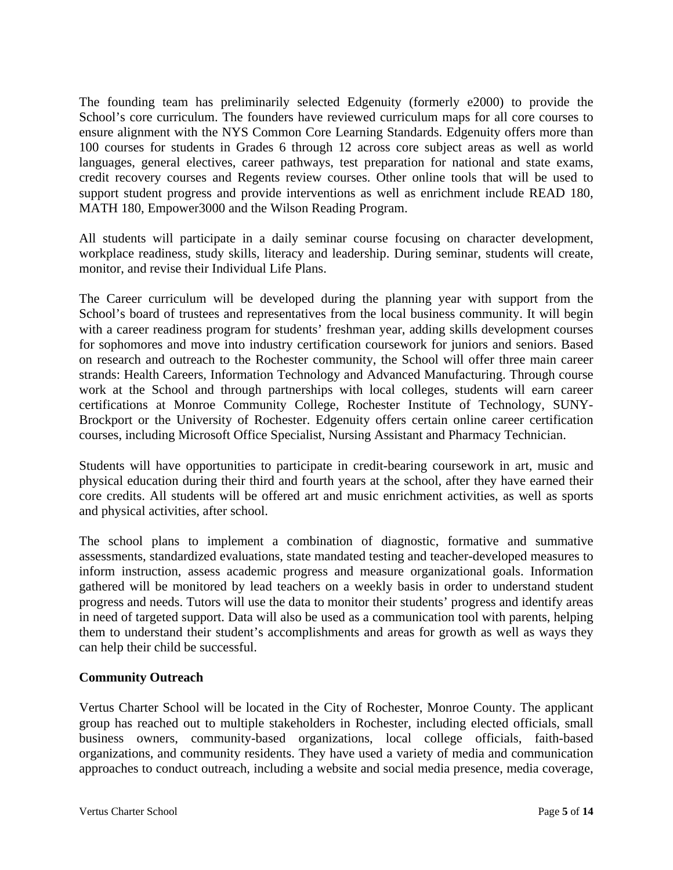The founding team has preliminarily selected Edgenuity (formerly e2000) to provide the School's core curriculum. The founders have reviewed curriculum maps for all core courses to ensure alignment with the NYS Common Core Learning Standards. Edgenuity offers more than 100 courses for students in Grades 6 through 12 across core subject areas as well as world languages, general electives, career pathways, test preparation for national and state exams, credit recovery courses and Regents review courses. Other online tools that will be used to support student progress and provide interventions as well as enrichment include READ 180, MATH 180, Empower3000 and the Wilson Reading Program.

All students will participate in a daily seminar course focusing on character development, workplace readiness, study skills, literacy and leadership. During seminar, students will create, monitor, and revise their Individual Life Plans.

The Career curriculum will be developed during the planning year with support from the School's board of trustees and representatives from the local business community. It will begin with a career readiness program for students' freshman year, adding skills development courses for sophomores and move into industry certification coursework for juniors and seniors. Based on research and outreach to the Rochester community, the School will offer three main career strands: Health Careers, Information Technology and Advanced Manufacturing. Through course work at the School and through partnerships with local colleges, students will earn career certifications at Monroe Community College, Rochester Institute of Technology, SUNY-Brockport or the University of Rochester. Edgenuity offers certain online career certification courses, including Microsoft Office Specialist, Nursing Assistant and Pharmacy Technician.

Students will have opportunities to participate in credit-bearing coursework in art, music and physical education during their third and fourth years at the school, after they have earned their core credits. All students will be offered art and music enrichment activities, as well as sports and physical activities, after school.

The school plans to implement a combination of diagnostic, formative and summative assessments, standardized evaluations, state mandated testing and teacher-developed measures to inform instruction, assess academic progress and measure organizational goals. Information gathered will be monitored by lead teachers on a weekly basis in order to understand student progress and needs. Tutors will use the data to monitor their students' progress and identify areas in need of targeted support. Data will also be used as a communication tool with parents, helping them to understand their student's accomplishments and areas for growth as well as ways they can help their child be successful.

# **Community Outreach**

Vertus Charter School will be located in the City of Rochester, Monroe County. The applicant group has reached out to multiple stakeholders in Rochester, including elected officials, small business owners, community-based organizations, local college officials, faith-based organizations, and community residents. They have used a variety of media and communication approaches to conduct outreach, including a website and social media presence, media coverage,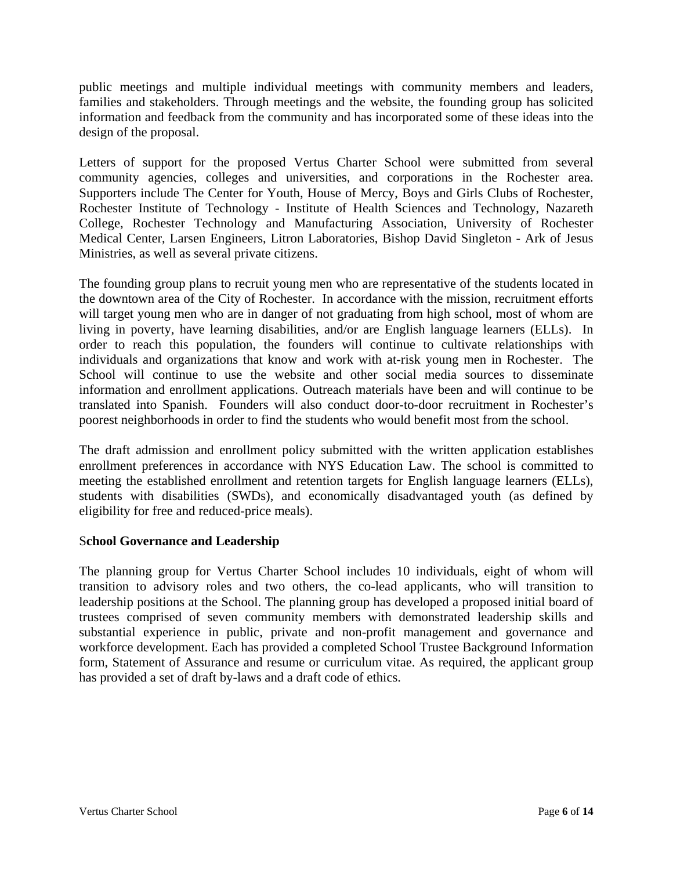public meetings and multiple individual meetings with community members and leaders, families and stakeholders. Through meetings and the website, the founding group has solicited information and feedback from the community and has incorporated some of these ideas into the design of the proposal.

Letters of support for the proposed Vertus Charter School were submitted from several community agencies, colleges and universities, and corporations in the Rochester area. Supporters include The Center for Youth, House of Mercy, Boys and Girls Clubs of Rochester, Rochester Institute of Technology - Institute of Health Sciences and Technology, Nazareth College, Rochester Technology and Manufacturing Association, University of Rochester Medical Center, Larsen Engineers, Litron Laboratories, Bishop David Singleton - Ark of Jesus Ministries, as well as several private citizens.

The founding group plans to recruit young men who are representative of the students located in the downtown area of the City of Rochester. In accordance with the mission, recruitment efforts will target young men who are in danger of not graduating from high school, most of whom are living in poverty, have learning disabilities, and/or are English language learners (ELLs). In order to reach this population, the founders will continue to cultivate relationships with individuals and organizations that know and work with at-risk young men in Rochester. The School will continue to use the website and other social media sources to disseminate information and enrollment applications. Outreach materials have been and will continue to be translated into Spanish. Founders will also conduct door-to-door recruitment in Rochester's poorest neighborhoods in order to find the students who would benefit most from the school.

The draft admission and enrollment policy submitted with the written application establishes enrollment preferences in accordance with NYS Education Law. The school is committed to meeting the established enrollment and retention targets for English language learners (ELLs), students with disabilities (SWDs), and economically disadvantaged youth (as defined by eligibility for free and reduced-price meals).

# S**chool Governance and Leadership**

The planning group for Vertus Charter School includes 10 individuals, eight of whom will transition to advisory roles and two others, the co-lead applicants, who will transition to leadership positions at the School. The planning group has developed a proposed initial board of trustees comprised of seven community members with demonstrated leadership skills and substantial experience in public, private and non-profit management and governance and workforce development. Each has provided a completed School Trustee Background Information form, Statement of Assurance and resume or curriculum vitae. As required, the applicant group has provided a set of draft by-laws and a draft code of ethics.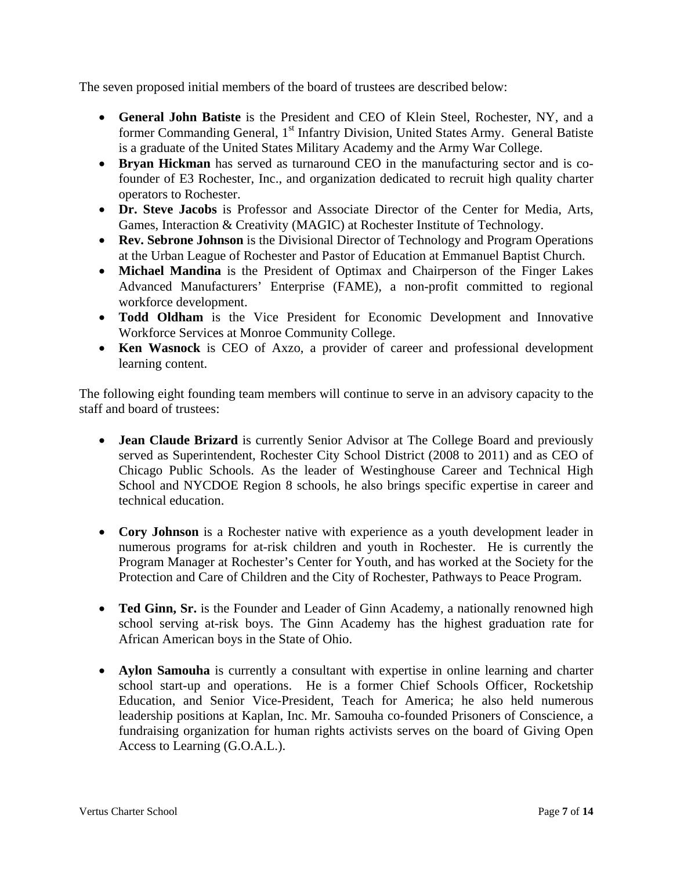The seven proposed initial members of the board of trustees are described below:

- **General John Batiste** is the President and CEO of Klein Steel, Rochester, NY, and a former Commanding General, 1<sup>st</sup> Infantry Division, United States Army. General Batiste is a graduate of the United States Military Academy and the Army War College.
- **Bryan Hickman** has served as turnaround CEO in the manufacturing sector and is cofounder of E3 Rochester, Inc., and organization dedicated to recruit high quality charter operators to Rochester.
- **Dr. Steve Jacobs** is Professor and Associate Director of the Center for Media, Arts, Games, Interaction & Creativity (MAGIC) at Rochester Institute of Technology.
- **Rev. Sebrone Johnson** is the Divisional Director of Technology and Program Operations at the Urban League of Rochester and Pastor of Education at Emmanuel Baptist Church.
- **Michael Mandina** is the President of Optimax and Chairperson of the Finger Lakes Advanced Manufacturers' Enterprise (FAME), a non-profit committed to regional workforce development.
- **Todd Oldham** is the Vice President for Economic Development and Innovative Workforce Services at Monroe Community College.
- **Ken Wasnock** is CEO of Axzo, a provider of career and professional development learning content.

The following eight founding team members will continue to serve in an advisory capacity to the staff and board of trustees:

- **Jean Claude Brizard** is currently Senior Advisor at The College Board and previously served as Superintendent, Rochester City School District (2008 to 2011) and as CEO of Chicago Public Schools. As the leader of Westinghouse Career and Technical High School and NYCDOE Region 8 schools, he also brings specific expertise in career and technical education.
- **Cory Johnson** is a Rochester native with experience as a youth development leader in numerous programs for at-risk children and youth in Rochester. He is currently the Program Manager at Rochester's Center for Youth, and has worked at the Society for the Protection and Care of Children and the City of Rochester, Pathways to Peace Program.
- **Ted Ginn, Sr.** is the Founder and Leader of Ginn Academy, a nationally renowned high school serving at-risk boys. The Ginn Academy has the highest graduation rate for African American boys in the State of Ohio.
- **Aylon Samouha** is currently a consultant with expertise in online learning and charter school start-up and operations. He is a former Chief Schools Officer, Rocketship Education, and Senior Vice-President, Teach for America; he also held numerous leadership positions at Kaplan, Inc. Mr. Samouha co-founded Prisoners of Conscience, a fundraising organization for human rights activists serves on the board of Giving Open Access to Learning (G.O.A.L.).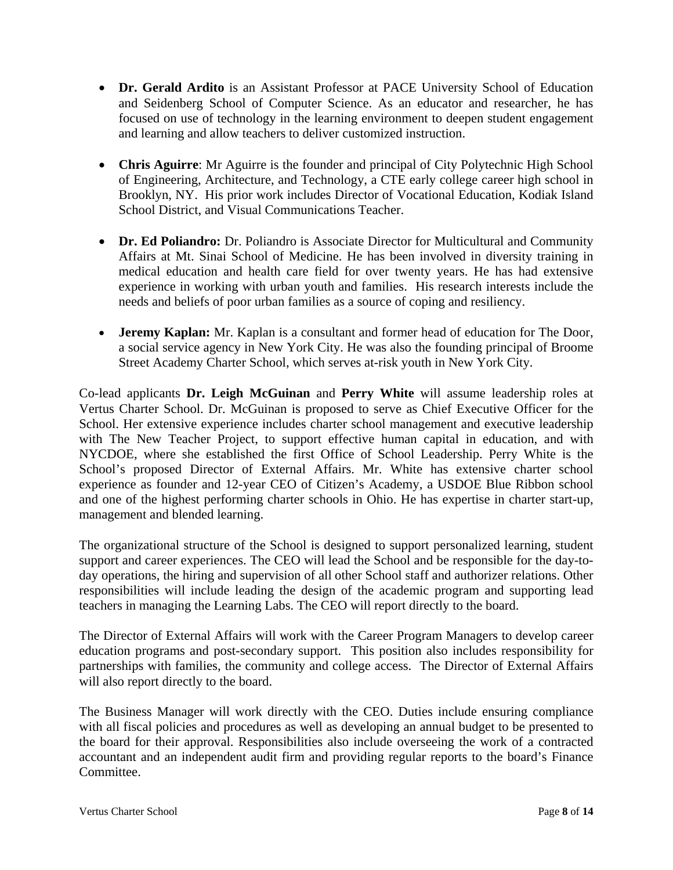- **Dr. Gerald Ardito** is an Assistant Professor at PACE University School of Education and Seidenberg School of Computer Science. As an educator and researcher, he has focused on use of technology in the learning environment to deepen student engagement and learning and allow teachers to deliver customized instruction.
- **Chris Aguirre**: Mr Aguirre is the founder and principal of City Polytechnic High School of Engineering, Architecture, and Technology, a CTE early college career high school in Brooklyn, NY. His prior work includes Director of Vocational Education, Kodiak Island School District, and Visual Communications Teacher.
- **Dr. Ed Poliandro:** Dr. Poliandro is Associate Director for Multicultural and Community Affairs at Mt. Sinai School of Medicine. He has been involved in diversity training in medical education and health care field for over twenty years. He has had extensive experience in working with urban youth and families. His research interests include the needs and beliefs of poor urban families as a source of coping and resiliency.
- **Jeremy Kaplan:** Mr. Kaplan is a consultant and former head of education for The Door, a social service agency in New York City. He was also the founding principal of Broome Street Academy Charter School, which serves at-risk youth in New York City.

Co-lead applicants **Dr. Leigh McGuinan** and **Perry White** will assume leadership roles at Vertus Charter School. Dr. McGuinan is proposed to serve as Chief Executive Officer for the School. Her extensive experience includes charter school management and executive leadership with The New Teacher Project, to support effective human capital in education, and with NYCDOE, where she established the first Office of School Leadership. Perry White is the School's proposed Director of External Affairs. Mr. White has extensive charter school experience as founder and 12-year CEO of Citizen's Academy, a USDOE Blue Ribbon school and one of the highest performing charter schools in Ohio. He has expertise in charter start-up, management and blended learning.

The organizational structure of the School is designed to support personalized learning, student support and career experiences. The CEO will lead the School and be responsible for the day-today operations, the hiring and supervision of all other School staff and authorizer relations. Other responsibilities will include leading the design of the academic program and supporting lead teachers in managing the Learning Labs. The CEO will report directly to the board.

The Director of External Affairs will work with the Career Program Managers to develop career education programs and post-secondary support. This position also includes responsibility for partnerships with families, the community and college access. The Director of External Affairs will also report directly to the board.

The Business Manager will work directly with the CEO. Duties include ensuring compliance with all fiscal policies and procedures as well as developing an annual budget to be presented to the board for their approval. Responsibilities also include overseeing the work of a contracted accountant and an independent audit firm and providing regular reports to the board's Finance Committee.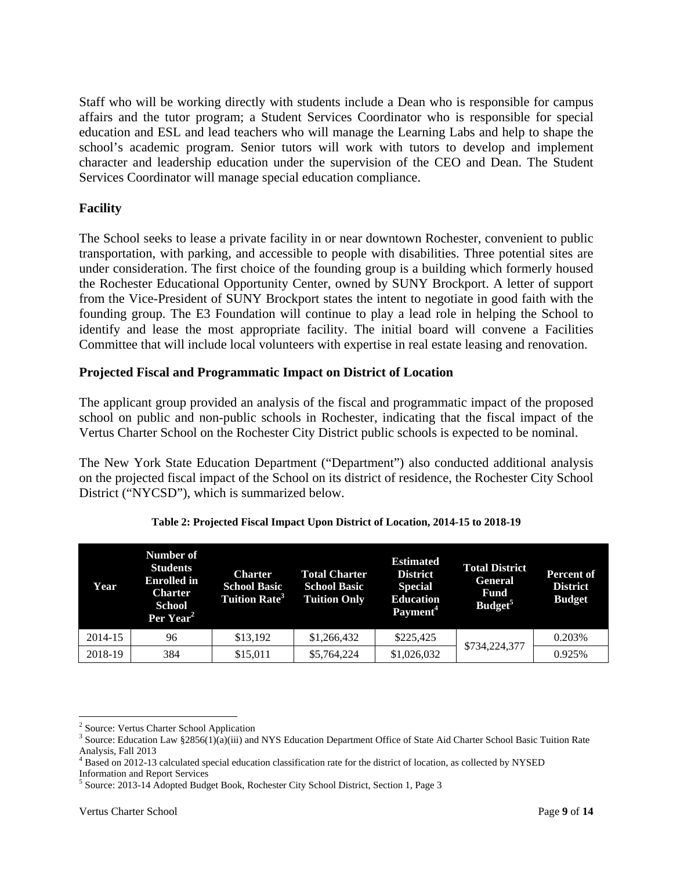Staff who will be working directly with students include a Dean who is responsible for campus affairs and the tutor program; a Student Services Coordinator who is responsible for special education and ESL and lead teachers who will manage the Learning Labs and help to shape the school's academic program. Senior tutors will work with tutors to develop and implement character and leadership education under the supervision of the CEO and Dean. The Student Services Coordinator will manage special education compliance.

### **Facility**

The School seeks to lease a private facility in or near downtown Rochester, convenient to public transportation, with parking, and accessible to people with disabilities. Three potential sites are under consideration. The first choice of the founding group is a building which formerly housed the Rochester Educational Opportunity Center, owned by SUNY Brockport. A letter of support from the Vice-President of SUNY Brockport states the intent to negotiate in good faith with the founding group. The E3 Foundation will continue to play a lead role in helping the School to identify and lease the most appropriate facility. The initial board will convene a Facilities Committee that will include local volunteers with expertise in real estate leasing and renovation.

#### **Projected Fiscal and Programmatic Impact on District of Location**

The applicant group provided an analysis of the fiscal and programmatic impact of the proposed school on public and non-public schools in Rochester, indicating that the fiscal impact of the Vertus Charter School on the Rochester City District public schools is expected to be nominal.

The New York State Education Department ("Department") also conducted additional analysis on the projected fiscal impact of the School on its district of residence, the Rochester City School District ("NYCSD"), which is summarized below.

| Year    | Number of<br><b>Students</b><br><b>Enrolled</b> in<br><b>Charter</b><br>School<br>Per Year <sup>2</sup> | <b>Charter</b><br><b>School Basic</b><br><b>Tuition Rate<sup>3</sup></b> | <b>Total Charter</b><br><b>School Basic</b><br><b>Tuition Only</b> | <b>Estimated</b><br><b>District</b><br><b>Special</b><br><b>Education</b><br>Payment <sup>4</sup> | <b>Total District</b><br><b>General</b><br><b>Fund</b><br>Budget <sup>5</sup> | <b>Percent of</b><br><b>District</b><br><b>Budget</b> |
|---------|---------------------------------------------------------------------------------------------------------|--------------------------------------------------------------------------|--------------------------------------------------------------------|---------------------------------------------------------------------------------------------------|-------------------------------------------------------------------------------|-------------------------------------------------------|
| 2014-15 | 96                                                                                                      | \$13,192                                                                 | \$1,266,432                                                        | \$225,425                                                                                         | \$734,224,377                                                                 | 0.203%                                                |
| 2018-19 | 384                                                                                                     | \$15,011                                                                 | \$5,764,224                                                        | \$1,026,032                                                                                       |                                                                               | 0.925%                                                |

#### **Table 2: Projected Fiscal Impact Upon District of Location, 2014-15 to 2018-19**

 $\overline{a}$ <sup>2</sup> Source: Vertus Charter School Application  $\frac{3}{2}$  Source: Education I aw  $\frac{82856(1)(e)(iii)}{2}$  and

 $3$  Source: Education Law §2856(1)(a)(iii) and NYS Education Department Office of State Aid Charter School Basic Tuition Rate Analysis, Fall 2013

<sup>&</sup>lt;sup>4</sup> Based on 2012-13 calculated special education classification rate for the district of location, as collected by NYSED

Information and Report Services

<sup>5</sup> Source: 2013-14 Adopted Budget Book, Rochester City School District, Section 1, Page 3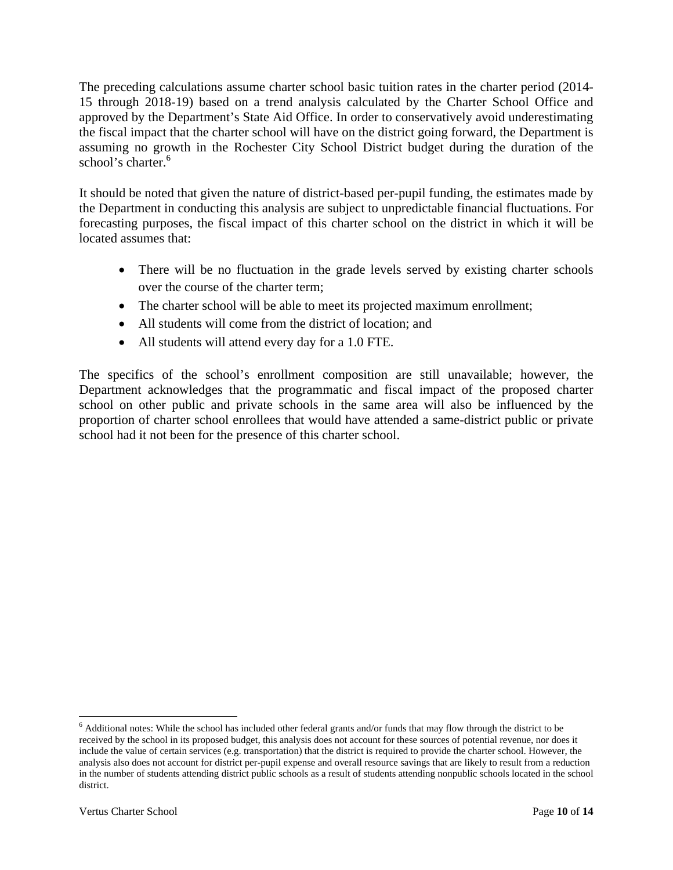The preceding calculations assume charter school basic tuition rates in the charter period (2014- 15 through 2018-19) based on a trend analysis calculated by the Charter School Office and approved by the Department's State Aid Office. In order to conservatively avoid underestimating the fiscal impact that the charter school will have on the district going forward, the Department is assuming no growth in the Rochester City School District budget during the duration of the school's charter.<sup>6</sup>

It should be noted that given the nature of district-based per-pupil funding, the estimates made by the Department in conducting this analysis are subject to unpredictable financial fluctuations. For forecasting purposes, the fiscal impact of this charter school on the district in which it will be located assumes that:

- There will be no fluctuation in the grade levels served by existing charter schools over the course of the charter term;
- The charter school will be able to meet its projected maximum enrollment;
- All students will come from the district of location; and
- All students will attend every day for a 1.0 FTE.

The specifics of the school's enrollment composition are still unavailable; however, the Department acknowledges that the programmatic and fiscal impact of the proposed charter school on other public and private schools in the same area will also be influenced by the proportion of charter school enrollees that would have attended a same-district public or private school had it not been for the presence of this charter school.

 $6$  Additional notes: While the school has included other federal grants and/or funds that may flow through the district to be received by the school in its proposed budget, this analysis does not account for these sources of potential revenue, nor does it include the value of certain services (e.g. transportation) that the district is required to provide the charter school. However, the analysis also does not account for district per-pupil expense and overall resource savings that are likely to result from a reduction in the number of students attending district public schools as a result of students attending nonpublic schools located in the school district.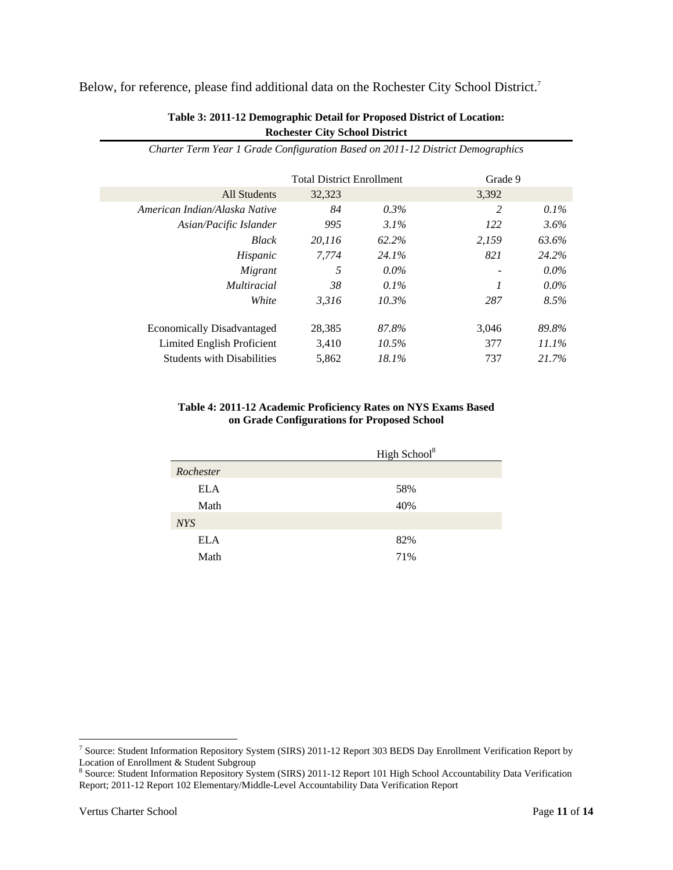#### Below, for reference, please find additional data on the Rochester City School District.7

|                                   | <b>Total District Enrollment</b> |          | Grade 9 |          |
|-----------------------------------|----------------------------------|----------|---------|----------|
| All Students                      | 32,323                           |          | 3,392   |          |
| American Indian/Alaska Native     | 84                               | $0.3\%$  | 2       | $0.1\%$  |
| Asian/Pacific Islander            | 995                              | $3.1\%$  | 122     | 3.6%     |
| <b>Black</b>                      | 20,116                           | 62.2%    | 2,159   | 63.6%    |
| Hispanic                          | 7.774                            | 24.1%    | 821     | 24.2%    |
| Migrant                           | 5                                | $0.0\%$  |         | $0.0\%$  |
| <i>Multiracial</i>                | 38                               | $0.1\%$  |         | $0.0\%$  |
| White                             | 3.316                            | 10.3%    | 287     | 8.5%     |
| <b>Economically Disadvantaged</b> | 28,385                           | 87.8%    | 3.046   | 89.8%    |
| Limited English Proficient        | 3.410                            | $10.5\%$ | 377     | $11.1\%$ |
| <b>Students with Disabilities</b> | 5.862                            | 18.1%    | 737     | 21.7%    |

#### **Table 3: 2011-12 Demographic Detail for Proposed District of Location: Rochester City School District**

*Charter Term Year 1 Grade Configuration Based on 2011-12 District Demographics* 

#### **Table 4: 2011-12 Academic Proficiency Rates on NYS Exams Based on Grade Configurations for Proposed School**

<sup>&</sup>lt;sup>7</sup> Source: Student Information Repository System (SIRS) 2011-12 Report 303 BEDS Day Enrollment Verification Report by Location of Enrollment & Student Subgroup<br><sup>8</sup> Source: Student Information Repository System (SIRS) 2011-12 Report 101 High School Accountability Data Verification

Report; 2011-12 Report 102 Elementary/Middle-Level Accountability Data Verification Report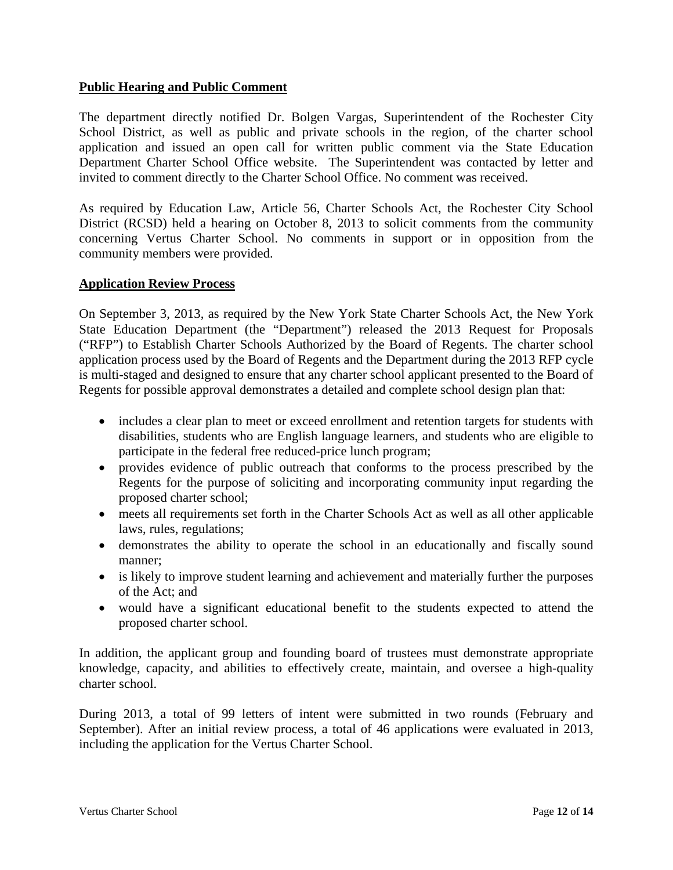#### **Public Hearing and Public Comment**

The department directly notified Dr. Bolgen Vargas, Superintendent of the Rochester City School District, as well as public and private schools in the region, of the charter school application and issued an open call for written public comment via the State Education Department Charter School Office website. The Superintendent was contacted by letter and invited to comment directly to the Charter School Office. No comment was received.

As required by Education Law, Article 56, Charter Schools Act, the Rochester City School District (RCSD) held a hearing on October 8, 2013 to solicit comments from the community concerning Vertus Charter School. No comments in support or in opposition from the community members were provided.

#### **Application Review Process**

On September 3, 2013, as required by the New York State Charter Schools Act, the New York State Education Department (the "Department") released the 2013 Request for Proposals ("RFP") to Establish Charter Schools Authorized by the Board of Regents. The charter school application process used by the Board of Regents and the Department during the 2013 RFP cycle is multi-staged and designed to ensure that any charter school applicant presented to the Board of Regents for possible approval demonstrates a detailed and complete school design plan that:

- includes a clear plan to meet or exceed enrollment and retention targets for students with disabilities, students who are English language learners, and students who are eligible to participate in the federal free reduced-price lunch program;
- provides evidence of public outreach that conforms to the process prescribed by the Regents for the purpose of soliciting and incorporating community input regarding the proposed charter school;
- meets all requirements set forth in the Charter Schools Act as well as all other applicable laws, rules, regulations;
- demonstrates the ability to operate the school in an educationally and fiscally sound manner;
- is likely to improve student learning and achievement and materially further the purposes of the Act; and
- would have a significant educational benefit to the students expected to attend the proposed charter school.

In addition, the applicant group and founding board of trustees must demonstrate appropriate knowledge, capacity, and abilities to effectively create, maintain, and oversee a high-quality charter school.

During 2013, a total of 99 letters of intent were submitted in two rounds (February and September). After an initial review process, a total of 46 applications were evaluated in 2013, including the application for the Vertus Charter School.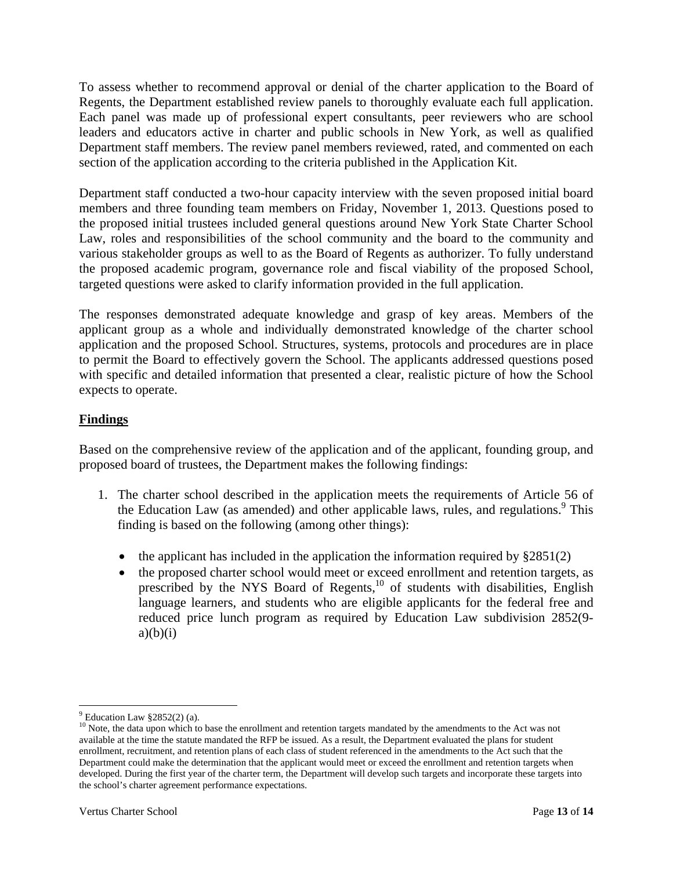To assess whether to recommend approval or denial of the charter application to the Board of Regents, the Department established review panels to thoroughly evaluate each full application. Each panel was made up of professional expert consultants, peer reviewers who are school leaders and educators active in charter and public schools in New York, as well as qualified Department staff members. The review panel members reviewed, rated, and commented on each section of the application according to the criteria published in the Application Kit.

Department staff conducted a two-hour capacity interview with the seven proposed initial board members and three founding team members on Friday, November 1, 2013. Questions posed to the proposed initial trustees included general questions around New York State Charter School Law, roles and responsibilities of the school community and the board to the community and various stakeholder groups as well to as the Board of Regents as authorizer. To fully understand the proposed academic program, governance role and fiscal viability of the proposed School, targeted questions were asked to clarify information provided in the full application.

The responses demonstrated adequate knowledge and grasp of key areas. Members of the applicant group as a whole and individually demonstrated knowledge of the charter school application and the proposed School. Structures, systems, protocols and procedures are in place to permit the Board to effectively govern the School. The applicants addressed questions posed with specific and detailed information that presented a clear, realistic picture of how the School expects to operate.

# **Findings**

Based on the comprehensive review of the application and of the applicant, founding group, and proposed board of trustees, the Department makes the following findings:

- 1. The charter school described in the application meets the requirements of Article 56 of the Education Law (as amended) and other applicable laws, rules, and regulations.<sup>9</sup> This finding is based on the following (among other things):
	- the applicant has included in the application the information required by  $\S 2851(2)$
	- the proposed charter school would meet or exceed enrollment and retention targets, as prescribed by the NYS Board of Regents, $^{10}$  of students with disabilities, English language learners, and students who are eligible applicants for the federal free and reduced price lunch program as required by Education Law subdivision 2852(9  $a)(b)(i)$

 $\overline{a}$  $9$  Education Law §2852(2) (a).

<sup>&</sup>lt;sup>10</sup> Note, the data upon which to base the enrollment and retention targets mandated by the amendments to the Act was not available at the time the statute mandated the RFP be issued. As a result, the Department evaluated the plans for student enrollment, recruitment, and retention plans of each class of student referenced in the amendments to the Act such that the Department could make the determination that the applicant would meet or exceed the enrollment and retention targets when developed. During the first year of the charter term, the Department will develop such targets and incorporate these targets into the school's charter agreement performance expectations.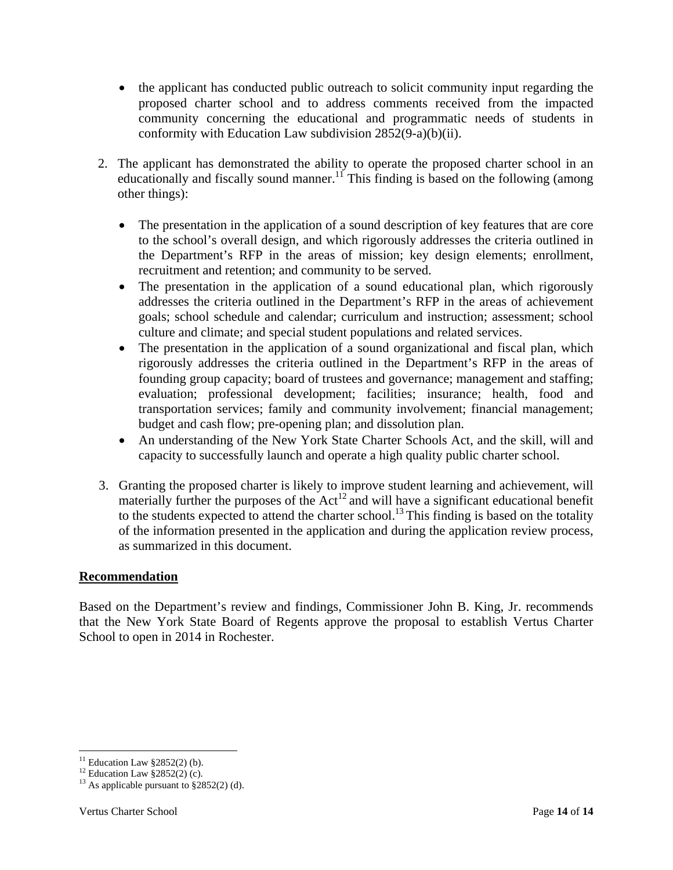- the applicant has conducted public outreach to solicit community input regarding the proposed charter school and to address comments received from the impacted community concerning the educational and programmatic needs of students in conformity with Education Law subdivision 2852(9-a)(b)(ii).
- 2. The applicant has demonstrated the ability to operate the proposed charter school in an educationally and fiscally sound manner.<sup>11</sup> This finding is based on the following (among other things):
	- The presentation in the application of a sound description of key features that are core to the school's overall design, and which rigorously addresses the criteria outlined in the Department's RFP in the areas of mission; key design elements; enrollment, recruitment and retention; and community to be served.
	- The presentation in the application of a sound educational plan, which rigorously addresses the criteria outlined in the Department's RFP in the areas of achievement goals; school schedule and calendar; curriculum and instruction; assessment; school culture and climate; and special student populations and related services.
	- The presentation in the application of a sound organizational and fiscal plan, which rigorously addresses the criteria outlined in the Department's RFP in the areas of founding group capacity; board of trustees and governance; management and staffing; evaluation; professional development; facilities; insurance; health, food and transportation services; family and community involvement; financial management; budget and cash flow; pre-opening plan; and dissolution plan.
	- An understanding of the New York State Charter Schools Act, and the skill, will and capacity to successfully launch and operate a high quality public charter school.
- 3. Granting the proposed charter is likely to improve student learning and achievement, will materially further the purposes of the Act<sup>12</sup> and will have a significant educational benefit to the students expected to attend the charter school.<sup>13</sup> This finding is based on the totality of the information presented in the application and during the application review process, as summarized in this document.

# **Recommendation**

Based on the Department's review and findings, Commissioner John B. King, Jr. recommends that the New York State Board of Regents approve the proposal to establish Vertus Charter School to open in 2014 in Rochester.

 $11$  Education Law §2852(2) (b).

<sup>&</sup>lt;sup>12</sup> Education Law  $\S 2852(2)$  (c).

<sup>&</sup>lt;sup>13</sup> As applicable pursuant to  $\S 2852(2)$  (d).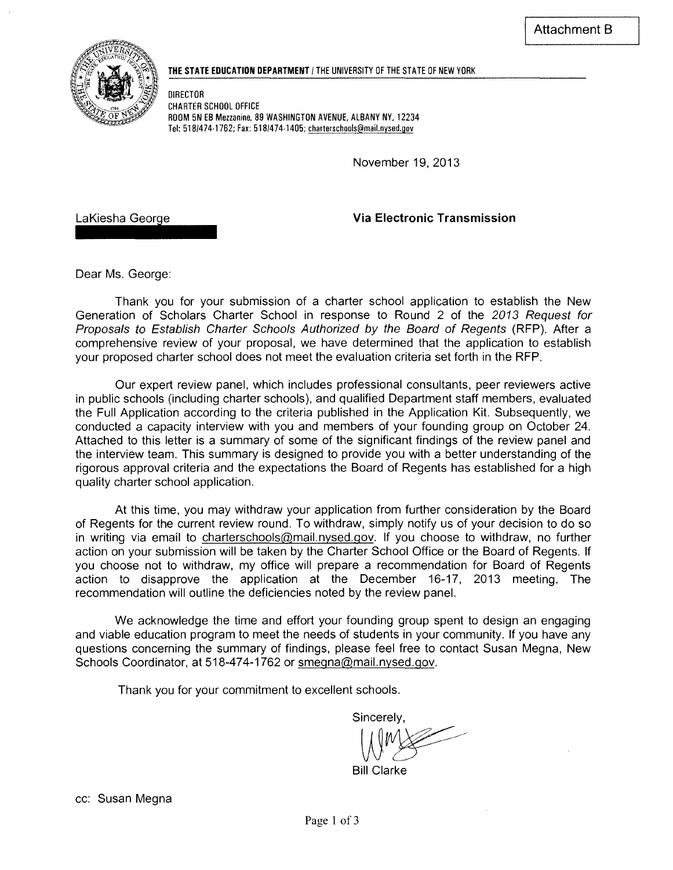

#### THE STATE EDUCATION DEPARTMENT **I** the UNIVERSITY OF THE STATE OF NEW YORK

DIRECTOR CHARTER SCHOOL OFFICE ROOM 5N EB Mezzanine, 89 WASHINGTON AVENUE, ALBANY NY, 12234 Tel: *518/474·1762;* Fax: *518/474·1405;* charterschools@mail.nysed.gov

November 19, 2013

LaKiesha George

Via Electronic Transmission

Dear Ms. George:

Thank you for your submission of a charter school application to establish the New Generation of Scholars Charter School in response to Round 2 of the 2013 Request for Proposals to Establish Charter Schools Authorized by the Board of Regents (RFP). After a comprehensive review of your proposal, we have determined that the application to establish your proposed charter school does not meet the evaluation criteria set forth in the RFP.

Our expert review panel, which includes professional consultants, peer reviewers active in public schools (including charter schools), and qualified Department staff members, evaluated the Full Application according to the criteria published in the Application Kit. Subsequently, we conducted a capacity interview with you and members of your founding group on October 24. Attached to this letter is a summary of some of the significant findings of the review panel and the interview team. This summary is designed to provide you with a better understanding of the rigorous approval criteria and the expectations the Board of Regents has established for a high quality charter school application.

At this time, you may withdraw your application from further consideration by the Board of Regents for the current review round. To withdraw, simply notify us of your decision to do so in writing via email to charterschools@mail.nysed.gov. If you choose to withdraw, no further action on your submission will be taken by the Charter School Office or the Board of Regents. If you choose not to withdraw, my office will prepare a recommendation for Board of Regents action to disapprove the application at the December 16-17, 2013 meeting. The recommendation will outline the deficiencies noted by the review panel.

We acknowledge the time and effort your founding group spent to design an engaging and viable education program to meet the needs of students in your community. If you have any questions concerning the summary of findings, please feel free to contact Susan Megna, New Schools Coordinator, at 518-474-1762 or smegna@mail.nysed.gov.

Thank you for your commitment to excellent schools.

Sincerely,  $W^*$ 

Bill Clarke

cc: Susan Megna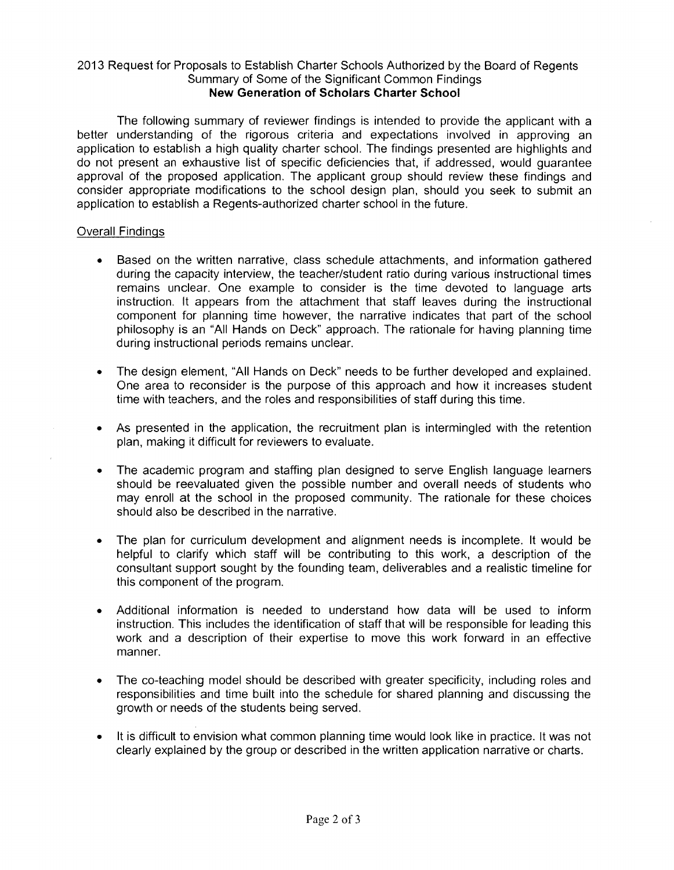#### 2013 Request for Proposals to Establish Charter Schools Authorized by the Board of Regents Summary of Some of the Significant Common Findings **New Generation of Scholars Charter School**

The following summary of reviewer findings is intended to provide the applicant with a better understanding of the rigorous criteria and expectations involved in approving an application to establish a high quality charter school. The findings presented are highlights and do not present an exhaustive list of specific deficiencies that, if addressed, would guarantee approval of the proposed application. The applicant group should review these findings and consider appropriate modifications to the school design plan, should you seek to submit an application to establish a Regents-authorized charter school in the future.

#### Overall Findings

- Based on the written narrative, class schedule attachments, and information gathered during the capacity interview, the teacher/student ratio during various instructional times remains unclear. One example to consider is the time devoted to language arts instruction. It appears from the attachment that staff leaves during the instructional component for planning time however, the narrative indicates that part of the school philosophy is an "All Hands on Deck" approach. The rationale for having planning time during instructional periods remains unclear.
- The design element, "All Hands on Deck" needs to be further developed and explained. One area to reconsider is the purpose of this approach and how it increases student time with teachers, and the roles and responsibilities of staff during this time.
- As presented in the application, the recruitment plan is intermingled with the retention plan, making it difficult for reviewers to evaluate.
- The academic program and staffing plan designed to serve English language learners should be reevaluated given the possible number and overall needs of students who may enroll at the school in the proposed community. The rationale for these choices should also be described in the narrative.
- The plan for curriculum development and alignment needs is incomplete. It would be helpful to clarify which staff will be contributing to this work, a description of the consultant support sought by the founding team, deliverables and a realistic timeline for this component of the program.
- Additional information is needed to understand how data will be used to inform instruction. This includes the identification of staff that will be responsible for leading this work and a description of their expertise to move this work forward in an effective manner.
- The co-teaching model should be described with greater specificity, including roles and responsibilities and time built into the schedule for shared planning and discussing the growth or needs of the students being served.
- It is difficult to envision what common planning time would look like in practice. It was not clearly explained by the group or described in the written application narrative or charts.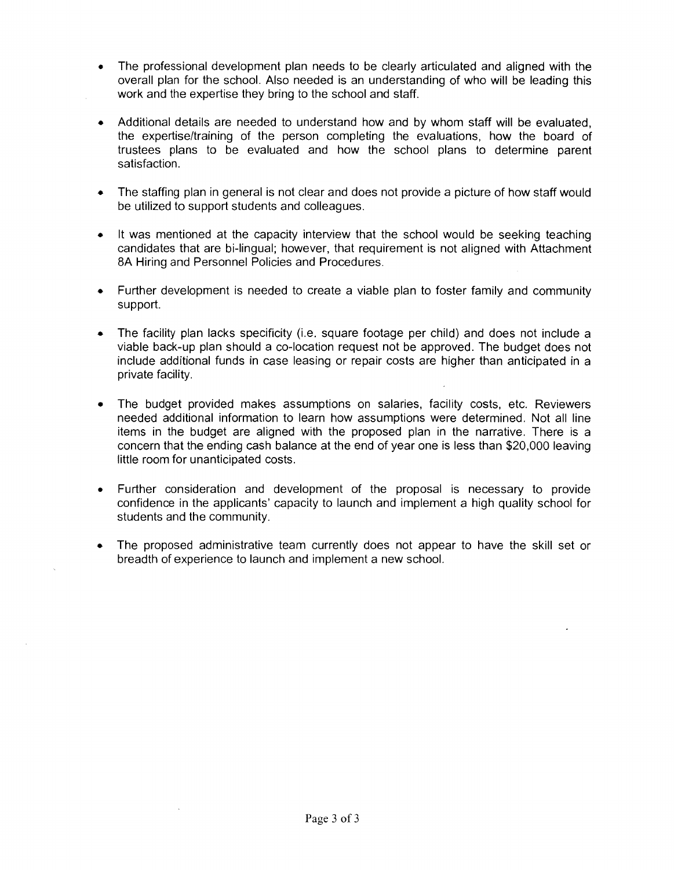- The professional development plan needs to be clearly articulated and aligned with the overall plan for the school. Also needed is an understanding of who will be leading this work and the expertise they bring to the school and staff.
- Additional details are needed to understand how and by whom staff will be evaluated, the expertise/training of the person completing the evaluations, how the board of trustees plans to be evaluated and how the school plans to determine parent satisfaction.
- The staffing plan in general is not clear and does not provide a picture of how staff would be utilized to support students and colleagues.
- It was mentioned at the capacity interview that the school would be seeking teaching candidates that are bi-lingual; however, that requirement is not aligned with Attachment 8A Hiring and Personnel Policies and Procedures.
- Further development is needed to create a viable plan to foster family and community support.
- The facility plan lacks specificity (i.e. square footage per child) and does not include a viable back-up plan should a co-location request not be approved. The budget does not include additional funds in case leasing or repair costs are higher than anticipated in a private facility.
- The budget provided makes assumptions on salaries, facility costs, etc. Reviewers needed additional information to learn how assumptions were determined. Not all line items in the budget are aligned with the proposed plan in the narrative. There is a concern that the ending cash balance at the end of year one is less than \$20,000 leaving little room for unanticipated costs.
- Further consideration and development of the proposal is necessary to provide confidence in the applicants' capacity to launch and implement a high quality school for students and the community.
- The proposed administrative team currently does not appear to have the skill set or breadth of experience to launch and implement a new school.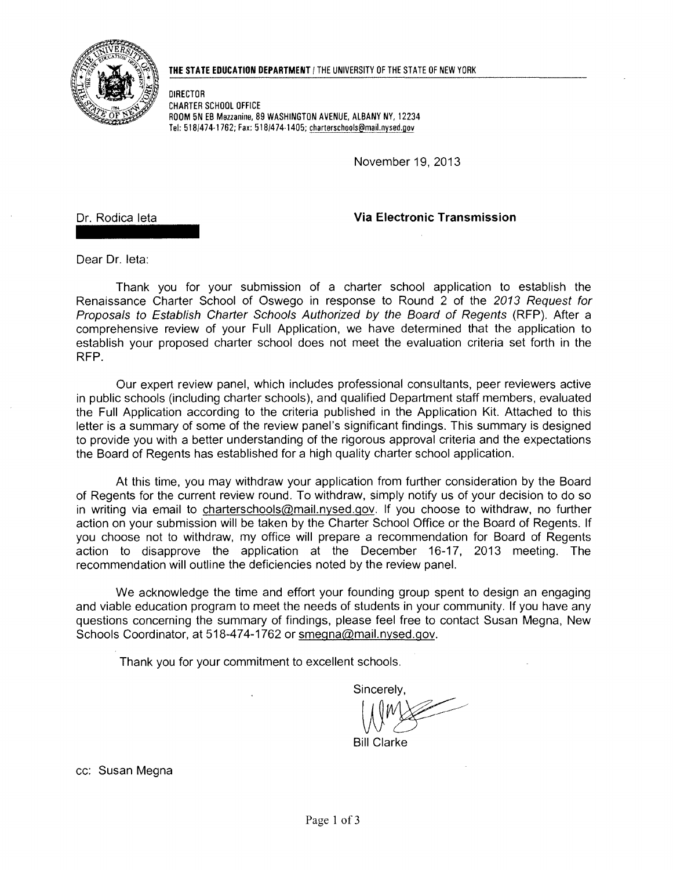

#### **THE STATE EDUCATION DEPARTMENT** 1 THE UNIVERSITY OF THE STATE OF NEW YORK

DIRECTOR CHARTER SCHOOL OFFICE ROOM 5N EB Mezzanine, 89 WASHINGTON AVENUE, ALBANY NY, 12234 Tel: *518/474·1762;* Fax: *518/474·1405;* charterschools@mail.nysed.gov

November 19, 2013

Dr. Rodica leta

**Via Electronic Transmission** 

Dear Dr. leta:

Thank you for your submission of a charter school application to establish the Renaissance Charter School of Oswego in response to Round 2 of the 2013 Request for Proposals to Establish Charter Schools Authorized by the Board of Regents (RFP). After a comprehensive review of your Full Application, we have determined that the application to establish your proposed charter school does not meet the evaluation criteria set forth in the RFP.

Our expert review panel, which includes professional consultants, peer reviewers active in public schools (including charter schools), and qualified Department staff members, evaluated the Full Application according to the criteria published in the Application Kit. Attached to this letter is a summary of some of the review panel's significant findings. This summary is designed to provide you with a better understanding of the rigorous approval criteria and the expectations the Board of Regents has established for a high quality charter school application.

At this time, you may withdraw your application from further consideration by the Board of Regents for the current review round. To withdraw, simply notify us of your decision to do so in writing via email to charterschools@mail.nysed.gov. If you choose to withdraw, no further action on your submission will be taken by the Charter School Office or the Board of Regents. If you choose not to withdraw, my office will prepare a recommendation for Board of Regents action to disapprove the application at the December 16-17, 2013 meeting. The recommendation will outline the deficiencies noted by the review panel.

We acknowledge the time and effort your founding group spent to design an engaging and viable education program to meet the needs of students in your community. If you have any questions concerning the summary of findings, please feel free to contact Susan Megna, New Schools Coordinator, at 518-474-1762 or smegna@mail.nysed.gov.

Thank you for your commitment to excellent schools.

Sincerely, WWWWW.COM<br>WWW.Clarke

**Bill Clarke** 

cc: Susan Megna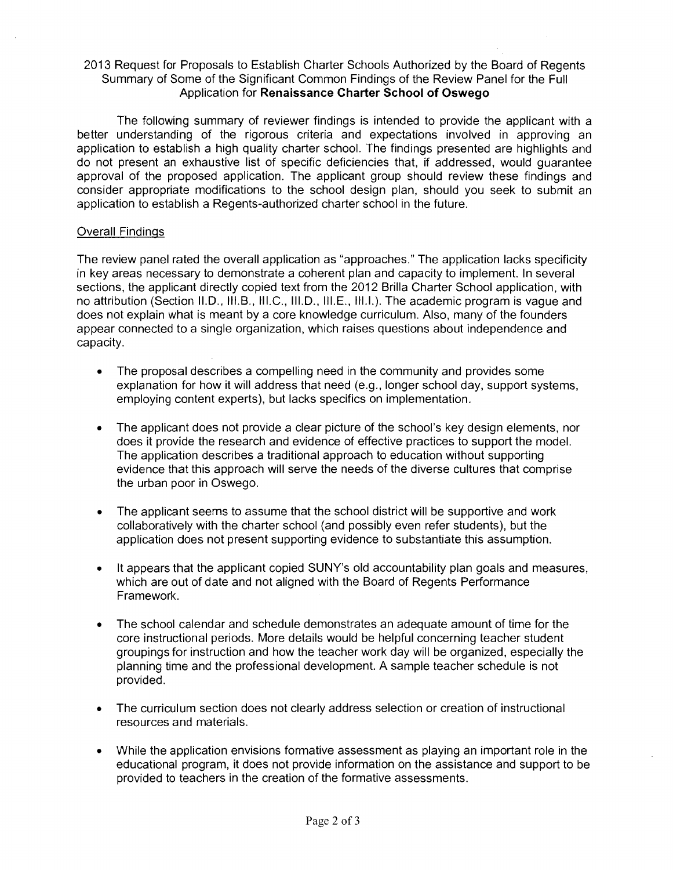#### 2013 Request for Proposals to Establish Charter Schools Authorized by the Board of Regents Summary of Some of the Significant Common Findings of the Review Panel for the Full Application for **Renaissance Charter School of Oswego**

The following summary of reviewer findings is intended to provide the applicant with a better understanding of the rigorous criteria and expectations involved in approving an application to establish a high quality charter school. The findings presented are highlights and do not present an exhaustive list of specific deficiencies that, if addressed, would guarantee approval of the proposed application. The applicant group should review these findings and consider appropriate modifications to the school design plan, should you seek to submit an application to establish a Regents-authorized charter school in the future.

#### Overall Findings

The review panel rated the overall application as "approaches." The application lacks specificity in key areas necessary to demonstrate a coherent plan and capacity to implement. In several sections, the applicant directly copied text from the 2012 Brilla Charter School application, with no attribution (Section II.D., III.B., III.C., III.D., III.E., III.I.). The academic program is vague and does not explain what is meant by a core knowledge curriculum. Also, many of the founders appear connected to a single organization, which raises questions about independence and capacity.

- The proposal describes a compelling need in the community and provides some explanation for how it will address that need (e.g., longer school day, support systems, employing content experts), but lacks specifics on implementation.
- The applicant does not provide a clear picture of the school's key design elements, nor does it provide the research and evidence of effective practices to support the model. The application describes a traditional approach to education without supporting evidence that this approach will serve the needs of the diverse cultures that comprise the urban poor in Oswego.
- The applicant seems to assume that the school district will be supportive and work collaboratively with the charter school (and possibly even refer students), but the application does not present supporting evidence to substantiate this assumption.
- It appears that the applicant copied SUNY's old accountability plan goals and measures, which are out of date and not aligned with the Board of Regents Performance Framework.
- The school calendar and schedule demonstrates an adequate amount of time for the core instructional periods. More details would be helpful concerning teacher student groupings for instruction and how the teacher work day will be organized, especially the planning time and the professional development. A sample teacher schedule is not provided.
- The curriculum section does not clearly address selection or creation of instructional resources and materials.
- While the application envisions formative assessment as playing an important role in the educational program, it does not provide information on the assistance and support to be provided to teachers in the creation of the formative assessments.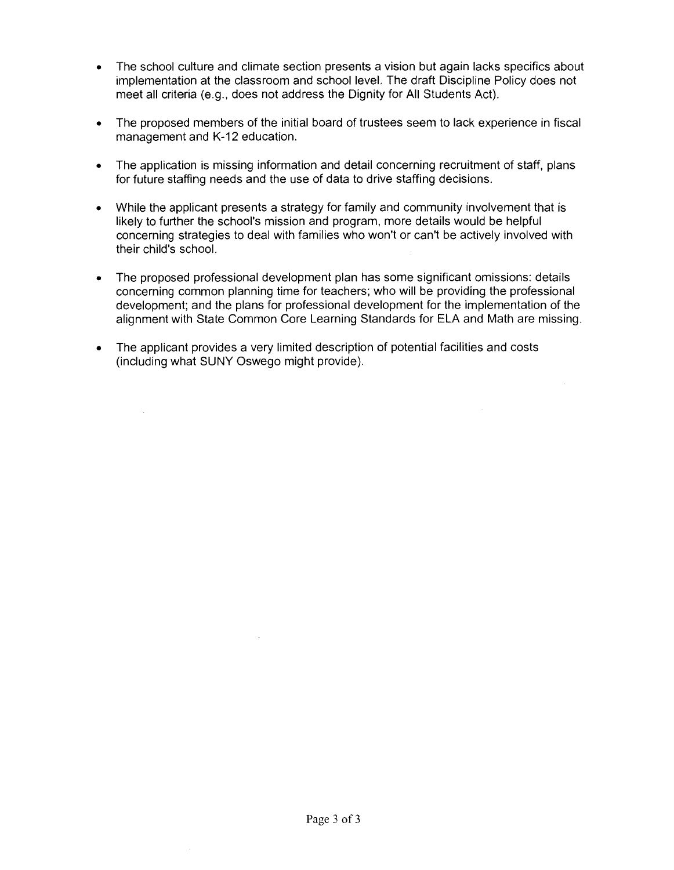- The school culture and climate section presents a vision but again lacks specifics about implementation at the classroom and school level. The draft Discipline Policy does not meet all criteria (e.g., does not address the Dignity for All Students Act).
- The proposed members of the initial board of trustees seem to lack experience in fiscal management and K-12 education.
- The application is missing information and detail concerning recruitment of staff, plans for future staffing needs and the use of data to drive staffing decisions.
- While the applicant presents a strategy for family and community involvement that is likely to further the school's mission and program, more details would be helpful concerning strategies to deal with families who won't or can't be actively involved with their child's school.
- The proposed professional development plan has some significant omissions: details concerning common planning time for teachers; who will be providing the professional development; and the plans for professional development for the implementation of the alignment with State Common Core Learning Standards for ELA and Math are missing.
- The applicant provides a very limited description of potential facilities and costs (including what SUNY Oswego might provide).

 $\sim$ 

 $\mathcal{A}$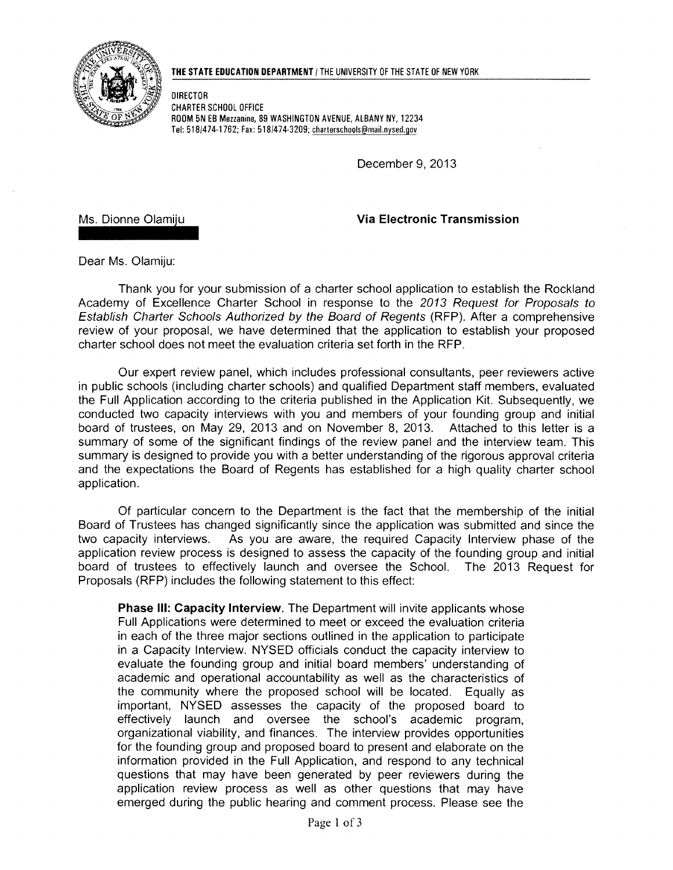

DIRECTOR CHARTER SCHOOL OFFICE ROOM 5N EB Mezzanine, 89 WASHINGTON AVENUE, ALBANY NY, 12234 Tel: 518/474·1762; Fax: 518/474·3209; charterschools@maiLnysed.gov

December 9, 2013

Ms. Dionne Olamiju

Via Electronic Transmission

Dear Ms. Olamiju:

Thank you for your submission of a charter school application to establish the Rockland Academy of Excellence Charter School in response to the 2013 Request for Proposals to Establish Charter Schools Authorized by the Board of Regents (RFP). After a comprehensive review of your proposal, we have determined that the application to establish your proposed charter school does not meet the evaluation criteria set forth in the RFP.

Our expert review panel, which includes professional consultants, peer reviewers active in public schools (including charter schools) and qualified Department staff members, evaluated the Full Application according to the criteria published in the Application Kit. Subsequently, we conducted two capacity interviews with you and members of your founding group and initial board of trustees, on May 29, 2013 and on November 8, 2013. Attached to this letter is a summary of some of the significant findings of the review panel and the interview team. This summary is designed to provide you with a better understanding of the rigorous approval criteria and the expectations the Board of Regents has established for a high quality charter school application.

Of particular concern to the Department is the fact that the membership of the initial Board of Trustees has changed significantly since the application was submitted and since the two capacity interviews. As you are aware, the required Capacity Interview phase of the application review process is designed to assess the capacity of the founding group and initial board of trustees to effectively launch and oversee the School. The 2013 Request for Proposals (RFP) includes the following statement to this effect:

Phase III: Capacity Interview. The Department will invite applicants whose Full Applications were determined to meet or exceed the evaluation criteria in each of the three major sections outlined in the application to participate in a Capacity Interview. NYSED officials conduct the capacity interview to evaluate the founding group and initial board members' understanding of academic and operational accountability as well as the characteristics of the community where the proposed school will be located. Equally as important, NYSED assesses the capacity of the proposed board to effectively launch and oversee the school's academic program, organizational viability, and finances. The interview provides opportunities for the founding group and proposed board to present and elaborate on the information provided in the Full Application, and respond to any technical questions that may have been generated by peer reviewers during the application review process as well as other questions that may have emerged during the public hearing and comment process. Please see the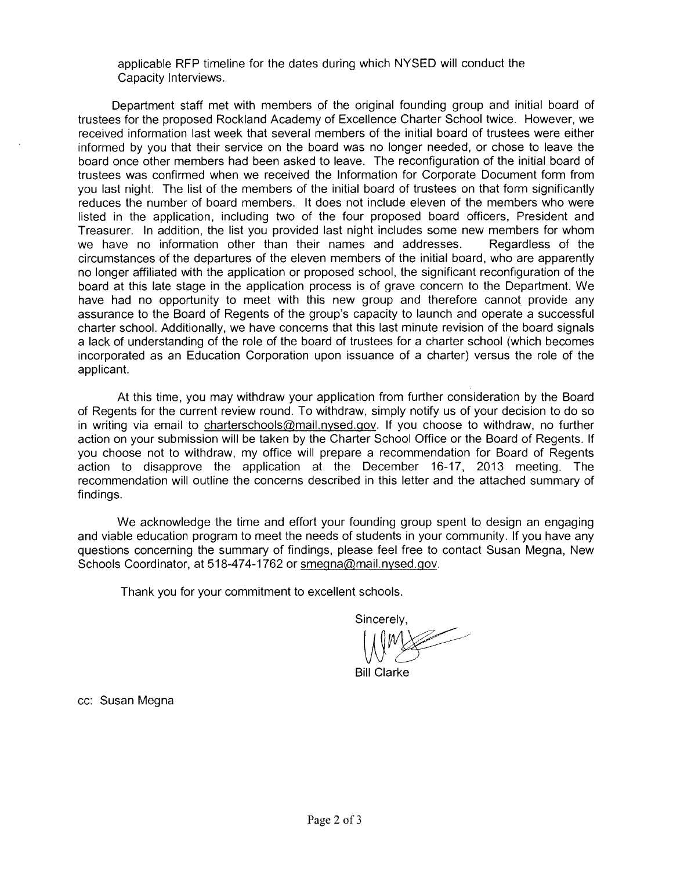applicable RFP timeline for the dates during which NYSED will conduct the Capacity Interviews.

Department staff met with members of the original founding group and initial board of trustees for the proposed Rockland Academy of Excellence Charter School twice. However, we received information last week that several members of the initial board of trustees were either informed by you that their service on the board was no longer needed, or chose to leave the board once other members had been asked to leave. The reconfiguration of the initial board of trustees was confirmed when we received the Information for Corporate Document form from you last night. The list of the members of the initial board of trustees on that form significantly reduces the number of board members. It does not include eleven of the members who were listed in the application, including two of the four proposed board officers, President and Treasurer. In addition, the list you provided last night includes some new members for whom we have no information other than their names and addresses. Regardless of the circumstances of the departures of the eleven members of the initial board, who are apparently no longer affiliated with the application or proposed school, the significant reconfiguration of the board at this late stage in the application process is of grave concern to the Department. We have had no opportunity to meet with this new group and therefore cannot provide any assurance to the Board of Regents of the group's capacity to launch and operate a successful charter school. Additionally, we have concerns that this last minute revision of the board signals a lack of understanding of the role of the board of trustees for a charter school (which becomes incorporated as an Education Corporation upon issuance of a charter) versus the role of the applicant.

At this time, you may withdraw your application from further consideration by the Board of Regents for the current review round. To withdraw, simply notify us of your decision to do so in writing via email to charterschools@mail.nysed.gov. If you choose to withdraw, no further action on your submission will be taken by the Charter School Office or the Board of Regents. If you choose not to withdraw, my office will prepare a recommendation for Board of Regents action to disapprove the application at the December 16-17, 2013 meeting. The recommendation will outline the concerns described in this letter and the attached summary of findings.

We acknowledge the time and effort your founding group spent to design an engaging and viable education program to meet the needs of students in your community. If you have any questions concerning the summary of findings, please feel free to contact Susan Megna, New Schools Coordinator, at 518-474-1762 or smegna@mail.nysed.gov.

Thank you for your commitment to excellent schools.

Sincerely,

 $W^*$ 

Bill Clarke

cc: Susan Megna